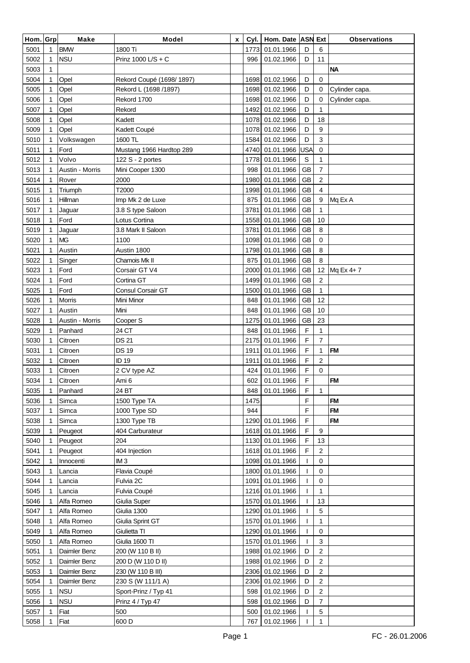| Hom. Grp |             | <b>Make</b>     | Model                    | x | Cyl. | Hom. Date ASN Ext |             |                | <b>Observations</b> |
|----------|-------------|-----------------|--------------------------|---|------|-------------------|-------------|----------------|---------------------|
| 5001     | 1           | <b>BMW</b>      | 1800 Ti                  |   | 1773 | 01.01.1966        | D           | 6              |                     |
| 5002     | 1           | <b>NSU</b>      | Prinz 1000 L/S + C       |   | 996  | 01.02.1966        | D           | 11             |                     |
| 5003     | 1           |                 |                          |   |      |                   |             |                | <b>NA</b>           |
| 5004     | 1           | Opel            | Rekord Coupé (1698/1897) |   | 1698 | 01.02.1966        | D           | $\mathbf 0$    |                     |
| 5005     | 1           | Opel            | Rekord L (1698 /1897)    |   | 1698 | 01.02.1966        | D           | $\mathbf 0$    | Cylinder capa.      |
| 5006     | 1           | Opel            | Rekord 1700              |   | 1698 | 01.02.1966        | D           | 0              | Cylinder capa.      |
| 5007     | 1           | Opel            | Rekord                   |   | 1492 | 01.02.1966        | D           | 1              |                     |
| 5008     | 1           | Opel            | Kadett                   |   | 1078 | 01.02.1966        | D           | 18             |                     |
| 5009     |             | Opel            | Kadett Coupé             |   | 1078 | 01.02.1966        | D           | 9              |                     |
| 5010     | 1           | Volkswagen      | 1600 TL                  |   | 1584 | 01.02.1966        | D           | 3              |                     |
| 5011     | 1           | Ford            | Mustang 1966 Hardtop 289 |   | 4740 | 01.01.1966        | <b>USA</b>  | $\mathbf 0$    |                     |
| 5012     | 1           | Volvo           | 122 S - 2 portes         |   | 1778 | 01.01.1966        | S           | 1              |                     |
| 5013     | 1           | Austin - Morris | Mini Cooper 1300         |   | 998  | 01.01.1966        | <b>GB</b>   | $\overline{7}$ |                     |
| 5014     |             | Rover           | 2000                     |   | 1980 | 01.01.1966        | <b>GB</b>   | 2              |                     |
| 5015     | 1           | Triumph         | T2000                    |   | 1998 | 01.01.1966        | <b>GB</b>   | 4              |                     |
| 5016     | 1           | Hillman         | Imp Mk 2 de Luxe         |   | 875  | 01.01.1966        | <b>GB</b>   | 9              | Mq Ex A             |
| 5017     |             | Jaguar          | 3.8 S type Saloon        |   | 3781 | 01.01.1966        | <b>GB</b>   | 1              |                     |
| 5018     |             | Ford            | Lotus Cortina            |   | 1558 | 01.01.1966        | GB          | 10             |                     |
| 5019     |             | Jaguar          | 3.8 Mark II Saloon       |   | 3781 | 01.01.1966        | <b>GB</b>   | 8              |                     |
| 5020     | 1           | <b>MG</b>       | 1100                     |   | 1098 | 01.01.1966        | <b>GB</b>   | $\mathbf 0$    |                     |
| 5021     | 1           | Austin          | Austin 1800              |   | 1798 | 01.01.1966        | <b>GB</b>   | 8              |                     |
| 5022     |             | Singer          | Chamois Mk II            |   | 875  | 01.01.1966        | <b>GB</b>   | 8              |                     |
| 5023     | 1           | Ford            | Corsair GT V4            |   | 2000 | 01.01.1966        | <b>GB</b>   | 12             | Mq Ex 4+7           |
| 5024     | 1           | Ford            | Cortina GT               |   | 1499 | 01.01.1966        | GB          | $\overline{c}$ |                     |
| 5025     | 1           | Ford            | <b>Consul Corsair GT</b> |   | 1500 | 01.01.1966        | GB          | 1              |                     |
| 5026     |             | Morris          | Mini Minor               |   | 848  | 01.01.1966        | GB          | 12             |                     |
| 5027     | 1           | Austin          | Mini                     |   | 848  | 01.01.1966        | <b>GB</b>   | 10             |                     |
| 5028     | 1           | Austin - Morris | Cooper S                 |   | 1275 | 01.01.1966        | <b>GB</b>   | 23             |                     |
| 5029     | 1           | Panhard         | 24 CT                    |   | 848  | 01.01.1966        | $\mathsf F$ | $\mathbf{1}$   |                     |
| 5030     |             | Citroen         | <b>DS 21</b>             |   | 2175 | 01.01.1966        | F           | $\overline{7}$ |                     |
| 5031     | 1           | Citroen         | <b>DS 19</b>             |   | 1911 | 01.01.1966        | F           | 1              | <b>FM</b>           |
| 5032     |             | Citroen         | ID 19                    |   | 1911 | 01.01.1966        | F           | 2              |                     |
| 5033     |             | Citroen         | 2 CV type AZ             |   | 424  | 01.01.1966        | F           | $\mathbf 0$    |                     |
| 5034     | 1           | Citroen         | Ami 6                    |   | 602  | 01.01.1966        | F           |                | <b>FM</b>           |
| 5035     | $\mathbf 1$ | Panhard         | 24 BT                    |   |      | 848 01.01.1966    | F           | 1              |                     |
| 5036     |             | Simca           | 1500 Type TA             |   | 1475 |                   | F           |                | <b>FM</b>           |
| 5037     | 1           | Simca           | 1000 Type SD             |   | 944  |                   | F           |                | <b>FM</b>           |
| 5038     |             | Simca           | 1300 Type TB             |   |      | 1290 01.01.1966   | $\mathsf F$ |                | <b>FM</b>           |
| 5039     | 1           | Peugeot         | 404 Carburateur          |   |      | 1618 01.01.1966   | F           | 9              |                     |
| 5040     | 1           | Peugeot         | 204                      |   |      | 1130 01.01.1966   | F           | 13             |                     |
| 5041     |             | Peugeot         | 404 Injection            |   |      | 1618 01.01.1966   | F           | $\sqrt{2}$     |                     |
| 5042     |             | Innocenti       | IM <sub>3</sub>          |   |      | 1098 01.01.1966   | -1          | $\mathbf 0$    |                     |
| 5043     |             | Lancia          | Flavia Coupé             |   |      | 1800 01.01.1966   | T           | $\mathbf 0$    |                     |
| 5044     |             | Lancia          | Fulvia 2C                |   |      | 1091 01.01.1966   |             | $\mathbf 0$    |                     |
| 5045     | 1           | Lancia          | Fulvia Coupé             |   |      | 1216 01.01.1966   | T           | 1              |                     |
| 5046     |             | Alfa Romeo      | Giulia Super             |   |      | 1570 01.01.1966   | -1          | 13             |                     |
| 5047     | 1           | Alfa Romeo      | Giulia 1300              |   |      | 1290 01.01.1966   | -1          | 5              |                     |
| 5048     | 1           | Alfa Romeo      | Giulia Sprint GT         |   |      | 1570 01.01.1966   | ı           | 1              |                     |
| 5049     |             | Alfa Romeo      | Giulietta TI             |   |      | 1290 01.01.1966   | ı           | $\mathbf 0$    |                     |
| 5050     |             | Alfa Romeo      | Giulia 1600 TI           |   |      | 1570 01.01.1966   | 1           | 3              |                     |
| 5051     | 1           | Daimler Benz    | 200 (W 110 B II)         |   |      | 1988 01.02.1966   | D           | $\overline{2}$ |                     |
| 5052     | 1           | Daimler Benz    | 200 D (W 110 D II)       |   |      | 1988 01.02.1966   | D           | $\overline{2}$ |                     |
| 5053     | 1           | Daimler Benz    | 230 (W 110 B III)        |   |      | 2306 01.02.1966   | D           | $\sqrt{2}$     |                     |
| 5054     | 1           | Daimler Benz    | 230 S (W 111/1 A)        |   |      | 2306 01.02.1966   | D           | $\overline{2}$ |                     |
| 5055     | 1           | <b>NSU</b>      | Sport-Prinz / Typ 41     |   | 598  | 01.02.1966        | D           | $\sqrt{2}$     |                     |
| 5056     |             | <b>NSU</b>      | Prinz 4 / Typ 47         |   | 598  | 01.02.1966        | D           | $\overline{7}$ |                     |
| 5057     |             | Fiat            | 500                      |   | 500  | 01.02.1966        |             | $\sqrt{5}$     |                     |
| 5058     |             | Fiat            | 600 D                    |   | 767  | 01.02.1966        |             | 1              |                     |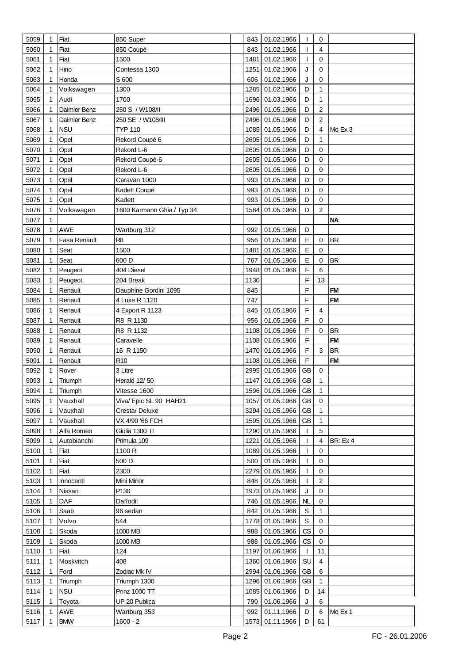| 5059         | 1  | Fiat              | 850 Super                  | 843  | 01.02.1966                    | T                | 0                         |                 |
|--------------|----|-------------------|----------------------------|------|-------------------------------|------------------|---------------------------|-----------------|
| 5060         | 1  | Fiat              | 850 Coupé                  | 843  | 01.02.1966                    |                  | 4                         |                 |
| 5061         |    | Fiat              | 1500                       | 1481 | 01.02.1966                    | T                | 0                         |                 |
| 5062         |    | Hino              | Contessa 1300              | 1251 | 01.02.1966                    | J                | 0                         |                 |
| 5063         |    | Honda             | S 600                      | 606  | 01.02.1966                    | J                | 0                         |                 |
| 5064         |    | Volkswagen        | 1300                       | 1285 | 01.02.1966                    | D                | 1                         |                 |
| 5065         | 1  | Audi              | 1700                       | 1696 | 01.03.1966                    | D                | 1                         |                 |
| 5066         |    | Daimler Benz      | 250 S / W108/II            | 2496 | 01.05.1966                    | D                | 2                         |                 |
|              |    |                   |                            |      |                               | D                | 2                         |                 |
| 5067         |    | Daimler Benz      | 250 SE / W108/III          | 2496 | 01.05.1966                    |                  |                           |                 |
| 5068         | 1  | <b>NSU</b>        | <b>TYP 110</b>             | 1085 | 01.05.1966                    | D                | 4                         | Mq Ex 3         |
| 5069         |    | Opel              | Rekord Coupé 6             | 2605 | 01.05.1966                    | D                | 1                         |                 |
| 5070         |    | Opel              | Rekord L-6                 | 2605 | 01.05.1966                    | D                | 0                         |                 |
| 5071         |    | Opel              | Rekord Coupé-6             | 2605 | 01.05.1966                    | D                | 0                         |                 |
| 5072         |    | Opel              | Rekord L-6                 | 2605 | 01.05.1966                    | D                | 0                         |                 |
| 5073         | 1  | Opel              | Caravan 1000               | 993  | 01.05.1966                    | D                | 0                         |                 |
| 5074         |    | Opel              | Kadett Coupé               | 993  | 01.05.1966                    | D                | 0                         |                 |
| 5075         |    | Opel              | Kadett                     | 993  | 01.05.1966                    | D                | 0                         |                 |
| 5076         |    | Volkswagen        | 1600 Karmann Ghia / Typ 34 | 1584 | 01.05.1966                    | D                | $\overline{2}$            |                 |
| 5077         |    |                   |                            |      |                               |                  |                           | <b>NA</b>       |
| 5078         |    | AWE               | Wartburg 312               | 992  | 01.05.1966                    | D                |                           |                 |
| 5079         |    | Fasa Renault      | R <sub>8</sub>             | 956  | 01.05.1966                    | E                | 0                         | <b>BR</b>       |
| 5080         |    | Seat              | 1500                       | 1481 | 01.05.1966                    | $\mathsf E$      | 0                         |                 |
| 5081         | 1  | Seat              | 600 D                      | 767  | 01.05.1966                    | E                | 0                         | <b>BR</b>       |
| 5082         |    | Peugeot           | 404 Diesel                 | 1948 | 01.05.1966                    | $\mathsf F$      | 6                         |                 |
| 5083         |    | Peugeot           | 204 Break                  | 1130 |                               | F                | 13                        |                 |
| 5084         |    | Renault           | Dauphine Gordini 1095      | 845  |                               | F                |                           | <b>FM</b>       |
| 5085         |    | Renault           | 4 Luxe R 1120              | 747  |                               | F                |                           | <b>FM</b>       |
| 5086         |    | Renault           | 4 Export R 1123            | 845  | 01.05.1966                    | F                | 4                         |                 |
| 5087         |    |                   | R8 R 1130                  | 956  | 01.05.1966                    | F                | 0                         |                 |
|              |    | Renault           |                            |      |                               | F                | $\mathbf 0$               | <b>BR</b>       |
| 5088         |    | Renault           | R8 R 1132                  | 1108 | 01.05.1966                    |                  |                           | <b>FM</b>       |
| 5089         |    | Renault           | Caravelle                  | 1108 | 01.05.1966                    | F                |                           |                 |
| 5090         |    | Renault           | 16 R 1150                  | 1470 | 01.05.1966                    | F                | $\ensuremath{\mathsf{3}}$ | <b>BR</b>       |
| 5091         |    | Renault           | R <sub>10</sub>            | 1108 | 01.05.1966                    | F                |                           | <b>FM</b>       |
| 5092         |    | Rover             | 3 Litre                    |      | 2995 01.05.1966               | <b>GB</b>        | 0                         |                 |
| 5093         | 1  | Triumph           | Herald 12/50               |      | 1147 01.05.1966               | <b>GB</b>        | 1                         |                 |
| 5094         | 1  | Triumph           | Vitesse 1600               |      | 1596 01.05.1966 GB            |                  | 1                         |                 |
| 5095         |    | Vauxhall          | Viva/ Epic SL 90 HAH21     | 1057 | 01.05.1966                    | GB               | $\mathbf 0$               |                 |
| 5096         | 1  | Vauxhall          | Cresta/Deluxe              |      | 3294 01.05.1966               | GB               | 1                         |                 |
| 5097         | 1  | Vauxhall          | VX 4/90 '66 FCH            | 1595 | 01.05.1966                    | <b>GB</b>        | 1                         |                 |
| 5098         | 1  | Alfa Romeo        | Giulia 1300 TI             | 1290 | 01.05.1966                    | T                | 5                         |                 |
| 5099         | 1  | Autobianchi       | Primula 109                | 1221 | 01.05.1966                    | T                | 4                         | <b>BR: Ex 4</b> |
| 5100         |    | Fiat              | 1100 R                     | 1089 | 01.05.1966                    | ı                | 0                         |                 |
| 5101         |    | Fiat              | 500 D                      | 500  | 01.05.1966                    | T                | 0                         |                 |
| 5102         |    | Fiat              | 2300                       |      | 2279 01.05.1966               | T                | 0                         |                 |
| 5103         | 1  | Innocenti         | Mini Minor                 | 848  | 01.05.1966                    | T                | $\overline{c}$            |                 |
| 5104         |    | Nissan            | P130                       | 1973 | 01.05.1966                    | J                | 0                         |                 |
| 5105         | 1  | DAF               | Daffodil                   | 746  | 01.05.1966                    | <b>NL</b>        | 0                         |                 |
| 5106         | 1  | Saab              | 96 sedan                   | 842  | 01.05.1966                    | $\mathbb S$      | 1                         |                 |
| 5107         | 1  | Volvo             | 544                        | 1778 | 01.05.1966                    | $\mathbb S$      | 0                         |                 |
| 5108         | 1  | Skoda             | 1000 MB                    | 988  | 01.05.1966                    | CS               | 0                         |                 |
| 5109         |    | Skoda             | 1000 MB                    | 988  | 01.05.1966                    | CS               | 0                         |                 |
| 5110         |    | Fiat              | 124                        | 1197 | 01.06.1966                    | T                | 11                        |                 |
| 5111         | 1  | Moskvitch         | 408                        | 1360 | 01.06.1966                    | SU               | 4                         |                 |
| 5112         |    | Ford              | Zodiac Mk IV               | 2994 | 01.06.1966                    | GB               | 6                         |                 |
| 5113         | 1  | Triumph           | Triumph 1300               | 1296 | 01.06.1966                    | <b>GB</b>        | 1                         |                 |
| 5114         | 1  | <b>NSU</b>        | <b>Prinz 1000 TT</b>       | 1085 | 01.06.1966                    | D                | 14                        |                 |
|              |    |                   |                            | 790  |                               |                  |                           |                 |
| 5115         | -1 | Toyota            | UP 20 Publica              |      | 01.06.1966                    | J                | 6                         |                 |
| 5116<br>5117 |    | AWE<br><b>BMW</b> | Wartburg 353<br>$1600 - 2$ | 992  | 01.11.1966<br>1573 01.11.1966 | D<br>$\mathsf D$ | 6<br>61                   | Mq Ex 1         |
|              |    |                   |                            |      |                               |                  |                           |                 |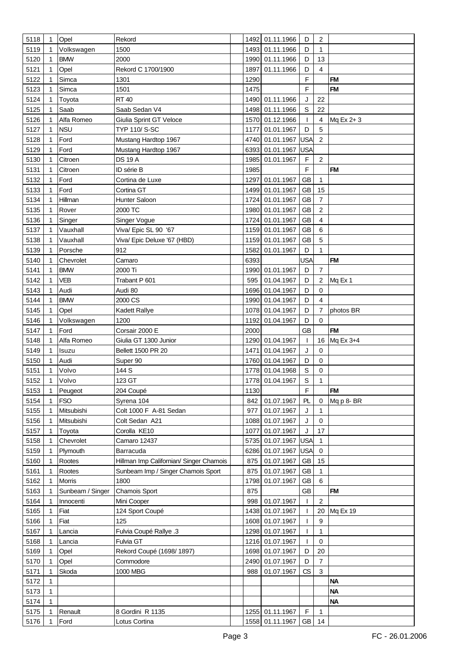| 5118 | $\mathbf 1$ | Opel             | Rekord                                  |      | 1492 01.11.1966       | D            | $\overline{2}$          |              |
|------|-------------|------------------|-----------------------------------------|------|-----------------------|--------------|-------------------------|--------------|
| 5119 |             | Volkswagen       | 1500                                    | 1493 | 01.11.1966            | D            | $\mathbf{1}$            |              |
| 5120 | 1           | <b>BMW</b>       | 2000                                    | 1990 | 01.11.1966            | D            | 13                      |              |
| 5121 |             | Opel             | Rekord C 1700/1900                      | 1897 | 01.11.1966            | D            | $\overline{\mathbf{4}}$ |              |
| 5122 | 1           | Simca            | 1301                                    | 1290 |                       | F            |                         | <b>FM</b>    |
| 5123 | 1           | Simca            | 1501                                    | 1475 |                       | F            |                         | <b>FM</b>    |
|      |             |                  |                                         |      |                       |              |                         |              |
| 5124 |             | Toyota           | <b>RT40</b>                             | 1490 | 01.11.1966            | J            | 22                      |              |
| 5125 | 1           | Saab             | Saab Sedan V4                           | 1498 | 01.11.1966            | $\mathsf S$  | 22                      |              |
| 5126 | 1           | Alfa Romeo       | Giulia Sprint GT Veloce                 | 1570 | 01.12.1966            | T            | 4                       | Mq Ex 2+3    |
| 5127 |             | <b>NSU</b>       | TYP 110/ S-SC                           | 1177 | 01.01.1967            | D            | 5                       |              |
| 5128 | 1           | Ford             | Mustang Hardtop 1967                    | 4740 | 01.01.1967            | <b>USA</b>   | $\overline{c}$          |              |
| 5129 | 1           | Ford             | Mustang Hardtop 1967                    | 6393 | 01.01.1967            | <b>USA</b>   |                         |              |
| 5130 |             | Citroen          | <b>DS 19 A</b>                          | 1985 | 01.01.1967            | F            | $\overline{2}$          |              |
| 5131 | 1           | Citroen          | ID série B                              | 1985 |                       | $\mathsf F$  |                         | <b>FM</b>    |
| 5132 |             | Ford             | Cortina de Luxe                         | 1297 | 01.01.1967            | <b>GB</b>    | 1                       |              |
| 5133 |             | Ford             | Cortina GT                              | 1499 | 01.01.1967            | <b>GB</b>    | 15                      |              |
| 5134 |             | Hillman          | Hunter Saloon                           | 1724 | 01.01.1967            | <b>GB</b>    | $\overline{7}$          |              |
| 5135 |             | Rover            | 2000 TC                                 | 1980 | 01.01.1967            | <b>GB</b>    | 2                       |              |
| 5136 |             | Singer           | Singer Vogue                            | 1724 | 01.01.1967            | <b>GB</b>    | 4                       |              |
| 5137 |             | Vauxhall         | Viva/ Epic SL 90 '67                    | 1159 | 01.01.1967            | <b>GB</b>    | 6                       |              |
| 5138 |             | Vauxhall         | Viva/ Epic Deluxe '67 (HBD)             | 1159 | 01.01.1967            | <b>GB</b>    | 5                       |              |
| 5139 |             | Porsche          | 912                                     | 1582 | 01.01.1967            | D            | 1                       |              |
| 5140 |             | Chevrolet        | Camaro                                  | 6393 |                       | <b>USA</b>   |                         | <b>FM</b>    |
| 5141 | 1           | <b>BMW</b>       | 2000 Ti                                 |      | 1990 01.01.1967       | D            | $\overline{7}$          |              |
|      |             | VEB              |                                         | 595  | 01.04.1967            | D            | $\overline{2}$          |              |
| 5142 |             |                  | Trabant P 601                           |      |                       |              |                         | Mq Ex 1      |
| 5143 | 1           | Audi             | Audi 80                                 | 1696 | 01.04.1967            | D            | 0                       |              |
| 5144 |             | <b>BMW</b>       | 2000 CS                                 | 1990 | 01.04.1967            | D            | $\overline{\mathbf{4}}$ |              |
| 5145 | 1           | Opel             | Kadett Rallye                           | 1078 | 01.04.1967            | D            | $\overline{7}$          | photos BR    |
| 5146 | 1           | Volkswagen       | 1200                                    | 1192 | 01.04.1967            | D            | $\mathbf 0$             |              |
| 5147 | 1           | Ford             | Corsair 2000 E                          | 2000 |                       | <b>GB</b>    |                         | <b>FM</b>    |
| 5148 |             | Alfa Romeo       | Giulia GT 1300 Junior                   |      | 1290 01.04.1967       | $\mathbf{I}$ |                         | 16 Mq Ex 3+4 |
| 5149 | 1           | Isuzu            | Bellett 1500 PR 20                      | 1471 | 01.04.1967            | J            | 0                       |              |
| 5150 |             | Audi             | Super 90                                | 1760 | 01.04.1967            | D            | 0                       |              |
| 5151 |             | Volvo            | 144 S                                   |      | 1778 01.04.1968       | $\mathsf S$  | 0                       |              |
| 5152 | 1           | Volvo            | 123 GT                                  |      | 1778 01.04.1967       | $\mathsf S$  | 1                       |              |
| 5153 | 1           | Peugeot          | 204 Coupé                               | 1130 |                       | F            |                         | <b>FM</b>    |
| 5154 |             | <b>FSO</b>       | Syrena 104                              | 842  | 01.07.1967            | PL           | 0                       | Mq p 8-BR    |
| 5155 | 1           | Mitsubishi       | Colt 1000 F A-81 Sedan                  | 977  | 01.07.1967            | J            | 1                       |              |
| 5156 |             | Mitsubishi       | Colt Sedan A21                          | 1088 | 01.07.1967            | J            | 0                       |              |
| 5157 | 1           | Toyota           | Corolla KE10                            | 1077 | 01.07.1967            | J            | 17                      |              |
| 5158 |             | Chevrolet        | Camaro 12437                            | 5735 | 01.07.1967            | <b>USA</b>   | 1                       |              |
| 5159 |             | Plymouth         | Barracuda                               | 6286 | 01.07.1967            | <b>USA</b>   | $\mathbf 0$             |              |
| 5160 |             | Rootes           | Hillman Imp Californian/ Singer Chamois | 875  | 01.07.1967            | GB           | 15                      |              |
| 5161 | 1           | Rootes           | Sunbeam Imp / Singer Chamois Sport      | 875  | 01.07.1967            | <b>GB</b>    | $\mathbf{1}$            |              |
| 5162 |             | Morris           | 1800                                    | 1798 | 01.07.1967            | <b>GB</b>    | 6                       |              |
| 5163 | 1           | Sunbeam / Singer | Chamois Sport                           | 875  |                       | <b>GB</b>    |                         | <b>FM</b>    |
| 5164 |             | Innocenti        | Mini Cooper                             | 998  | 01.07.1967            | T            | 2                       |              |
|      |             |                  |                                         | 1438 |                       |              |                         |              |
| 5165 | 1           | Fiat             | 124 Sport Coupé                         |      | 01.07.1967            | T            | 20                      | Mq Ex 19     |
| 5166 | 1           | Fiat             | 125                                     | 1608 | 01.07.1967            | T            | 9                       |              |
| 5167 |             | Lancia           | Fulvia Coupé Rallye .3                  | 1298 | 01.07.1967            | T            | $\mathbf{1}$            |              |
| 5168 |             | Lancia           | Fulvia GT                               |      | 1216 01.07.1967       | T            | 0                       |              |
| 5169 | 1           | Opel             | Rekord Coupé (1698/1897)                | 1698 | 01.07.1967            | D            | 20                      |              |
| 5170 | 1           | Opel             | Commodore                               | 2490 | 01.07.1967            | D            | $\overline{7}$          |              |
| 5171 | 1           | Skoda            | 1000 MBG                                | 988  | 01.07.1967            | CS           | $\mathbf{3}$            |              |
| 5172 | 1           |                  |                                         |      |                       |              |                         | <b>NA</b>    |
| 5173 | 1           |                  |                                         |      |                       |              |                         | <b>NA</b>    |
| 5174 | 1           |                  |                                         |      |                       |              |                         | <b>NA</b>    |
| 5175 |             | Renault          | 8 Gordini R 1135                        |      | 1255 01.11.1967       | F            | $\mathbf{1}$            |              |
| 5176 |             | Ford             | Lotus Cortina                           |      | 1558 01.11.1967 GB 14 |              |                         |              |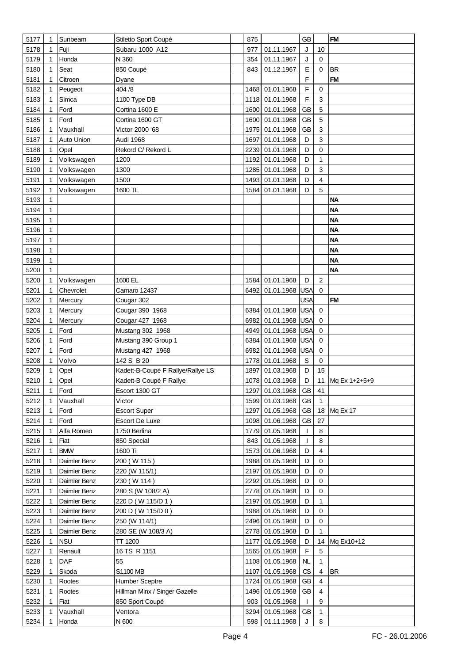| 5177 | 1 | Sunbeam      | Stiletto Sport Coupé              | 875  |                    | <b>GB</b>   |                         | <b>FM</b>     |
|------|---|--------------|-----------------------------------|------|--------------------|-------------|-------------------------|---------------|
| 5178 | 1 | Fuji         | Subaru 1000 A12                   | 977  | 01.11.1967         | J           | 10                      |               |
| 5179 | 1 | Honda        | N 360                             | 354  | 01.11.1967         | J           | 0                       |               |
| 5180 | 1 | Seat         | 850 Coupé                         | 843  | 01.12.1967         | Е           | $\mathbf 0$             | <b>BR</b>     |
| 5181 |   | Citroen      |                                   |      |                    | $\mathsf F$ |                         | FM            |
|      |   |              | Dyane                             |      |                    | F           |                         |               |
| 5182 |   | Peugeot      | 404 / 8                           | 1468 | 01.01.1968         | $\mathsf F$ | $\mathbf 0$             |               |
| 5183 | 1 | Simca        | 1100 Type DB                      | 1118 | 01.01.1968         |             | 3                       |               |
| 5184 | 1 | Ford         | Cortina 1600 E                    | 1600 | 01.01.1968         | <b>GB</b>   | 5                       |               |
| 5185 |   | Ford         | Cortina 1600 GT                   | 1600 | 01.01.1968         | <b>GB</b>   | 5                       |               |
| 5186 | 1 | Vauxhall     | Victor 2000 '68                   | 1975 | 01.01.1968         | <b>GB</b>   | 3                       |               |
| 5187 | 1 | Auto Union   | Audi 1968                         | 1697 | 01.01.1968         | D           | 3                       |               |
| 5188 | 1 | Opel         | Rekord C/ Rekord L                | 2239 | 01.01.1968         | D           | $\mathbf 0$             |               |
| 5189 |   | Volkswagen   | 1200                              | 1192 | 01.01.1968         | D           | 1                       |               |
| 5190 | 1 | Volkswagen   | 1300                              | 1285 | 01.01.1968         | D           | 3                       |               |
| 5191 | 1 | Volkswagen   | 1500                              | 1493 | 01.01.1968         | D           | $\overline{4}$          |               |
| 5192 | 1 | Volkswagen   | 1600 TL                           | 1584 | 01.01.1968         | D           | 5                       |               |
| 5193 | 1 |              |                                   |      |                    |             |                         | <b>NA</b>     |
| 5194 | 1 |              |                                   |      |                    |             |                         | <b>NA</b>     |
| 5195 | 1 |              |                                   |      |                    |             |                         | <b>NA</b>     |
| 5196 |   |              |                                   |      |                    |             |                         | <b>NA</b>     |
| 5197 | 1 |              |                                   |      |                    |             |                         | <b>NA</b>     |
|      |   |              |                                   |      |                    |             |                         | <b>NA</b>     |
| 5198 | 1 |              |                                   |      |                    |             |                         |               |
| 5199 | 1 |              |                                   |      |                    |             |                         | <b>NA</b>     |
| 5200 | 1 |              |                                   |      |                    |             |                         | <b>NA</b>     |
| 5200 | 1 | Volkswagen   | 1600 EL                           | 1584 | 01.01.1968         | D           | $\overline{c}$          |               |
| 5201 | 1 | Chevrolet    | Camaro 12437                      | 6492 | 01.01.1968         | USA         | $\mathbf 0$             |               |
| 5202 |   | Mercury      | Cougar 302                        |      |                    | <b>USA</b>  |                         | <b>FM</b>     |
| 5203 | 1 | Mercury      | Cougar 390 1968                   |      | 6384 01.01.1968    | <b>USA</b>  | $\mathbf 0$             |               |
| 5204 |   | Mercury      | Cougar 427 1968                   | 6982 | 01.01.1968         | <b>USA</b>  | 0                       |               |
| 5205 | 1 | Ford         | Mustang 302 1968                  | 4949 | 01.01.1968 USA     |             | 0                       |               |
| 5206 | 1 | Ford         | Mustang 390 Group 1               | 6384 | 01.01.1968 USA     |             | 0                       |               |
| 5207 | 1 | Ford         | Mustang 427 1968                  | 6982 | 01.01.1968 USA     |             | $\mathbf 0$             |               |
| 5208 |   | Volvo        | 142 S B 20                        | 1778 | 01.01.1968         | S           | 0                       |               |
| 5209 |   | Opel         | Kadett-B-Coupé F Rallye/Rallye LS | 1897 | 01.03.1968         | D           | 15                      |               |
| 5210 | 1 | Opel         | Kadett-B Coupé F Rallye           |      | 1078 01.03.1968    | D           | 11                      | Mq Ex 1+2+5+9 |
| 5211 | 1 | Ford         | Escort 1300 GT                    |      | 1297 01.03.1968 GB |             | 41                      |               |
| 5212 |   | Vauxhall     | Victor                            | 1599 | 01.03.1968         | GB          | $\mathbf{1}$            |               |
| 5213 | 1 | Ford         | <b>Escort Super</b>               |      | 1297 01.05.1968    | GB          | 18                      | Mq Ex 17      |
| 5214 | 1 | Ford         | Escort De Luxe                    |      | 1098 01.06.1968    | GB          | 27                      |               |
|      |   |              |                                   |      |                    |             |                         |               |
| 5215 | 1 | Alfa Romeo   | 1750 Berlina                      |      | 1779 01.05.1968    | L           | 8                       |               |
| 5216 | 1 | Fiat         | 850 Special                       | 843  | 01.05.1968         | T           | 8                       |               |
| 5217 | 1 | <b>BMW</b>   | 1600 Ti                           | 1573 | 01.06.1968         | D           | 4                       |               |
| 5218 |   | Daimler Benz | 200 (W 115)                       |      | 1988 01.05.1968    | D           | 0                       |               |
| 5219 |   | Daimler Benz | 220 (W 115/1)                     |      | 2197 01.05.1968    | D           | 0                       |               |
| 5220 |   | Daimler Benz | 230 (W 114)                       |      | 2292 01.05.1968    | D           | $\mathbf 0$             |               |
| 5221 | 1 | Daimler Benz | 280 S (W 108/2 A)                 |      | 2778 01.05.1968    | D           | 0                       |               |
| 5222 |   | Daimler Benz | 220 D (W 115/D 1)                 |      | 2197 01.05.1968    | D           | 1                       |               |
| 5223 | 1 | Daimler Benz | 200 D (W 115/D 0)                 |      | 1988 01.05.1968    | D           | 0                       |               |
| 5224 | 1 | Daimler Benz | 250 (W 114/1)                     |      | 2496 01.05.1968    | D           | 0                       |               |
| 5225 | 1 | Daimler Benz | 280 SE (W 108/3 A)                |      | 2778 01.05.1968    | D           | $\mathbf{1}$            |               |
| 5226 |   | <b>NSU</b>   | <b>TT 1200</b>                    | 1177 | 01.05.1968         | D           | 14                      | Mq Ex10+12    |
| 5227 | 1 | Renault      | 16 TS R 1151                      |      | 1565 01.05.1968    | F           | 5                       |               |
| 5228 | 1 | DAF          | 55                                |      | 1108 01.05.1968    | <b>NL</b>   | $\mathbf{1}$            |               |
| 5229 | 1 | Skoda        | S1100 MB                          |      | 1107 01.05.1968    | CS          | $\overline{\mathbf{4}}$ | <b>BR</b>     |
| 5230 |   | Rootes       | <b>Humber Sceptre</b>             | 1724 | 01.05.1968         | GB          | 4                       |               |
| 5231 | 1 | Rootes       | Hillman Minx / Singer Gazelle     |      | 1496 01.05.1968    | GB          | 4                       |               |
| 5232 |   | Fiat         | 850 Sport Coupé                   | 903  | 01.05.1968         | L           | 9                       |               |
|      |   |              |                                   |      |                    |             |                         |               |
| 5233 | 1 | Vauxhall     | Ventora                           |      | 3294 01.05.1968    | GB          | 1                       |               |
| 5234 |   | Honda        | N 600                             |      | 598 01.11.1968     | J           | 8                       |               |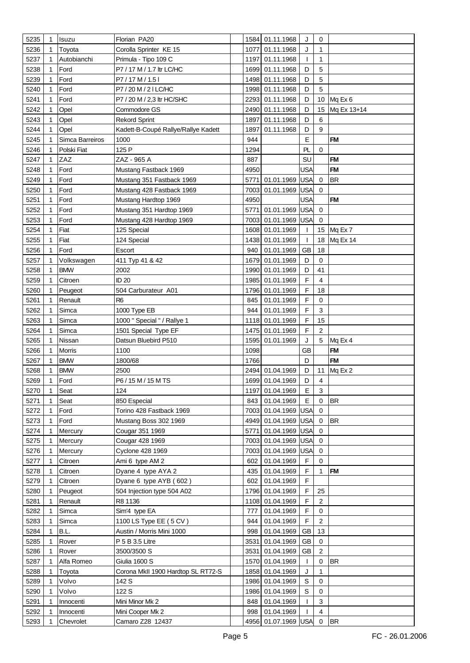| 5235 | 1 | Isuzu              | Florian PA20                        |      | 1584 01.11.1968     | J            | 0              |             |
|------|---|--------------------|-------------------------------------|------|---------------------|--------------|----------------|-------------|
| 5236 |   | Toyota             | Corolla Sprinter KE 15              | 1077 | 01.11.1968          | J            | 1              |             |
| 5237 |   | Autobianchi        | Primula - Tipo 109 C                |      | 1197 01.11.1968     | $\mathbf{I}$ | 1              |             |
| 5238 |   | Ford               | P7 / 17 M / 1.7 ltr LC/HC           |      | 1699 01.11.1968     | D            | 5              |             |
| 5239 |   | Ford               | P7/17M/1.51                         |      | 1498 01.11.1968     | D            | 5              |             |
|      | 1 | Ford               | P7/20 M/21 LC/HC                    |      |                     | D            | 5              |             |
| 5240 |   |                    |                                     |      | 1998 01.11.1968     |              |                |             |
| 5241 | 1 | Ford               | P7 / 20 M / 2,3 ltr HC/SHC          | 2293 | 01.11.1968          | D            | 10             | Mq Ex 6     |
| 5242 |   | Opel               | Commodore GS                        | 2490 | 01.11.1968          | D            | 15             | Mg Ex 13+14 |
| 5243 | 1 | Opel               | <b>Rekord Sprint</b>                | 1897 | 01.11.1968          | D            | 6              |             |
| 5244 | 1 | Opel               | Kadett-B-Coupé Rallye/Rallye Kadett | 1897 | 01.11.1968          | D            | 9              |             |
| 5245 |   | Simca Barreiros    | 1000                                | 944  |                     | E            |                | <b>FM</b>   |
| 5246 |   | Polski Fiat        | 125 P                               | 1294 |                     | PL           | $\Omega$       |             |
| 5247 | 1 | ZAZ                | ZAZ - 965 A                         | 887  |                     | SU           |                | <b>FM</b>   |
| 5248 | 1 | Ford               | Mustang Fastback 1969               | 4950 |                     | USA          |                | <b>FM</b>   |
| 5249 | 1 | Ford               | Mustang 351 Fastback 1969           |      | 5771 01.01.1969     | <b>USA</b>   | 0              | <b>BR</b>   |
| 5250 |   | Ford               | Mustang 428 Fastback 1969           | 7003 | 01.01.1969          | USA          | $\mathbf 0$    |             |
| 5251 |   | Ford               | Mustang Hardtop 1969                | 4950 |                     | USA          |                | <b>FM</b>   |
| 5252 |   | Ford               | Mustang 351 Hardtop 1969            |      | 5771 01.01.1969     | <b>USA</b>   | 0              |             |
| 5253 |   | Ford               | Mustang 428 Hardtop 1969            |      | 7003 01.01.1969     | <b>USA</b>   | $\Omega$       |             |
| 5254 |   | Fiat               | 125 Special                         | 1608 | 01.01.1969          | T            |                | 15 Mq Ex 7  |
| 5255 |   | Fiat               | 124 Special                         |      | 1438 01.01.1969     | $\mathbf{I}$ | 18             | Mq Ex 14    |
| 5256 | 1 | Ford               | Escort                              | 940  | 01.01.1969          | <b>GB</b>    | 18             |             |
| 5257 |   | Volkswagen         | 411 Typ 41 & 42                     | 1679 | 01.01.1969          | D            | 0              |             |
| 5258 |   | BMW                | 2002                                | 1990 | 01.01.1969          | D            | 41             |             |
|      |   |                    | ID 20                               |      |                     | F            | $\overline{4}$ |             |
| 5259 | 1 | Citroen            |                                     | 1985 | 01.01.1969          |              |                |             |
| 5260 |   | Peugeot            | 504 Carburateur A01                 |      | 1796 01.01.1969     | F            | 18             |             |
| 5261 |   | Renault            | R <sub>6</sub>                      | 845  | 01.01.1969          | F            | $\mathbf 0$    |             |
| 5262 |   | Simca              | 1000 Type EB                        | 944  | 01.01.1969          | F            | 3              |             |
| 5263 |   | Simca              | 1000 " Special " / Rallye 1         |      | 1118 01.01.1969     | F            | 15             |             |
| 5264 |   | Simca              | 1501 Special Type EF                |      | 1475 01.01.1969     | F            | 2              |             |
| 5265 |   | Nissan             | Datsun Bluebird P510                |      | 1595 01.01.1969     | J            | 5              | Mq Ex 4     |
| 5266 |   | Morris             | 1100                                | 1098 |                     | <b>GB</b>    |                | <b>FM</b>   |
| 5267 |   | <b>BMW</b>         | 1800/68                             | 1766 |                     | D            |                | <b>FM</b>   |
| 5268 |   | <b>BMW</b>         | 2500                                |      | 2494 01.04.1969     | D            | 11             | Mq Ex 2     |
| 5269 | 1 | Ford               | P6/15 M/15 M TS                     |      | 1699 01.04.1969     | D            | 4              |             |
| 5270 | 1 | Seat               | 124                                 |      | 1197 01.04.1969     | E            | 3              |             |
| 5271 |   | Seat               | 850 Especial                        | 843  | 01.04.1969          | E            | 0              | <b>BR</b>   |
| 5272 | 1 | Ford               | Torino 428 Fastback 1969            |      | 7003 01.04.1969 USA |              | 0              |             |
| 5273 |   | Ford               | Mustang Boss 302 1969               |      | 4949 01.04.1969 USA |              | 0              | <b>BR</b>   |
| 5274 |   | Mercury            | Cougar 351 1969                     | 5771 | 01.04.1969 USA      |              | 0              |             |
| 5275 |   | Mercury            | Cougar 428 1969                     |      | 7003 01.04.1969     | USA          | 0              |             |
| 5276 |   | Mercury            | Cyclone 428 1969                    |      | 7003 01.04.1969     | USA          | 0              |             |
| 5277 |   | Citroen            | Ami 6 type AM 2                     | 602  | 01.04.1969          | F            | $\Omega$       |             |
| 5278 |   | Citroen            | Dyane 4 type AYA 2                  | 435  | 01.04.1969          | F            | 1              | <b>FM</b>   |
| 5279 |   | Citroen            | Dyane 6 type AYB (602)              | 602  | 01.04.1969          | F            |                |             |
| 5280 |   |                    | 504 Injection type 504 A02          |      | 1796 01.04.1969     | F            | 25             |             |
|      |   | Peugeot<br>Renault | R8 1136                             |      | 1108 01.04.1969     | F            | 2              |             |
| 5281 |   |                    |                                     |      |                     |              |                |             |
| 5282 |   | Simca              | Sim'4 type EA                       | 777  | 01.04.1969          | F            | $\mathbf 0$    |             |
| 5283 |   | Simca              | 1100 LS Type EE (5 CV)              | 944  | 01.04.1969          | F            | $\overline{2}$ |             |
| 5284 |   | B.L.               | Austin / Morris Mini 1000           | 998  | 01.04.1969          | <b>GB</b>    | 13             |             |
| 5285 |   | Rover              | P 5 B 3.5 Litre                     |      | 3531 01.04.1969     | GB           | 0              |             |
| 5286 |   | Rover              | 3500/3500 S                         | 3531 | 01.04.1969          | <b>GB</b>    | $\overline{2}$ |             |
| 5287 |   | Alfa Romeo         | Giulia 1600 S                       |      | 1570 01.04.1969     | $\mathbf{I}$ | 0              | <b>BR</b>   |
| 5288 |   | Toyota             | Corona MkII 1900 Hardtop SL RT72-S  |      | 1858 01.04.1969     | J            | 1              |             |
| 5289 |   | Volvo              | 142 S                               |      | 1986 01.04.1969     | S            | 0              |             |
| 5290 |   | Volvo              | 122 S                               |      | 1986 01.04.1969     | S            | 0              |             |
| 5291 |   | Innocenti          | Mini Minor Mk 2                     | 848  | 01.04.1969          | $\mathbf{I}$ | 3              |             |
| 5292 |   | Innocenti          | Mini Cooper Mk 2                    | 998  | 01.04.1969          | $\mathbf{I}$ | $\overline{4}$ |             |
|      |   | Chevrolet          | Camaro Z28 12437                    |      | 4956 01.07.1969 USA |              | 0              | BR          |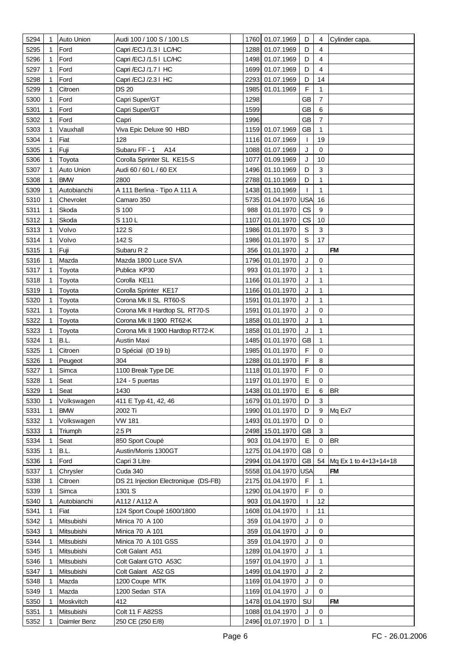| 5294 | 1 | <b>Auto Union</b> | Audi 100 / 100 S / 100 LS            |      | 1760 01.07.1969     | D            | 4              | Cylinder capa.        |
|------|---|-------------------|--------------------------------------|------|---------------------|--------------|----------------|-----------------------|
| 5295 |   | Ford              | Capri /ECJ /1.3   LC/HC              |      | 1288 01.07.1969     | D            | 4              |                       |
| 5296 | 1 | Ford              | Capri /ECJ /1.5   LC/HC              |      | 1498 01.07.1969     | D            | 4              |                       |
| 5297 |   | Ford              | Capri /ECJ /1.7   HC                 |      | 1699 01.07.1969     | D            | 4              |                       |
| 5298 |   | Ford              | Capri /ECJ /2.3   HC                 |      | 2293 01.07.1969     | D            | 14             |                       |
| 5299 |   | Citroen           | <b>DS 20</b>                         | 1985 | 01.01.1969          | F            | 1              |                       |
| 5300 |   | Ford              | Capri Super/GT                       | 1298 |                     | <b>GB</b>    | $\overline{7}$ |                       |
|      |   | Ford              |                                      |      |                     | <b>GB</b>    | 6              |                       |
| 5301 |   |                   | Capri Super/GT                       | 1599 |                     |              |                |                       |
| 5302 |   | Ford              | Capri                                | 1996 |                     | GB           | 7              |                       |
| 5303 | 1 | Vauxhall          | Viva Epic Deluxe 90 HBD              |      | 1159 01.07.1969     | GB           | 1              |                       |
| 5304 | 1 | Fiat              | 128                                  |      | 1116 01.07.1969     | $\mathbf{I}$ | 19             |                       |
| 5305 |   | Fuji              | Subaru FF - 1<br>A14                 |      | 1088 01.07.1969     | J            | $\mathbf 0$    |                       |
| 5306 |   | Toyota            | Corolla Sprinter SL KE15-S           |      | 1077 01.09.1969     | J            | 10             |                       |
| 5307 |   | Auto Union        | Audi 60 / 60 L / 60 EX               |      | 1496 01.10.1969     | D            | 3              |                       |
| 5308 |   | <b>BMW</b>        | 2800                                 |      | 2788 01.10.1969     | D            | 1              |                       |
| 5309 | 1 | Autobianchi       | A 111 Berlina - Tipo A 111 A         |      | 1438 01.10.1969     | $\mathbf{I}$ | $\mathbf{1}$   |                       |
| 5310 |   | Chevrolet         | Camaro 350                           |      | 5735 01.04.1970     | USA          | 16             |                       |
| 5311 |   | Skoda             | S 100                                | 988  | 01.01.1970          | CS           | 9              |                       |
| 5312 |   | Skoda             | S 110L                               |      | 1107 01.01.1970     | CS           | 10             |                       |
| 5313 |   | Volvo             | 122 S                                |      | 1986 01.01.1970     | $\mathbb S$  | $\mathbf{3}$   |                       |
| 5314 |   | Volvo             | 142 S                                |      | 1986 01.01.1970     | S            | 17             |                       |
| 5315 |   | Fuji              | Subaru R 2                           | 356  | 01.01.1970          | J            |                | <b>FM</b>             |
| 5316 |   | Mazda             | Mazda 1800 Luce SVA                  |      | 1796 01.01.1970     | J            | $\mathbf 0$    |                       |
| 5317 |   | Toyota            | Publica KP30                         | 993  | 01.01.1970          | J            | 1              |                       |
| 5318 |   | Toyota            | Corolla KE11                         |      | 1166 01.01.1970     | J            | 1              |                       |
| 5319 |   | Toyota            | Corolla Sprinter KE17                |      | 1166 01.01.1970     | J            | 1              |                       |
| 5320 |   | Toyota            | Corona Mk II SL RT60-S               |      | 1591 01.01.1970     | J            | 1              |                       |
| 5321 |   | Toyota            | Corona Mk II Hardtop SL RT70-S       |      | 1591 01.01.1970     | J            | $\mathbf 0$    |                       |
| 5322 |   |                   | Corona Mk II 1900 RT62-K             |      | 1858 01.01.1970     | J            | 1              |                       |
|      |   | Toyota            |                                      |      |                     | J            | 1              |                       |
| 5323 |   | Toyota            | Corona Mk II 1900 Hardtop RT72-K     |      | 1858 01.01.1970     |              |                |                       |
| 5324 |   | B.L.              | Austin Maxi                          |      | 1485 01.01.1970     | <b>GB</b>    | 1              |                       |
| 5325 | 1 | Citroen           | D Spécial (ID 19 b)                  |      | 1985 01.01.1970     | F            | 0              |                       |
| 5326 |   | Peugeot           | 304                                  |      | 1288 01.01.1970     | F            | 8              |                       |
| 5327 |   | Simca             | 1100 Break Type DE                   |      | 1118 01.01.1970     | F            | 0              |                       |
| 5328 |   | Seat              | 124 - 5 puertas                      |      | 1197 01.01.1970     | E            | 0              |                       |
| 5329 | 1 | Seat              | 1430                                 |      | 1438 01.01.1970     | Е            | 6              | IBR                   |
| 5330 |   | Volkswagen        | 411 E Typ 41, 42, 46                 |      | 1679 01.01.1970     | D            | 3              |                       |
| 5331 | 1 | <b>BMW</b>        | 2002 Ti                              |      | 1990 01.01.1970     | D            | 9              | Mq Ex7                |
| 5332 | 1 | Volkswagen        | <b>VW 181</b>                        |      | 1493 01.01.1970     | D            | $\Omega$       |                       |
| 5333 |   | Triumph           | 2.5 PI                               |      | 2498 15.01.1970     | <b>GB</b>    | 3              |                       |
| 5334 |   | Seat              | 850 Sport Coupé                      | 903  | 01.04.1970          | Е            | 0              | <b>BR</b>             |
| 5335 | 1 | B.L.              | Austin/Morris 1300GT                 |      | 1275 01.04.1970     | <b>GB</b>    | 0              |                       |
| 5336 |   | Ford              | Capri 3 Litre                        |      | 2994 01.04.1970     | GB           | 54             | Mq Ex 1 to 4+13+14+18 |
| 5337 |   | Chrysler          | Cuda 340                             |      | 5558 01.04.1970 USA |              |                | <b>FM</b>             |
| 5338 |   | Citroen           | DS 21 Injection Electronique (DS-FB) |      | 2175 01.04.1970     | F            | $\mathbf{1}$   |                       |
| 5339 |   | Simca             | 1301 S                               |      | 1290 01.04.1970     | F            | 0              |                       |
| 5340 |   | Autobianchi       | A112 / A112 A                        | 903  | 01.04.1970          | $\mathbf{I}$ | 12             |                       |
| 5341 | 1 | Fiat              | 124 Sport Coupé 1600/1800            |      | 1608 01.04.1970     | $\mathbf{I}$ | 11             |                       |
| 5342 |   | Mitsubishi        | Minica 70 A 100                      | 359  | 01.04.1970          | J            | $\mathbf 0$    |                       |
| 5343 |   | Mitsubishi        | <b>Minica 70 A 101</b>               | 359  | 01.04.1970          | J            | 0              |                       |
| 5344 |   | Mitsubishi        | Minica 70 A 101 GSS                  | 359  | 01.04.1970          | J            | 0              |                       |
| 5345 |   | Mitsubishi        | Colt Galant A51                      |      | 1289 01.04.1970     | J            | $\mathbf{1}$   |                       |
| 5346 |   | Mitsubishi        | Colt Galant GTO A53C                 | 1597 | 01.04.1970          | J            | $\mathbf{1}$   |                       |
| 5347 | 1 | Mitsubishi        | Colt Galant A52 GS                   |      | 1499 01.04.1970     | J            | $\overline{2}$ |                       |
| 5348 |   | Mazda             | 1200 Coupe MTK                       |      | 1169 01.04.1970     | J            | $\mathbf 0$    |                       |
| 5349 |   | Mazda             | 1200 Sedan STA                       |      | 1169 01.04.1970     | J            | 0              |                       |
| 5350 |   | Moskvitch         | 412                                  |      | 1478 01.04.1970     | SU           |                | <b>FM</b>             |
| 5351 | 1 | Mitsubishi        | <b>Colt 11 F A82SS</b>               |      | 1088 01.04.1970     | J            | 0              |                       |
| 5352 |   | Daimler Benz      | 250 CE (250 E/8)                     |      | 2496 01.07.1970     | D            | 1              |                       |
|      |   |                   |                                      |      |                     |              |                |                       |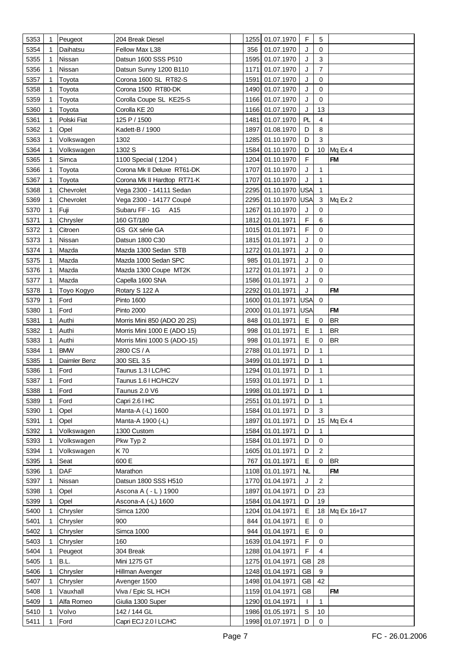| 5353         | $\mathbf{1}$ | Peugeot       | 204 Break Diesel                      |              | 1255 01.07.1970                    | F                          | 5                 |                |
|--------------|--------------|---------------|---------------------------------------|--------------|------------------------------------|----------------------------|-------------------|----------------|
| 5354         |              | Daihatsu      | Fellow Max L38                        | 356          | 01.07.1970                         | J                          | 0                 |                |
| 5355         |              | Nissan        | Datsun 1600 SSS P510                  | 1595         | 01.07.1970                         | J                          | $\mathbf{3}$      |                |
| 5356         |              | Nissan        | Datsun Sunny 1200 B110                | 1171         | 01.07.1970                         | J                          | $\overline{7}$    |                |
| 5357         |              | Toyota        | Corona 1600 SL RT82-S                 | 1591         | 01.07.1970                         | J                          | 0                 |                |
| 5358         | 1            | Toyota        | Corona 1500 RT80-DK                   | 1490         | 01.07.1970                         | J                          | 0                 |                |
| 5359         |              | Toyota        | Corolla Coupe SL KE25-S               | 1166         | 01.07.1970                         | J                          | 0                 |                |
| 5360         |              | Toyota        | Corolla KE 20                         | 1166         | 01.07.1970                         | J                          | 13                |                |
| 5361         |              | Polski Fiat   | 125 P / 1500                          | 1481         | 01.07.1970                         | PL                         | 4                 |                |
| 5362         | 1            | Opel          | Kadett-B / 1900                       | 1897         | 01.08.1970                         | D                          | 8                 |                |
| 5363         |              | Volkswagen    | 1302                                  | 1285         | 01.10.1970                         | D                          | 3                 |                |
| 5364         |              | Volkswagen    | 1302 S                                | 1584         | 01.10.1970                         | D                          | 10                | Mq Ex 4        |
| 5365         |              | Simca         | 1100 Special (1204)                   | 1204         | 01.10.1970                         | F                          |                   | <b>FM</b>      |
|              | 1            |               |                                       |              |                                    | J                          | 1                 |                |
| 5366         |              | Toyota        | Corona Mk II Deluxe RT61-DK           | 1707<br>1707 | 01.10.1970                         | J                          | $\mathbf{1}$      |                |
| 5367         | 1            | Toyota        | Corona Mk II Hardtop RT71-K           |              | 01.10.1970                         |                            |                   |                |
| 5368         |              | Chevrolet     | Vega 2300 - 14111 Sedan               | 2295         | 01.10.1970 USA                     |                            | 1                 |                |
| 5369         | 1            | Chevrolet     | Vega 2300 - 14177 Coupé               | 2295         | 01.10.1970 USA                     |                            | 3                 | Mq Ex 2        |
| 5370         | 1            | Fuji          | Subaru FF - 1G A15                    | 1267         | 01.10.1970                         | J                          | 0                 |                |
| 5371         |              | Chrysler      | 160 GT/180                            | 1812         | 01.01.1971                         | $\mathsf F$                | 6                 |                |
| 5372         |              | Citroen       | GS GX série GA                        |              | 1015 01.01.1971                    | F                          | 0                 |                |
| 5373         |              | Nissan        | Datsun 1800 C30                       |              | 1815 01.01.1971                    | J                          | 0                 |                |
| 5374         |              | Mazda         | Mazda 1300 Sedan STB                  | 1272         | 01.01.1971                         | J                          | 0                 |                |
| 5375         | 1            | Mazda         | Mazda 1000 Sedan SPC                  | 985          | 01.01.1971                         | J                          | 0                 |                |
| 5376         |              | Mazda         | Mazda 1300 Coupe MT2K                 | 1272         | 01.01.1971                         | J                          | 0                 |                |
| 5377         | 1            | Mazda         | Capella 1600 SNA                      | 1586         | 01.01.1971                         | J                          | 0                 |                |
| 5378         |              | Toyo Kogyo    | Rotary S 122 A                        | 2292         | 01.01.1971                         | J                          |                   | <b>FM</b>      |
| 5379         | 1            | Ford          | <b>Pinto 1600</b>                     | 1600         | 01.01.1971                         | <b>USA</b>                 | $\pmb{0}$         |                |
| 5380         |              | Ford          | <b>Pinto 2000</b>                     | 2000         | 01.01.1971                         | <b>USA</b>                 |                   | <b>FM</b>      |
| 5381         | 1            | Authi         | Morris Mini 850 (ADO 20 2S)           | 848          | 01.01.1971                         | Е                          | 0                 | <b>BR</b>      |
| 5382         | 1            | Authi         | Morris Mini 1000 E (ADO 15)           | 998          | 01.01.1971                         | E                          | 1                 | <b>BR</b>      |
| 5383         | 1            | Authi         | Morris Mini 1000 S (ADO-15)           | 998          | 01.01.1971                         | E                          | 0                 | <b>BR</b>      |
| 5384         | 1            | <b>BMW</b>    | 2800 CS / A                           | 2788         | 01.01.1971                         | D                          | 1                 |                |
| 5385         | 1            | Daimler Benz  | 300 SEL 3.5                           | 3499         | 01.01.1971                         | D                          | 1                 |                |
| 5386         |              | Ford          | Taunus 1.3   LC/HC                    | 1294         | 01.01.1971                         | D                          | 1                 |                |
| 5387         | 1            | Ford          | Taunus 1.6   HC/HC2V                  |              | 1593 01.01.1971                    | D                          | 1                 |                |
| 5388         | 1            | Ford          | Taunus 2.0 V6                         |              | 1998 01.01.1971                    | D                          | 1                 |                |
| 5389         |              | Ford          | Capri 2.6 I HC                        | 2551         | 01.01.1971                         | D                          | $\mathbf{1}$      |                |
| 5390         | 1            | Opel          | Manta-A (-L) 1600                     | 1584         | 01.01.1971                         | D                          | 3                 |                |
| 5391         | 1            | Opel          | Manta-A 1900 (-L)                     | 1897         | 01.01.1971                         | D                          |                   | 15 Mq Ex 4     |
| 5392         | 1            | Volkswagen    | 1300 Custom                           | 1584         | 01.01.1971                         | D                          | 1.                |                |
| 5393         | 1            | Volkswagen    | Pkw Typ 2                             | 1584         | 01.01.1971                         | D                          | 0                 |                |
| 5394         |              | Volkswagen    | K 70                                  | 1605         | 01.01.1971                         | D                          | 2                 |                |
| 5395         |              | Seat          | 600 E                                 | 767          | 01.01.1971                         | Ε                          | $\mathbf 0$       | <b>BR</b>      |
| 5396         |              | DAF           | Marathon                              |              | 1108 01.01.1971                    | <b>NL</b>                  |                   | <b>FM</b>      |
| 5397         |              | Nissan        | Datsun 1800 SSS H510                  |              | 1770 01.04.1971                    | J                          | $\overline{c}$    |                |
| 5398         |              | Opel          | Ascona A ( - L ) 1900                 | 1897         | 01.04.1971                         | D                          | 23                |                |
| 5399         | 1            | Opel          | Ascona-A (-L) 1600                    | 1584         | 01.04.1971                         | D                          | 19                |                |
|              |              |               |                                       | 1204         |                                    |                            |                   |                |
| 5400         |              | Chrysler      | Simca 1200                            |              | 01.04.1971                         | Ε                          |                   | 18 Mq Ex 16+17 |
| 5401         | 1            | Chrysler      | 900                                   | 844          | 01.04.1971                         | Е                          | 0                 |                |
| 5402         |              | Chrysler      | Simca 1000                            | 944          | 01.04.1971                         | E                          | 0                 |                |
| 5403         |              | Chrysler      | 160                                   | 1639         | 01.04.1971                         | F                          | 0                 |                |
| 5404         |              | Peugeot       | 304 Break                             |              | 1288 01.04.1971                    | F                          | 4                 |                |
| 5405         |              |               |                                       |              |                                    |                            |                   |                |
|              | 1            | B.L.          | Mini 1275 GT                          |              | 1275 01.04.1971                    | <b>GB</b>                  | 28                |                |
| 5406         |              | Chrysler      | Hillman Avenger                       |              | 1248 01.04.1971                    | GB                         | 9                 |                |
| 5407         |              | Chrysler      | Avenger 1500                          |              | 1498 01.04.1971                    | <b>GB</b>                  | 42                |                |
| 5408         |              | Vauxhall      | Viva / Epic SL HCH                    |              | 1159 01.04.1971                    | <b>GB</b>                  |                   | <b>FM</b>      |
| 5409         |              | Alfa Romeo    | Giulia 1300 Super                     |              | 1290 01.04.1971                    | $\mathbf{I}$               | 1                 |                |
| 5410<br>5411 |              | Volvo<br>Ford | 142 / 144 GL<br>Capri ECJ 2.0 I LC/HC |              | 1986 01.05.1971<br>1998 01.07.1971 | $\mathbb S$<br>$\mathsf D$ | 10<br>$\mathsf 0$ |                |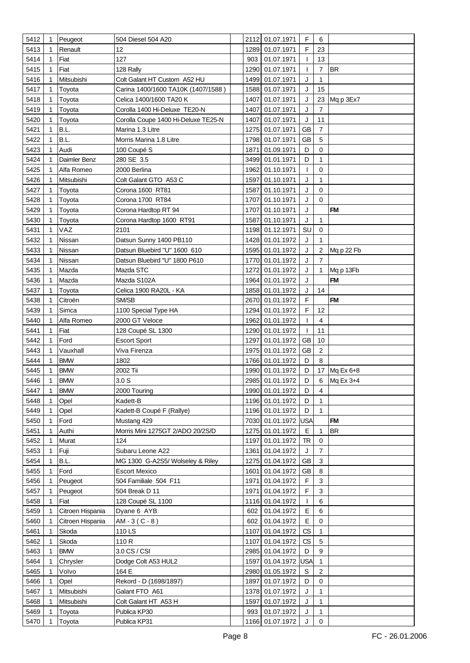| 5412 | $\mathbf 1$ | Peugeot          | 504 Diesel 504 A20                  |      | 2112 01.07.1971 | F                        | 6              |              |
|------|-------------|------------------|-------------------------------------|------|-----------------|--------------------------|----------------|--------------|
| 5413 |             | Renault          | 12                                  |      | 1289 01.07.1971 | F                        | 23             |              |
| 5414 | 1           | Fiat             | 127                                 | 903  | 01.07.1971      | $\mathbf{I}$             | 13             |              |
|      |             | Fiat             |                                     | 1290 | 01.07.1971      | $\overline{1}$           | $\overline{7}$ | <b>BR</b>    |
| 5415 |             | Mitsubishi       | 128 Rally                           |      |                 |                          |                |              |
| 5416 | 1           |                  | Colt Galant HT Custom A52 HU        | 1499 | 01.07.1971      | J                        | 1              |              |
| 5417 |             | Toyota           | Carina 1400/1600 TA10K (1407/1588)  | 1588 | 01.07.1971      | J                        | 15             |              |
| 5418 |             | Toyota           | Celica 1400/1600 TA20 K             | 1407 | 01.07.1971      | J                        |                | 23 Mq p 3Ex7 |
| 5419 | 1           | Toyota           | Corolla 1400 Hi-Deluxe TE20-N       | 1407 | 01.07.1971      | J                        | $\overline{7}$ |              |
| 5420 | 1           | Toyota           | Corolla Coupe 1400 Hi-Deluxe TE25-N | 1407 | 01.07.1971      | J                        | 11             |              |
| 5421 | 1           | B.L.             | Marina 1.3 Litre                    | 1275 | 01.07.1971      | GB                       | $\overline{7}$ |              |
| 5422 | 1           | B.L.             | Morris Marina 1.8 Litre             |      | 1798 01.07.1971 | GB                       | 5              |              |
| 5423 | 1           | Audi             | 100 Coupé S                         | 1871 | 01.09.1971      | D                        | $\mathbf 0$    |              |
| 5424 | 1           | Daimler Benz     | 280 SE 3.5                          |      | 3499 01.01.1971 | D                        | 1              |              |
| 5425 | 1           | Alfa Romeo       | 2000 Berlina                        | 1962 | 01.10.1971      | $\mathbf{I}$             | $\mathbf 0$    |              |
| 5426 |             | Mitsubishi       | Colt Galant GTO A53 C               | 1597 | 01.10.1971      | J                        | 1              |              |
| 5427 | 1           | Toyota           | Corona 1600 RT81                    | 1587 | 01.10.1971      | J                        | $\mathbf 0$    |              |
| 5428 | 1           | Toyota           | Corona 1700 RT84                    | 1707 | 01.10.1971      | J                        | $\Omega$       |              |
| 5429 |             | Toyota           | Corona Hardtop RT 94                | 1707 | 01.10.1971      | J                        |                | <b>FM</b>    |
| 5430 |             | Toyota           | Corona Hardtop 1600 RT91            | 1587 | 01.10.1971      | J                        | 1              |              |
| 5431 | 1           | VAZ              | 2101                                |      | 1198 01.12.1971 | SU                       | $\mathbf 0$    |              |
| 5432 |             | Nissan           | Datsun Sunny 1400 PB110             |      | 1428 01.01.1972 | J                        | 1              |              |
| 5433 |             | Nissan           | Datsun Bluebird "U" 1600 610        |      | 1595 01.01.1972 | J                        | $\overline{2}$ |              |
|      |             |                  |                                     |      |                 |                          | $\overline{7}$ | Mq p 22 Fb   |
| 5434 |             | Nissan           | Datsun Bluebird "U" 1800 P610       |      | 1770 01.01.1972 | J                        |                |              |
| 5435 |             | Mazda            | Mazda STC                           |      | 1272 01.01.1972 | J                        | 1              | Mq p 13Fb    |
| 5436 |             | Mazda            | Mazda S102A                         |      | 1964 01.01.1972 | J                        |                | <b>FM</b>    |
| 5437 |             | Toyota           | Celica 1900 RA20L - KA              |      | 1858 01.01.1972 | J                        | 14             |              |
| 5438 |             | Citroën          | SM/SB                               |      | 2670 01.01.1972 | F                        |                | <b>FM</b>    |
| 5439 | 1           | Simca            | 1100 Special Type HA                |      | 1294 01.01.1972 | F                        | 12             |              |
| 5440 | 1           | Alfa Romeo       | 2000 GT Veloce                      | 1962 | 01.01.1972      | T                        | $\overline{4}$ |              |
| 5441 | 1           | Fiat             | 128 Coupé SL 1300                   | 1290 | 01.01.1972      | T                        | 11             |              |
| 5442 | 1           | Ford             | <b>Escort Sport</b>                 | 1297 | 01.01.1972      | <b>GB</b>                | 10             |              |
| 5443 | 1           | Vauxhall         | Viva Firenza                        | 1975 | 01.01.1972      | <b>GB</b>                | $\overline{2}$ |              |
| 5444 | 1           | <b>BMW</b>       | 1802                                |      | 1766 01.01.1972 | D                        | 8              |              |
| 5445 |             | <b>BMW</b>       | 2002 Tii                            | 1990 | 01.01.1972      | D                        |                | 17 Mq Ex 6+8 |
| 5446 | 1           | <b>BMW</b>       | 3.0 <sub>S</sub>                    |      | 2985 01.01.1972 | D                        | 6              | Mq Ex 3+4    |
| 5447 | $\mathbf 1$ | <b>BMW</b>       | 2000 Touring                        |      | 1990 01.01.1972 | D                        | 4              |              |
| 5448 |             | Opel             | Kadett-B                            |      | 1196 01.01.1972 | D                        | $\mathbf{1}$   |              |
| 5449 | 1           | Opel             | Kadett-B Coupé F (Rallye)           |      | 1196 01.01.1972 | D                        | $\mathbf{1}$   |              |
| 5450 | 1           | Ford             | Mustang 429                         |      | 7030 01.01.1972 | USA                      |                | <b>FM</b>    |
| 5451 | 1           | Authi            | Morris Mini 1275GT 2/ADO 20/2S/D    |      | 1275 01.01.1972 | Е                        | 1              | <b>BR</b>    |
| 5452 | 1           | Murat            | 124                                 |      | 1197 01.01.1972 | <b>TR</b>                | $\mathbf 0$    |              |
| 5453 |             | Fuji             | Subaru Leone A22                    |      | 1361 01.04.1972 | J                        | $\overline{7}$ |              |
| 5454 |             | B.L.             | MG 1300 G-A2S5/ Wolseley & Riley    |      | 1275 01.04.1972 | <b>GB</b>                | 3              |              |
| 5455 | 1           | Ford             | <b>Escort Mexico</b>                |      | 1601 01.04.1972 | <b>GB</b>                | 8              |              |
| 5456 |             |                  | 504 Familiale 504 F11               |      | 1971 01.04.1972 | F                        | 3              |              |
|      |             | Peugeot          |                                     |      |                 | F                        | 3              |              |
| 5457 | 1           | Peugeot          | 504 Break D 11                      |      | 1971 01.04.1972 |                          |                |              |
| 5458 | 1           | Fiat             | 128 Coupé SL 1100                   |      | 1116 01.04.1972 | $\mathbf{I}$             | 6              |              |
| 5459 | 1           | Citroen Hispania | Dyane 6 AYB                         | 602  | 01.04.1972      | Е                        | 6              |              |
| 5460 | 1           | Citroen Hispania | $AM - 3(C - 8)$                     | 602  | 01.04.1972      | E                        | $\mathbf 0$    |              |
| 5461 | 1           | Skoda            | 110 LS                              |      | 1107 01.04.1972 | CS                       | $\mathbf{1}$   |              |
| 5462 |             | Skoda            | 110 R                               | 1107 | 01.04.1972      | $\mathsf{CS}\phantom{0}$ | 5              |              |
| 5463 | 1           | <b>BMW</b>       | 3.0 CS / CSI                        |      | 2985 01.04.1972 | D                        | 9              |              |
| 5464 | 1           | Chrysler         | Dodge Colt A53 HUL2                 |      | 1597 01.04.1972 | USA                      | $\mathbf{1}$   |              |
| 5465 | 1           | Volvo            | 164 E                               |      | 2980 01.05.1972 | $\mathbb S$              | $\sqrt{2}$     |              |
| 5466 | 1           | Opel             | Rekord - D (1698/1897)              |      | 1897 01.07.1972 | D                        | $\mathbf 0$    |              |
| 5467 | 1           | Mitsubishi       | Galant FTO A61                      |      | 1378 01.07.1972 | J                        | 1              |              |
| 5468 |             | Mitsubishi       | Colt Galant HT A53 H                |      | 1597 01.07.1972 | J                        | 1              |              |
| 5469 |             | Toyota           | Publica KP30                        | 993  | 01.07.1972      | J                        | 1              |              |
| 5470 |             | Toyota           | Publica KP31                        |      | 1166 01.07.1972 | J                        | $\mathbf 0$    |              |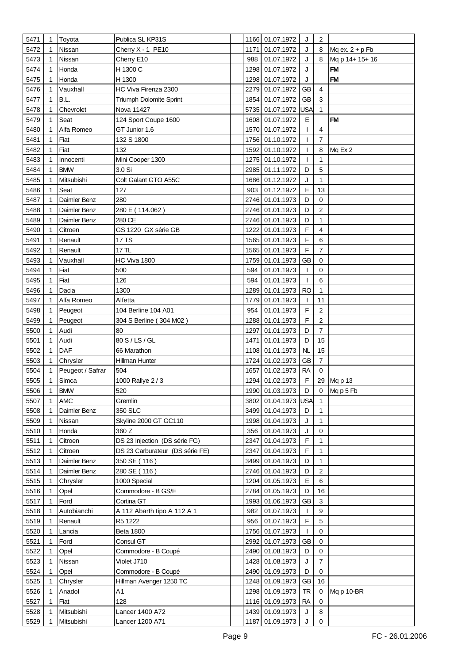| 5471 | $\mathbf{1}$ | Toyota           | Publica SL KP31S                |      | 1166 01.07.1972     | J           | $\overline{2}$ |                   |
|------|--------------|------------------|---------------------------------|------|---------------------|-------------|----------------|-------------------|
| 5472 | 1            | Nissan           | Cherry X - 1 PE10               |      | 1171 01.07.1972     | J           | 8              | Mq ex. $2 + p$ Fb |
| 5473 |              | Nissan           | Cherry E10                      | 988  | 01.07.1972          | J           | 8              | Mq p 14+ 15+ 16   |
| 5474 |              | Honda            | H 1300 C                        |      | 1298 01.07.1972     | J           |                | <b>FM</b>         |
| 5475 |              | Honda            | H 1300                          |      | 1298 01.07.1972     | J           |                | <b>FM</b>         |
| 5476 | 1            | Vauxhall         | HC Viva Firenza 2300            |      | 2279 01.07.1972     | <b>GB</b>   | $\overline{4}$ |                   |
| 5477 |              | B.L.             | Triumph Dolomite Sprint         |      | 1854 01.07.1972     | GB          | 3              |                   |
| 5478 | 1            | Chevrolet        | Nova 11427                      |      | 5735 01.07.1972     | <b>USA</b>  | $\mathbf{1}$   |                   |
| 5479 | 1            | Seat             | 124 Sport Coupe 1600            |      | 1608 01.07.1972     | Е           |                | <b>FM</b>         |
| 5480 | 1            | Alfa Romeo       | GT Junior 1.6                   |      | 1570 01.07.1972     |             | $\overline{4}$ |                   |
| 5481 | 1            | Fiat             | 132 S 1800                      |      | 1756 01.10.1972     | T           | $\overline{7}$ |                   |
| 5482 | 1            | Fiat             | 132                             |      | 1592 01.10.1972     | T           | 8              | Mq Ex 2           |
| 5483 | 1            | Innocenti        | Mini Cooper 1300                |      | 1275 01.10.1972     | T           | 1              |                   |
| 5484 | 1            | <b>BMW</b>       | 3.0 Si                          |      | 2985 01.11.1972     | D           | 5              |                   |
| 5485 | 1            | Mitsubishi       | Colt Galant GTO A55C            |      | 1686 01.12.1972     | J           | 1              |                   |
| 5486 |              | Seat             | 127                             | 903  | 01.12.1972          | Е           | 13             |                   |
| 5487 |              | Daimler Benz     | 280                             |      | 2746 01.01.1973     | D           | 0              |                   |
|      | 1            |                  |                                 |      | 2746 01.01.1973     | D           | $\overline{c}$ |                   |
| 5488 |              | Daimler Benz     | 280 E (114.062)                 |      |                     | D           |                |                   |
| 5489 |              | Daimler Benz     | 280 CE                          |      | 2746 01.01.1973     |             | 1              |                   |
| 5490 |              | Citroen          | GS 1220 GX série GB             |      | 1222 01.01.1973     | F           | $\overline{4}$ |                   |
| 5491 |              | Renault          | 17 TS                           |      | 1565 01.01.1973     | $\mathsf F$ | 6              |                   |
| 5492 | 1            | Renault          | 17 TL                           |      | 1565 01.01.1973     | $\mathsf F$ | $\overline{7}$ |                   |
| 5493 |              | Vauxhall         | HC Viva 1800                    |      | 1759 01.01.1973     | <b>GB</b>   | $\mathbf 0$    |                   |
| 5494 | 1            | Fiat             | 500                             | 594  | 01.01.1973          | T           | $\mathbf 0$    |                   |
| 5495 | 1            | Fiat             | 126                             | 594  | 01.01.1973          | T           | 6              |                   |
| 5496 |              | Dacia            | 1300                            |      | 1289 01.01.1973     | <b>RO</b>   | 1              |                   |
| 5497 | 1            | Alfa Romeo       | Alfetta                         |      | 1779 01.01.1973     | T           | 11             |                   |
| 5498 |              | Peugeot          | 104 Berline 104 A01             | 954  | 01.01.1973          | F           | $\overline{c}$ |                   |
| 5499 | 1            | Peugeot          | 304 S Berline (304 M02)         |      | 1288 01.01.1973     | $\mathsf F$ | $\overline{c}$ |                   |
| 5500 | 1            | Audi             | 80                              | 1297 | 01.01.1973          | D           | $\overline{7}$ |                   |
| 5501 | 1            | Audi             | 80 S / LS / GL                  |      | 1471 01.01.1973     | D           | 15             |                   |
| 5502 | 1            | DAF              | 66 Marathon                     |      | 1108 01.01.1973     | NL          | 15             |                   |
| 5503 | 1            | Chrysler         | Hillman Hunter                  |      | 1724 01.02.1973     | <b>GB</b>   | $\overline{7}$ |                   |
| 5504 |              | Peugeot / Safrar | 504                             |      | 1657 01.02.1973     | <b>RA</b>   | 0              |                   |
| 5505 | $\mathbf{1}$ | Simca            | 1000 Rallye 2 / 3               |      | 1294 01.02.1973     | F           |                | 29 Mg p 13        |
| 5506 | 1            | <b>BMW</b>       | 520                             |      | 1990 01.03.1973     | D           |                | 0 Mqp5Fb          |
| 5507 | 1            | <b>AMC</b>       | Gremlin                         |      | 3802 01.04.1973 USA |             | $\mathbf{1}$   |                   |
| 5508 | 1            | Daimler Benz     | 350 SLC                         |      | 3499 01.04.1973     | D           | $\mathbf{1}$   |                   |
| 5509 | 1            | Nissan           | Skyline 2000 GT GC110           |      | 1998 01.04.1973     | J           | 1              |                   |
| 5510 | 1            | Honda            | 360 Z                           | 356  | 01.04.1973          | J           | 0              |                   |
| 5511 | 1            | Citroen          | DS 23 Injection (DS série FG)   |      | 2347 01.04.1973     | F           | $\mathbf{1}$   |                   |
| 5512 | 1            | Citroen          | DS 23 Carburateur (DS série FE) |      | 2347 01.04.1973     | F           | 1              |                   |
| 5513 | 1            | Daimler Benz     | 350 SE (116)                    |      | 3499 01.04.1973     | D           | $\mathbf{1}$   |                   |
| 5514 |              | Daimler Benz     | 280 SE (116)                    |      | 2746 01.04.1973     | D           | $\overline{c}$ |                   |
| 5515 | 1            | Chrysler         | 1000 Special                    |      | 1204 01.05.1973     | E           | 6              |                   |
| 5516 | 1            | Opel             | Commodore - B GS/E              |      | 2784 01.05.1973     | D           | 16             |                   |
| 5517 | 1            | Ford             | Cortina GT                      |      | 1993 01.06.1973     | <b>GB</b>   | 3              |                   |
| 5518 |              | Autobianchi      | A 112 Abarth tipo A 112 A 1     | 982  | 01.07.1973          | L           | 9              |                   |
| 5519 | 1            | Renault          | R5 1222                         | 956  | 01.07.1973          | F           | 5              |                   |
| 5520 |              | Lancia           | <b>Beta 1800</b>                |      | 1756 01.07.1973     |             | 0              |                   |
| 5521 | 1            | Ford             | Consul GT                       |      | 2992 01.07.1973     | <b>GB</b>   | 0              |                   |
| 5522 |              | Opel             | Commodore - B Coupé             |      | 2490 01.08.1973     | D           | 0              |                   |
| 5523 | 1            | Nissan           | Violet J710                     |      | 1428 01.08.1973     | J           | $\overline{7}$ |                   |
| 5524 | 1            | Opel             | Commodore - B Coupé             |      | 2490 01.09.1973     | D           | $\mathbf 0$    |                   |
| 5525 | 1            | Chrysler         | Hillman Avenger 1250 TC         |      | 1248 01.09.1973     | GB          | 16             |                   |
| 5526 | 1            | Anadol           | A1                              |      | 1298 01.09.1973     | <b>TR</b>   | 0              | Mq p 10-BR        |
| 5527 | 1            | Fiat             | 128                             |      | 1116 01.09.1973     | <b>RA</b>   | 0              |                   |
| 5528 | 1            | Mitsubishi       | Lancer 1400 A72                 |      | 1439 01.09.1973     | J           | 8              |                   |
| 5529 |              | Mitsubishi       | Lancer 1200 A71                 |      | 1187 01.09.1973     | J           | $\mathsf 0$    |                   |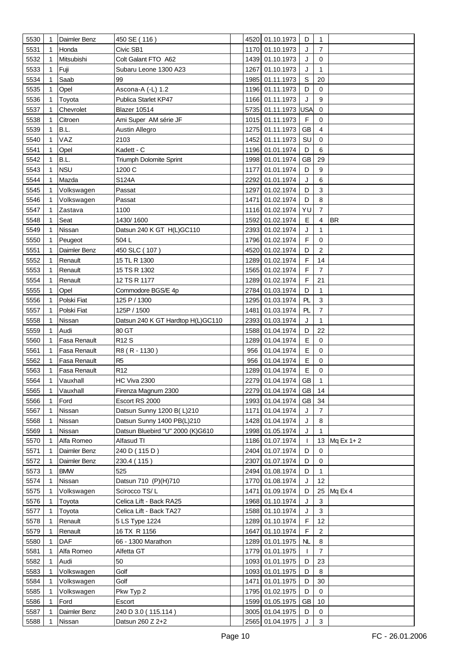| 5530         | $\mathbf{1}$ | Daimler Benz          | 450 SE (116)                                |      | 4520 01.10.1973                    | D              | 1                         |              |
|--------------|--------------|-----------------------|---------------------------------------------|------|------------------------------------|----------------|---------------------------|--------------|
| 5531         | 1            | Honda                 | Civic SB1                                   |      | 1170 01.10.1973                    | J              | $\overline{7}$            |              |
| 5532         | 1            | Mitsubishi            | Colt Galant FTO A62                         |      | 1439 01.10.1973                    | J              | 0                         |              |
| 5533         | 1            | Fuji                  | Subaru Leone 1300 A23                       |      | 1267 01.10.1973                    | J              | $\mathbf{1}$              |              |
| 5534         |              | Saab                  | 99                                          | 1985 | 01.11.1973                         | S              | 20                        |              |
| 5535         | 1            | Opel                  | Ascona-A (-L) 1.2                           |      | 1196 01.11.1973                    | D              | 0                         |              |
| 5536         | 1            | Toyota                | Publica Starlet KP47                        |      | 1166 01.11.1973                    | J              | 9                         |              |
| 5537         | 1            | Chevrolet             | <b>Blazer 10514</b>                         |      | 5735 01.11.1973 USA                |                | $\mathbf 0$               |              |
| 5538         |              | Citroen               | Ami Super AM série JF                       |      | 1015 01.11.1973                    | F              | $\mathbf 0$               |              |
| 5539         | 1            | B.L.                  | Austin Allegro                              |      | 1275 01.11.1973                    | <b>GB</b>      | $\overline{4}$            |              |
| 5540         |              | VAZ                   | 2103                                        |      | 1452 01.11.1973                    | SU             | 0                         |              |
| 5541         | 1            | Opel                  | Kadett - C                                  |      | 1196 01.01.1974                    | D              | 6                         |              |
| 5542         | 1            | B.L.                  |                                             |      | 1998 01.01.1974                    | <b>GB</b>      | 29                        |              |
|              |              | <b>NSU</b>            | Triumph Dolomite Sprint                     | 1177 |                                    | D              | 9                         |              |
| 5543         | 1            |                       | 1200 C                                      |      | 01.01.1974                         |                |                           |              |
| 5544         | 1            | Mazda                 | S124A                                       | 2292 | 01.01.1974                         | J              | 6                         |              |
| 5545         |              | Volkswagen            | Passat                                      | 1297 | 01.02.1974                         | D              | 3                         |              |
| 5546         | 1            | Volkswagen            | Passat                                      | 1471 | 01.02.1974                         | D              | 8<br>$\overline{7}$       |              |
| 5547         | 1            | Zastava               | 1100                                        |      | 1116 01.02.1974                    | YU             |                           |              |
| 5548         | 1            | Seat                  | 1430/1600                                   |      | 1592 01.02.1974                    | E              | 4                         | <b>BR</b>    |
| 5549         |              | Nissan                | Datsun 240 K GT H(L)GC110                   |      | 2393 01.02.1974                    | J              | 1                         |              |
| 5550         | 1            | Peugeot               | 504L                                        |      | 1796 01.02.1974                    | $\mathsf F$    | $\mathbf 0$               |              |
| 5551         |              | Daimler Benz          | 450 SLC (107)                               |      | 4520 01.02.1974                    | D              | $\overline{2}$            |              |
| 5552         | 1            | Renault               | 15 TL R 1300                                |      | 1289 01.02.1974                    | F              | 14                        |              |
| 5553         |              | Renault               | 15 TS R 1302                                |      | 1565 01.02.1974                    | F              | 7                         |              |
| 5554         | 1            | Renault               | 12 TS R 1177                                |      | 1289 01.02.1974                    | F              | 21                        |              |
| 5555         |              | Opel                  | Commodore BGS/E 4p                          |      | 2784 01.03.1974                    | D              | $\mathbf{1}$              |              |
| 5556         | 1            | Polski Fiat           | 125 P / 1300                                |      | 1295 01.03.1974                    | PL             | $\mathbf{3}$              |              |
| 5557         | 1            | Polski Fiat           | 125P / 1500                                 |      | 1481 01.03.1974                    | PL             | $\overline{7}$            |              |
| 5558         | 1            | Nissan                | Datsun 240 K GT Hardtop H(L)GC110           |      | 2393 01.03.1974                    | J              | $\mathbf{1}$              |              |
| 5559         | 1            | Audi                  | 80 GT                                       |      | 1588 01.04.1974                    | D              | 22                        |              |
| 5560         | 1            | Fasa Renault          | R <sub>12</sub> S                           |      | 1289 01.04.1974                    | E              | $\mathbf 0$               |              |
| 5561         | 1            | Fasa Renault          | R8 (R-1130)                                 | 956  | 01.04.1974                         | E              | 0                         |              |
| 5562         | 1            | Fasa Renault          | R <sub>5</sub>                              | 956  | 01.04.1974                         | E              | 0                         |              |
| 5563         |              | Fasa Renault          | R <sub>12</sub>                             | 1289 | 01.04.1974                         | Е              | $\mathbf 0$               |              |
| 5564         | $\mathbf{1}$ | Vauxhall              | HC Viva 2300                                |      | 2279 01.04.1974                    | <b>GB</b>      | 1                         |              |
| 5565         | 1            | Vauxhall              | Firenza Magnum 2300                         |      | 2279 01.04.1974 GB 14              |                |                           |              |
| 5566         |              | Ford                  | Escort RS 2000<br>Datsun Sunny 1200 B(L)210 |      | 1993 01.04.1974                    | GB             | 34<br>$\overline{7}$      |              |
| 5567         | 1            | Nissan                |                                             |      | 1171 01.04.1974                    | J              | 8                         |              |
| 5568         | 1            | Nissan                | Datsun Sunny 1400 PB(L)210                  |      | 1428 01.04.1974                    | J              |                           |              |
| 5569         |              | Nissan                | Datsun Bluebird "U" 2000 (K)G610            |      | 1998 01.05.1974                    | J              | $\mathbf{1}$              |              |
| 5570         | 1            | Alfa Romeo            | Alfasud TI                                  |      | 1186 01.07.1974                    | T              |                           | 13 Mq Ex 1+2 |
| 5571         | 1            | Daimler Benz          | 240 D (115 D)                               |      | 2404 01.07.1974                    | D              | 0                         |              |
| 5572         | 1            | Daimler Benz          | 230.4 (115)                                 |      | 2307 01.07.1974                    | D              | $\mathbf 0$               |              |
| 5573         |              | <b>BMW</b>            | 525                                         |      | 2494 01.08.1974<br>1770 01.08.1974 | D              | 1                         |              |
| 5574         | 1            | Nissan                | Datsun 710 (P)(H)710                        |      |                                    | J              | 12                        |              |
| 5575         | 1            | Volkswagen            | Scirocco TS/L                               |      | 1471 01.09.1974                    | D              | 25                        | Mq Ex 4      |
| 5576         | 1            | Toyota                | Celica Lift - Back RA25                     |      | 1968 01.10.1974                    | J              | 3                         |              |
| 5577         |              | Toyota                | Celica Lift - Back TA27                     |      | 1588 01.10.1974                    | J              | $\ensuremath{\mathsf{3}}$ |              |
| 5578         | 1            | Renault               | 5 LS Type 1224                              |      | 1289 01.10.1974                    | F<br>F         | 12                        |              |
| 5579         |              | Renault<br><b>DAF</b> | 16 TX R 1156                                |      | 1647 01.10.1974<br>1289 01.01.1975 | N <sub>L</sub> | $\overline{c}$<br>8       |              |
| 5580         |              |                       | 66 - 1300 Marathon                          |      |                                    |                | $\overline{7}$            |              |
| 5581         | 1            | Alfa Romeo<br>Audi    | Alfetta GT<br>50                            |      | 1779 01.01.1975<br>1093 01.01.1975 | T<br>D         | 23                        |              |
| 5582<br>5583 | 1            | Volkswagen            | Golf                                        |      |                                    | D              | 8                         |              |
|              |              |                       | Golf                                        |      | 1093 01.01.1975                    |                | 30                        |              |
| 5584         | 1            | Volkswagen            |                                             |      | 1471 01.01.1975                    | D              |                           |              |
| 5585         | 1<br>1       | Volkswagen<br>Ford    | Pkw Typ 2                                   |      | 1795 01.02.1975<br>1599 01.05.1975 | D<br><b>GB</b> | 0                         |              |
| 5586<br>5587 |              | Daimler Benz          | Escort<br>240 D 3.0 (115.114)               |      | 3005 01.04.1975                    | D              | 10<br>0                   |              |
| 5588         |              | Nissan                | Datsun 260 Z 2+2                            |      | 2565 01.04.1975                    | J              | 3                         |              |
|              |              |                       |                                             |      |                                    |                |                           |              |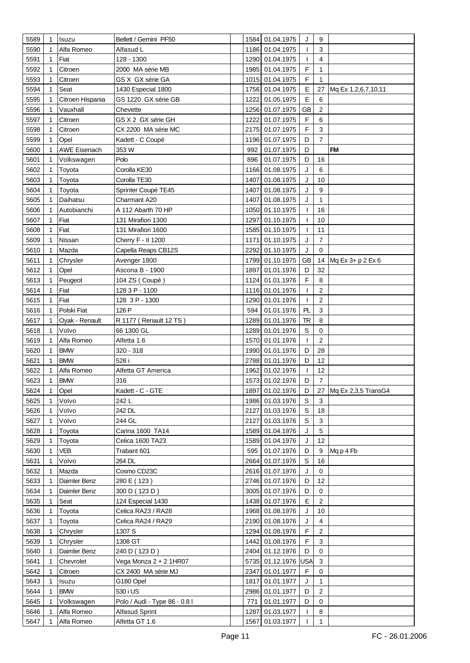| 5589 | 1 | Isuzu               | Bellett / Gemini PF50                   |      | 1584 01.04.1975     | J            | 9              |                        |
|------|---|---------------------|-----------------------------------------|------|---------------------|--------------|----------------|------------------------|
| 5590 | 1 | Alfa Romeo          | Alfasud L                               |      | 1186 01.04.1975     | T            | 3              |                        |
| 5591 | 1 | Fiat                | 128 - 1300                              |      | 1290 01.04.1975     | T            | 4              |                        |
| 5592 |   | Citroen             | 2000 MA série MB                        |      | 1985 01.04.1975     | F            | 1              |                        |
| 5593 | 1 | Citroen             | GS X GX série GA                        |      | 1015 01.04.1975     | F            | 1              |                        |
| 5594 | 1 | Seat                | 1430 Especial 1800                      |      | 1756 01.04.1975     | E            | 27             | Mq Ex 1,2,6,7,10,11    |
|      |   |                     |                                         |      |                     | E            |                |                        |
| 5595 | 1 | Citroen Hispania    | GS 1220 GX série GB                     | 1222 | 01.05.1975          |              | 6              |                        |
| 5596 | 1 | Vauxhall            | Chevette                                |      | 1256 01.07.1975     | <b>GB</b>    | 2              |                        |
| 5597 | 1 | Citroen             | GS X 2 GX série GH                      |      | 1222 01.07.1975     | F            | 6              |                        |
| 5598 | 1 | Citroen             | CX 2200 MA série MC                     |      | 2175 01.07.1975     | F            | 3              |                        |
| 5599 | 1 | Opel                | Kadett - C Coupé                        |      | 1196 01.07.1975     | D            | $\overline{7}$ |                        |
| 5600 |   | <b>AWE Eisenach</b> | 353 W                                   | 992  | 01.07.1975          | D            |                | <b>FM</b>              |
| 5601 | 1 | Volkswagen          | Polo                                    | 896  | 01.07.1975          | D            | 16             |                        |
| 5602 | 1 | Toyota              | Corolla KE30                            |      | 1166 01.08.1975     | J            | 6              |                        |
| 5603 | 1 | Toyota              | Corolla TE30                            | 1407 | 01.08.1975          | J            | 10             |                        |
| 5604 | 1 | Toyota              | Sprinter Coupé TE45                     | 1407 | 01.08.1975          | J            | 9              |                        |
| 5605 | 1 | Daihatsu            | Charmant A20                            | 1407 | 01.08.1975          | J            | 1              |                        |
| 5606 |   | Autobianchi         | A 112 Abarth 70 HP                      |      | 1050 01.10.1975     | I            | 16             |                        |
| 5607 | 1 | Fiat                | 131 Mirafiori 1300                      |      | 1297 01.10.1975     |              | 10             |                        |
| 5608 |   | Fiat                | 131 Mirafiori 1600                      |      | 1585 01.10.1975     | ı            | 11             |                        |
| 5609 | 1 | Nissan              | Cherry F - II 1200                      | 1171 | 01.10.1975          | J            | $\overline{7}$ |                        |
| 5610 | 1 | Mazda               | Capella Reaps CB12S                     | 2292 | 01.10.1975          | J            | $\mathbf 0$    |                        |
| 5611 | 1 | Chrysler            | Avenger 1800                            |      | 1799 01.10.1975     | GB           | 14             | Mq Ex 3+ p 2 Ex 6      |
| 5612 | 1 | Opel                | Ascona B - 1900                         |      | 1897 01.01.1976     | D            | 32             |                        |
| 5613 | 1 | Peugeot             | 104 ZS (Coupé)                          |      | 1124 01.01.1976     | F            | 8              |                        |
| 5614 | 1 | Fiat                | 128 3 P - 1100                          |      | 1116 01.01.1976     | T            | 2              |                        |
| 5615 | 1 | Fiat                | 128 3 P - 1300                          |      | 1290 01.01.1976     | T            | $\overline{2}$ |                        |
|      |   |                     |                                         |      |                     |              |                |                        |
| 5616 |   | Polski Fiat         | 126 P                                   | 594  | 01.01.1976          | PL           | 3              |                        |
| 5617 | 1 | Oyak - Renault      | R 1177 (Renault 12 TS)                  |      | 1289 01.01.1976     | <b>TR</b>    | 8              |                        |
| 5618 | 1 | Volvo               | 66 1300 GL                              |      | 1289 01.01.1976     | $\mathbb S$  | $\mathbf 0$    |                        |
| 5619 | 1 | Alfa Romeo          | Alfetta 1.6                             |      | 1570 01.01.1976     | $\mathbf{I}$ | 2              |                        |
| 5620 | 1 | <b>BMW</b>          | 320 - 318                               |      | 1990 01.01.1976     | D            | 28             |                        |
| 5621 | 1 | <b>BMW</b>          | 528 i                                   |      | 2788 01.01.1976     | D            | 12             |                        |
| 5622 |   | Alfa Romeo          | Alfetta GT America                      |      | 1962 01.02.1976     | T            | 12             |                        |
| 5623 | 1 | <b>BMW</b>          | 316                                     |      | 1573 01.02.1976     | D            | $\overline{7}$ |                        |
| 5624 | 1 | Opel                | Kadett - C - GTE                        |      | 1897 01.02.1976     | D            |                | 27 Mq Ex 2,3,5 TransG4 |
| 5625 |   | Volvo               | 242 L                                   |      | 1986 01.03.1976     | S            | 3              |                        |
| 5626 |   | Volvo               | 242 DL                                  |      | 2127 01.03.1976     | $\mathbb S$  | 18             |                        |
| 5627 | 1 | Volvo               | 244 GL                                  |      | 2127 01.03.1976     | S            | 3              |                        |
| 5628 | 1 | Toyota              | Carina 1600 TA14                        |      | 1589 01.04.1976     | J            | 5              |                        |
| 5629 |   | Toyota              | Celica 1600 TA23                        |      | 1589 01.04.1976     | J            | 12             |                        |
| 5630 |   | VEB                 | Trabant 601                             | 595  | 01.07.1976          | D            | 9              | Mq p 4 Fb              |
| 5631 |   | Volvo               | 264 DL                                  |      | 2664 01.07.1976     | S            | 16             |                        |
| 5632 |   | Mazda               | Cosmo CD23C                             |      | 2616 01.07.1976     | J            | 0              |                        |
| 5633 |   | Daimler Benz        | 280 E (123)                             |      | 2746 01.07.1976     | D            | 12             |                        |
| 5634 |   | Daimler Benz        | 300 D (123 D)                           |      | 3005 01.07.1976     | D            | 0              |                        |
| 5635 | 1 | Seat                | 124 Especial 1430                       |      | 1438 01.07.1976     | Е            | 2              |                        |
| 5636 | 1 | Toyota              | Celica RA23 / RA28                      |      | 1968 01.08.1976     | J            | 10             |                        |
| 5637 | 1 | Toyota              | Celica RA24 / RA29                      |      | 2190 01.08.1976     | J            | 4              |                        |
| 5638 |   | Chrysler            | 1307 S                                  |      | 1294 01.08.1976     | F            | 2              |                        |
| 5639 |   | Chrysler            | 1308 GT                                 |      | 1442 01.08.1976     | F            | 3              |                        |
| 5640 |   | Daimler Benz        | 240 D (123 D)                           |      | 2404 01.12.1976     | D            | $\mathbf 0$    |                        |
| 5641 | 1 | Chevrolet           | Vega Monza 2 + 2 1HR07                  |      | 5735 01.12.1976 USA |              | 3              |                        |
| 5642 |   | Citroen             | CX 2400 MA série MJ                     |      | 2347 01.01.1977     | F            | 0              |                        |
| 5643 | 1 | Isuzu               | G180 Opel                               |      | 1817 01.01.1977     | J            | 1              |                        |
| 5644 |   | <b>BMW</b>          | 530 i US                                |      | 2986 01.01.1977     | D            | $\overline{2}$ |                        |
| 5645 |   | Volkswagen          | Polo / Audi - Type 86 - 0.8 l           | 771  | 01.01.1977          | D            | 0              |                        |
| 5646 |   | Alfa Romeo          |                                         |      | 1287 01.03.1977     |              | 8              |                        |
| 5647 |   | Alfa Romeo          | <b>Alfasud Sprint</b><br>Alfetta GT 1.6 |      | 1567 01.03.1977     |              | 1              |                        |
|      |   |                     |                                         |      |                     |              |                |                        |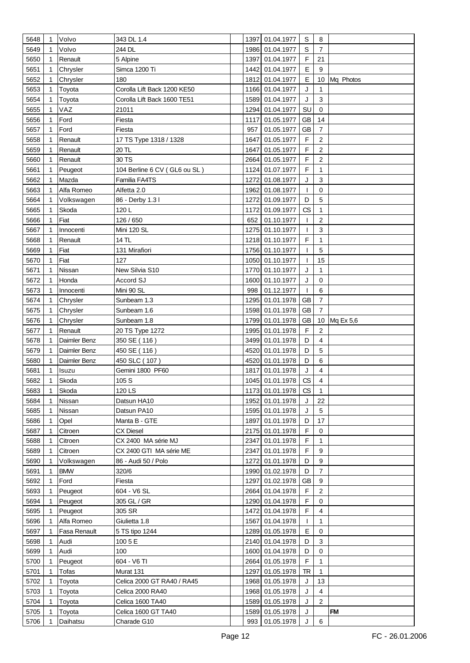| 5648 | $\mathbf{1}$ | Volvo        | 343 DL 1.4                   |      | 1397 01.04.1977    | S            | 8                       |           |
|------|--------------|--------------|------------------------------|------|--------------------|--------------|-------------------------|-----------|
| 5649 | 1            | Volvo        | 244 DL                       |      | 1986 01.04.1977    | $\mathbb S$  | $\overline{7}$          |           |
| 5650 | 1            | Renault      | 5 Alpine                     |      | 1397 01.04.1977    | F            | 21                      |           |
| 5651 | 1            | Chrysler     | Simca 1200 Ti                | 1442 | 01.04.1977         | Е            | 9                       |           |
| 5652 |              |              | 180                          |      | 1812 01.04.1977    | E            | 10                      | Mq Photos |
|      |              | Chrysler     |                              |      |                    |              |                         |           |
| 5653 | 1            | Toyota       | Corolla Lift Back 1200 KE50  |      | 1166 01.04.1977    | J            | 1                       |           |
| 5654 | 1            | Toyota       | Corolla Lift Back 1600 TE51  | 1589 | 01.04.1977         | J            | 3                       |           |
| 5655 | 1            | VAZ          | 21011                        |      | 1294 01.04.1977    | SU           | $\mathbf 0$             |           |
| 5656 | 1            | Ford         | Fiesta                       | 1117 | 01.05.1977         | <b>GB</b>    | 14                      |           |
| 5657 | 1            | Ford         | Fiesta                       | 957  | 01.05.1977         | <b>GB</b>    | $\overline{7}$          |           |
| 5658 | 1            | Renault      | 17 TS Type 1318 / 1328       | 1647 | 01.05.1977         | F            | 2                       |           |
| 5659 | 1            | Renault      | 20 TL                        | 1647 | 01.05.1977         | $\mathsf F$  | $\overline{c}$          |           |
| 5660 |              | Renault      | 30 TS                        | 2664 | 01.05.1977         | F            | $\overline{2}$          |           |
| 5661 | 1            | Peugeot      | 104 Berline 6 CV (GL6 ou SL) |      | 1124 01.07.1977    | $\mathsf{F}$ | 1                       |           |
| 5662 |              | Mazda        | Familia FA4TS                | 1272 | 01.08.1977         | J            | 3                       |           |
| 5663 | 1            | Alfa Romeo   | Alfetta 2.0                  | 1962 | 01.08.1977         | T            | $\mathbf 0$             |           |
| 5664 |              | Volkswagen   | 86 - Derby 1.31              |      | 1272 01.09.1977    | D            | 5                       |           |
| 5665 | 1            | Skoda        | 120L                         |      | 1172 01.09.1977    | CS           | 1                       |           |
| 5666 |              | Fiat         | 126 / 650                    | 652  | 01.10.1977         | T            | $\overline{c}$          |           |
| 5667 |              | Innocenti    | Mini 120 SL                  |      | 1275 01.10.1977    | T            | 3                       |           |
| 5668 |              | Renault      | 14 TL                        |      | 1218 01.10.1977    | F            | 1                       |           |
| 5669 | 1            | Fiat         | 131 Mirafiori                |      | 1756 01.10.1977    |              | 5                       |           |
|      |              | Fiat         |                              |      |                    |              | 15                      |           |
| 5670 | 1            |              | 127                          |      | 1050 01.10.1977    | T            |                         |           |
| 5671 | 1            | Nissan       | New Silvia S10               |      | 1770 01.10.1977    | J            | 1                       |           |
| 5672 | 1            | Honda        | Accord SJ                    |      | 1600 01.10.1977    | J            | $\mathbf 0$             |           |
| 5673 | 1            | Innocenti    | Mini 90 SL                   | 998  | 01.12.1977         | T            | 6                       |           |
| 5674 |              | Chrysler     | Sunbeam 1.3                  |      | 1295 01.01.1978    | <b>GB</b>    | 7                       |           |
| 5675 | 1            | Chrysler     | Sunbeam 1.6                  |      | 1598 01.01.1978    | <b>GB</b>    | $\overline{7}$          |           |
| 5676 |              | Chrysler     | Sunbeam 1.8                  |      | 1799 01.01.1978    | <b>GB</b>    | 10                      | Mq Ex 5,6 |
| 5677 | 1            | Renault      | 20 TS Type 1272              | 1995 | 01.01.1978         | $\mathsf F$  | $\overline{2}$          |           |
| 5678 | 1            | Daimler Benz | 350 SE (116)                 |      | 3499 01.01.1978    | D            | 4                       |           |
| 5679 | 1            | Daimler Benz | 450 SE (116)                 | 4520 | 01.01.1978         | D            | 5                       |           |
| 5680 | 1            | Daimler Benz | 450 SLC (107)                |      | 4520 01.01.1978    | D            | 6                       |           |
| 5681 |              | Isuzu        | Gemini 1800 PF60             | 1817 | 01.01.1978         | J            | 4                       |           |
| 5682 | 1            | Skoda        | 105 S                        |      | 1045 01.01.1978    | CS           | $\overline{\mathbf{4}}$ |           |
| 5683 | 1            | Skoda        | 120 LS                       |      | 1173 01.01.1978 CS |              | $\mathbf{1}$            |           |
| 5684 |              | Nissan       | Datsun HA10                  | 1952 | 01.01.1978         | J            | 22                      |           |
| 5685 | 1            | Nissan       | Datsun PA10                  |      | 1595 01.01.1978    | J            | 5                       |           |
| 5686 | 1            | Opel         | Manta B - GTE                |      | 1897 01.01.1978    | D            | 17                      |           |
| 5687 | 1            | Citroen      | CX Diesel                    |      | 2175 01.01.1978    | F            | 0                       |           |
| 5688 | 1            | Citroen      | CX 2400 MA série MJ          | 2347 | 01.01.1978         | F            | 1                       |           |
| 5689 | 1            | Citroen      | CX 2400 GTI MA série ME      | 2347 | 01.01.1978         | F            | 9                       |           |
| 5690 |              | Volkswagen   | 86 - Audi 50 / Polo          | 1272 | 01.01.1978         | D            | 9                       |           |
|      |              | <b>BMW</b>   |                              |      |                    | D            | $\overline{7}$          |           |
| 5691 |              |              | 320/6                        |      | 1990 01.02.1978    |              |                         |           |
| 5692 | 1            | Ford         | Fiesta                       | 1297 | 01.02.1978         | <b>GB</b>    | 9                       |           |
| 5693 | 1            | Peugeot      | 604 - V6 SL                  |      | 2664 01.04.1978    | F            | 2                       |           |
| 5694 |              | Peugeot      | 305 GL / GR                  |      | 1290 01.04.1978    | F            | 0                       |           |
| 5695 | 1            | Peugeot      | 305 SR                       |      | 1472 01.04.1978    | F            | 4                       |           |
| 5696 | 1            | Alfa Romeo   | Giulietta 1.8                | 1567 | 01.04.1978         | L            | 1                       |           |
| 5697 | 1            | Fasa Renault | 5 TS tipo 1244               |      | 1289 01.05.1978    | E            | 0                       |           |
| 5698 | 1            | Audi         | 100 5 E                      |      | 2140 01.04.1978    | D            | 3                       |           |
| 5699 | 1            | Audi         | 100                          |      | 1600 01.04.1978    | D            | 0                       |           |
| 5700 | 1            | Peugeot      | 604 - V6 TI                  | 2664 | 01.05.1978         | F            | $\mathbf{1}$            |           |
| 5701 | 1            | Tofas        | Murat 131                    | 1297 | 01.05.1978         | TR           | 1                       |           |
| 5702 | 1            | Toyota       | Celica 2000 GT RA40 / RA45   |      | 1968 01.05.1978    | J            | 13                      |           |
| 5703 | 1            | Toyota       | Celica 2000 RA40             |      | 1968 01.05.1978    | J            | 4                       |           |
| 5704 |              | Toyota       | Celica 1600 TA40             |      | 1589 01.05.1978    | J            | $\overline{2}$          |           |
| 5705 | 1            | Toyota       | Celica 1600 GT TA40          |      | 1589 01.05.1978    | J            |                         | <b>FM</b> |
| 5706 |              | Daihatsu     | Charade G10                  |      | 993 01.05.1978     | J            | 6                       |           |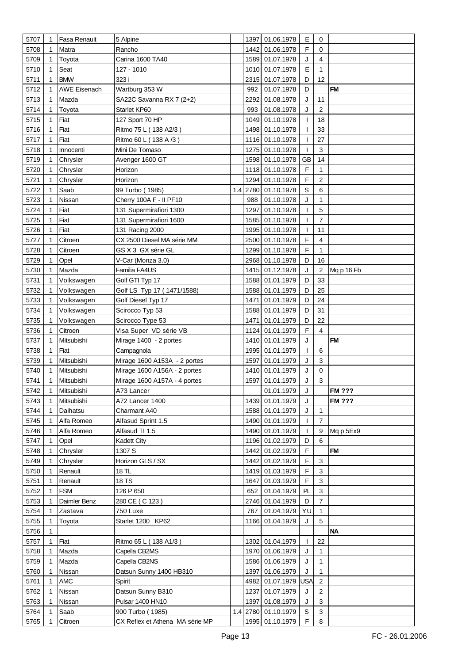| 5707 | $\mathbf 1$ | Fasa Renault        | 5 Alpine                     |     |      | 1397 01.06.1978     | E            | 0              |               |
|------|-------------|---------------------|------------------------------|-----|------|---------------------|--------------|----------------|---------------|
| 5708 |             | Matra               | Rancho                       |     |      | 1442 01.06.1978     | F            | 0              |               |
| 5709 | 1           | Toyota              | Carina 1600 TA40             |     |      | 1589 01.07.1978     | J            | 4              |               |
|      |             |                     |                              |     |      |                     | E            | $\mathbf{1}$   |               |
| 5710 |             | Seat                | 127 - 1010                   |     |      | 1010 01.07.1978     |              |                |               |
| 5711 |             | <b>BMW</b>          | 323 i                        |     |      | 2315 01.07.1978     | D            | 12             |               |
| 5712 |             | <b>AWE Eisenach</b> | Wartburg 353 W               |     | 992  | 01.07.1978          | D            |                | <b>FM</b>     |
| 5713 | 1           | Mazda               | SA22C Savanna RX 7 (2+2)     |     | 2292 | 01.08.1978          | J            | 11             |               |
| 5714 |             | Toyota              | Starlet KP60                 |     | 993  | 01.08.1978          | J            | $\overline{c}$ |               |
| 5715 | 1           | Fiat                | 127 Sport 70 HP              |     |      | 1049 01.10.1978     | T            | 18             |               |
| 5716 |             | Fiat                | Ritmo 75 L (138 A2/3)        |     |      | 1498 01.10.1978     | T            | 33             |               |
| 5717 |             | Fiat                | Ritmo 60 L (138 A/3)         |     |      | 1116 01.10.1978     | ı            | 27             |               |
| 5718 | 1           | Innocenti           | Mini De Tomaso               |     |      | 1275 01.10.1978     | $\mathbf{I}$ | 3              |               |
| 5719 | 1           | Chrysler            | Avenger 1600 GT              |     |      | 1598 01.10.1978     | <b>GB</b>    | 14             |               |
| 5720 |             | Chrysler            | Horizon                      |     |      | 1118 01.10.1978     | F            | 1              |               |
| 5721 | 1           | Chrysler            | Horizon                      |     |      | 1294 01.10.1978     | F            | $\overline{2}$ |               |
| 5722 |             | Saab                | 99 Turbo (1985)              | 1.4 |      | 2780 01.10.1978     | $\mathsf S$  | 6              |               |
| 5723 | 1           | Nissan              | Cherry 100A F - II PF10      |     | 988  | 01.10.1978          | J            | 1              |               |
| 5724 |             | Fiat                | 131 Supermirafiori 1300      |     | 1297 | 01.10.1978          | $\mathbf{I}$ | 5              |               |
| 5725 |             | Fiat                | 131 Supermirafiori 1600      |     |      | 1585 01.10.1978     | T            | $\overline{7}$ |               |
| 5726 |             | Fiat                | 131 Racing 2000              |     |      | 1995 01.10.1978     | T            | 11             |               |
| 5727 |             | Citroen             | CX 2500 Diesel MA série MM   |     |      | 2500 01.10.1978     | F            | 4              |               |
| 5728 |             | Citroen             | GS X 3 GX série GL           |     |      | 1299 01.10.1978     | F            | 1              |               |
| 5729 |             | Opel                | V-Car (Monza 3.0)            |     |      | 2968 01.10.1978     | D            | 16             |               |
| 5730 |             | Mazda               | Familia FA4US                |     |      | 1415 01.12.1978     | J            | 2              | Mq p 16 Fb    |
| 5731 |             | Volkswagen          | Golf GTI Typ 17              |     |      | 1588 01.01.1979     | D            | 33             |               |
| 5732 |             | Volkswagen          | Golf LS Typ 17 (1471/1588)   |     |      | 1588 01.01.1979     | D            | 25             |               |
| 5733 |             | Volkswagen          | Golf Diesel Typ 17           |     |      | 1471 01.01.1979     | D            | 24             |               |
| 5734 |             | Volkswagen          | Scirocco Typ 53              |     |      | 1588 01.01.1979     | D            | 31             |               |
| 5735 |             | Volkswagen          | Scirocco Type 53             |     | 1471 | 01.01.1979          | D            | 22             |               |
| 5736 |             | Citroen             | Visa Super VD série VB       |     |      | 1124 01.01.1979     | F            | 4              |               |
| 5737 | 1           | Mitsubishi          |                              |     |      | 1410 01.01.1979     | J            |                | FM            |
|      |             | Fiat                | Mirage 1400 - 2 portes       |     |      | 1995 01.01.1979     | $\mathbf{I}$ |                |               |
| 5738 |             |                     | Campagnola                   |     |      |                     |              | 6              |               |
| 5739 |             | Mitsubishi          | Mirage 1600 A153A - 2 portes |     | 1597 | 01.01.1979          | J            | 3              |               |
| 5740 |             | Mitsubishi          | Mirage 1600 A156A - 2 portes |     |      | 1410 01.01.1979     | J            | 0              |               |
| 5741 | 1           | Mitsubishi          | Mirage 1600 A157A - 4 portes |     |      | 1597 01.01.1979     | J            | 3              |               |
| 5742 | $\mathbf 1$ | Mitsubishi          | A73 Lancer                   |     |      | 01.01.1979          | J            |                | <b>FM ???</b> |
| 5743 |             | Mitsubishi          | A72 Lancer 1400              |     | 1439 | 01.01.1979          | J            |                | <b>FM ???</b> |
| 5744 |             | Daihatsu            | Charmant A40                 |     |      | 1588 01.01.1979     | J            | 1              |               |
| 5745 | 1           | Alfa Romeo          | Alfasud Sprint 1.5           |     |      | 1490 01.01.1979     | $\mathbf{I}$ | $\overline{7}$ |               |
| 5746 |             | Alfa Romeo          | Alfasud TI 1.5               |     |      | 1490 01.01.1979     | $\mathbf{I}$ | 9              | Mq p 5Ex9     |
| 5747 | 1           | Opel                | <b>Kadett City</b>           |     |      | 1196 01.02.1979     | D            | 6              |               |
| 5748 |             | Chrysler            | 1307 S                       |     |      | 1442 01.02.1979     | F            |                | <b>FM</b>     |
| 5749 |             | Chrysler            | Horizon GLS / SX             |     |      | 1442 01.02.1979     | F            | 3              |               |
| 5750 |             | Renault             | 18 TL                        |     |      | 1419 01.03.1979     | F            | 3              |               |
| 5751 |             | Renault             | 18 TS                        |     |      | 1647 01.03.1979     | F            | 3              |               |
| 5752 |             | <b>FSM</b>          | 126 P 650                    |     | 652  | 01.04.1979          | PL           | $\mathbf{3}$   |               |
| 5753 |             | Daimler Benz        | 280 CE (C 123)               |     |      | 2746 01.04.1979     | D            | $\overline{7}$ |               |
| 5754 |             | Zastava             | 750 Luxe                     |     | 767  | 01.04.1979          | YU           | 1              |               |
| 5755 |             | Toyota              | Starlet 1200 KP62            |     |      | 1166 01.04.1979     | J            | 5              |               |
| 5756 |             |                     |                              |     |      |                     |              |                | <b>NA</b>     |
| 5757 | 1           | Fiat                | Ritmo 65 L (138 A1/3)        |     |      | 1302 01.04.1979     | $\mathbf{I}$ | 22             |               |
| 5758 |             | Mazda               | Capella CB2MS                |     |      | 1970 01.06.1979     | J            | $\mathbf{1}$   |               |
| 5759 |             | Mazda               | Capella CB2NS                |     |      | 1586 01.06.1979     | J            | $\mathbf{1}$   |               |
| 5760 |             | Nissan              | Datsun Sunny 1400 HB310      |     |      | 1397 01.06.1979     | J            | $\mathbf{1}$   |               |
| 5761 |             | AMC                 | Spirit                       |     |      | 4982 01.07.1979     | USA          | 2              |               |
| 5762 |             | Nissan              | Datsun Sunny B310            |     | 1237 | 01.07.1979          | J            | $\overline{2}$ |               |
| 5763 |             |                     |                              |     |      |                     |              | 3              |               |
|      |             | Nissan              | Pulsar 1400 HN10             |     |      | 1397 01.08.1979     | J            |                |               |
| 5764 |             | Saab                | 900 Turbo (1985)             |     |      | 1.4 2780 01.10.1979 | $\mathbb S$  | 3              |               |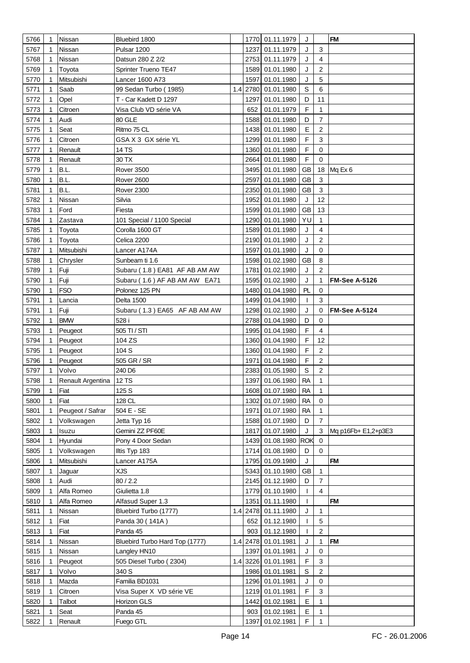| 5766 | $\mathbf 1$ | Nissan                  | Bluebird 1800                  |     |      | 1770 01.11.1979     | J           |                           | <b>FM</b>            |
|------|-------------|-------------------------|--------------------------------|-----|------|---------------------|-------------|---------------------------|----------------------|
| 5767 |             | Nissan                  | Pulsar 1200                    |     | 1237 | 01.11.1979          | J           | 3                         |                      |
| 5768 |             | Nissan                  | Datsun 280 Z 2/2               |     |      | 2753 01.11.1979     | J           | $\overline{\mathbf{4}}$   |                      |
| 5769 |             | Toyota                  | Sprinter Trueno TE47           |     |      | 1589 01.01.1980     | J           | $\overline{2}$            |                      |
| 5770 |             | Mitsubishi              | Lancer 1600 A73                |     | 1597 | 01.01.1980          | J           | 5                         |                      |
| 5771 | 1           | Saab                    | 99 Sedan Turbo (1985)          | 1.4 |      | 2780 01.01.1980     | S           | 6                         |                      |
| 5772 |             | Opel                    | T - Car Kadett D 1297          |     | 1297 | 01.01.1980          | D           | 11                        |                      |
| 5773 | 1           | Citroen                 | Visa Club VD série VA          |     | 652  | 01.01.1979          | F           | 1                         |                      |
| 5774 | 1           | Audi                    | 80 GLE                         |     |      | 1588 01.01.1980     | D           | 7                         |                      |
| 5775 | 1           | Seat                    | Ritmo 75 CL                    |     |      | 1438 01.01.1980     | E           | $\overline{2}$            |                      |
| 5776 |             | Citroen                 | GSA X 3 GX série YL            |     |      | 1299 01.01.1980     | F           | 3                         |                      |
|      |             | Renault                 | 14 TS                          |     |      | 1360 01.01.1980     | F           | $\mathbf 0$               |                      |
| 5777 |             |                         |                                |     |      |                     | $\mathsf F$ | 0                         |                      |
| 5778 |             | Renault                 | 30 TX                          |     |      | 2664 01.01.1980     |             |                           |                      |
| 5779 | 1           | B.L.                    | Rover 3500                     |     |      | 3495 01.01.1980     | <b>GB</b>   | 18                        | Mq Ex 6              |
| 5780 | 1           | B.L.                    | Rover 2600                     |     | 2597 | 01.01.1980          | <b>GB</b>   | 3                         |                      |
| 5781 |             | B.L.                    | Rover 2300                     |     |      | 2350 01.01.1980     | GB          | $\ensuremath{\mathsf{3}}$ |                      |
| 5782 | 1           | Nissan                  | Silvia                         |     |      | 1952 01.01.1980     | J           | 12                        |                      |
| 5783 |             | Ford                    | Fiesta                         |     |      | 1599 01.01.1980     | <b>GB</b>   | 13                        |                      |
| 5784 |             | Zastava                 | 101 Special / 1100 Special     |     |      | 1290 01.01.1980     | YU          | 1                         |                      |
| 5785 |             | Toyota                  | Corolla 1600 GT                |     |      | 1589 01.01.1980     | J           | 4                         |                      |
| 5786 |             | Toyota                  | Celica 2200                    |     |      | 2190 01.01.1980     | J           | $\overline{2}$            |                      |
| 5787 |             | Mitsubishi              | Lancer A174A                   |     | 1597 | 01.01.1980          | J           | $\mathbf 0$               |                      |
| 5788 |             | Chrysler                | Sunbeam ti 1.6                 |     |      | 1598 01.02.1980     | <b>GB</b>   | 8                         |                      |
| 5789 | 1           | Fuji                    | Subaru (1.8) EA81 AF AB AM AW  |     |      | 1781 01.02.1980     | J           | $\overline{2}$            |                      |
| 5790 | 1           | Fuji                    | Subaru (1.6) AF AB AM AW EA71  |     |      | 1595 01.02.1980     | J           | 1                         | <b>FM-See A-5126</b> |
| 5790 |             | <b>FSO</b>              | Polonez 125 PN                 |     |      | 1480 01.04.1980     | PL          | $\mathbf 0$               |                      |
| 5791 | 1           | Lancia                  | Delta 1500                     |     |      | 1499 01.04.1980     | T           | 3                         |                      |
| 5791 |             | Fuji                    | Subaru (1.3) EA65 AF AB AM AW  |     |      | 1298 01.02.1980     | J           | $\mathbf 0$               | <b>FM-See A-5124</b> |
| 5792 | 1           | <b>BMW</b>              | 528 i                          |     |      | 2788 01.04.1980     | D           | 0                         |                      |
| 5793 | 1           | Peugeot                 | 505 TI / STI                   |     |      | 1995 01.04.1980     | F           | 4                         |                      |
| 5794 | 1           | Peugeot                 | 104 ZS                         |     |      | 1360 01.04.1980     | F           | 12                        |                      |
| 5795 |             | Peugeot                 | 104 S                          |     |      | 1360 01.04.1980     | F           | 2                         |                      |
| 5796 |             | Peugeot                 | 505 GR / SR                    |     | 1971 | 01.04.1980          | F           | 2                         |                      |
| 5797 |             | Volvo                   | 240 D6                         |     |      | 2383 01.05.1980     | S           | 2                         |                      |
| 5798 | 1           | Renault Argentina 12 TS |                                |     |      | 1397 01.06.1980     | <b>RA</b>   | 1                         |                      |
| 5799 | 1           | Fiat                    | 125 S                          |     |      | 1608 01.07.1980 RA  |             | 1                         |                      |
| 5800 | 1           | Fiat                    | 128 CL                         |     |      | 1302 01.07.1980     | <b>RA</b>   | $\mathbf 0$               |                      |
| 5801 | 1           | Peugeot / Safrar        | 504 E - SE                     |     |      | 1971 01.07.1980     | <b>RA</b>   | 1                         |                      |
| 5802 | 1           | Volkswagen              | Jetta Typ 16                   |     |      | 1588 01.07.1980     | D           | $\overline{7}$            |                      |
|      |             |                         | Gemini ZZ PF60E                |     |      |                     |             |                           |                      |
| 5803 | 1           | Isuzu                   |                                |     | 1817 | 01.07.1980          | J           | 3                         | Mq p16Fb+ E1,2+p3E3  |
| 5804 | 1           | Hyundai                 | Pony 4 Door Sedan              |     |      | 1439 01.08.1980 ROK |             | 0<br>$\mathbf 0$          |                      |
| 5805 |             | Volkswagen              | Iltis Typ 183                  |     |      | 1714 01.08.1980     | D           |                           |                      |
| 5806 |             | Mitsubishi              | Lancer A175A                   |     |      | 1795 01.09.1980     | J           |                           | <b>FM</b>            |
| 5807 |             | Jaguar                  | <b>XJS</b>                     |     |      | 5343 01.10.1980     | <b>GB</b>   | 1                         |                      |
| 5808 | 1           | Audi                    | 80/2.2                         |     |      | 2145 01.12.1980     | D           | $\overline{7}$            |                      |
| 5809 |             | Alfa Romeo              | Giulietta 1.8                  |     |      | 1779 01.10.1980     | T           | 4                         |                      |
| 5810 | 1           | Alfa Romeo              | Alfasud Super 1.3              |     |      | 1351 01.11.1980     | T           |                           | <b>FM</b>            |
| 5811 | 1           | Nissan                  | Bluebird Turbo (1777)          | 1.4 |      | 2478 01.11.1980     | J           | 1                         |                      |
| 5812 | 1           | Fiat                    | Panda 30 (141A)                |     | 652  | 01.12.1980          | I           | 5                         |                      |
| 5813 |             | Fiat                    | Panda 45                       |     | 903  | 01.12.1980          | T           | $\overline{2}$            |                      |
| 5814 |             | Nissan                  | Bluebird Turbo Hard Top (1777) |     |      | 1.4 2478 01.01.1981 | J           | 1                         | <b>FM</b>            |
| 5815 |             | Nissan                  | Langley HN10                   |     |      | 1397 01.01.1981     | J           | 0                         |                      |
| 5816 |             | Peugeot                 | 505 Diesel Turbo (2304)        |     |      | 1.4 3226 01.01.1981 | F           | 3                         |                      |
| 5817 |             | Volvo                   | 340 S                          |     |      | 1986 01.01.1981     | $\mathsf S$ | 2                         |                      |
| 5818 | 1           | Mazda                   | Familia BD1031                 |     |      | 1296 01.01.1981     | J           | 0                         |                      |
| 5819 |             | Citroen                 | Visa Super X VD série VE       |     |      | 1219 01.01.1981     | F           | 3                         |                      |
| 5820 | 1           | Talbot                  | Horizon GLS                    |     |      | 1442 01.02.1981     | E           | 1                         |                      |
| 5821 |             | Seat                    | Panda 45                       |     |      | 903 01.02.1981      | E           | 1                         |                      |
| 5822 |             | Renault                 | Fuego GTL                      |     |      | 1397 01.02.1981     | F           | 1                         |                      |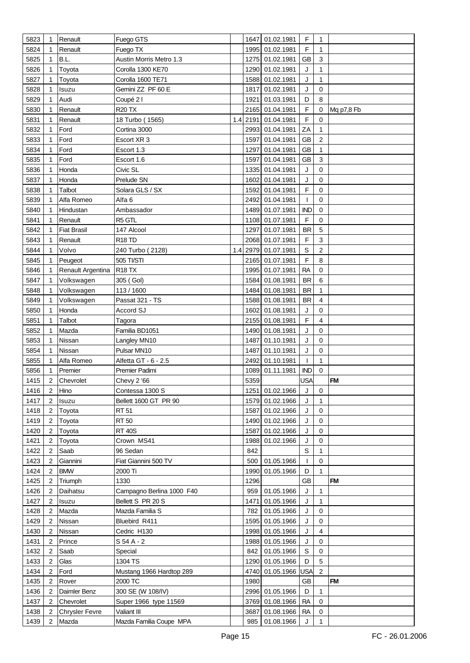| 5823 | $\mathbf 1$    | Renault               | Fuego GTS                 |     |      | 1647 01.02.1981 | F           | 1              |            |
|------|----------------|-----------------------|---------------------------|-----|------|-----------------|-------------|----------------|------------|
| 5824 | 1              | Renault               | Fuego TX                  |     |      | 1995 01.02.1981 | F           | 1              |            |
| 5825 | 1              | B.L.                  | Austin Morris Metro 1.3   |     |      | 1275 01.02.1981 | <b>GB</b>   | 3              |            |
| 5826 | 1              | Toyota                | Corolla 1300 KE70         |     |      | 1290 01.02.1981 | J           | 1              |            |
|      |                |                       |                           |     |      | 1588 01.02.1981 | J           | 1              |            |
| 5827 | 1              | Toyota                | Corolla 1600 TE71         |     |      |                 |             |                |            |
| 5828 | 1              | Isuzu                 | Gemini ZZ PF 60 E         |     | 1817 | 01.02.1981      | J           | 0              |            |
| 5829 |                | Audi                  | Coupé 21                  |     | 1921 | 01.03.1981      | D           | 8              |            |
| 5830 | 1              | Renault               | <b>R20 TX</b>             |     |      | 2165 01.04.1981 | F           | 0              | Mq p7,8 Fb |
| 5831 |                | Renault               | 18 Turbo (1565)           | 1.4 |      | 2191 01.04.1981 | F           | $\mathbf 0$    |            |
| 5832 | 1              | Ford                  | Cortina 3000              |     |      | 2993 01.04.1981 | ZA          | 1              |            |
| 5833 | 1              | Ford                  | Escort XR 3               |     |      | 1597 01.04.1981 | <b>GB</b>   | $\overline{c}$ |            |
| 5834 |                | Ford                  | Escort 1.3                |     | 1297 | 01.04.1981      | <b>GB</b>   | 1              |            |
| 5835 | 1              | Ford                  | Escort 1.6                |     | 1597 | 01.04.1981      | <b>GB</b>   | 3              |            |
| 5836 | 1              | Honda                 | Civic SL                  |     |      | 1335 01.04.1981 | J           | 0              |            |
| 5837 |                | Honda                 | Prelude SN                |     | 1602 | 01.04.1981      | J           | $\mathbf 0$    |            |
| 5838 | 1              | Talbot                | Solara GLS / SX           |     |      | 1592 01.04.1981 | F           | $\mathbf 0$    |            |
| 5839 | 1              | Alfa Romeo            | Alfa <sub>6</sub>         |     |      | 2492 01.04.1981 | T           | $\mathbf 0$    |            |
| 5840 |                | Hindustan             | Ambassador                |     |      | 1489 01.07.1981 | <b>IND</b>  | 0              |            |
| 5841 |                | Renault               | R5 GTL                    |     |      | 1108 01.07.1981 | F           | $\mathbf 0$    |            |
| 5842 |                | <b>Fiat Brasil</b>    | 147 Alcool                |     |      | 1297 01.07.1981 | <b>BR</b>   | 5              |            |
| 5843 | 1              | Renault               | R <sub>18</sub> TD        |     |      | 2068 01.07.1981 | F           | 3              |            |
| 5844 | 1              | Volvo                 | 240 Turbo (2128)          | 1.4 |      | 2979 01.07.1981 | S           | $\overline{c}$ |            |
|      |                | Peugeot               |                           |     |      |                 | $\mathsf F$ | 8              |            |
| 5845 |                |                       | 505 TI/STI                |     |      | 2165 01.07.1981 |             |                |            |
| 5846 |                | Renault Argentina     | <b>R18 TX</b>             |     |      | 1995 01.07.1981 | <b>RA</b>   | 0              |            |
| 5847 | 1              | Volkswagen            | 305 (Gol)                 |     |      | 1584 01.08.1981 | <b>BR</b>   | 6              |            |
| 5848 |                | Volkswagen            | 113/1600                  |     |      | 1484 01.08.1981 | <b>BR</b>   | 1              |            |
| 5849 |                | Volkswagen            | Passat 321 - TS           |     |      | 1588 01.08.1981 | <b>BR</b>   | $\overline{4}$ |            |
| 5850 |                | Honda                 | Accord SJ                 |     |      | 1602 01.08.1981 | J           | 0              |            |
| 5851 | 1              | Talbot                | Tagora                    |     |      | 2155 01.08.1981 | F           | $\overline{4}$ |            |
| 5852 | 1              | Mazda                 | Familia BD1051            |     |      | 1490 01.08.1981 | J           | 0              |            |
| 5853 |                | Nissan                | Langley MN10              |     | 1487 | 01.10.1981      | J           | $\mathbf 0$    |            |
| 5854 |                | Nissan                | Pulsar MN10               |     | 1487 | 01.10.1981      | J           | 0              |            |
| 5855 | 1              | Alfa Romeo            | Alfetta GT - 6 - 2.5      |     | 2492 | 01.10.1981      | T           | 1              |            |
| 5856 |                | Premier               | Premier Padimi            |     | 1089 | 01.11.1981      | <b>IND</b>  | $\mathbf 0$    |            |
| 1415 | $\overline{2}$ | Chevrolet             | Chevy 2 '66               |     | 5359 |                 | <b>USA</b>  |                | <b>FM</b>  |
| 1416 | 2              | Hino                  | Contessa 1300 S           |     |      | 1251 01.02.1966 | J           | 0              |            |
| 1417 | $\overline{2}$ | Isuzu                 | Bellett 1600 GT PR 90     |     |      | 1579 01.02.1966 | J           | $\mathbf{1}$   |            |
| 1418 | 2              | Toyota                | <b>RT 51</b>              |     |      | 1587 01.02.1966 | J           | $\mathbf 0$    |            |
| 1419 | 2              | Toyota                | <b>RT 50</b>              |     |      | 1490 01.02.1966 | J           | $\mathbf 0$    |            |
| 1420 | 2              | Toyota                | <b>RT 40S</b>             |     | 1587 | 01.02.1966      | J           | 0              |            |
| 1421 | 2              | Toyota                | Crown MS41                |     | 1988 | 01.02.1966      | J           | $\mathbf 0$    |            |
| 1422 | 2              | Saab                  | 96 Sedan                  |     | 842  |                 | S           | 1              |            |
| 1423 | 2              | Giannini              | Fiat Giannini 500 TV      |     | 500  | 01.05.1966      | T           | 0              |            |
| 1424 | 2              | <b>BMW</b>            | 2000 Ti                   |     |      | 1990 01.05.1966 | D           | 1              |            |
| 1425 | 2              | Triumph               | 1330                      |     | 1296 |                 | <b>GB</b>   |                | <b>FM</b>  |
| 1426 | 2              | Daihatsu              | Campagno Berlina 1000 F40 |     | 959  | 01.05.1966      | J           | 1              |            |
|      |                |                       |                           |     |      |                 |             | 1              |            |
| 1427 | 2              | Isuzu                 | Bellett S PR 20 S         |     | 1471 | 01.05.1966      | J           |                |            |
| 1428 | 2              | Mazda                 | Mazda Familia S           |     | 782  | 01.05.1966      | J           | 0              |            |
| 1429 | 2              | Nissan                | Bluebird R411             |     |      | 1595 01.05.1966 | J           | $\mathbf 0$    |            |
| 1430 | 2              | Nissan                | Cedric H130               |     |      | 1998 01.05.1966 | J           | 4              |            |
| 1431 | 2              | Prince                | S 54 A - 2                |     |      | 1988 01.05.1966 | J           | 0              |            |
| 1432 | 2              | Saab                  | Special                   |     |      | 842 01.05.1966  | S           | 0              |            |
| 1433 | $\overline{2}$ | Glas                  | 1304 TS                   |     |      | 1290 01.05.1966 | D           | 5              |            |
| 1434 | $\overline{2}$ | Ford                  | Mustang 1966 Hardtop 289  |     |      | 4740 01.05.1966 | USA         | $\overline{2}$ |            |
| 1435 | 2              | Rover                 | 2000 TC                   |     | 1980 |                 | GB          |                | <b>FM</b>  |
| 1436 | 2              | Daimler Benz          | 300 SE (W 108/IV)         |     |      | 2996 01.05.1966 | D           | 1              |            |
| 1437 | 2              | Chevrolet             | Super 1966 type 11569     |     |      | 3769 01.08.1966 | <b>RA</b>   | 0              |            |
| 1438 | 2              | <b>Chrysler Fevre</b> | Valiant III               |     |      | 3687 01.08.1966 | <b>RA</b>   | 0              |            |
| 1439 | $\overline{2}$ | Mazda                 | Mazda Familia Coupe MPA   |     |      | 985 01.08.1966  | J           | 1              |            |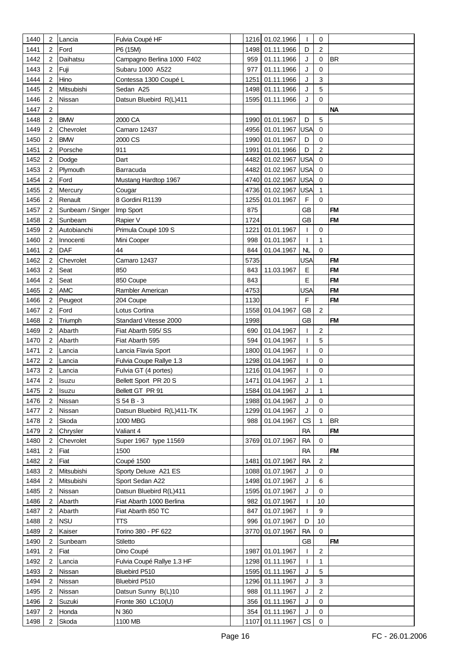| 1440         | 2              | Lancia               | Fulvia Coupé HF                            |            | 1216 01.02.1966                    | $\mathbf{I}$ | 0                                      |           |
|--------------|----------------|----------------------|--------------------------------------------|------------|------------------------------------|--------------|----------------------------------------|-----------|
| 1441         | 2              | Ford                 | P6 (15M)                                   |            | 1498 01.11.1966                    | D            | $\overline{2}$                         |           |
| 1442         | 2              | Daihatsu             | Campagno Berlina 1000 F402                 | 959        | 01.11.1966                         | J            | 0                                      | <b>BR</b> |
| 1443         | 2              | Fuji                 | Subaru 1000 A522                           | 977        | 01.11.1966                         | J            | 0                                      |           |
| 1444         | 2              | Hino                 | Contessa 1300 Coupé L                      | 1251       | 01.11.1966                         | J            | 3                                      |           |
| 1445         | $\overline{2}$ | Mitsubishi           | Sedan A25                                  | 1498       | 01.11.1966                         | J            | 5                                      |           |
| 1446         | 2              | Nissan               | Datsun Bluebird R(L)411                    | 1595       | 01.11.1966                         | J            | 0                                      |           |
| 1447         | 2              |                      |                                            |            |                                    |              |                                        | <b>NA</b> |
| 1448         | 2              | <b>BMW</b>           | 2000 CA                                    |            | 1990 01.01.1967                    | D            | 5                                      |           |
| 1449         | 2              | Chevrolet            | Camaro 12437                               |            | 4956 01.01.1967                    | <b>USA</b>   | $\mathbf 0$                            |           |
| 1450         | 2              | <b>BMW</b>           | 2000 CS                                    |            | 1990 01.01.1967                    | D            | 0                                      |           |
| 1451         | 2              | Porsche              | 911                                        | 1991       | 01.01.1966                         | D            | $\overline{2}$                         |           |
| 1452         | 2              | Dodge                | Dart                                       | 4482       | 01.02.1967                         | <b>USA</b>   | 0                                      |           |
|              | $\overline{2}$ |                      | Barracuda                                  | 4482       |                                    | <b>USA</b>   | 0                                      |           |
| 1453         |                | Plymouth             |                                            |            | 01.02.1967                         |              |                                        |           |
| 1454         | 2              | Ford                 | Mustang Hardtop 1967                       |            | 4740 01.02.1967                    | <b>USA</b>   | $\mathbf 0$                            |           |
| 1455         | 2              | Mercury              | Cougar                                     |            | 4736 01.02.1967                    | <b>USA</b>   | 1                                      |           |
| 1456         | 2              | Renault              | 8 Gordini R1139                            | 1255       | 01.01.1967                         | F            | $\mathbf 0$                            |           |
| 1457         | 2              | Sunbeam / Singer     | Imp Sport                                  | 875        |                                    | <b>GB</b>    |                                        | <b>FM</b> |
| 1458         | 2              | Sunbeam              | Rapier V                                   | 1724       |                                    | <b>GB</b>    |                                        | <b>FM</b> |
| 1459         | 2              | Autobianchi          | Primula Coupé 109 S                        |            | 1221 01.01.1967                    | T            | 0                                      |           |
| 1460         | 2              | Innocenti            | Mini Cooper                                | 998        | 01.01.1967                         | $\mathbf{I}$ | $\mathbf{1}$                           |           |
| 1461         | $\overline{2}$ | DAF                  | 44                                         | 844        | 01.04.1967                         | NL           | 0                                      |           |
| 1462         | 2              | Chevrolet            | Camaro 12437                               | 5735       |                                    | <b>USA</b>   |                                        | <b>FM</b> |
| 1463         | 2              | Seat                 | 850                                        | 843        | 11.03.1967                         | $\mathsf E$  |                                        | <b>FM</b> |
| 1464         | 2              | Seat                 | 850 Coupe                                  | 843        |                                    | E            |                                        | <b>FM</b> |
| 1465         | 2              | <b>AMC</b>           | Rambler American                           | 4753       |                                    | <b>USA</b>   |                                        | <b>FM</b> |
| 1466         | 2              | Peugeot              | 204 Coupe                                  | 1130       |                                    | $\mathsf F$  |                                        | <b>FM</b> |
| 1467         | 2              | Ford                 | Lotus Cortina                              |            | 1558 01.04.1967                    | <b>GB</b>    | $\overline{c}$                         |           |
| 1468         | 2              | Triumph              | Standard Vitesse 2000                      | 1998       |                                    | <b>GB</b>    |                                        | <b>FM</b> |
| 1469         | $\overline{2}$ | Abarth               | Fiat Abarth 595/SS                         | 690        | 01.04.1967                         | $\mathbf{I}$ | $\overline{c}$                         |           |
| 1470         | 2              | Abarth               | Fiat Abarth 595                            | 594        | 01.04.1967                         | T            | 5                                      |           |
| 1471         | 2              | Lancia               | Lancia Flavia Sport                        | 1800       | 01.04.1967                         | T            | 0                                      |           |
| 1472         | 2              | Lancia               | Fulvia Coupe Rallye 1.3                    |            | 1298 01.04.1967                    | T            | 0                                      |           |
| 1473         | 2              | Lancia               | Fulvia GT (4 portes)                       |            | 1216 01.04.1967                    | T            | 0                                      |           |
| 1474         | 2              | Isuzu                | Bellett Sport PR 20 S                      |            | 1471 01.04.1967                    | J            | 1                                      |           |
| 1475         | 2              | Isuzu                | Bellett GT PR 91                           |            | 1584 01.04.1967                    | J            | 1                                      |           |
| 1476         | 2              | Nissan               | S 54 B - 3                                 |            | 1988 01.04.1967                    | J            | $\mathbf 0$                            |           |
| 1477         | $\overline{2}$ | Nissan               | Datsun Bluebird R(L)411-TK                 |            | 1299 01.04.1967                    | J            | $\mathbf 0$                            |           |
| 1478         | 2              | Skoda                | 1000 MBG                                   | 988        | 01.04.1967                         | CS           | 1                                      | <b>BR</b> |
| 1479         | 2              | Chrysler             | Valiant 4                                  |            |                                    | <b>RA</b>    |                                        | <b>FM</b> |
| 1480         | 2              | Chevrolet            | Super 1967 type 11569                      |            | 3769 01.07.1967                    | <b>RA</b>    | 0                                      | <b>FM</b> |
| 1481         | 2              | Fiat                 | 1500                                       |            |                                    | <b>RA</b>    |                                        |           |
| 1482         | 2              | Fiat                 | Coupé 1500                                 |            | 1481 01.07.1967                    | <b>RA</b>    | $\overline{\mathbf{c}}$<br>$\mathbf 0$ |           |
| 1483         | 2              | Mitsubishi           | Sporty Deluxe A21 ES                       |            | 1088 01.07.1967                    | J            |                                        |           |
| 1484<br>1485 | 2<br>2         | Mitsubishi<br>Nissan | Sport Sedan A22<br>Datsun Bluebird R(L)411 |            | 1498 01.07.1967<br>1595 01.07.1967 | J<br>J       | 6<br>0                                 |           |
|              |                |                      |                                            |            |                                    |              | 10                                     |           |
| 1486         | 2              | Abarth               | Fiat Abarth 1000 Berlina                   | 982        | 01.07.1967                         | T            | 9                                      |           |
| 1487<br>1488 | 2<br>2         | Abarth<br><b>NSU</b> | Fiat Abarth 850 TC<br>πs                   | 847<br>996 | 01.07.1967<br>01.07.1967           | T<br>D       | 10                                     |           |
|              | 2              |                      | Torino 380 - PF 622                        | 3770       |                                    | <b>RA</b>    | $\Omega$                               |           |
| 1489<br>1490 | 2              | Kaiser<br>Sunbeam    | <b>Stiletto</b>                            |            | 01.07.1967                         | <b>GB</b>    |                                        | <b>FM</b> |
| 1491         | 2              | Fiat                 | Dino Coupé                                 |            | 1987 01.01.1967                    | L            | 2                                      |           |
| 1492         | 2              | Lancia               | Fulvia Coupé Rallye 1.3 HF                 |            | 1298 01.11.1967                    | T            | $\mathbf{1}$                           |           |
| 1493         | 2              | Nissan               | Bluebird P510                              |            | 1595 01.11.1967                    | J            | 5                                      |           |
| 1494         | 2              | Nissan               | Bluebird P510                              |            | 1296 01.11.1967                    | J            | $\mathbf{3}$                           |           |
| 1495         | 2              | Nissan               | Datsun Sunny B(L)10                        | 988        | 01.11.1967                         | J            | 2                                      |           |
| 1496         | 2              | Suzuki               | Fronte 360 LC10(U)                         | 356        | 01.11.1967                         | J            | 0                                      |           |
| 1497         | 2              | Honda                | N 360                                      |            | 354 01.11.1967                     | J            | 0                                      |           |
| 1498         | $\overline{2}$ | Skoda                | 1100 MB                                    |            | 1107 01.11.1967                    | CS           | 0                                      |           |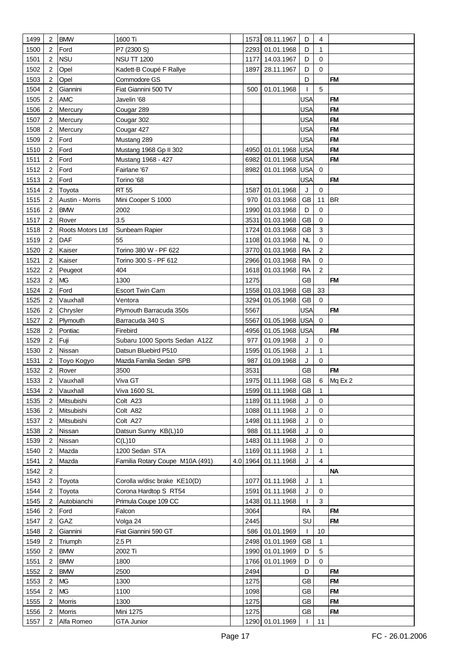| 1499         | 2                   | <b>BMW</b>       | 1600 Ti                         |              | 1573 08.11.1967 | D               | 4              |           |
|--------------|---------------------|------------------|---------------------------------|--------------|-----------------|-----------------|----------------|-----------|
| 1500         | $\overline{2}$      | Ford             | P7 (2300 S)                     | 2293         | 01.01.1968      | D               | 1              |           |
| 1501         | $\overline{2}$      | <b>NSU</b>       | <b>NSU TT 1200</b>              | 1177         | 14.03.1967      | D               | 0              |           |
| 1502         | $\overline{2}$      | Opel             | Kadett-B Coupé F Rallye         | 1897         | 28.11.1967      | D               | 0              |           |
| 1503         | 2                   | Opel             | Commodore GS                    |              |                 | D               |                | <b>FM</b> |
| 1504         | 2                   | Giannini         | Fiat Giannini 500 TV            | 500          | 01.01.1968      | T               | 5              |           |
| 1505         | 2                   | <b>AMC</b>       | Javelin '68                     |              |                 | <b>USA</b>      |                | <b>FM</b> |
| 1506         | 2                   | Mercury          | Cougar 289                      |              |                 | <b>USA</b>      |                | <b>FM</b> |
| 1507         | 2                   | Mercury          | Cougar 302                      |              |                 | <b>USA</b>      |                | <b>FM</b> |
| 1508         | 2                   | Mercury          | Cougar 427                      |              |                 | <b>USA</b>      |                | <b>FM</b> |
| 1509         | $\overline{2}$      | Ford             | Mustang 289                     |              |                 | <b>USA</b>      |                | <b>FM</b> |
| 1510         | 2                   | Ford             | Mustang 1968 Gp II 302          | 4950         | 01.01.1968      | <b>USA</b>      |                | <b>FM</b> |
| 1511         | $\overline{2}$      | Ford             | Mustang 1968 - 427              | 6982         | 01.01.1968      | <b>USA</b>      |                | <b>FM</b> |
| 1512         | $\overline{2}$      | Ford             | Fairlane '67                    | 8982         | 01.01.1968      | <b>USA</b>      | $\mathbf 0$    |           |
|              | $\overline{2}$      | Ford             |                                 |              |                 | <b>USA</b>      |                | <b>FM</b> |
| 1513         |                     |                  | Torino '68                      |              |                 |                 |                |           |
| 1514         | 2                   | Toyota           | <b>RT 55</b>                    | 1587         | 01.01.1968      | J               | 0              |           |
| 1515         | 2                   | Austin - Morris  | Mini Cooper S 1000              | 970          | 01.03.1968      | GB              | 11             | <b>BR</b> |
| 1516         | $\overline{2}$      | <b>BMW</b>       | 2002                            | 1990         | 01.03.1968      | D               | 0              |           |
| 1517         | 2                   | Rover            | 3.5                             | 3531         | 01.03.1968      | <b>GB</b>       | 0              |           |
| 1518         | 2                   | Roots Motors Ltd | Sunbeam Rapier                  |              | 1724 01.03.1968 | <b>GB</b>       | 3              |           |
| 1519         | 2                   | DAF              | 55                              |              | 1108 01.03.1968 | NL              | 0              |           |
| 1520         | 2                   | Kaiser           | Torino 380 W - PF 622           |              | 3770 01.03.1968 | <b>RA</b>       | $\overline{2}$ |           |
| 1521         | $\overline{2}$      | Kaiser           | Torino 300 S - PF 612           |              | 2966 01.03.1968 | <b>RA</b>       | 0              |           |
| 1522         | 2                   | Peugeot          | 404                             | 1618         | 01.03.1968      | <b>RA</b>       | 2              |           |
| 1523         | $\overline{2}$      | <b>MG</b>        | 1300                            | 1275         |                 | <b>GB</b>       |                | <b>FM</b> |
| 1524         | $\overline{2}$      | Ford             | Escort Twin Cam                 |              | 1558 01.03.1968 | <b>GB</b>       | 33             |           |
| 1525         | 2                   | Vauxhall         | Ventora                         | 3294         | 01.05.1968      | <b>GB</b>       | 0              |           |
| 1526         | 2                   | Chrysler         | Plymouth Barracuda 350s         | 5567         |                 | <b>USA</b>      |                | <b>FM</b> |
| 1527         | $\overline{2}$      | Plymouth         | Barracuda 340 S                 | 5567         | 01.05.1968      | <b>USA</b>      | 0              |           |
| 1528         | $\overline{2}$      | Pontiac          | Firebird                        | 4956         |                 | <b>USA</b>      |                | <b>FM</b> |
|              |                     |                  |                                 |              | 01.05.1968      |                 |                |           |
| 1529         | 2                   | Fuji             | Subaru 1000 Sports Sedan A12Z   | 977          | 01.09.1968      | J               | 0              |           |
| 1530         | 2                   | Nissan           | Datsun Bluebird P510            | 1595         | 01.05.1968      | J               | 1              |           |
| 1531         | 2                   | Toyo Kogyo       | Mazda Familia Sedan SPB         | 987          | 01.09.1968      | J               | 0              |           |
| 1532         | $\overline{2}$      | Rover            | 3500                            | 3531         |                 | <b>GB</b>       |                | <b>FM</b> |
| 1533         | $\overline{2}$      | Vauxhall         | Viva GT                         |              | 1975 01.11.1968 | GB              | 6              | Mq Ex 2   |
| 1534         | 2                   | Vauxhall         | <b>Viva 1600 SL</b>             |              | 1599 01.11.1968 | GB              | 1              |           |
| 1535         | 2                   | Mitsubishi       | Colt A23                        | 1189         | 01.11.1968      | J               | 0              |           |
| 1536         | 2                   | Mitsubishi       | Colt A82                        |              | 1088 01.11.1968 | J               | 0              |           |
| 1537         | 2                   | Mitsubishi       | Colt A27                        |              | 1498 01.11.1968 | J               | 0              |           |
| 1538         | 2                   | Nissan           | Datsun Sunny KB(L)10            | 988          | 01.11.1968      | J               | 0              |           |
| 1539         | 2                   | Nissan           | $C(L)$ 10                       | 1483         | 01.11.1968      | J               | 0              |           |
| 1540         | 2                   | Mazda            | 1200 Sedan STA                  | 1169         | 01.11.1968      | J               | 1<br>4         |           |
| 1541         | 2<br>$\overline{2}$ | Mazda            | Familia Rotary Coupe M10A (491) | 4.0 1964     | 01.11.1968      | J               |                | <b>NA</b> |
| 1542         |                     |                  |                                 |              |                 |                 | 1              |           |
| 1543         | 2                   | Toyota           | Corolla w/disc brake KE10(D)    | 1077         | 01.11.1968      | J               |                |           |
| 1544         | 2                   | Toyota           | Corona Hardtop S RT54           | 1591         | 01.11.1968      | J               | 0<br>3         |           |
| 1545<br>1546 | 2<br>2              | Autobianchi      | Primula Coupe 109 CC<br>Falcon  | 1438<br>3064 | 01.11.1968      |                 |                | <b>FM</b> |
|              | 2                   | Ford<br>GAZ      | Volga 24                        | 2445         |                 | <b>RA</b><br>SU |                | <b>FM</b> |
| 1547<br>1548 | 2                   | Giannini         | Fiat Giannini 590 GT            | 586          | 01.01.1969      | $\mathbf{I}$    | 10             |           |
| 1549         | 2                   | Triumph          | 2.5 PI                          |              | 2498 01.01.1969 | <b>GB</b>       | 1              |           |
| 1550         | 2                   | <b>BMW</b>       | 2002 Ti                         |              | 1990 01.01.1969 | D               | 5              |           |
| 1551         | 2                   | <b>BMW</b>       | 1800                            |              | 1766 01.01.1969 | D               | 0              |           |
| 1552         | 2                   | <b>BMW</b>       | 2500                            | 2494         |                 | D               |                | <b>FM</b> |
| 1553         | 2                   | <b>MG</b>        | 1300                            | 1275         |                 | <b>GB</b>       |                | <b>FM</b> |
| 1554         | 2                   | <b>MG</b>        | 1100                            | 1098         |                 | GB              |                | <b>FM</b> |
| 1555         | 2                   | Morris           | 1300                            | 1275         |                 | GB              |                | <b>FM</b> |
| 1556         | 2                   | Morris           | Mini 1275                       | 1275         |                 | <b>GB</b>       |                | <b>FM</b> |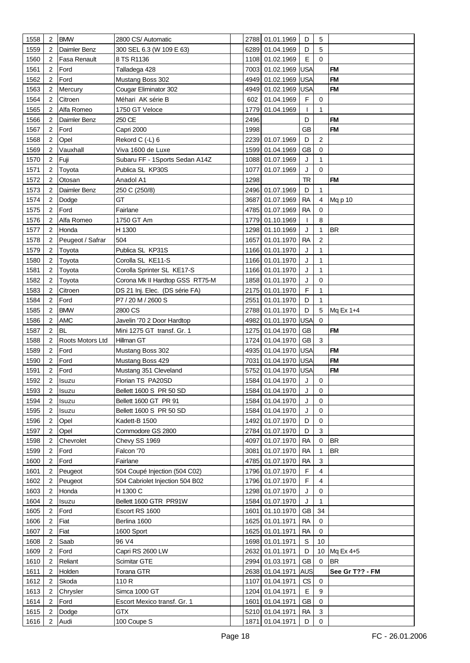| 1558         | $\overline{2}$ | <b>BMW</b>              | 2800 CS/ Automatic                        |      | 2788 01.01.1969               | D                      | 5              |                 |
|--------------|----------------|-------------------------|-------------------------------------------|------|-------------------------------|------------------------|----------------|-----------------|
| 1559         | 2              | Daimler Benz            | 300 SEL 6.3 (W 109 E 63)                  |      | 6289 01.04.1969               | D                      | 5              |                 |
| 1560         | 2              | Fasa Renault            | 8 TS R1136                                |      | 1108 01.02.1969               | E                      | $\Omega$       |                 |
| 1561         | 2              | Ford                    | Talladega 428                             | 7003 | 01.02.1969                    | <b>USA</b>             |                | <b>FM</b>       |
| 1562         | 2              | Ford                    | Mustang Boss 302                          | 4949 | 01.02.1969                    | <b>USA</b>             |                | <b>FM</b>       |
| 1563         | 2              | Mercury                 | Cougar Eliminator 302                     | 4949 | 01.02.1969                    | <b>USA</b>             |                | <b>FM</b>       |
| 1564         | 2              | Citroen                 | Méhari AK série B                         | 602  | 01.04.1969                    | F                      | 0              |                 |
| 1565         | 2              | Alfa Romeo              | 1750 GT Veloce                            | 1779 | 01.04.1969                    | $\mathbf{I}$           | 1              |                 |
| 1566         | 2              | Daimler Benz            | 250 CE                                    | 2496 |                               | D                      |                | <b>FM</b>       |
| 1567         | 2              | Ford                    | Capri 2000                                | 1998 |                               | <b>GB</b>              |                | <b>FM</b>       |
| 1568         | 2              | Opel                    | Rekord C (-L) 6                           |      | 2239 01.07.1969               | D                      | 2              |                 |
| 1569         | 2              | Vauxhall                | Viva 1600 de Luxe                         | 1599 | 01.04.1969                    | <b>GB</b>              | 0              |                 |
| 1570         | 2              | Fuji                    | Subaru FF - 1Sports Sedan A14Z            | 1088 | 01.07.1969                    | J                      | 1              |                 |
| 1571         | 2              | Toyota                  | Publica SL KP30S                          | 1077 | 01.07.1969                    | J                      | $\Omega$       |                 |
| 1572         | 2              | Otosan                  | Anadol A1                                 | 1298 |                               | <b>TR</b>              |                | <b>FM</b>       |
| 1573         | 2              | Daimler Benz            | 250 C (250/8)                             |      | 2496 01.07.1969               | D                      | 1              |                 |
| 1574         | 2              | Dodge                   | GT                                        | 3687 | 01.07.1969                    | <b>RA</b>              | 4              | Mq p 10         |
| 1575         | 2              | Ford                    | Fairlane                                  | 4785 | 01.07.1969                    | <b>RA</b>              | 0              |                 |
|              |                |                         |                                           |      |                               |                        | 8              |                 |
| 1576         | 2              | Alfa Romeo              | 1750 GT Am                                | 1779 | 01.10.1969                    | T                      |                |                 |
| 1577         | 2              | Honda                   | H 1300                                    | 1298 | 01.10.1969                    | J                      | 1              | <b>BR</b>       |
| 1578         | 2              | Peugeot / Safrar        | 504                                       | 1657 | 01.01.1970                    | <b>RA</b>              | $\overline{c}$ |                 |
| 1579         | 2              | Toyota                  | Publica SL KP31S                          |      | 1166 01.01.1970               | J                      | 1              |                 |
| 1580         | 2              | Toyota                  | Corolla SL KE11-S                         | 1166 | 01.01.1970                    | J                      | 1              |                 |
| 1581         | 2              | Toyota                  | Corolla Sprinter SL KE17-S                | 1166 | 01.01.1970                    | J                      | 1              |                 |
| 1582         | 2              | Toyota                  | Corona Mk II Hardtop GSS RT75-M           |      | 1858 01.01.1970               | J                      | 0              |                 |
| 1583         | 2              | Citroen                 | DS 21 Inj. Elec. (DS série FA)            | 2175 | 01.01.1970                    | F                      | 1              |                 |
| 1584         | 2              | Ford                    | P7 / 20 M / 2600 S                        | 2551 | 01.01.1970                    | D                      | 1              |                 |
| 1585         | 2              | <b>BMW</b>              | 2800 CS                                   | 2788 | 01.01.1970                    | D                      | 5              | Mq Ex 1+4       |
| 1586         | 2              | <b>AMC</b><br><b>BL</b> | Javelin '70 2 Door Hardtop                | 4982 | 01.01.1970 USA<br>01.04.1970  | <b>GB</b>              | $\Omega$       |                 |
| 1587         | $\overline{2}$ |                         | Mini 1275 GT transf. Gr. 1                | 1275 |                               |                        |                | <b>FM</b>       |
|              |                |                         |                                           |      |                               |                        |                |                 |
| 1588         | 2              | Roots Motors Ltd        | Hillman GT                                | 1724 | 01.04.1970                    | GB                     | $\mathbf{3}$   |                 |
| 1589         | 2              | Ford                    | Mustang Boss 302                          | 4935 | 01.04.1970                    | <b>USA</b>             |                | <b>FM</b>       |
| 1590         | 2              | Ford                    | Mustang Boss 429                          | 7031 | 01.04.1970                    | <b>USA</b>             |                | <b>FM</b>       |
| 1591         | 2              | Ford                    | Mustang 351 Cleveland                     | 5752 | 01.04.1970 USA                |                        |                | <b>FM</b>       |
| 1592         | 2              | Isuzu                   | Florian TS PA20SD                         |      | 1584 01.04.1970               | J                      | 0              |                 |
| 1593         | 2              | Isuzu                   | Bellett 1600 S PR 50 SD                   |      | 1584 01.04.1970               | J                      | 0              |                 |
| 1594         | 2              | Isuzu                   | Bellett 1600 GT PR 91                     | 1584 | 01.04.1970                    | J                      | $\mathbf 0$    |                 |
| 1595         | $\overline{2}$ | Isuzu                   | Bellett 1600 S PR 50 SD                   |      | 1584 01.04.1970               | J                      | 0              |                 |
| 1596         | 2              | Opel                    | Kadett-B 1500                             | 1492 | 01.07.1970                    | D                      | 0              |                 |
| 1597         | 2              | Opel                    | Commodore GS 2800                         | 2784 | 01.07.1970                    | D                      | 3              |                 |
| 1598         | 2              | Chevrolet               | Chevy SS 1969                             | 4097 | 01.07.1970                    | <b>RA</b>              | $\mathbf 0$    | <b>BR</b>       |
| 1599         | 2              | Ford                    | Falcon '70                                | 3081 | 01.07.1970                    | <b>RA</b>              | 1              | <b>BR</b>       |
| 1600         | 2              | Ford                    | Fairlane                                  | 4785 | 01.07.1970                    | <b>RA</b>              | 3              |                 |
| 1601         | 2              | Peugeot                 | 504 Coupé Injection (504 C02)             |      | 1796 01.07.1970               | F                      | 4              |                 |
| 1602         | 2              | Peugeot                 | 504 Cabriolet Injection 504 B02           |      | 1796 01.07.1970               | F                      | $\overline{4}$ |                 |
| 1603         | 2              | Honda                   | H 1300 C                                  |      | 1298 01.07.1970               | J                      | 0              |                 |
| 1604         | 2              | Isuzu                   | Bellett 1600 GTR PR91W                    | 1584 | 01.07.1970                    | J                      | 1              |                 |
| 1605         | 2              | Ford                    | Escort RS 1600                            | 1601 | 01.10.1970                    | <b>GB</b>              | 34             |                 |
| 1606         | 2              | Fiat                    | Berlina 1600                              | 1625 | 01.01.1971                    | <b>RA</b>              | 0              |                 |
| 1607         | 2              | Fiat                    | 1600 Sport                                | 1625 | 01.01.1971                    | <b>RA</b>              | 0              |                 |
| 1608         | 2              | Saab                    | 96 V4                                     |      | 1698 01.01.1971               | $\mathbb S$            | 10             |                 |
| 1609         | 2              | Ford                    | Capri RS 2600 LW                          | 2632 | 01.01.1971                    | D                      |                | 10 Mq Ex 4+5    |
| 1610         | 2              | Reliant                 | Scimitar GTE                              |      | 2994 01.03.1971               | <b>GB</b>              | 0              | <b>BR</b>       |
| 1611         | 2              | Holden                  | Torana GTR                                | 2638 | 01.04.1971                    | <b>AUS</b>             |                | See Gr T?? - FM |
| 1612         | 2              | Skoda                   | 110 R                                     | 1107 | 01.04.1971                    | CS                     | 0              |                 |
| 1613         | 2              | Chrysler                | Simca 1000 GT                             |      | 1204 01.04.1971               | Е                      | 9              |                 |
| 1614<br>1615 | 2<br>2         | Ford<br>Dodge           | Escort Mexico transf. Gr. 1<br><b>GTX</b> | 1601 | 01.04.1971<br>5210 01.04.1971 | <b>GB</b><br><b>RA</b> | 0<br>3         |                 |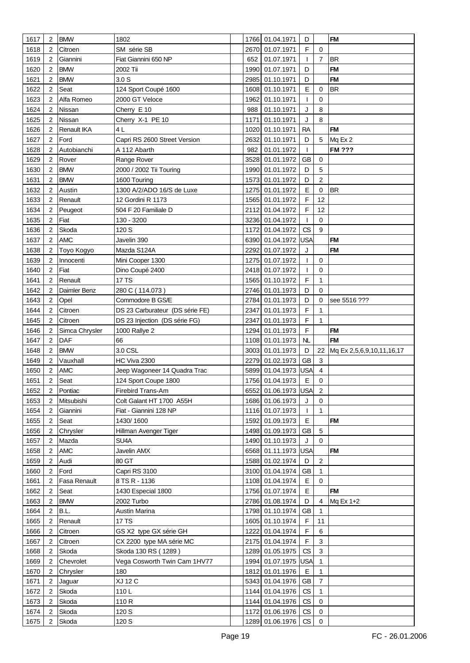| 1617 | $\overline{2}$ | <b>BMW</b>        | 1802                            |              | 1766 01.04.1971       | D               |                     | <b>FM</b>                 |
|------|----------------|-------------------|---------------------------------|--------------|-----------------------|-----------------|---------------------|---------------------------|
| 1618 | 2              | Citroen           | SM série SB                     | 2670         | 01.07.1971            | F               | 0                   |                           |
| 1619 | 2              | Giannini          | Fiat Giannini 650 NP            | 652          | 01.07.1971            | T               | $\overline{7}$      | <b>BR</b>                 |
| 1620 | 2              | <b>BMW</b>        | 2002 Tii                        | 1990         | 01.07.1971            | D               |                     | <b>FM</b>                 |
| 1621 | 2              | <b>BMW</b>        | 3.0 <sub>S</sub>                | 2985         | 01.10.1971            | D               |                     | <b>FM</b>                 |
| 1622 | 2              | Seat              | 124 Sport Coupé 1600            | 1608         | 01.10.1971            | E               | 0                   | <b>BR</b>                 |
| 1623 | 2              | Alfa Romeo        | 2000 GT Veloce                  | 1962         | 01.10.1971            | T               | 0                   |                           |
| 1624 | 2              | Nissan            | Cherry E 10                     | 988          | 01.10.1971            | J               | 8                   |                           |
| 1625 | 2              | Nissan            | Cherry X-1 PE 10                | 1171         | 01.10.1971            | J               | 8                   |                           |
| 1626 | 2              | Renault IKA       | 4L                              | 1020         | 01.10.1971            | <b>RA</b>       |                     | <b>FM</b>                 |
| 1627 | 2              | Ford              | Capri RS 2600 Street Version    | 2632         | 01.10.1971            | D               | $5\phantom{.0}$     | Mq Ex 2                   |
| 1628 | 2              | Autobianchi       | A 112 Abarth                    | 982          | 01.01.1972            | T               |                     | <b>FM ???</b>             |
| 1629 | 2              | Rover             | Range Rover                     | 3528         | 01.01.1972            | <b>GB</b>       | 0                   |                           |
| 1630 | 2              | <b>BMW</b>        | 2000 / 2002 Tii Touring         | 1990         | 01.01.1972            | D               | 5                   |                           |
| 1631 | 2              | <b>BMW</b>        | 1600 Touring                    | 1573         | 01.01.1972            | D               | $\overline{c}$      |                           |
| 1632 | 2              | Austin            | 1300 A/2/ADO 16/S de Luxe       | 1275         | 01.01.1972            | E               | 0                   | <b>BR</b>                 |
| 1633 | 2              | Renault           | 12 Gordini R 1173               | 1565         | 01.01.1972            | F               | 12                  |                           |
| 1634 | $\overline{2}$ | Peugeot           | 504 F 20 Familiale D            | 2112         | 01.04.1972            | F               | 12                  |                           |
| 1635 | 2              | Fiat              | 130 - 3200                      |              | 3236 01.04.1972       | T               | $\mathbf 0$         |                           |
| 1636 | 2              | Skoda             | 120 S                           |              | 1172 01.04.1972       | CS              | 9                   |                           |
| 1637 | 2              | <b>AMC</b>        | Javelin 390                     |              | 6390 01.04.1972       | <b>USA</b>      |                     | <b>FM</b>                 |
| 1638 | 2              | Toyo Kogyo        | Mazda S124A                     | 2292         | 01.07.1972            | J               |                     | <b>FM</b>                 |
| 1639 | 2              | Innocenti         | Mini Cooper 1300                | 1275         | 01.07.1972            | $\mathbf{I}$    | 0                   |                           |
| 1640 | 2              | Fiat              | Dino Coupé 2400                 |              | 2418 01.07.1972       | T               | 0                   |                           |
| 1641 | 2              | Renault           | 17 TS                           | 1565         | 01.10.1972            | F               | 1                   |                           |
| 1642 | 2              | Daimler Benz      | 280 C (114.073)                 |              | 2746 01.01.1973       | D               | $\Omega$            |                           |
|      | 2              |                   | Commodore B GS/E                |              | 2784 01.01.1973       | D               | 0                   |                           |
| 1643 |                | Opel              |                                 |              |                       |                 |                     | see 5516 ???              |
| 1644 | 2              | Citroen           | DS 23 Carburateur (DS série FE) | 2347         | 01.01.1973            | F<br>F          |                     |                           |
| 1645 | 2              | Citroen           | DS 23 Injection (DS série FG)   | 2347         | 01.01.1973            | $\mathsf F$     | 1                   |                           |
| 1646 | 2              | Simca Chrysler    | 1000 Rallye 2                   | 1294         | 01.01.1973            |                 |                     | <b>FM</b><br><b>FM</b>    |
| 1647 | 2<br>2         | DAF<br><b>BMW</b> | 66<br>3.0 CSL                   | 1108         | 01.01.1973            | <b>NL</b><br>D  |                     |                           |
| 1648 |                |                   |                                 | 3003<br>2279 | 01.01.1973            | <b>GB</b>       | 22<br>3             | Mq Ex 2,5,6,9,10,11,16,17 |
| 1649 | 2              | Vauxhall          | HC Viva 2300                    |              | 01.02.1973            |                 |                     |                           |
| 1650 | 2              | <b>AMC</b>        | Jeep Wagoneer 14 Quadra Trac    | 5899         | 01.04.1973            | <b>USA</b><br>E | 4<br>0              |                           |
| 1651 | 2              | Seat              | 124 Sport Coupe 1800            |              | 1756 01.04.1973       |                 |                     |                           |
| 1652 | 2              | Pontiac           | Firebird Trans-Am               |              | 6552 01.06.1973 USA 2 | J               | $\mathbf 0$         |                           |
| 1653 | 2              | Mitsubishi        | Colt Galant HT 1700 A55H        |              | 1686 01.06.1973       |                 |                     |                           |
| 1654 | 2              | Giannini          | Fiat - Giannini 128 NP          |              | 1116 01.07.1973       | T               | $\mathbf{1}$        | <b>FM</b>                 |
| 1655 | 2              | Seat              | 1430/1600                       | 1592         | 01.09.1973            | E               |                     |                           |
| 1656 | 2              | Chrysler          | Hillman Avenger Tiger           |              | 1498 01.09.1973       | <b>GB</b>       | 5                   |                           |
| 1657 | 2              | Mazda             | SU <sub>4</sub> A               |              | 1490 01.10.1973       | J               | $\mathbf 0$         |                           |
| 1658 | 2              | <b>AMC</b>        | Javelin AMX                     |              | 6568 01.11.1973 USA   |                 |                     | <b>FM</b>                 |
| 1659 | 2              | Audi              | 80 GT                           |              | 1588 01.02.1974       | D               | $\sqrt{2}$          |                           |
| 1660 | 2              | Ford              | Capri RS 3100                   |              | 3100 01.04.1974       | <b>GB</b>       | 1                   |                           |
| 1661 | 2              | Fasa Renault      | 8 TS R - 1136                   |              | 1108 01.04.1974       | E               | $\mathbf 0$         |                           |
| 1662 | 2              | Seat              | 1430 Especial 1800              |              | 1756 01.07.1974       | E               |                     | <b>FM</b>                 |
| 1663 | 2              | <b>BMW</b>        | 2002 Turbo                      |              | 2786 01.08.1974       | D               | 4                   | Mq Ex 1+2                 |
| 1664 | 2              | B.L.              | Austin Marina                   |              | 1798 01.10.1974       | <b>GB</b>       | 1                   |                           |
| 1665 | 2              | Renault           | 17 TS                           |              | 1605 01.10.1974       | F               | 11                  |                           |
| 1666 | 2              | Citroen           | GS X2 type GX série GH          | 1222         | 01.04.1974            | F               | 6                   |                           |
| 1667 | 2              | Citroen           | CX 2200 type MA série MC        |              | 2175 01.04.1974       | $\mathsf F$     | $\mathbf{3}$        |                           |
| 1668 | 2              | Skoda             | Skoda 130 RS (1289)             |              | 1289 01.05.1975       | CS              | 3                   |                           |
| 1669 | 2              | Chevrolet         | Vega Cosworth Twin Cam 1HV77    |              | 1994 01.07.1975 USA   |                 | $\mathbf{1}$        |                           |
| 1670 | 2              | Chrysler          | 180                             | 1812         | 01.01.1976            | E               | 1                   |                           |
| 1671 | 2              | Jaguar            | XJ 12 C                         | 5343         | 01.04.1976            | GB              | $\overline{7}$      |                           |
| 1672 | $\overline{2}$ | Skoda             | 110L                            |              | 1144 01.04.1976       | CS              | 1                   |                           |
| 1673 | 2              | Skoda             | 110 R                           |              | 1144 01.04.1976       | CS              | $\mathbf 0$         |                           |
| 1674 | 2              | Skoda             | 120 S                           |              | 1172 01.06.1976       | CS              | 0                   |                           |
| 1675 | $\overline{c}$ | Skoda             | 120 S                           |              | 1289 01.06.1976   CS  |                 | $\mathsf{O}\xspace$ |                           |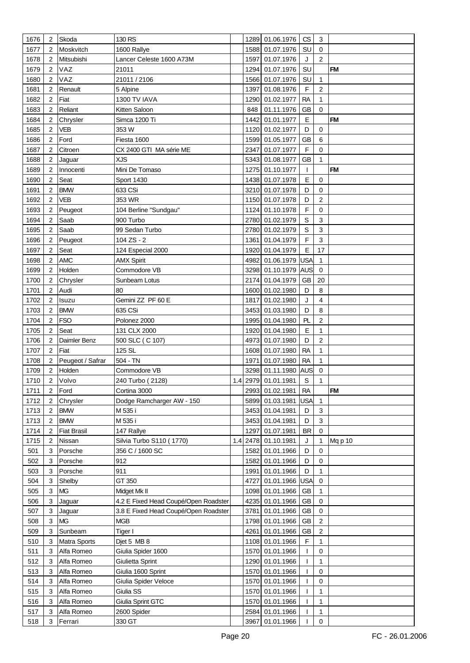| 1676 | 2              | Skoda              | 130 RS                               |     |      | 1289 01.06.1976     | CS           | 3              |           |
|------|----------------|--------------------|--------------------------------------|-----|------|---------------------|--------------|----------------|-----------|
| 1677 | 2              | Moskvitch          | 1600 Rallye                          |     | 1588 | 01.07.1976          | SU           | $\mathbf 0$    |           |
| 1678 | 2              | Mitsubishi         | Lancer Celeste 1600 A73M             |     | 1597 | 01.07.1976          | J            | $\overline{2}$ |           |
| 1679 | 2              | VAZ                | 21011                                |     | 1294 | 01.07.1976          | SU           |                | <b>FM</b> |
| 1680 | 2              | VAZ                | 21011 / 2106                         |     | 1566 | 01.07.1976          | SU           | 1              |           |
| 1681 | 2              | Renault            | 5 Alpine                             |     | 1397 | 01.08.1976          | F            | 2              |           |
|      |                |                    |                                      |     |      |                     |              |                |           |
| 1682 | 2              | Fiat               | 1300 TV IAVA                         |     | 1290 | 01.02.1977          | <b>RA</b>    | 1              |           |
| 1683 | 2              | Reliant            | Kitten Saloon                        |     | 848  | 01.11.1976          | <b>GB</b>    | 0              |           |
| 1684 | 2              | Chrysler           | Simca 1200 Ti                        |     | 1442 | 01.01.1977          | E            |                | <b>FM</b> |
| 1685 | 2              | VEB                | 353W                                 |     | 1120 | 01.02.1977          | D            | 0              |           |
| 1686 | 2              | Ford               | Fiesta 1600                          |     | 1599 | 01.05.1977          | <b>GB</b>    | 6              |           |
| 1687 | 2              | Citroen            | CX 2400 GTI MA série ME              |     | 2347 | 01.07.1977          | F            | 0              |           |
| 1688 | 2              | Jaguar             | <b>XJS</b>                           |     | 5343 | 01.08.1977          | <b>GB</b>    | 1              |           |
| 1689 | 2              | Innocenti          | Mini De Tomaso                       |     | 1275 | 01.10.1977          | $\mathbf{I}$ |                | <b>FM</b> |
| 1690 | 2              | Seat               | <b>Sport 1430</b>                    |     |      | 1438 01.07.1978     | E            | 0              |           |
| 1691 | 2              | <b>BMW</b>         | 633 CSi                              |     |      | 3210 01.07.1978     | D            | 0              |           |
| 1692 | 2              | VEB                | 353 WR                               |     |      | 1150 01.07.1978     | D            | 2              |           |
| 1693 | 2              | Peugeot            | 104 Berline "Sundgau"                |     |      | 1124 01.10.1978     | F            | 0              |           |
| 1694 | 2              | Saab               | 900 Turbo                            |     |      | 2780 01.02.1979     | $\mathbb S$  | 3              |           |
| 1695 | 2              | Saab               | 99 Sedan Turbo                       |     |      | 2780 01.02.1979     | $\mathsf S$  | 3              |           |
| 1696 | 2              | Peugeot            | 104 ZS - 2                           |     | 1361 | 01.04.1979          | F            | $\mathbf{3}$   |           |
| 1697 | 2              | Seat               | 124 Especial 2000                    |     | 1920 | 01.04.1979          | $\mathsf E$  | 17             |           |
| 1698 | 2              | <b>AMC</b>         | <b>AMX Spirit</b>                    |     |      | 4982 01.06.1979 USA |              | 1              |           |
| 1699 | 2              | Holden             | Commodore VB                         |     |      | 3298 01.10.1979     | <b>AUS</b>   | $\mathbf 0$    |           |
| 1700 | 2              | Chrysler           | Sunbeam Lotus                        |     |      | 2174 01.04.1979     | GB           | 20             |           |
|      |                |                    | 80                                   |     |      |                     |              |                |           |
| 1701 | 2              | Audi               |                                      |     | 1600 | 01.02.1980          | D            | 8              |           |
| 1702 | 2              | Isuzu              | Gemini ZZ PF 60 E                    |     | 1817 | 01.02.1980          | J            | 4              |           |
| 1703 | 2              | <b>BMW</b>         | 635 CSi                              |     | 3453 | 01.03.1980          | D            | 8              |           |
| 1704 | 2              | <b>FSO</b>         | Polonez 2000                         |     | 1995 | 01.04.1980          | PL           | 2              |           |
| 1705 | 2              | Seat               | 131 CLX 2000                         |     | 1920 | 01.04.1980          | E            | 1              |           |
| 1706 | 2              | Daimler Benz       | 500 SLC (C 107)                      |     | 4973 | 01.07.1980          | D            | $\overline{2}$ |           |
| 1707 | 2              | Fiat               | 125 SL                               |     | 1608 | 01.07.1980          | <b>RA</b>    | 1              |           |
| 1708 | $\overline{2}$ | Peugeot / Safrar   | 504 - TN                             |     | 1971 | 01.07.1980          | <b>RA</b>    | 1              |           |
| 1709 | 2              | Holden             | Commodore VB                         |     |      | 3298 01.11.1980     | <b>AUS</b>   | 0              |           |
| 1710 | $\overline{2}$ | Volvo              | 240 Turbo (2128)                     |     |      | 1.4 2979 01.01.1981 | $\mathsf S$  | 1              |           |
| 1711 | 2              | Ford               | Cortina 3000                         |     |      | 2993 01.02.1981     | <b>RA</b>    |                | <b>FM</b> |
| 1712 | 2              | Chrysler           | Dodge Ramcharger AW - 150            |     | 5899 | 01.03.1981          | <b>USA</b>   | 1              |           |
| 1713 | 2              | <b>BMW</b>         | M 535 i                              |     | 3453 | 01.04.1981          | D            | 3              |           |
| 1713 | 2              | <b>BMW</b>         | M 535 i                              |     | 3453 | 01.04.1981          | D            | 3              |           |
| 1714 | 2              | <b>Fiat Brasil</b> | 147 Rallye                           |     | 1297 | 01.07.1981          | <b>BR</b>    | $\mathbf 0$    |           |
| 1715 | 2              | Nissan             | Silvia Turbo S110 (1770)             | 1.4 | 2478 | 01.10.1981          | J            | 1              | Mq p 10   |
| 501  | 3              | Porsche            | 356 C / 1600 SC                      |     | 1582 | 01.01.1966          | D            | 0              |           |
| 502  | 3              | Porsche            | 912                                  |     | 1582 | 01.01.1966          | D            | 0              |           |
| 503  | 3              | Porsche            | 911                                  |     | 1991 | 01.01.1966          | D            | $\mathbf{1}$   |           |
| 504  | 3              | Shelby             | GT 350                               |     | 4727 | 01.01.1966 USA      |              | 0              |           |
| 505  | 3              | <b>MG</b>          | Midget Mk II                         |     | 1098 | 01.01.1966          | GB           | 1              |           |
| 506  | 3              | Jaguar             | 4.2 E Fixed Head Coupé/Open Roadster |     | 4235 | 01.01.1966          | <b>GB</b>    | 0              |           |
| 507  | 3              | Jaguar             | 3.8 E Fixed Head Coupé/Open Roadster |     | 3781 | 01.01.1966          | <b>GB</b>    | 0              |           |
| 508  | 3              | <b>MG</b>          | <b>MGB</b>                           |     |      | 1798 01.01.1966     | <b>GB</b>    | $\overline{c}$ |           |
| 509  | 3              | Sunbeam            | Tiger I                              |     | 4261 | 01.01.1966          | <b>GB</b>    | $\sqrt{2}$     |           |
| 510  | 3              | Matra Sports       | Djet 5 MB 8                          |     |      | 1108 01.01.1966     | F            | 1              |           |
|      | 3              | Alfa Romeo         |                                      |     |      | 1570 01.01.1966     | T            | 0              |           |
| 511  |                |                    | Giulia Spider 1600                   |     |      |                     | ı            |                |           |
| 512  | 3              | Alfa Romeo         | Giulietta Sprint                     |     | 1290 | 01.01.1966          |              | 1              |           |
| 513  | 3              | Alfa Romeo         | Giulia 1600 Sprint                   |     | 1570 | 01.01.1966          | T            | 0              |           |
| 514  | 3              | Alfa Romeo         | Giulia Spider Veloce                 |     | 1570 | 01.01.1966          | T            | 0              |           |
| 515  | 3              | Alfa Romeo         | Giulia SS                            |     | 1570 | 01.01.1966          | T            | 1              |           |
| 516  | 3              | Alfa Romeo         | Giulia Sprint GTC                    |     | 1570 | 01.01.1966          |              | 1              |           |
| 517  | 3              | Alfa Romeo         | 2600 Spider                          |     |      | 2584 01.01.1966     |              | 1              |           |
| 518  | 3              | Ferrari            | 330 GT                               |     |      | 3967 01.01.1966     |              | 0              |           |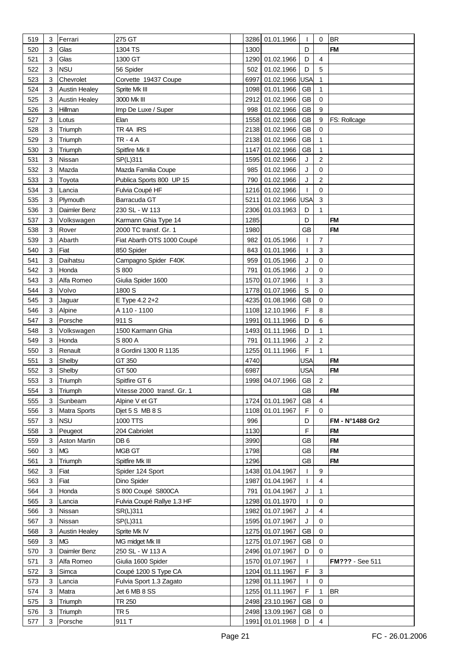| 519 | 3 | Ferrari              | 275 GT                     |              | 3286 01.01.1966 | T            | 0              | <b>BR</b>              |
|-----|---|----------------------|----------------------------|--------------|-----------------|--------------|----------------|------------------------|
| 520 | 3 | Glas                 | 1304 TS                    | 1300         |                 | D            |                | <b>FM</b>              |
| 521 | 3 | Glas                 | 1300 GT                    |              | 1290 01.02.1966 | D            | 4              |                        |
| 522 | 3 | <b>NSU</b>           | 56 Spider                  | 502          | 01.02.1966      | D            | 5              |                        |
| 523 | 3 | Chevrolet            | Corvette 19437 Coupe       | 6997         | 01.02.1966      | <b>USA</b>   | 1              |                        |
| 524 | 3 | <b>Austin Healey</b> | Sprite Mk III              | 1098         | 01.01.1966      | <b>GB</b>    | 1              |                        |
| 525 | 3 | <b>Austin Healey</b> | 3000 Mk III                | 2912         | 01.02.1966      | <b>GB</b>    | 0              |                        |
|     | 3 | Hillman              |                            |              | 01.02.1966      | <b>GB</b>    | 9              |                        |
| 526 |   |                      | Imp De Luxe / Super        | 998          |                 |              |                |                        |
| 527 | 3 | Lotus                | Elan                       | 1558         | 01.02.1966      | <b>GB</b>    | 9              | FS: Rollcage           |
| 528 | 3 | Triumph              | TR 4A IRS                  | 2138         | 01.02.1966      | <b>GB</b>    | 0              |                        |
| 529 | 3 | Triumph              | <b>TR-4A</b>               |              | 2138 01.02.1966 | <b>GB</b>    | 1              |                        |
| 530 | 3 | Triumph              | Spitfire Mk II             | 1147         | 01.02.1966      | <b>GB</b>    | 1              |                        |
| 531 | 3 | Nissan               | SP(L)311                   | 1595         | 01.02.1966      | J            | $\overline{2}$ |                        |
| 532 | 3 | Mazda                | Mazda Familia Coupe        | 985          | 01.02.1966      | J            | 0              |                        |
| 533 | 3 | Toyota               | Publica Sports 800 UP 15   | 790          | 01.02.1966      | J            | 2              |                        |
| 534 | 3 | Lancia               | Fulvia Coupé HF            | 1216         | 01.02.1966      | T            | 0              |                        |
| 535 | 3 | Plymouth             | Barracuda GT               | 5211         | 01.02.1966 USA  |              | 3              |                        |
| 536 | 3 | Daimler Benz         | 230 SL - W 113             | 2306         | 01.03.1963      | D            | 1              |                        |
| 537 | 3 | Volkswagen           | Karmann Ghia Type 14       | 1285         |                 | D            |                | <b>FM</b>              |
| 538 | 3 | Rover                | 2000 TC transf. Gr. 1      | 1980         |                 | <b>GB</b>    |                | <b>FM</b>              |
| 539 | 3 | Abarth               | Fiat Abarth OTS 1000 Coupé | 982          | 01.05.1966      | T            | $\overline{7}$ |                        |
| 540 | 3 | Fiat                 | 850 Spider                 | 843          | 01.01.1966      | T            | 3              |                        |
| 541 | 3 | Daihatsu             | Campagno Spider F40K       | 959          | 01.05.1966      | J            | 0              |                        |
| 542 | 3 | Honda                | S 800                      | 791          | 01.05.1966      | J            | 0              |                        |
| 543 | 3 | Alfa Romeo           | Giulia Spider 1600         | 1570         | 01.07.1966      | T            | 3              |                        |
| 544 | 3 | Volvo                | 1800 S                     | 1778         | 01.07.1966      | S            | 0              |                        |
| 545 | 3 | Jaguar               | E Type 4.2 2+2             | 4235         | 01.08.1966      | <b>GB</b>    | 0              |                        |
| 546 | 3 | Alpine               | A 110 - 1100               | 1108         | 12.10.1966      | F            | 8              |                        |
| 547 | 3 | Porsche              | 911 S                      | 1991         | 01.11.1966      | D            | 6              |                        |
| 548 | 3 | Volkswagen           | 1500 Karmann Ghia          | 1493         | 01.11.1966      | D            | 1              |                        |
| 549 | 3 | Honda                | S 800 A                    | 791          | 01.11.1966      | J            | 2              |                        |
|     | 3 |                      | 8 Gordini 1300 R 1135      |              |                 | F            | 1              |                        |
| 550 |   | Renault              |                            | 1255<br>4740 | 01.11.1966      |              |                |                        |
| 551 | 3 | Shelby               | GT 350                     |              |                 | <b>USA</b>   |                | <b>FM</b>              |
| 552 | 3 | Shelby               | GT 500                     | 6987         |                 | <b>USA</b>   |                | <b>FM</b>              |
| 553 | 3 | Triumph              | Spitfire GT 6              |              | 1998 04.07.1966 | GB           | 2              |                        |
| 554 | 3 | Triumph              | Vitesse 2000 transf. Gr. 1 |              |                 | GB           |                | <b>FM</b>              |
| 555 | 3 | Sunbeam              | Alpine V et GT             | 1724         | 01.01.1967      | <b>GB</b>    | $\overline{4}$ |                        |
| 556 | 3 | <b>Matra Sports</b>  | Djet 5 S MB 8 S            | 1108         | 01.01.1967      | F            | 0              |                        |
| 557 | 3 | <b>NSU</b>           | 1000 TTS                   | 996          |                 | D            |                | FM - N°1488 Gr2        |
| 558 | 3 | Peugeot              | 204 Cabriolet              | 1130         |                 | $\mathsf F$  |                | <b>FM</b>              |
| 559 | 3 | Aston Martin         | DB <sub>6</sub>            | 3990         |                 | GB           |                | <b>FM</b>              |
| 560 | 3 | <b>MG</b>            | MGB GT                     | 1798         |                 | <b>GB</b>    |                | <b>FM</b>              |
| 561 | 3 | Triumph              | Spitfire Mk III            | 1296         |                 | <b>GB</b>    |                | <b>FM</b>              |
| 562 | 3 | Fiat                 | Spider 124 Sport           |              | 1438 01.04.1967 | T            | 9              |                        |
| 563 | 3 | Fiat                 | Dino Spider                | 1987         | 01.04.1967      | T            | $\overline{4}$ |                        |
| 564 | 3 | Honda                | S 800 Coupé S800CA         | 791          | 01.04.1967      | J            | 1              |                        |
| 565 | 3 | Lancia               | Fulvia Coupé Rallye 1.3 HF | 1298         | 01.01.1970      | T            | 0              |                        |
| 566 | 3 | Nissan               | SR(L)311                   | 1982         | 01.07.1967      | J            | 4              |                        |
| 567 | 3 | Nissan               | SP(L)311                   | 1595         | 01.07.1967      | J            | 0              |                        |
| 568 | 3 | <b>Austin Healey</b> | Sprite Mk IV               | 1275         | 01.07.1967      | <b>GB</b>    | 0              |                        |
| 569 | 3 | <b>MG</b>            | MG midget Mk III           |              | 1275 01.07.1967 | <b>GB</b>    | 0              |                        |
| 570 | 3 | Daimler Benz         | 250 SL - W 113 A           |              | 2496 01.07.1967 | D            | $\Omega$       |                        |
| 571 | 3 | Alfa Romeo           | Giulia 1600 Spider         |              | 1570 01.07.1967 | $\mathbf{I}$ |                | <b>FM???</b> - See 511 |
| 572 | 3 | Simca                | Coupé 1200 S Type CA       | 1204         | 01.11.1967      | F            | 3              |                        |
| 573 | 3 | Lancia               | Fulvia Sport 1.3 Zagato    | 1298         | 01.11.1967      | T            | $\mathbf 0$    |                        |
| 574 | 3 | Matra                | Jet 6 MB 8 SS              | 1255         | 01.11.1967      | F            | 1              | <b>BR</b>              |
| 575 | 3 | Triumph              | TR 250                     |              | 2498 23.10.1967 | <b>GB</b>    | 0              |                        |
| 576 | 3 | Triumph              | TR <sub>5</sub>            |              | 2498 13.09.1967 | GB           | 0              |                        |
| 577 | 3 | Porsche              | 911 T                      |              | 1991 01.01.1968 | D            | 4              |                        |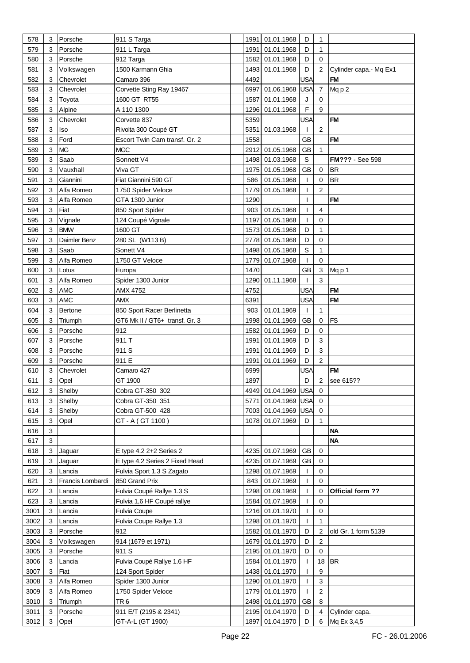| 578          | 3      | Porsche          | 911 S Targa                               | 1991 | 01.01.1968                         | D                | $\mathbf{1}$            |                               |
|--------------|--------|------------------|-------------------------------------------|------|------------------------------------|------------------|-------------------------|-------------------------------|
| 579          | 3      | Porsche          | 911 L Targa                               | 1991 | 01.01.1968                         | D                | 1                       |                               |
| 580          | 3      | Porsche          | 912 Targa                                 | 1582 | 01.01.1968                         | D                | 0                       |                               |
| 581          | 3      | Volkswagen       | 1500 Karmann Ghia                         | 1493 | 01.01.1968                         | D                | $\overline{c}$          | Cylinder capa.- Mq Ex1        |
| 582          | 3      | Chevrolet        | Camaro 396                                | 4492 |                                    | <b>USA</b>       |                         | <b>FM</b>                     |
| 583          | 3      | Chevrolet        | Corvette Sting Ray 19467                  | 6997 | 01.06.1968                         | <b>USA</b>       | $\overline{7}$          | Mqp2                          |
| 584          | 3      | Toyota           | 1600 GT RT55                              | 1587 | 01.01.1968                         | J                | 0                       |                               |
|              |        |                  |                                           | 1296 | 01.01.1968                         | $\mathsf F$      | 9                       |                               |
| 585          | 3      | Alpine           | A 110 1300                                |      |                                    |                  |                         |                               |
| 586          | 3      | Chevrolet        | Corvette 837                              | 5359 |                                    | <b>USA</b>       |                         | <b>FM</b>                     |
| 587          | 3      | lso              | Rivolta 300 Coupé GT                      | 5351 | 01.03.1968                         | T                | $\overline{2}$          |                               |
| 588          | 3      | Ford             | Escort Twin Cam transf. Gr. 2             | 1558 |                                    | <b>GB</b>        |                         | <b>FM</b>                     |
| 589          | 3      | <b>MG</b>        | <b>MGC</b>                                | 2912 | 01.05.1968                         | <b>GB</b>        | 1                       |                               |
| 589          | 3      | Saab             | Sonnett V4                                | 1498 | 01.03.1968                         | S                |                         | FM??? - See 598               |
| 590          | 3      | Vauxhall         | Viva GT                                   | 1975 | 01.05.1968                         | <b>GB</b>        | 0                       | <b>BR</b>                     |
| 591          | 3      | Giannini         | Fiat Giannini 590 GT                      | 586  | 01.05.1968                         | T                | 0                       | <b>BR</b>                     |
| 592          | 3      | Alfa Romeo       | 1750 Spider Veloce                        | 1779 | 01.05.1968                         | T                | 2                       |                               |
| 593          | 3      | Alfa Romeo       | GTA 1300 Junior                           | 1290 |                                    | T                |                         | <b>FM</b>                     |
| 594          | 3      | Fiat             | 850 Sport Spider                          | 903  | 01.05.1968                         | $\mathbf{I}$     | 4                       |                               |
| 595          | 3      | Vignale          | 124 Coupé Vignale                         | 1197 | 01.05.1968                         | T                | 0                       |                               |
| 596          | 3      | <b>BMW</b>       | 1600 GT                                   | 1573 | 01.05.1968                         | D                | 1                       |                               |
| 597          | 3      | Daimler Benz     | 280 SL (W113 B)                           |      | 2778 01.05.1968                    | D                | 0                       |                               |
| 598          | 3      | Saab             | Sonett V4                                 | 1498 | 01.05.1968                         | $\mathsf S$      | 1                       |                               |
| 599          | 3      | Alfa Romeo       | 1750 GT Veloce                            | 1779 | 01.07.1968                         |                  | 0                       |                               |
| 600          | 3      | Lotus            | Europa                                    | 1470 |                                    | <b>GB</b>        | 3                       | Mqp1                          |
| 601          | 3      | Alfa Romeo       | Spider 1300 Junior                        | 1290 | 01.11.1968                         | T                | 3                       |                               |
| 602          | 3      | <b>AMC</b>       | AMX 4752                                  | 4752 |                                    | <b>USA</b>       |                         | <b>FM</b>                     |
|              |        |                  |                                           |      |                                    |                  |                         | <b>FM</b>                     |
| 603          | 3      | <b>AMC</b>       | <b>AMX</b>                                | 6391 |                                    | <b>USA</b>       |                         |                               |
| 604          | 3      | Bertone          | 850 Sport Racer Berlinetta                | 903  | 01.01.1969                         | T                | 1                       |                               |
| 605          | 3      | Triumph          | GT6 Mk II / GT6+ transf. Gr. 3            | 1998 | 01.01.1969                         | <b>GB</b>        | 0                       | <b>FS</b>                     |
| 606          | 3      | Porsche          | 912                                       | 1582 | 01.01.1969                         | D                | 0                       |                               |
| 607          | 3      | Porsche          | 911 T                                     | 1991 | 01.01.1969                         | D                | $\mathbf{3}$            |                               |
| 608          | 3      | Porsche          | 911 S                                     | 1991 | 01.01.1969                         | D                | 3                       |                               |
| 609          | 3      | Porsche          | 911 E                                     | 1991 | 01.01.1969                         | D                | $\overline{c}$          |                               |
| 610          | 3      | Chevrolet        | Camaro 427                                | 6999 |                                    | USA              |                         | <b>FM</b>                     |
| 611          | 3      | Opel             | GT 1900                                   | 1897 |                                    | D                | $\overline{2}$          | see 615??                     |
| 612          | 3      | Shelby           | Cobra GT-350 302                          |      | 4949 01.04.1969 USA 0              |                  |                         |                               |
| 613          | 3      | Shelby           | Cobra GT-350 351                          | 5771 | 01.04.1969                         | <b>USA</b>       | $\mathbf 0$             |                               |
| 614          | 3      | Shelby           | Cobra GT-500 428                          |      | 7003 01.04.1969 USA                |                  | $\mathbf 0$             |                               |
| 615          | 3      | Opel             | GT - A (GT 1100)                          | 1078 | 01.07.1969                         | D                | 1                       |                               |
| 616          | 3      |                  |                                           |      |                                    |                  |                         | <b>NA</b>                     |
| 617          | 3      |                  |                                           |      |                                    |                  |                         | <b>NA</b>                     |
| 618          | 3      | Jaguar           | E type $4.2$ $2+2$ Series 2               | 4235 | 01.07.1969                         | <b>GB</b>        | 0                       |                               |
| 619          | 3      | Jaguar           | E type 4.2 Series 2 Fixed Head            | 4235 | 01.07.1969                         | GB               | 0                       |                               |
| 620          | 3      | Lancia           | Fulvia Sport 1.3 S Zagato                 |      |                                    | T                | 0                       |                               |
| 621          |        |                  |                                           |      |                                    |                  |                         |                               |
|              | 3      |                  |                                           |      | 1298 01.07.1969                    | T                | 0                       |                               |
|              | 3      | Francis Lombardi | 850 Grand Prix                            | 843  | 01.07.1969                         | T                | 0                       |                               |
| 622          |        | Lancia           | Fulvia Coupé Rallye 1.3 S                 | 1298 | 01.09.1969                         |                  |                         | Official form ??              |
| 623          | 3      | Lancia           | Fulvia 1,6 HF Coupé rallye                | 1584 | 01.07.1969                         | T                | 0                       |                               |
| 3001         | 3      | Lancia           | Fulvia Coupe                              | 1216 | 01.01.1970                         | T                | 0                       |                               |
| 3002         | 3      | Lancia           | Fulvia Coupe Rallye 1.3                   | 1298 | 01.01.1970                         | T                | 1                       |                               |
| 3003         | 3      | Porsche          | 912                                       | 1582 | 01.01.1970                         | D                | $\overline{2}$          | old Gr. 1 form 5139           |
| 3004         | 3      | Volkswagen       | 914 (1679 et 1971)                        | 1679 | 01.01.1970                         | D                | 2                       |                               |
| 3005         | 3      | Porsche          | 911 S                                     | 2195 | 01.01.1970                         | D                | 0                       |                               |
| 3006         | 3      | Lancia           | Fulvia Coupé Rallye 1.6 HF                | 1584 | 01.01.1970                         | T                | 18                      | <b>BR</b>                     |
| 3007         | 3      | Fiat             | 124 Sport Spider                          | 1438 | 01.01.1970                         | T                | 9                       |                               |
| 3008         | 3      | Alfa Romeo       | Spider 1300 Junior                        | 1290 | 01.01.1970                         | T                | $\mathbf{3}$            |                               |
| 3009         | 3      | Alfa Romeo       | 1750 Spider Veloce                        | 1779 | 01.01.1970                         | T                | $\overline{\mathbf{c}}$ |                               |
| 3010         | 3      | Triumph          | TR 6                                      |      | 2498 01.01.1970                    | GB               | 8                       |                               |
| 3011<br>3012 | 3<br>3 | Porsche<br>Opel  | 911 E/T (2195 & 2341)<br>GT-A-L (GT 1900) |      | 2195 01.04.1970<br>1897 01.04.1970 | D<br>$\mathsf D$ | 4<br>6                  | Cylinder capa.<br>Mq Ex 3,4,5 |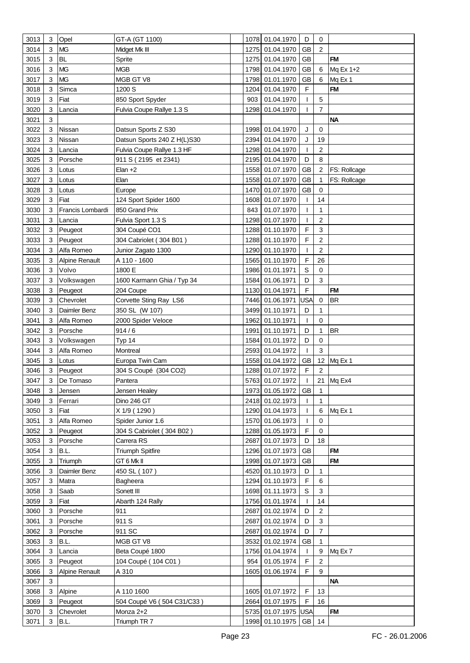| 3013 | 3              | Opel                  | GT-A (GT 1100)              |      | 1078 01.04.1970       | D            | 0              |              |
|------|----------------|-----------------------|-----------------------------|------|-----------------------|--------------|----------------|--------------|
| 3014 | 3              | <b>MG</b>             | Midget Mk III               |      | 1275 01.04.1970       | <b>GB</b>    | $\overline{2}$ |              |
| 3015 | 3              | <b>BL</b>             | Sprite                      |      | 1275 01.04.1970       | <b>GB</b>    |                | <b>FM</b>    |
| 3016 | 3              | <b>MG</b>             | <b>MGB</b>                  |      | 1798 01.04.1970       | <b>GB</b>    | 6              | Mq Ex 1+2    |
| 3017 | 3              | <b>MG</b>             | MGB GT V8                   |      | 1798 01.01.1970       | GB           | 6              | Mq Ex 1      |
| 3018 | 3              | Simca                 | 1200 S                      | 1204 | 01.04.1970            | F            |                | <b>FM</b>    |
| 3019 | 3              | Fiat                  | 850 Sport Spyder            | 903  | 01.04.1970            | T            | 5              |              |
| 3020 | 3              | Lancia                | Fulvia Coupe Rallye 1.3 S   | 1298 | 01.04.1970            | L            | 7              |              |
| 3021 | 3              |                       |                             |      |                       |              |                | <b>NA</b>    |
| 3022 | 3              | Nissan                |                             |      | 1998 01.04.1970       | J            | $\mathbf 0$    |              |
|      |                |                       | Datsun Sports Z S30         |      |                       |              |                |              |
| 3023 | 3              | Nissan                | Datsun Sports 240 Z H(L)S30 |      | 2394 01.04.1970       | J            | 19             |              |
| 3024 | 3              | Lancia                | Fulvia Coupe Rallye 1.3 HF  |      | 1298 01.04.1970       | T            | $\overline{c}$ |              |
| 3025 | 3              | Porsche               | 911 S (2195 et 2341)        |      | 2195 01.04.1970       | D            | 8              |              |
| 3026 | 3              | Lotus                 | Elan $+2$                   |      | 1558 01.07.1970       | GB           | 2              | FS: Rollcage |
| 3027 | 3              | Lotus                 | Elan                        | 1558 | 01.07.1970            | <b>GB</b>    | 1              | FS: Rollcage |
| 3028 | 3              | Lotus                 | Europe                      |      | 1470 01.07.1970       | <b>GB</b>    | $\mathbf 0$    |              |
| 3029 | 3              | Fiat                  | 124 Sport Spider 1600       |      | 1608 01.07.1970       | T            | 14             |              |
| 3030 | 3              | Francis Lombardi      | 850 Grand Prix              | 843  | 01.07.1970            | T            | 1              |              |
| 3031 | 3              | Lancia                | Fulvia Sport 1.3 S          |      | 1298 01.07.1970       | T            | 2              |              |
| 3032 | 3              | Peugeot               | 304 Coupé CO1               |      | 1288 01.10.1970       | F            | 3              |              |
| 3033 | 3              | Peugeot               | 304 Cabriolet (304 B01)     |      | 1288 01.10.1970       | F            | 2              |              |
| 3034 | 3              | Alfa Romeo            | Junior Zagato 1300          |      | 1290 01.10.1970       |              | $\overline{c}$ |              |
| 3035 | 3              | <b>Alpine Renault</b> | A 110 - 1600                |      | 1565 01.10.1970       | F            | 26             |              |
| 3036 | 3              | Volvo                 | 1800 E                      |      | 1986 01.01.1971       | $\mathsf S$  | 0              |              |
| 3037 | 3              | Volkswagen            | 1600 Karmann Ghia / Typ 34  |      | 1584 01.06.1971       | D            | 3              |              |
| 3038 | 3              | Peugeot               | 204 Coupe                   |      | 1130 01.04.1971       | F            |                | <b>FM</b>    |
| 3039 | 3              | Chevrolet             | Corvette Sting Ray LS6      |      | 7446 01.06.1971       | USA          | 0              | <b>BR</b>    |
| 3040 | 3              | Daimler Benz          | 350 SL (W 107)              |      | 3499 01.10.1971       | D            | 1              |              |
| 3041 | 3              | Alfa Romeo            | 2000 Spider Veloce          |      | 1962 01.10.1971       | T            | $\mathbf 0$    |              |
| 3042 | 3              | Porsche               | 914/6                       | 1991 | 01.10.1971            | D            | 1              | <b>BR</b>    |
| 3043 | 3              | Volkswagen            | Typ 14                      | 1584 | 01.01.1972            | D            | 0              |              |
| 3044 | 3              | Alfa Romeo            | Montreal                    |      | 2593 01.04.1972       | T            | 3              |              |
| 3045 | 3              | Lotus                 | Europa Twin Cam             |      | 1558 01.04.1972       | <b>GB</b>    |                | 12 Mq Ex 1   |
| 3046 | 3              | Peugeot               | 304 S Coupé (304 CO2)       |      | 1288 01.07.1972       | F            | 2              |              |
| 3047 | 3              | De Tomaso             | Pantera                     |      | 5763 01.07.1972       |              |                | 21 Mq Ex4    |
| 3048 | 3              | Jensen                | Jensen Healey               |      | 1973 01.05.1972 GB    |              | 1              |              |
| 3049 | 3              | Ferrari               | Dino 246 GT                 |      | 2418 01.02.1973       | T            | $\mathbf{1}$   |              |
| 3050 | 3              | Fiat                  | X 1/9 (1290)                |      | 1290 01.04.1973       | T            | 6              | Mq Ex 1      |
| 3051 | 3              | Alfa Romeo            | Spider Junior 1.6           |      | 1570 01.06.1973       |              | $\mathbf 0$    |              |
| 3052 | 3              |                       | 304 S Cabriolet (304 B02)   |      | 1288 01.05.1973       | L<br>F       | 0              |              |
|      |                | Peugeot               |                             |      |                       |              |                |              |
| 3053 | 3              | Porsche               | Carrera RS                  |      | 2687 01.07.1973       | D            | 18             |              |
| 3054 | 3              | B.L.                  | <b>Triumph Spitfire</b>     |      | 1296 01.07.1973       | GB           |                | <b>FM</b>    |
| 3055 | 3              | Triumph               | GT 6 Mk II                  |      | 1998 01.07.1973       | <b>GB</b>    |                | <b>FM</b>    |
| 3056 | 3              | Daimler Benz          | 450 SL (107)                |      | 4520 01.10.1973       | D            | 1              |              |
| 3057 | 3              | Matra                 | Bagheera                    |      | 1294 01.10.1973       | F            | 6              |              |
| 3058 | 3              | Saab                  | Sonett III                  |      | 1698 01.11.1973       | $\mathbb S$  | 3              |              |
| 3059 | 3              | Fiat                  | Abarth 124 Rally            |      | 1756 01.01.1974       | $\mathbf{I}$ | 14             |              |
| 3060 | 3              | Porsche               | 911                         |      | 2687 01.02.1974       | D            | 2              |              |
| 3061 | 3              | Porsche               | 911 S                       |      | 2687 01.02.1974       | D            | $\mathbf{3}$   |              |
| 3062 | 3              | Porsche               | 911 SC                      |      | 2687 01.02.1974       | D            | 7              |              |
| 3063 | 3              | B.L.                  | MGB GT V8                   |      | 3532 01.02.1974       | GB           | 1              |              |
| 3064 | 3              | Lancia                | Beta Coupé 1800             |      | 1756 01.04.1974       | $\mathbf{I}$ | 9              | Mq Ex 7      |
| 3065 | 3              | Peugeot               | 104 Coupé (104 C01)         | 954  | 01.05.1974            | $\mathsf F$  | $\overline{2}$ |              |
| 3066 | 3              | <b>Alpine Renault</b> | A 310                       |      | 1605 01.06.1974       | F            | 9              |              |
| 3067 | 3              |                       |                             |      |                       |              |                | <b>NA</b>    |
| 3068 | 3              | Alpine                | A 110 1600                  |      | 1605 01.07.1972       | $\mathsf F$  | 13             |              |
| 3069 | 3              | Peugeot               | 504 Coupé V6 (504 C31/C33)  |      | 2664 01.07.1975       | F            | 16             |              |
| 3070 | 3              | Chevrolet             | Monza 2+2                   |      | 5735 01.07.1975 USA   |              |                | <b>FM</b>    |
| 3071 | $\mathfrak{S}$ | B.L.                  | Triumph TR 7                |      | 1998 01.10.1975 GB 14 |              |                |              |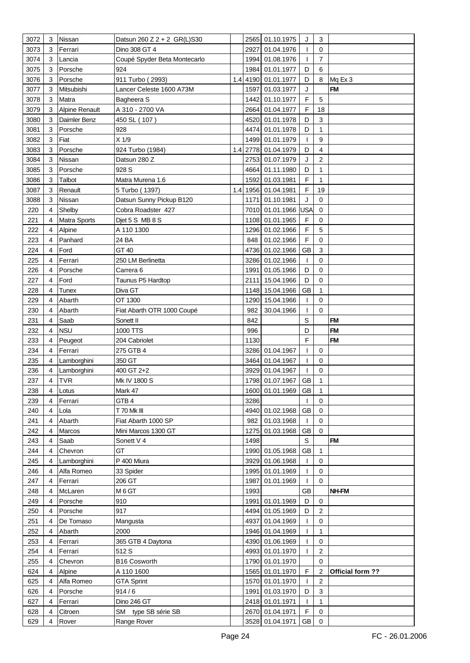| 3072 | 3 | Nissan                | Datsun 260 Z 2 + 2 GR(L)S30  |     |      | 2565 01.10.1975    | J            | 3                         |                  |
|------|---|-----------------------|------------------------------|-----|------|--------------------|--------------|---------------------------|------------------|
| 3073 | 3 | Ferrari               | Dino 308 GT 4                |     |      | 2927 01.04.1976    |              | $\mathbf 0$               |                  |
| 3074 | 3 | Lancia                | Coupé Spyder Beta Montecarlo |     |      | 1994 01.08.1976    | T            | $\overline{7}$            |                  |
| 3075 | 3 | Porsche               | 924                          |     |      | 1984 01.01.1977    | D            | 6                         |                  |
| 3076 | 3 | Porsche               | 911 Turbo (2993)             | 1.4 |      | 4190 01.01.1977    | D            | 8                         | Mq Ex 3          |
| 3077 | 3 | Mitsubishi            | Lancer Celeste 1600 A73M     |     |      | 1597 01.03.1977    | J            |                           | <b>FM</b>        |
| 3078 | 3 | Matra                 |                              |     | 1442 | 01.10.1977         | $\mathsf F$  | 5                         |                  |
|      |   |                       | Bagheera S                   |     |      |                    | F            |                           |                  |
| 3079 | 3 | <b>Alpine Renault</b> | A 310 - 2700 VA              |     |      | 2664 01.04.1977    |              | 18                        |                  |
| 3080 | 3 | Daimler Benz          | 450 SL (107)                 |     |      | 4520 01.01.1978    | D            | 3                         |                  |
| 3081 | 3 | Porsche               | 928                          |     |      | 4474 01.01.1978    | D            | 1                         |                  |
| 3082 | 3 | Fiat                  | $X$ 1/9                      |     |      | 1499 01.01.1979    | T            | 9                         |                  |
| 3083 | 3 | Porsche               | 924 Turbo (1984)             | 1.4 |      | 2778 01.04.1979    | D            | 4                         |                  |
| 3084 | 3 | Nissan                | Datsun 280 Z                 |     |      | 2753 01.07.1979    | J            | $\overline{2}$            |                  |
| 3085 | 3 | Porsche               | 928 S                        |     |      | 4664 01.11.1980    | D            | 1                         |                  |
| 3086 | 3 | Talbot                | Matra Murena 1.6             |     |      | 1592 01.03.1981    | F            | 1                         |                  |
| 3087 | 3 | Renault               | 5 Turbo (1397)               | 1.4 |      | 1956 01.04.1981    | F            | 19                        |                  |
| 3088 | 3 | Nissan                | Datsun Sunny Pickup B120     |     |      | 1171 01.10.1981    | J            | $\mathbf 0$               |                  |
| 220  | 4 | Shelby                | Cobra Roadster 427           |     |      | 7010 01.01.1966    | <b>USA</b>   | $\mathbf 0$               |                  |
| 221  | 4 | Matra Sports          | Djet 5 S MB 8 S              |     |      | 1108 01.01.1965    | F            | $\mathbf 0$               |                  |
| 222  | 4 | Alpine                | A 110 1300                   |     |      | 1296 01.02.1966    | F            | 5                         |                  |
| 223  | 4 | Panhard               | 24 BA                        |     |      | 848 01.02.1966     | F            | $\mathbf 0$               |                  |
| 224  | 4 | Ford                  | GT 40                        |     |      | 4736 01.02.1966    | <b>GB</b>    | 3                         |                  |
| 225  | 4 | Ferrari               | 250 LM Berlinetta            |     |      | 3286 01.02.1966    | T            | 0                         |                  |
| 226  | 4 | Porsche               | Carrera <sub>6</sub>         |     |      | 1991 01.05.1966    | D            | 0                         |                  |
| 227  | 4 | Ford                  | Taunus P5 Hardtop            |     |      | 2111 15.04.1966    | D            | $\mathbf 0$               |                  |
| 228  | 4 | Tunex                 | Diva GT                      |     |      | 1148 15.04.1966    | <b>GB</b>    | 1                         |                  |
| 229  | 4 | Abarth                | OT 1300                      |     |      | 1290 15.04.1966    | T            | 0                         |                  |
| 230  | 4 | Abarth                | Fiat Abarth OTR 1000 Coupé   |     | 982  | 30.04.1966         |              | $\mathbf 0$               |                  |
| 231  | 4 | Saab                  | Sonett II                    |     | 842  |                    | $\mathsf{S}$ |                           | <b>FM</b>        |
|      |   |                       |                              |     |      |                    |              |                           |                  |
|      |   |                       |                              |     |      |                    |              |                           |                  |
| 232  | 4 | <b>NSU</b>            | 1000 TTS                     |     | 996  |                    | D            |                           | <b>FM</b>        |
| 233  | 4 | Peugeot               | 204 Cabriolet                |     | 1130 |                    | F            |                           | <b>FM</b>        |
| 234  | 4 | Ferrari               | 275 GTB 4                    |     |      | 3286 01.04.1967    | T            | 0                         |                  |
| 235  | 4 | Lamborghini           | 350 GT                       |     |      | 3464 01.04.1967    | T            | 0                         |                  |
| 236  | 4 | Lamborghini           | 400 GT 2+2                   |     |      | 3929 01.04.1967    | ı            | 0                         |                  |
| 237  | 4 | <b>TVR</b>            | Mk IV 1800 S                 |     |      | 1798 01.07.1967    | <b>GB</b>    | 1                         |                  |
| 238  | 4 | Lotus                 | Mark 47                      |     |      | 1600 01.01.1969 GB |              | 1                         |                  |
| 239  | 4 | Ferrari               | GTB <sub>4</sub>             |     | 3286 |                    | $\mathbf{I}$ | $\mathbf 0$               |                  |
| 240  | 4 | Lola                  | T 70 Mk III                  |     |      | 4940 01.02.1968    | GB           | $\mathbf 0$               |                  |
| 241  | 4 | Abarth                | Fiat Abarth 1000 SP          |     | 982  | 01.03.1968         | T            | 0                         |                  |
| 242  | 4 | Marcos                | Mini Marcos 1300 GT          |     |      | 1275 01.03.1968    | GB           | $\mathbf 0$               |                  |
| 243  | 4 | Saab                  | Sonett V 4                   |     | 1498 |                    | S            |                           | <b>FM</b>        |
| 244  | 4 | Chevron               | GT                           |     |      | 1990 01.05.1968    | GB           | 1                         |                  |
| 245  | 4 | Lamborghini           | P 400 Miura                  |     |      | 3929 01.06.1968    | L            | 0                         |                  |
| 246  | 4 | Alfa Romeo            | 33 Spider                    |     |      | 1995 01.01.1969    | T            | 0                         |                  |
| 247  | 4 | Ferrari               | 206 GT                       |     |      | 1987 01.01.1969    | T            | $\mathbf 0$               |                  |
| 248  | 4 | McLaren               | M 6 GT                       |     | 1993 |                    | GB           |                           | NH-FM            |
| 249  | 4 | Porsche               | 910                          |     |      | 1991 01.01.1969    | D            | 0                         |                  |
| 250  | 4 | Porsche               | 917                          |     |      | 4494 01.05.1969    | D            | 2                         |                  |
| 251  | 4 | De Tomaso             | Mangusta                     |     |      | 4937 01.04.1969    | L            | 0                         |                  |
| 252  | 4 | Abarth                | 2000                         |     |      | 1946 01.04.1969    | L            | 1                         |                  |
| 253  | 4 | Ferrari               | 365 GTB 4 Daytona            |     |      | 4390 01.06.1969    | L            | 0                         |                  |
| 254  | 4 | Ferrari               | 512 S                        |     |      | 4993 01.01.1970    | I            | 2                         |                  |
| 255  | 4 | Chevron               | <b>B16 Cosworth</b>          |     |      | 1790 01.01.1970    |              | $\mathbf 0$               |                  |
| 624  | 4 | Alpine                | A 110 1600                   |     |      | 1565 01.01.1970    | F            | 2                         | Official form ?? |
| 625  | 4 | Alfa Romeo            | <b>GTA Sprint</b>            |     |      | 1570 01.01.1970    | $\mathbf{I}$ | $\overline{\mathbf{c}}$   |                  |
| 626  | 4 | Porsche               | 914/6                        |     |      | 1991 01.03.1970    | D            | $\ensuremath{\mathsf{3}}$ |                  |
| 627  | 4 | Ferrari               | Dino 246 GT                  |     |      | 2418 01.01.1971    | $\mathbf{I}$ | 1                         |                  |
| 628  | 4 | Citroen               | SM type SB série SB          |     |      | 2670 01.04.1971    | F            | 0                         |                  |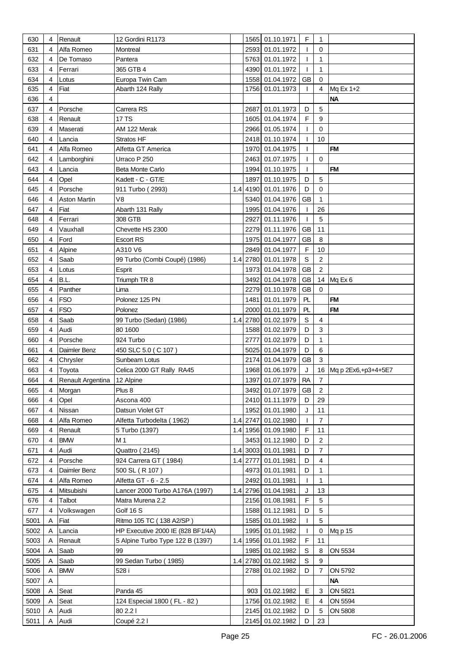| 630  | 4 | Renault                     | 12 Gordini R1173                  |          | 1565 01.10.1971     | F            | 1              |                         |
|------|---|-----------------------------|-----------------------------------|----------|---------------------|--------------|----------------|-------------------------|
| 631  | 4 | Alfa Romeo                  | Montreal                          |          | 2593 01.01.1972     | L            | 0              |                         |
| 632  | 4 | De Tomaso                   | Pantera                           |          | 5763 01.01.1972     | $\mathbf{I}$ | 1              |                         |
| 633  | 4 | Ferrari                     | 365 GTB 4                         |          | 4390 01.01.1972     | T            | 1              |                         |
| 634  | 4 | Lotus                       | Europa Twin Cam                   |          | 1558 01.04.1972     | <b>GB</b>    | $\Omega$       |                         |
| 635  | 4 | Fiat                        | Abarth 124 Rally                  |          | 1756 01.01.1973     | T            | 4              |                         |
|      |   |                             |                                   |          |                     |              |                | Mq Ex 1+2<br><b>NA</b>  |
| 636  | 4 |                             |                                   |          |                     |              |                |                         |
| 637  | 4 | Porsche                     | Carrera RS                        | 2687     | 01.01.1973          | D            | 5              |                         |
| 638  | 4 | Renault                     | 17 TS                             |          | 1605 01.04.1974     | F            | 9              |                         |
| 639  | 4 | Maserati                    | AM 122 Merak                      |          | 2966 01.05.1974     | $\mathbf{I}$ | 0              |                         |
| 640  | 4 | Lancia                      | Stratos HF                        |          | 2418 01.10.1974     | $\mathbf{I}$ | 10             |                         |
| 641  | 4 | Alfa Romeo                  | Alfetta GT America                |          | 1970 01.04.1975     | T            |                | <b>FM</b>               |
| 642  | 4 | Lamborghini                 | Urraco P 250                      |          | 2463 01.07.1975     | $\mathbf{I}$ | $\mathbf 0$    |                         |
| 643  | 4 | Lancia                      | Beta Monte Carlo                  |          | 1994 01.10.1975     | $\mathbf{I}$ |                | <b>FM</b>               |
| 644  | 4 | Opel                        | Kadett - C - GT/E                 |          | 1897 01.10.1975     | D            | 5              |                         |
| 645  | 4 | Porsche                     | 911 Turbo (2993)                  |          | 1.4 4190 01.01.1976 | D            | $\mathbf 0$    |                         |
| 646  | 4 | Aston Martin                | V8                                |          | 5340 01.04.1976     | <b>GB</b>    | 1              |                         |
| 647  | 4 | Fiat                        | Abarth 131 Rally                  |          | 1995 01.04.1976     | T            | 26             |                         |
| 648  | 4 | Ferrari                     | 308 GTB                           |          | 2927 01.11.1976     | T            | 5              |                         |
| 649  | 4 | Vauxhall                    | Chevette HS 2300                  |          | 2279 01.11.1976     | <b>GB</b>    | 11             |                         |
| 650  | 4 | Ford                        | <b>Escort RS</b>                  |          | 1975 01.04.1977     | <b>GB</b>    | 8              |                         |
| 651  | 4 | Alpine                      | A310 V6                           |          | 2849 01.04.1977     | F            | 10             |                         |
| 652  | 4 | Saab                        | 99 Turbo (Combi Coupé) (1986)     |          | 1.4 2780 01.01.1978 | $\mathsf S$  | $\overline{2}$ |                         |
| 653  | 4 | Lotus                       |                                   |          | 1973 01.04.1978     | GB           | $\overline{2}$ |                         |
|      |   |                             | Esprit                            |          |                     |              |                |                         |
| 654  | 4 | B.L.                        | Triumph TR 8                      |          | 3492 01.04.1978     | <b>GB</b>    |                | 14 Mq Ex 6              |
| 655  | 4 | Panther                     | Lima                              |          | 2279 01.10.1978     | <b>GB</b>    | $\Omega$       |                         |
| 656  | 4 | <b>FSO</b>                  | Polonez 125 PN                    |          | 1481 01.01.1979     | PL           |                | <b>FM</b>               |
| 657  | 4 | <b>FSO</b>                  | Polonez                           |          | 2000 01.01.1979     | PL           |                | <b>FM</b>               |
| 658  | 4 | Saab                        | 99 Turbo (Sedan) (1986)           |          | 1.4 2780 01.02.1979 | $\mathbb S$  | 4              |                         |
| 659  | 4 | Audi                        | 80 1600                           |          | 1588 01.02.1979     | D            | 3              |                         |
| 660  | 4 | Porsche                     | 924 Turbo                         |          | 2777 01.02.1979     | D            | $\mathbf{1}$   |                         |
| 661  | 4 | Daimler Benz                | 450 SLC 5.0 (C 107)               |          | 5025 01.04.1979     | D            | 6              |                         |
| 662  | 4 | Chrysler                    | Sunbeam Lotus                     |          | 2174 01.04.1979     | <b>GB</b>    | 3              |                         |
| 663  | 4 | Toyota                      | Celica 2000 GT Rally RA45         |          | 1968 01.06.1979     | J            |                | 16 Mq p 2Ex6, +p3+4+5E7 |
| 664  | 4 | Renault Argentina 12 Alpine |                                   |          | 1397 01.07.1979     | <b>RA</b>    | $\overline{7}$ |                         |
| 665  | 4 | Morgan                      | Plus 8                            |          | 3492 01.07.1979     | GB           | $\overline{2}$ |                         |
| 666  | 4 | Opel                        | Ascona 400                        |          | 2410 01.11.1979     | D            | 29             |                         |
| 667  | 4 | Nissan                      | Datsun Violet GT                  |          | 1952 01.01.1980     | J            | 11             |                         |
| 668  | 4 | Alfa Romeo                  | Alfetta Turbodelta (1962)         |          | 1.4 2747 01.02.1980 | $\mathbf{I}$ | $\overline{7}$ |                         |
| 669  | 4 | Renault                     | 5 Turbo (1397)                    |          | 1.4 1956 01.09.1980 | F            | 11             |                         |
| 670  | 4 | <b>BMW</b>                  | M 1                               |          | 3453 01.12.1980     | D            | $\overline{c}$ |                         |
| 671  | 4 | Audi                        | Quattro (2145)                    |          | 1.4 3003 01.01.1981 | D            | $\overline{7}$ |                         |
| 672  | 4 | Porsche                     | 924 Carrera GT (1984)             | 1.4 2777 | 01.01.1981          | D            | $\overline{4}$ |                         |
| 673  | 4 | Daimler Benz                | 500 SL (R 107)                    |          | 4973 01.01.1981     | D            | 1              |                         |
| 674  | 4 | Alfa Romeo                  | Alfetta GT - 6 - 2.5              |          | 2492 01.01.1981     | $\mathbf{I}$ | $\mathbf{1}$   |                         |
| 675  | 4 | Mitsubishi                  |                                   |          | 1.4 2796 01.04.1981 | J            | 13             |                         |
|      |   |                             | Lancer 2000 Turbo A176A (1997)    |          |                     | F            | 5              |                         |
| 676  | 4 | Talbot                      | Matra Murena 2.2                  |          | 2156 01.08.1981     |              |                |                         |
| 677  | 4 | Volkswagen                  | Golf 16 S                         |          | 1588 01.12.1981     | D            | 5              |                         |
| 5001 | Α | Fiat                        | Ritmo 105 TC (138 A2/SP)          |          | 1585 01.01.1982     | $\mathbf{I}$ | 5              |                         |
| 5002 | Α | Lancia                      | HP Executive 2000 IE (828 BF1/4A) |          | 1995 01.01.1982     | $\mathbf{I}$ | 0              | Mq p 15                 |
| 5003 | A | Renault                     | 5 Alpine Turbo Type 122 B (1397)  |          | 1.4 1956 01.01.1982 | F            | 11             |                         |
| 5004 | A | Saab                        | 99                                |          | 1985 01.02.1982     | $\mathbb S$  | 8              | ON 5534                 |
| 5005 | A | Saab                        | 99 Sedan Turbo (1985)             |          | 1.4 2780 01.02.1982 | $\mathbb S$  | 9              |                         |
| 5006 | A | <b>BMW</b>                  | 528 i                             |          | 2788 01.02.1982     | D            | $\overline{7}$ | ON 5792                 |
| 5007 | A |                             |                                   |          |                     |              |                | <b>NA</b>               |
| 5008 | Α | Seat                        | Panda 45                          |          | 903 01.02.1982      | E            | 3              | ON 5821                 |
| 5009 | A | Seat                        | 124 Especial 1800 (FL - 82)       |          | 1756 01.02.1982     | Е            | 4              | ON 5594                 |
| 5010 | Α | Audi                        | 80 2.2 l                          |          | 2145 01.02.1982     | D            | 5              | ON 5808                 |
| 5011 | Α | Audi                        | Coupé 2.2 l                       |          | 2145 01.02.1982     | D            | 23             |                         |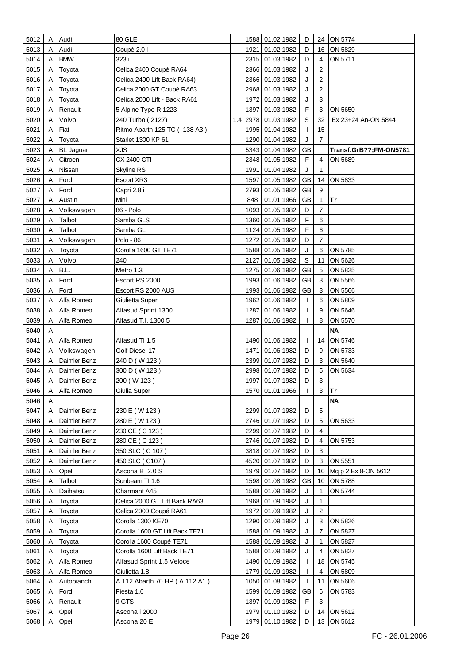| 5012         | Α      | Audi                     | 80 GLE                           |     |              | 1588 01.02.1982 | D            | 24             | ON 5774                |
|--------------|--------|--------------------------|----------------------------------|-----|--------------|-----------------|--------------|----------------|------------------------|
| 5013         | Α      | Audi                     | Coupé 2.0 l                      |     | 1921         | 01.02.1982      | D            | 16             | ON 5829                |
| 5014         | A      | <b>BMW</b>               | 323 i                            |     |              | 2315 01.03.1982 | D            | 4              | ON 5711                |
| 5015         | Α      | Toyota                   | Celica 2400 Coupé RA64           |     | 2366         | 01.03.1982      | J            | 2              |                        |
| 5016         | Α      | Toyota                   | Celica 2400 Lift Back RA64)      |     | 2366         | 01.03.1982      | J            | 2              |                        |
| 5017         | Α      | Toyota                   | Celica 2000 GT Coupé RA63        |     | 2968         | 01.03.1982      | J            | $\overline{2}$ |                        |
| 5018         | Α      | Toyota                   | Celica 2000 Lift - Back RA61     |     | 1972         | 01.03.1982      | J            | 3              |                        |
| 5019         | A      | Renault                  | 5 Alpine Type R 1223             |     | 1397         | 01.03.1982      | F            | 3              | ON 5650                |
| 5020         | Α      | Volvo                    | 240 Turbo (2127)                 | 1.4 | 2978         | 01.03.1982      | S            | 32             | Ex 23+24 An-ON 5844    |
| 5021         | Α      | Fiat                     | Ritmo Abarth 125 TC (138 A3)     |     | 1995         | 01.04.1982      | T            | 15             |                        |
| 5022         | Α      | Toyota                   | Starlet 1300 KP 61               |     | 1290         | 01.04.1982      | J            | $\overline{7}$ |                        |
| 5023         | A      | <b>BL</b> Jaguar         | <b>XJS</b>                       |     | 5343         | 01.04.1982      | <b>GB</b>    |                | Transf.GrB??;FM-ON5781 |
| 5024         | Α      | Citroen                  | CX 2400 GTI                      |     | 2348         | 01.05.1982      | F            | 4              | ON 5689                |
|              |        |                          |                                  |     |              | 01.04.1982      | J            | 1              |                        |
| 5025         | Α      | Nissan                   | <b>Skyline RS</b>                |     | 1991         |                 |              |                |                        |
| 5026         | A      | Ford                     | Escort XR3                       |     | 1597         | 01.05.1982      | <b>GB</b>    | 14             | ON 5833                |
| 5027         | Α      | Ford                     | Capri 2.8 i                      |     | 2793         | 01.05.1982      | <b>GB</b>    | 9              |                        |
| 5027         | A      | Austin                   | Mini                             |     | 848          | 01.01.1966      | <b>GB</b>    | 1              | Tr                     |
| 5028         | Α      | Volkswagen               | 86 - Polo                        |     | 1093         | 01.05.1982      | D            | $\overline{7}$ |                        |
| 5029         | A      | Talbot                   | Samba GLS                        |     | 1360         | 01.05.1982      | F            | 6              |                        |
| 5030         | A      | Talbot                   | Samba GL                         |     | 1124         | 01.05.1982      | F            | 6              |                        |
| 5031         | A      | Volkswagen               | Polo - 86                        |     | 1272         | 01.05.1982      | D            | 7              |                        |
| 5032         | Α      | Toyota                   | Corolla 1600 GT TE71             |     | 1588         | 01.05.1982      | J            | 6              | ON 5785                |
| 5033         | Α      | Volvo                    | 240                              |     | 2127         | 01.05.1982      | $\mathbb S$  | 11             | ON 5626                |
| 5034         | Α      | B.L.                     | Metro 1.3                        |     | 1275         | 01.06.1982      | <b>GB</b>    | 5              | ON 5825                |
| 5035         | Α      | Ford                     | Escort RS 2000                   |     | 1993         | 01.06.1982      | <b>GB</b>    | 3              | ON 5566                |
| 5036         | Α      | Ford                     | Escort RS 2000 AUS               |     | 1993         | 01.06.1982      | <b>GB</b>    | 3              | ON 5566                |
| 5037         |        | Alfa Romeo               | Giulietta Super                  |     | 1962         | 01.06.1982      | T            | 6              | ON 5809                |
| 5038         | Α      | Alfa Romeo               | Alfasud Sprint 1300              |     | 1287         | 01.06.1982      | T            | 9              | ON 5646                |
| 5039         | A      | Alfa Romeo               | Alfasud T.I. 1300 5              |     | 1287         | 01.06.1982      | T            | 8              | ON 5570                |
| 5040         | A      |                          |                                  |     |              | 01.06.1982      |              |                | <b>NA</b>              |
| 5041<br>5042 | Α<br>Α | Alfa Romeo<br>Volkswagen | Alfasud TI 1.5<br>Golf Diesel 17 |     | 1490<br>1471 | 01.06.1982      | T<br>D       | 14<br>9        | ON 5746<br>ON 5733     |
| 5043         | A      | Daimler Benz             | 240 D (W 123)                    |     | 2399         | 01.07.1982      | D            | 3              | ON 5640                |
| 5044         | Α      | Daimler Benz             | 300 D (W 123)                    |     | 2998         | 01.07.1982      | D            | 5              | ON 5634                |
| 5045         | Α      | Daimler Benz             | 200 (W 123)                      |     | 1997         | 01.07.1982      | D            | 3              |                        |
| 5046         | A      | Alfa Romeo               | Giulia Super                     |     |              | 1570 01.01.1966 | $\mathbf{L}$ | 3              | <b>Tr</b>              |
| 5046         | A      |                          |                                  |     |              |                 |              |                | <b>NA</b>              |
| 5047         | Α      | Daimler Benz             | 230 E (W 123)                    |     | 2299         | 01.07.1982      | D            | 5              |                        |
| 5048         | Α      | Daimler Benz             | 280 E (W 123)                    |     |              | 2746 01.07.1982 | D            | 5              | ON 5633                |
| 5049         | A      | Daimler Benz             | 230 CE (C 123)                   |     | 2299         | 01.07.1982      | D            | 4              |                        |
| 5050         | A      | Daimler Benz             | 280 CE (C 123)                   |     |              | 2746 01.07.1982 | D            | 4              | ON 5753                |
| 5051         | A      | Daimler Benz             | 350 SLC (C 107)                  |     |              | 3818 01.07.1982 | D            | 3              |                        |
| 5052         | A      | Daimler Benz             | 450 SLC (C107)                   |     | 4520         | 01.07.1982      | D            | 3              | ON 5551                |
| 5053         | A      | Opel                     | Ascona B 2.0 S                   |     | 1979         | 01.07.1982      | D            | 10             | Mq p 2 Ex 8-ON 5612    |
| 5054         | A      | Talbot                   | Sunbeam TI 1.6                   |     |              | 1598 01.08.1982 | <b>GB</b>    | 10             | ON 5788                |
| 5055         | A      | Daihatsu                 | Charmant A45                     |     | 1588         | 01.09.1982      | J            | 1              | ON 5744                |
| 5056         | Α      | Toyota                   | Celica 2000 GT Lift Back RA63    |     | 1968         | 01.09.1982      | J            | 1              |                        |
| 5057         | Α      | Toyota                   | Celica 2000 Coupé RA61           |     | 1972         | 01.09.1982      | J            | $\overline{2}$ |                        |
| 5058         | Α      | Toyota                   | Corolla 1300 KE70                |     | 1290         | 01.09.1982      | J            | 3              | ON 5826                |
| 5059         | A      | Toyota                   | Corolla 1600 GT Lift Back TE71   |     | 1588         | 01.09.1982      | J            | $\overline{7}$ | ON 5827                |
| 5060         | Α      | Toyota                   | Corolla 1600 Coupé TE71          |     | 1588         | 01.09.1982      | J            | 1              | ON 5827                |
| 5061         | A      | Toyota                   | Corolla 1600 Lift Back TE71      |     | 1588         | 01.09.1982      | J            | 4              | ON 5827                |
| 5062         | A      | Alfa Romeo               | Alfasud Sprint 1.5 Veloce        |     | 1490         | 01.09.1982      | T            | 18             | ON 5745                |
| 5063         | Α      | Alfa Romeo               | Giulietta 1.8                    |     | 1779         | 01.09.1982      | T            | 4              | ON 5809                |
| 5064         | Α      | Autobianchi              | A 112 Abarth 70 HP (A 112 A1)    |     | 1050         | 01.08.1982      | T            | 11             | ON 5606                |
| 5065         | Α      | Ford                     | Fiesta 1.6                       |     | 1599         | 01.09.1982      | <b>GB</b>    | 6              | ON 5783                |
| 5066         | A      | Renault                  | 9 GTS                            |     | 1397         | 01.09.1982      | F            | 3              |                        |
| 5067         | A      | Opel                     | Ascona i 2000                    |     |              | 1979 01.10.1982 | D            | 14             | ON 5612                |
| 5068         | Α      | Opel                     | Ascona 20 E                      |     |              | 1979 01.10.1982 | $\mathsf D$  |                | 13 ON 5612             |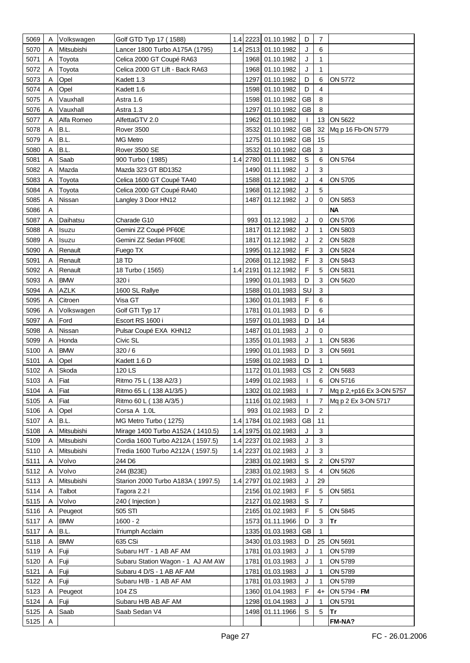| 5069 | Α | Volkswagen     | Golf GTD Typ 17 (1588)            |     |          | 1.4 2223 01.10.1982 | D            | $\overline{7}$ |                          |
|------|---|----------------|-----------------------------------|-----|----------|---------------------|--------------|----------------|--------------------------|
| 5070 | A | Mitsubishi     | Lancer 1800 Turbo A175A (1795)    |     |          | 1.4 2513 01.10.1982 | J            | 6              |                          |
| 5071 | A | Toyota         | Celica 2000 GT Coupé RA63         |     |          | 1968 01.10.1982     | J            | $\mathbf{1}$   |                          |
| 5072 | Α | Toyota         | Celica 2000 GT Lift - Back RA63   |     |          | 1968 01.10.1982     | J            | $\mathbf{1}$   |                          |
| 5073 | A | Opel           | Kadett 1.3                        |     | 1297     | 01.10.1982          | D            | 6              | ON 5772                  |
| 5074 | A | Opel           | Kadett 1.6                        |     | 1598     | 01.10.1982          | D            | 4              |                          |
| 5075 | A | Vauxhall       | Astra 1.6                         |     | 1598     | 01.10.1982          | <b>GB</b>    | 8              |                          |
| 5076 | A | Vauxhall       | Astra 1.3                         |     | 1297     | 01.10.1982          | <b>GB</b>    | 8              |                          |
| 5077 |   | Alfa Romeo     | AlfettaGTV 2.0                    |     | 1962     | 01.10.1982          | T            | 13             | ON 5622                  |
|      |   | B.L.           | <b>Rover 3500</b>                 |     | 3532     | 01.10.1982          | <b>GB</b>    | 32             | Mq p 16 Fb-ON 5779       |
| 5078 | A |                |                                   |     |          |                     |              |                |                          |
| 5079 | A | B.L.           | <b>MG Metro</b>                   |     |          | 1275 01.10.1982     | <b>GB</b>    | 15             |                          |
| 5080 | A | B.L.           | Rover 3500 SE                     |     |          | 3532 01.10.1982     | <b>GB</b>    | 3              |                          |
| 5081 | A | Saab           | 900 Turbo (1985)                  | 1.4 |          | 2780 01.11.1982     | $\mathsf S$  | 6              | ON 5764                  |
| 5082 | A | Mazda          | Mazda 323 GT BD1352               |     |          | 1490 01.11.1982     | J            | 3              |                          |
| 5083 | Α | Toyota         | Celica 1600 GT Coupé TA40         |     |          | 1588 01.12.1982     | J            | 4              | ON 5705                  |
| 5084 | Α | Toyota         | Celica 2000 GT Coupé RA40         |     |          | 1968 01.12.1982     | J            | 5              |                          |
| 5085 | A | Nissan         | Langley 3 Door HN12               |     | 1487     | 01.12.1982          | J            | $\mathbf 0$    | ON 5853                  |
| 5086 | Α |                |                                   |     |          |                     |              |                | <b>NA</b>                |
| 5087 | A | Daihatsu       | Charade G10                       |     | 993      | 01.12.1982          | J            | 0              | ON 5706                  |
| 5088 | Α | Isuzu          | Gemini ZZ Coupé PF60E             |     | 1817     | 01.12.1982          | J            | 1              | ON 5803                  |
| 5089 | A | Isuzu          | Gemini ZZ Sedan PF60E             |     | 1817     | 01.12.1982          | J            | $\overline{c}$ | ON 5828                  |
| 5090 |   | Renault        | Fuego TX                          |     |          | 1995 01.12.1982     | F            | 3              | ON 5824                  |
| 5091 | A | Renault        | 18 TD                             |     | 2068     | 01.12.1982          | F            | 3              | ON 5843                  |
| 5092 | A | Renault        | 18 Turbo (1565)                   |     |          | 1.4 2191 01.12.1982 | F            | 5              | ON 5831                  |
| 5093 | A | <b>BMW</b>     | 320 i                             |     |          | 1990 01.01.1983     | D            | 3              | ON 5620                  |
| 5094 | Α | <b>AZLK</b>    | 1600 SL Rallye                    |     |          | 1588 01.01.1983     | SU           | $\mathbf{3}$   |                          |
| 5095 | A | Citroen        | Visa GT                           |     |          | 1360 01.01.1983     | $\mathsf F$  | 6              |                          |
| 5096 | Α | Volkswagen     | Golf GTI Typ 17                   |     |          | 1781 01.01.1983     | D            | 6              |                          |
| 5097 | A | Ford           | Escort RS 1600 i                  |     | 1597     | 01.01.1983          | D            | 14             |                          |
| 5098 | Α | Nissan         | Pulsar Coupé EXA KHN12            |     | 1487     | 01.01.1983          | J            | 0              |                          |
| 5099 | A | Honda          | Civic SL                          |     | 1355     | 01.01.1983          | J            | 1              | ON 5836                  |
| 5100 | Α | <b>BMW</b>     | 320/6                             |     | 1990     | 01.01.1983          | D            | 3              | ON 5691                  |
| 5101 | A | Opel           | Kadett 1.6 D                      |     | 1598     | 01.02.1983          | D            | 1              |                          |
| 5102 | A | Skoda          | 120 LS                            |     | 1172     | 01.01.1983          | CS           | $\overline{2}$ | ON 5683                  |
| 5103 | Α | Fiat           | Ritmo 75 L (138 A2/3)             |     |          | 1499 01.02.1983     | T            | 6              | ON 5716                  |
| 5104 | Α | Fiat           | Ritmo 65 L (138 A1/3/5)           |     |          | 1302 01.02.1983     | $\mathbf{I}$ | 7              | Mq p 2,+p16 Ex 3-ON 5757 |
| 5105 | A | Fiat           | Ritmo 60 L (138 A/3/5)            |     |          | 1116 01.02.1983     | $\mathbf{I}$ | $\overline{7}$ | Mq p 2 Ex 3-ON 5717      |
| 5106 | Α | Opel           | Corsa A 1.0L                      |     | 993      | 01.02.1983          | D            | $\overline{2}$ |                          |
| 5107 | Α | B.L.           | MG Metro Turbo (1275)             |     |          | 1.4 1784 01.02.1983 | GB           | 11             |                          |
| 5108 | Α | Mitsubishi     | Mirage 1400 Turbo A152A (1410.5)  |     |          | 1.4 1975 01.02.1983 | J            | 3              |                          |
| 5109 | A | Mitsubishi     | Cordia 1600 Turbo A212A (1597.5)  |     | 1.4 2237 | 01.02.1983          | J            | $\mathbf{3}$   |                          |
| 5110 | A | Mitsubishi     | Tredia 1600 Turbo A212A (1597.5)  |     | 1.4 2237 | 01.02.1983          | J            | $\mathbf{3}$   |                          |
|      |   |                |                                   |     |          |                     |              |                |                          |
| 5111 | Α | Volvo<br>Volvo | 244 D6                            |     |          | 2383 01.02.1983     | $\mathsf S$  | $\overline{c}$ | ON 5797                  |
| 5112 | Α |                | 244 (B23E)                        |     |          | 2383 01.02.1983     | S            | 4              | ON 5626                  |
| 5113 | A | Mitsubishi     | Starion 2000 Turbo A183A (1997.5) |     |          | 1.4 2797 01.02.1983 | J            | 29             |                          |
| 5114 | Α | Talbot         | Tagora 2.2 l                      |     |          | 2156 01.02.1983     | F            | 5              | ON 5851                  |
| 5115 | Α | Volvo          | 240 (Injection)                   |     |          | 2127 01.02.1983     | $\mathbb S$  | $\overline{7}$ |                          |
| 5116 | A | Peugeot        | 505 STI                           |     |          | 2165 01.02.1983     | F            | 5              | ON 5845                  |
| 5117 | A | <b>BMW</b>     | $1600 - 2$                        |     |          | 1573 01.11.1966     | D            | $\mathbf{3}$   | Tr                       |
| 5117 | Α | B.L.           | Triumph Acclaim                   |     |          | 1335 01.03.1983     | <b>GB</b>    | $\mathbf{1}$   |                          |
| 5118 | A | <b>BMW</b>     | 635 CSi                           |     |          | 3430 01.03.1983     | D            | 25             | ON 5691                  |
| 5119 | Α | Fuji           | Subaru H/T - 1 AB AF AM           |     |          | 1781 01.03.1983     | J            | 1              | ON 5789                  |
| 5120 | A | Fuji           | Subaru Station Wagon - 1 AJ AM AW |     | 1781     | 01.03.1983          | J            | $\mathbf{1}$   | ON 5789                  |
| 5121 | Α | Fuji           | Subaru 4 D/S - 1 AB AF AM         |     | 1781     | 01.03.1983          | J            | 1              | ON 5789                  |
| 5122 | Α | Fuji           | Subaru H/B - 1 AB AF AM           |     | 1781     | 01.03.1983          | J            | 1              | ON 5789                  |
| 5123 | Α | Peugeot        | 104 ZS                            |     |          | 1360 01.04.1983     | F            | 4+             | ON 5794 - FM             |
| 5124 | A | Fuji           | Subaru H/B AB AF AM               |     |          | 1298 01.04.1983     | J            | 1              | ON 5791                  |
| 5125 |   | Saab           | Saab Sedan V4                     |     |          | 1498 01.11.1966     | S            | 5              | Tr                       |
| 5125 |   |                |                                   |     |          |                     |              |                | FM-NA?                   |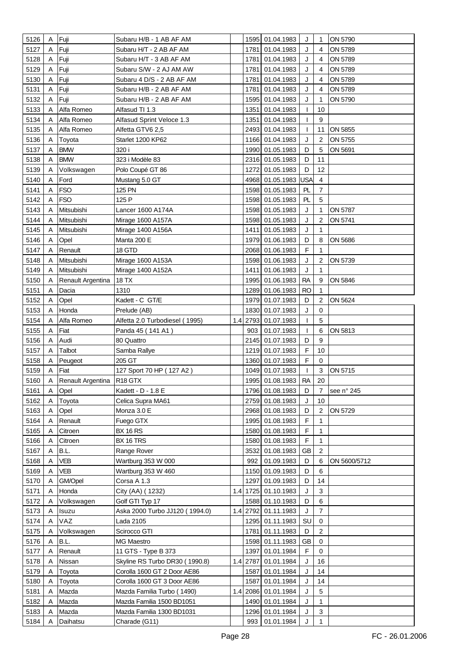| 5126 | Α | Fuji                      | Subaru H/B - 1 AB AF AM        |     |          | 1595 01.04.1983               | J            | 1                       | ON 5790      |
|------|---|---------------------------|--------------------------------|-----|----------|-------------------------------|--------------|-------------------------|--------------|
| 5127 | A | Fuji                      | Subaru H/T - 2 AB AF AM        |     | 1781     | 01.04.1983                    | J            | 4                       | ON 5789      |
| 5128 | A | Fuji                      | Subaru H/T - 3 AB AF AM        |     | 1781     | 01.04.1983                    | J            | 4                       | ON 5789      |
| 5129 | A | Fuji                      | Subaru S/W - 2 AJ AM AW        |     | 1781     | 01.04.1983                    | J            | 4                       | ON 5789      |
| 5130 | A | Fuji                      | Subaru 4 D/S - 2 AB AF AM      |     | 1781     | 01.04.1983                    | J            | 4                       | ON 5789      |
| 5131 | A | Fuji                      | Subaru H/B - 2 AB AF AM        |     | 1781     | 01.04.1983                    | J            | 4                       | ON 5789      |
| 5132 | A | Fuji                      | Subaru H/B - 2 AB AF AM        |     | 1595     | 01.04.1983                    | J            | 1                       | ON 5790      |
| 5133 | A | Alfa Romeo                | Alfasud TI 1.3                 |     | 1351     | 01.04.1983                    | T            | 10                      |              |
| 5134 | A | Alfa Romeo                | Alfasud Sprint Veloce 1.3      |     | 1351     | 01.04.1983                    | T            | 9                       |              |
| 5135 | A | Alfa Romeo                | Alfetta GTV6 2,5               |     | 2493     | 01.04.1983                    | T            | 11                      | ON 5855      |
| 5136 | Α | Toyota                    | Starlet 1200 KP62              |     |          | 1166 01.04.1983               | J            | $\overline{2}$          | ON 5755      |
| 5137 | A | <b>BMW</b>                | 320 i                          |     | 1990     | 01.05.1983                    | D            | 5                       | ON 5691      |
| 5138 | A | <b>BMW</b>                | 323 i Modèle 83                |     |          | 2316 01.05.1983               | D            | 11                      |              |
|      |   |                           |                                |     | 1272     |                               | D            | 12                      |              |
| 5139 | Α | Volkswagen                | Polo Coupé GT 86               |     |          | 01.05.1983                    |              |                         |              |
| 5140 | Α | Ford                      | Mustang 5.0 GT                 |     | 4968     | 01.05.1983 USA                |              | $\overline{\mathbf{4}}$ |              |
| 5141 | Α | <b>FSO</b>                | 125 PN                         |     |          | 1598 01.05.1983               | PL           | 7                       |              |
| 5142 | A | <b>FSO</b>                | 125 P                          |     |          | 1598 01.05.1983               | PL           | 5                       |              |
| 5143 | A | Mitsubishi                | Lancer 1600 A174A              |     |          | 1598 01.05.1983               | J            | 1                       | ON 5787      |
| 5144 | A | Mitsubishi                | Mirage 1600 A157A              |     |          | 1598 01.05.1983               | J            | $\overline{2}$          | ON 5741      |
| 5145 | Α | Mitsubishi                | Mirage 1400 A156A              |     | 1411     | 01.05.1983                    | J            | 1                       |              |
| 5146 | Α | Opel                      | Manta 200 E                    |     |          | 1979 01.06.1983               | D            | 8                       | ON 5686      |
| 5147 | Α | Renault                   | 18 GTD                         |     |          | 2068 01.06.1983               | F            | 1                       |              |
| 5148 | Α | Mitsubishi                | Mirage 1600 A153A              |     | 1598     | 01.06.1983                    | J            | $\overline{2}$          | ON 5739      |
| 5149 | A | Mitsubishi                | Mirage 1400 A152A              |     | 1411     | 01.06.1983                    | J            | 1                       |              |
| 5150 | A | Renault Argentina         | 18 TX                          |     | 1995     | 01.06.1983                    | <b>RA</b>    | 9                       | ON 5846      |
| 5151 | Α | Dacia                     | 1310                           |     |          | 1289 01.06.1983               | <b>RO</b>    | 1                       |              |
| 5152 | Α | Opel                      | Kadett - C GT/E                |     |          | 1979 01.07.1983               | D            | $\overline{\mathbf{c}}$ | ON 5624      |
| 5153 | Α | Honda                     | Prelude (AB)                   |     |          | 1830 01.07.1983               | J            | 0                       |              |
| 5154 | A | Alfa Romeo                | Alfetta 2.0 Turbodiesel (1995) |     |          | 1.4 2793 01.07.1983           | $\mathbf{I}$ | 5                       |              |
| 5155 | Α | Fiat                      | Panda 45 (141 A1)              |     | 903      | 01.07.1983                    | T            | 6                       | ON 5813      |
| 5156 | Α | Audi                      | 80 Quattro                     |     | 2145     | 01.07.1983                    | D            | 9                       |              |
| 5157 | A | Talbot                    | Samba Rallye                   |     |          | 1219 01.07.1983               | F            | 10                      |              |
| 5158 | A | Peugeot                   | 205 GT                         |     |          | 1360 01.07.1983               | F            | 0                       |              |
| 5159 |   | Fiat                      | 127 Sport 70 HP (127 A2)       |     |          | 1049 01.07.1983               | ı            | 3                       | ON 5715      |
| 5160 |   | Renault Argentina R18 GTX |                                |     |          | 1995 01.08.1983               | <b>RA</b>    | 20                      |              |
| 5161 | A | Opel                      | Kadett - D - 1.8 E             |     |          | 1796 01.08.1983               | D            | 7                       | see n° 245   |
| 5162 | A | Toyota                    | Celica Supra MA61              |     | 2759     | 01.08.1983                    | J            | 10                      |              |
| 5163 | Α | Opel                      | Monza 3.0 E                    |     |          | 2968 01.08.1983               | D            | $\overline{2}$          | ON 5729      |
| 5164 | A | Renault                   | Fuego GTX                      |     | 1995     | 01.08.1983                    | F            | 1.                      |              |
| 5165 | A | Citroen                   | <b>BX 16 RS</b>                |     | 1580     | 01.08.1983                    | F            | 1                       |              |
| 5166 | A | Citroen                   | BX 16 TRS                      |     | 1580     | 01.08.1983                    | F            | 1                       |              |
| 5167 |   | B.L.                      | Range Rover                    |     | 3532     | 01.08.1983                    | <b>GB</b>    | $\overline{2}$          |              |
| 5168 | Α | VEB                       | Wartburg 353 W 000             |     | 992      | 01.09.1983                    | D            | 6                       | ON 5600/5712 |
|      |   |                           |                                |     |          |                               | D            |                         |              |
| 5169 | A | VEB                       | Wartburg 353 W 460             |     |          | 1150 01.09.1983<br>01.09.1983 | D            | 6<br>14                 |              |
| 5170 | A | GM/Opel                   | Corsa A 1.3                    |     | 1297     |                               |              |                         |              |
| 5171 | Α | Honda                     | City (AA) (1232)               | 1.4 | 1725     | 01.10.1983                    | J            | 3                       |              |
| 5172 | Α | Volkswagen                | Golf GTI Typ 17                |     | 1588     | 01.10.1983                    | D            | 6                       |              |
| 5173 | A | Isuzu                     | Aska 2000 Turbo JJ120 (1994.0) |     | 1.4 2792 | 01.11.1983                    | J            | 7                       |              |
| 5174 | Α | VAZ                       | Lada 2105                      |     | 1295     | 01.11.1983                    | SU           | 0                       |              |
| 5175 | Α | Volkswagen                | Scirocco GTI                   |     | 1781     | 01.11.1983                    | D            | $\overline{c}$          |              |
| 5176 | Α | B.L.                      | MG Maestro                     |     | 1598     | 01.11.1983                    | <b>GB</b>    | 0                       |              |
| 5177 | Α | Renault                   | 11 GTS - Type B 373            |     | 1397     | 01.01.1984                    | F            | 0                       |              |
| 5178 | A | Nissan                    | Skyline RS Turbo DR30 (1990.8) |     | 1.4 2787 | 01.01.1984                    | J            | 16                      |              |
| 5179 | A | Toyota                    | Corolla 1600 GT 2 Door AE86    |     | 1587     | 01.01.1984                    | J            | 14                      |              |
| 5180 | A | Toyota                    | Corolla 1600 GT 3 Door AE86    |     | 1587     | 01.01.1984                    | J            | 14                      |              |
| 5181 | A | Mazda                     | Mazda Familia Turbo (1490)     |     | 1.4 2086 | 01.01.1984                    | J            | 5                       |              |
| 5182 | A | Mazda                     | Mazda Familia 1500 BD1051      |     | 1490     | 01.01.1984                    | J            | 1                       |              |
| 5183 | Α | Mazda                     | Mazda Familia 1300 BD1031      |     |          | 1296 01.01.1984               | J            | 3                       |              |
| 5184 | Α | Daihatsu                  | Charade (G11)                  |     |          | 993 01.01.1984                | J            | 1                       |              |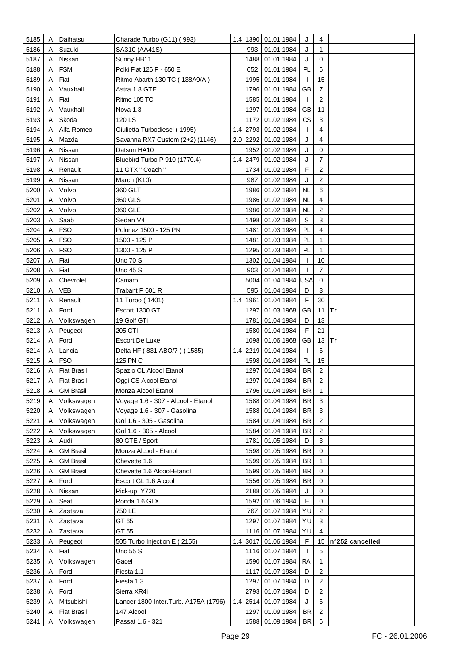| 5185 | Α | Daihatsu           | Charade Turbo (G11) (993)             |     |      | 1.4 1390 01.01.1984 | J         | 4                       |                 |
|------|---|--------------------|---------------------------------------|-----|------|---------------------|-----------|-------------------------|-----------------|
| 5186 | Α | Suzuki             | SA310 (AA41S)                         |     | 993  | 01.01.1984          | J         | 1                       |                 |
| 5187 | A | Nissan             | Sunny HB11                            |     |      | 1488 01.01.1984     | J         | $\mathbf 0$             |                 |
| 5188 | A | <b>FSM</b>         | Polki Fiat 126 P - 650 E              |     | 652  | 01.01.1984          | PL        | 6                       |                 |
| 5189 | Α | Fiat               | Ritmo Abarth 130 TC (138A9/A)         |     | 1995 | 01.01.1984          | T         | 15                      |                 |
| 5190 | A | Vauxhall           | Astra 1.8 GTE                         |     |      | 1796 01.01.1984     | GB        | $\overline{7}$          |                 |
| 5191 | A | Fiat               | Ritmo 105 TC                          |     |      | 1585 01.01.1984     | T         | 2                       |                 |
| 5192 | A | Vauxhall           | Nova 1.3                              |     | 1297 | 01.01.1984          | <b>GB</b> | 11                      |                 |
| 5193 | A | Skoda              | 120 LS                                |     | 1172 | 01.02.1984          | CS        | 3                       |                 |
|      | A | Alfa Romeo         | Giulietta Turbodiesel (1995)          |     |      |                     |           | 4                       |                 |
| 5194 |   |                    |                                       |     |      | 1.4 2793 01.02.1984 | T         |                         |                 |
| 5195 | A | Mazda              | Savanna RX7 Custom (2+2) (1146)       |     |      | 2.0 2292 01.02.1984 | J         | 4                       |                 |
| 5196 | A | Nissan             | Datsun HA10                           |     |      | 1952 01.02.1984     | J         | $\mathbf 0$             |                 |
| 5197 | A | Nissan             | Bluebird Turbo P 910 (1770.4)         |     |      | 1.4 2479 01.02.1984 | J         | 7                       |                 |
| 5198 |   | Renault            | 11 GTX " Coach "                      |     |      | 1734 01.02.1984     | F         | $\overline{2}$          |                 |
| 5199 | A | Nissan             | March (K10)                           |     | 987  | 01.02.1984          | J         | 2                       |                 |
| 5200 | A | Volvo              | 360 GLT                               |     |      | 1986 01.02.1984     | NL        | 6                       |                 |
| 5201 | A | Volvo              | 360 GLS                               |     |      | 1986 01.02.1984     | NL        | 4                       |                 |
| 5202 | Α | Volvo              | 360 GLE                               |     |      | 1986 01.02.1984     | NL        | $\overline{2}$          |                 |
| 5203 | Α | Saab               | Sedan V4                              |     |      | 1498 01.02.1984     | S         | 3                       |                 |
| 5204 | Α | <b>FSO</b>         | Polonez 1500 - 125 PN                 |     |      | 1481 01.03.1984     | PL        | 4                       |                 |
| 5205 | Α | <b>FSO</b>         | 1500 - 125 P                          |     |      | 1481 01.03.1984     | PL        | $\mathbf{1}$            |                 |
| 5206 | Α | <b>FSO</b>         | 1300 - 125 P                          |     |      | 1295 01.03.1984     | PL        | 1                       |                 |
| 5207 | Α | Fiat               | Uno 70 S                              |     | 1302 | 01.04.1984          | T         | 10                      |                 |
| 5208 | A | Fiat               | Uno 45 S                              |     | 903  | 01.04.1984          | T         | 7                       |                 |
| 5209 | A | Chevrolet          | Camaro                                |     |      | 5004 01.04.1984 USA |           | $\mathbf 0$             |                 |
| 5210 | A | VEB                | Trabant P 601 R                       |     | 595  | 01.04.1984          | D         | 3                       |                 |
| 5211 | Α | Renault            | 11 Turbo (1401)                       |     |      | 1.4 1961 01.04.1984 | F         | 30                      |                 |
| 5211 | Α | Ford               | Escort 1300 GT                        |     |      | 1297 01.03.1968     | <b>GB</b> | 11 $Tr$                 |                 |
| 5212 | A | Volkswagen         | 19 Golf GTi                           |     |      | 1781 01.04.1984     | D         | 13                      |                 |
| 5213 | Α | Peugeot            | 205 GTI                               |     |      | 1580 01.04.1984     | F         | 21                      |                 |
| 5214 | Α | Ford               | <b>Escort De Luxe</b>                 |     |      | 1098 01.06.1968     | <b>GB</b> | 13                      | Tr              |
| 5214 | A | Lancia             | Delta HF (831 ABO/7) (1585)           |     |      | 1.4 2219 01.04.1984 | -1        | 6                       |                 |
| 5215 | A | <b>FSO</b>         | 125 PN C                              |     |      | 1598 01.04.1984     | PL        | 15                      |                 |
| 5216 |   | <b>Fiat Brasil</b> | Spazio CL Alcool Etanol               |     | 1297 | 01.04.1984          | <b>BR</b> | 2                       |                 |
| 5217 | Α | <b>Fiat Brasil</b> | Oggi CS Alcool Etanol                 |     |      | 1297 01.04.1984     | <b>BR</b> | 2                       |                 |
| 5218 | A | <b>GM Brasil</b>   | Monza Alcool Etanol                   |     |      | 1796 01.04.1984     | BR        | 1                       |                 |
| 5219 | A | Volkswagen         | Voyage 1.6 - 307 - Alcool - Etanol    |     |      | 1588 01.04.1984     | <b>BR</b> | 3                       |                 |
| 5220 | Α | Volkswagen         | Voyage 1.6 - 307 - Gasolina           |     |      | 1588 01.04.1984     | BR        | 3                       |                 |
|      |   | Volkswagen         | Gol 1.6 - 305 - Gasolina              |     |      | 1584 01.04.1984     | <b>BR</b> | $\overline{\mathbf{c}}$ |                 |
| 5221 | Α |                    | Gol 1.6 - 305 - Alcool                |     |      |                     |           | 2                       |                 |
| 5222 | A | Volkswagen         |                                       |     |      | 1584 01.04.1984     | <b>BR</b> |                         |                 |
| 5223 | Α | Audi               | 80 GTE / Sport                        |     | 1781 | 01.05.1984          | D         | 3                       |                 |
| 5224 | A | <b>GM Brasil</b>   | Monza Alcool - Etanol                 |     |      | 1598 01.05.1984     | <b>BR</b> | 0                       |                 |
| 5225 | A | <b>GM Brasil</b>   | Chevette 1.6                          |     |      | 1599 01.05.1984     | <b>BR</b> | 1                       |                 |
| 5226 | A | <b>GM Brasil</b>   | Chevette 1.6 Alcool-Etanol            |     |      | 1599 01.05.1984     | <b>BR</b> | 0                       |                 |
| 5227 | A | Ford               | Escort GL 1.6 Alcool                  |     |      | 1556 01.05.1984     | <b>BR</b> | 0                       |                 |
| 5228 | Α | Nissan             | Pick-up Y720                          |     |      | 2188 01.05.1984     | J         | 0                       |                 |
| 5229 | A | Seat               | Ronda 1.6 GLX                         |     | 1592 | 01.06.1984          | E         | 0                       |                 |
| 5230 | A | Zastava            | 750 LE                                |     | 767  | 01.07.1984          | YU        | 2                       |                 |
| 5231 | A | Zastava            | GT 65                                 |     | 1297 | 01.07.1984          | YU        | 3                       |                 |
| 5232 | Α | Zastava            | GT 55                                 |     |      | 1116 01.07.1984     | YU        | 4                       |                 |
| 5233 | A | Peugeot            | 505 Turbo Injection E (2155)          |     |      | 1.4 3017 01.06.1984 | F         | 15                      | n°252 cancelled |
| 5234 | Α | Fiat               | Uno 55 S                              |     |      | 1116 01.07.1984     | T         | 5                       |                 |
| 5235 | A | Volkswagen         | Gacel                                 |     |      | 1590 01.07.1984     | <b>RA</b> | 1                       |                 |
| 5236 | Α | Ford               | Fiesta 1.1                            |     | 1117 | 01.07.1984          | D         | 2                       |                 |
| 5237 | Α | Ford               | Fiesta 1.3                            |     | 1297 | 01.07.1984          | D         | 2                       |                 |
| 5238 | A | Ford               | Sierra XR4i                           |     |      | 2793 01.07.1984     | D         | 2                       |                 |
| 5239 | A | Mitsubishi         | Lancer 1800 Inter. Turb. A175A (1796) | 1.4 |      | 2514 01.07.1984     | J         | 6                       |                 |
|      |   |                    |                                       |     |      |                     |           |                         |                 |
| 5240 |   | <b>Fiat Brasil</b> | 147 Alcool                            |     | 1297 | 01.09.1984          | <b>BR</b> | 2                       |                 |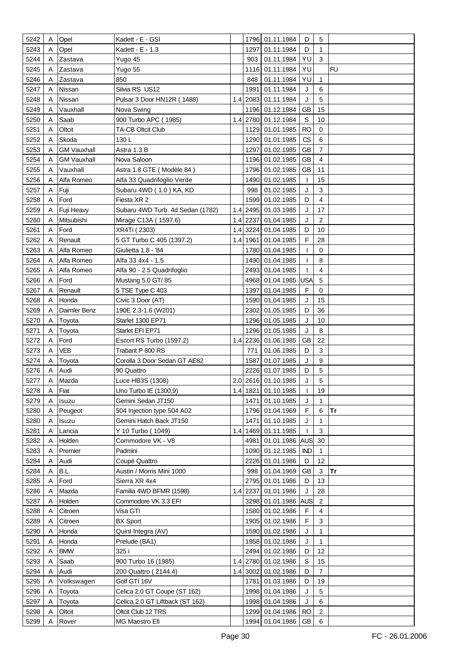| 5242 | Α | Opel               | Kadett - E - GSI                 |     |          | 1796 01.11.1984     | D            | 5                       |           |
|------|---|--------------------|----------------------------------|-----|----------|---------------------|--------------|-------------------------|-----------|
| 5243 | Α | Opel               | Kadett - E - 1.3                 |     | 1297     | 01.11.1984          | D            | 1                       |           |
| 5244 | A | Zastava            | Yugo 45                          |     | 903      | 01.11.1984          | YU           | 3                       |           |
| 5245 | A | Zastava            | Yugo 55                          |     |          | 1116 01.11.1984     | YU           |                         | <b>FU</b> |
| 5246 | A |                    | 850                              |     | 848      | 01.11.1984          | YU           | 1                       |           |
|      |   | Zastava            |                                  |     |          |                     |              | 6                       |           |
| 5247 | Α | Nissan             | Silvia RS US12                   |     | 1991     | 01.11.1984          | J            |                         |           |
| 5248 | A | Nissan             | Pulsar 3 Door HN12R (1488)       | 1.4 | 2083     | 01.11.1984          | J            | 5                       |           |
| 5249 | Α | Vauxhall           | Nova Swing                       |     |          | 1196 01.12.1984     | GВ           | 15                      |           |
| 5250 | A | Saab               | 900 Turbo APC (1985)             | 1.4 |          | 2780 01.12.1984     | S            | 10                      |           |
| 5251 | A | Oltcit             | <b>TA-CB Oltcit Club</b>         |     |          | 1129 01.01.1985     | RO           | 0                       |           |
| 5252 | A | Skoda              | 130L                             |     |          | 1290 01.01.1985     | CS           | 6                       |           |
| 5253 | A | <b>GM Vauxhall</b> | Astra 1.3 B                      |     | 1297     | 01.02.1985          | GB           | $\overline{7}$          |           |
| 5254 | A | GM Vauxhall        | Nova Saloon                      |     |          | 1196 01.02.1985     | <b>GB</b>    | 4                       |           |
| 5255 | A | Vauxhall           | Astra 1.8 GTE (Modèle 84)        |     |          | 1796 01.02.1985     | <b>GB</b>    | 11                      |           |
| 5256 | A | Alfa Romeo         | Alfa 33 Quadrifoglio Verde       |     |          | 1490 01.02.1985     | T            | 15                      |           |
| 5257 | Α | Fuji               | Subaru 4WD (1.0) KA, KD          |     | 998      | 01.02.1985          | J            | 3                       |           |
| 5258 | A | Ford               | Fiesta XR 2                      |     | 1599     | 01.02.1985          | D            | $\overline{\mathbf{4}}$ |           |
| 5259 | A | Fuji Heavy         | Subaru 4WD Turb. 4d Sedan (1782) | 1.4 |          | 2495 01.03.1985     | J            | 17                      |           |
| 5260 |   | Mitsubishi         | Mirage C13A (1597.6)             |     | 1.4 2237 | 01.04.1985          | J            | $\overline{c}$          |           |
| 5261 | A | Ford               | XR4Ti (2303)                     |     |          | 1.4 3224 01.04.1985 | D            | 10                      |           |
| 5262 | A | Renault            | 5 GT Turbo C 405 (1397.2)        | 1.4 | 1961     | 01.04.1985          | F            | 28                      |           |
| 5263 | A | Alfa Romeo         | Giulietta 1.8 - '84              |     |          | 1780 01.04.1985     | T            | $\mathbf 0$             |           |
| 5264 |   | Alfa Romeo         | Alfa 33 4x4 - 1.5                |     |          | 1490 01.04.1985     |              | 8                       |           |
|      |   |                    |                                  |     |          |                     |              | 4                       |           |
| 5265 | A | Alfa Romeo         | Alfa 90 - 2.5 Quadrifoglio       |     |          | 2493 01.04.1985     | T            |                         |           |
| 5266 | A | Ford               | Mustang 5.0 GT/85                |     |          | 4968 01.04.1985     | <b>USA</b>   | 5                       |           |
| 5267 | A | Renault            | 5 TSE Type C 403                 |     |          | 1397 01.04.1985     | F            | 0                       |           |
| 5268 | A | Honda              | Civic 3 Door (AT)                |     |          | 1590 01.04.1985     | J            | 15                      |           |
| 5269 | A | Daimler Benz       | 190E 2.3-1.6 (W201)              |     | 2302     | 01.05.1985          | D            | 36                      |           |
| 5270 | A | Toyota             | Starlet 1300 EP71                |     |          | 1296 01.05.1985     | J            | 10                      |           |
| 5271 | A | Toyota             | Starlet EFI EP71                 |     |          | 1296 01.05.1985     | J            | 8                       |           |
| 5272 | A | Ford               | Escort RS Turbo (1597.2)         | 1.4 |          | 2236 01.06.1985     | <b>GB</b>    | 22                      |           |
| 5273 | A | VEB                | Trabant P 800 RS                 |     | 771      | 01.06.1985          | D            | 3                       |           |
| 5274 | A | Tovota             | Corolla 3 Door Sedan GT AE82     |     | 1587     | 01.07.1985          | J            | 9                       |           |
| 5276 | A | Audi               | 90 Quattro                       |     |          | 2226 01.07.1985     | D            | 5                       |           |
| 5277 | Α | Mazda              | Luce HB3S (1308)                 |     |          | 2.0 2616 01.10.1985 | J            | 5                       |           |
| 5278 | Α | Fiat               | Uno Turbo IE (1300,9)            |     |          | 1.4 1821 01.10.1985 | $\mathbf{I}$ | 19                      |           |
| 5279 | A | Isuzu              | Gemini Sedan JT150               |     | 1471     | 01.10.1985          | J            | $\mathbf{1}$            |           |
| 5280 | Α | Peugeot            | 504 Injection type 504 A02       |     |          | 1796 01.04.1969     | F            | 6                       | <b>Tr</b> |
| 5280 | A | Isuzu              | Gemini Hatch Back JT150          |     | 1471     | 01.10.1985          | J            | 1                       |           |
| 5281 | Α | Lancia             | Y 10 Turbo (1049)                | 1.4 | 1469     | 01.11.1985          | T            | 3                       |           |
| 5282 | A | Holden             | Commodore VK - V8                |     | 4981     | 01.01.1986 AUS      |              | 30                      |           |
| 5283 | A | Premier            | Padmini                          |     | 1090     | 01.12.1985          | <b>IND</b>   | $\mathbf{1}$            |           |
| 5284 | A |                    | Coupé Quattro                    |     |          | 2226 01.01.1986     | D            | 12                      |           |
|      | A | Audi               |                                  |     |          | 01.04.1969          |              | 3                       | Tr        |
| 5284 |   | B.L.               | Austin / Morris Mini 1000        |     | 998      |                     | <b>GB</b>    |                         |           |
| 5285 | A | Ford               | Sierra XR 4x4                    |     |          | 2795 01.01.1986     | D            | 13                      |           |
| 5286 | A | Mazda              | Familia 4WD BFMR (1598)          | 1.4 | 2237     | 01.01.1986          | J            | 28                      |           |
| 5287 |   | Holden             | Commodore VK 3.3 EFI             |     |          | 3298 01.01.1986 AUS |              | $\overline{c}$          |           |
| 5288 | Α | Citroen            | Visa GTI                         |     |          | 1580 01.02.1986     | F            | 4                       |           |
| 5289 | A | Citroen            | <b>BX Sport</b>                  |     |          | 1905 01.02.1986     | F            | 3                       |           |
| 5290 | A | Honda              | Quint Integra (AV)               |     |          | 1590 01.02.1986     | J            | $\mathbf{1}$            |           |
| 5291 | A | Honda              | Prelude (BA1)                    |     |          | 1958 01.02.1986     | J            | 1                       |           |
| 5292 | A | <b>BMW</b>         | 325 i                            |     |          | 2494 01.02.1986     | D            | 12                      |           |
| 5293 | A | Saab               | 900 Turbo 16 (1985)              |     |          | 1.4 2780 01.02.1986 | S            | 15                      |           |
| 5294 | A | Audi               | 200 Quattro (2144.4)             |     | 1.4 3002 | 01.02.1986          | D            | $\overline{7}$          |           |
| 5295 | Α | Volkswagen         | Golf GTI 16V                     |     | 1781     | 01.03.1986          | D            | 19                      |           |
| 5296 | A | Toyota             | Celica 2.0 GT Coupe (ST 162)     |     | 1998     | 01.04.1986          | J            | 5                       |           |
| 5297 | A | Toyota             | Celica 2.0 GT Liftback (ST 162)  |     |          | 1998 01.04.1986     | J            | 6                       |           |
| 5298 | A | Oltcit             | Oltcit Club 12 TRS               |     |          | 1299 01.04.1986     | RO           | $\overline{2}$          |           |
| 5299 | A | Rover              | MG Maestro Efi                   |     |          | 1994 01.04.1986 GB  |              | 6                       |           |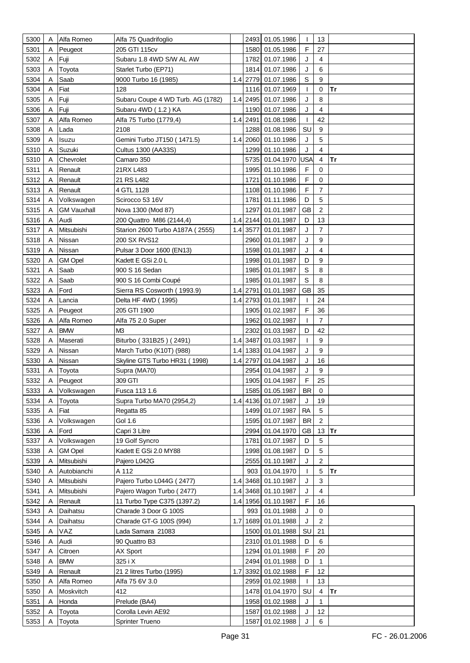| 5300 | Α | Alfa Romeo         | Alfa 75 Quadrifoglio              |     |          | 2493 01.05.1986     | $\mathbf{I}$ | 13              |           |
|------|---|--------------------|-----------------------------------|-----|----------|---------------------|--------------|-----------------|-----------|
| 5301 | A | Peugeot            | 205 GTI 115cv                     |     | 1580     | 01.05.1986          | F            | 27              |           |
| 5302 | A | Fuji               | Subaru 1.8 4WD S/W AL AW          |     | 1782     | 01.07.1986          | J            | 4               |           |
| 5303 | A | Toyota             | Starlet Turbo (EP71)              |     | 1814     | 01.07.1986          | J            | 6               |           |
| 5304 | Α | Saab               | 9000 Turbo 16 (1985)              |     | 1.4 2779 | 01.07.1986          | $\mathbb S$  | 9               |           |
| 5304 | A | Fiat               | 128                               |     | 1116     | 01.07.1969          | T            | 0               | <b>Tr</b> |
| 5305 | A | Fuji               | Subaru Coupe 4 WD Turb. AG (1782) |     | 1.4 2495 | 01.07.1986          | J            | 8               |           |
|      |   |                    |                                   |     |          |                     |              | 4               |           |
| 5306 | A | Fuji               | Subaru 4WD (1.2) KA               |     | 1190     | 01.07.1986          | J            |                 |           |
| 5307 | A | Alfa Romeo         | Alfa 75 Turbo (1779,4)            |     | 1.4 2491 | 01.08.1986          | $\mathbf{I}$ | 42              |           |
| 5308 | Α | Lada               | 2108                              |     | 1288     | 01.08.1986          | SU           | 9               |           |
| 5309 | A | Isuzu              | Gemini Turbo JT150 (1471.5)       |     | 1.4 2060 | 01.10.1986          | J            | 5               |           |
| 5310 | A | Suzuki             | Cultus 1300 (AA33S)               |     | 1299     | 01.10.1986          | J            | 4               |           |
| 5310 | A | Chevrolet          | Camaro 350                        |     | 5735     | 01.04.1970 USA      |              | 4               | <b>Tr</b> |
| 5311 | Α | Renault            | 21RX L483                         |     | 1995     | 01.10.1986          | F            | $\Omega$        |           |
| 5312 | Α | Renault            | 21 RS L482                        |     | 1721     | 01.10.1986          | $\mathsf F$  | 0               |           |
| 5313 | A | Renault            | 4 GTL 1128                        |     | 1108     | 01.10.1986          | F            | 7               |           |
| 5314 | A | Volkswagen         | Scirocco 53 16V                   |     | 1781     | 01.11.1986          | D            | 5               |           |
| 5315 | Α | <b>GM Vauxhall</b> | Nova 1300 (Mod 87)                |     | 1297     | 01.01.1987          | <b>GB</b>    | $\overline{c}$  |           |
| 5316 | Α | Audi               | 200 Quattro M86 (2144,4)          |     |          | 1.4 2144 01.01.1987 | D            | 13              |           |
| 5317 | Α | Mitsubishi         | Starion 2600 Turbo A187A (2555)   |     | 1.4 3577 | 01.01.1987          | J            | $\overline{7}$  |           |
| 5318 | A | Nissan             | 200 SX RVS12                      |     | 2960     | 01.01.1987          | J            | 9               |           |
| 5319 | Α | Nissan             | Pulsar 3 Door 1600 (EN13)         |     | 1598     | 01.01.1987          | J            | 4               |           |
| 5320 | Α | <b>GM Opel</b>     | Kadett E GSi 2.0 L                |     | 1998     | 01.01.1987          | D            | 9               |           |
| 5321 | Α | Saab               | 900 S 16 Sedan                    |     | 1985     | 01.01.1987          | $\mathbb S$  | 8               |           |
| 5322 | A | Saab               | 900 S 16 Combi Coupé              |     | 1985     | 01.01.1987          | S            | 8               |           |
| 5323 | Α | Ford               | Sierra RS Cosworth (1993.9)       |     | 1.4 2791 | 01.01.1987          | <b>GB</b>    | 35              |           |
| 5324 | Α | Lancia             | Delta HF 4WD (1995)               |     | 1.4 2793 | 01.01.1987          | T            | 24              |           |
| 5325 | Α | Peugeot            | 205 GTI 1900                      |     |          | 1905 01.02.1987     | F            | 36              |           |
|      |   |                    |                                   |     | 1962     |                     | T            | $\overline{7}$  |           |
| 5326 | Α | Alfa Romeo         | Alfa 75 2.0 Super                 |     |          | 01.02.1987          |              |                 |           |
| 5327 | Α | <b>BMW</b>         | M <sub>3</sub>                    |     | 2302     | 01.03.1987          | D            | 42              |           |
| 5328 | Α | Maserati           | Biturbo (331B25) (2491)           |     | 1.4 3487 | 01.03.1987          | T            | 9               |           |
| 5329 | A | Nissan             | March Turbo (K10T) (988)          |     | 1.4 1383 | 01.04.1987          | J            | 9               |           |
| 5330 | A | Nissan             | Skyline GTS Turbo HR31 (1998)     |     | 1.4 2797 | 01.04.1987          | J            | 16              |           |
| 5331 |   | Toyota             | Supra (MA70)                      |     | 2954     | 01.04.1987          | J            | 9               |           |
| 5332 | Α | Peugeot            | 309 GTI                           |     |          | 1905 01.04.1987     | F            | 25              |           |
| 5333 | A | Volkswagen         | Fusca 113 1.6                     |     |          | 1585 01.05.1987     | BR           | 0               |           |
| 5334 | A | Toyota             | Supra Turbo MA70 (2954,2)         | 1.4 |          | 4136 01.07.1987     | J            | 19              |           |
| 5335 | Α | Fiat               | Regatta 85                        |     |          | 1499 01.07.1987     | <b>RA</b>    | $5\phantom{.0}$ |           |
| 5336 | Α | Volkswagen         | Gol 1.6                           |     |          | 1595 01.07.1987     | <b>BR</b>    | $\overline{c}$  |           |
| 5336 | A | Ford               | Capri 3 Litre                     |     | 2994     | 01.04.1970          | GB           | 13              | Tr        |
| 5337 | Α | Volkswagen         | 19 Golf Syncro                    |     | 1781     | 01.07.1987          | D            | 5               |           |
| 5338 |   | <b>GM Opel</b>     | Kadett E GSi 2.0 MY88             |     | 1998     | 01.08.1987          | D            | 5               |           |
| 5339 | A | Mitsubishi         | Pajero L042G                      |     | 2555     | 01.10.1987          | J            | $\overline{c}$  |           |
| 5340 | A | Autobianchi        | A 112                             |     | 903      | 01.04.1970          | T            | 5               | lTr       |
| 5340 | A | Mitsubishi         | Pajero Turbo L044G (2477)         |     | 1.4 3468 | 01.10.1987          | J            | 3               |           |
| 5341 | Α | Mitsubishi         | Pajero Wagon Turbo (2477)         |     |          | 1.4 3468 01.10.1987 | J            | $\overline{4}$  |           |
| 5342 | A | Renault            | 11 Turbo Type C375 (1397.2)       |     | 1.4 1956 | 01.10.1987          | F            | 16              |           |
| 5343 | A | Daihatsu           | Charade 3 Door G 100S             |     | 993      | 01.01.1988          | J            | 0               |           |
| 5344 | A | Daihatsu           | Charade GT-G 100S (994)           | 1.7 | 1689     | 01.01.1988          | J            | $\overline{2}$  |           |
| 5345 | Α | VAZ                | Lada Samara 21083                 |     | 1500     | 01.01.1988          | SU           | 21              |           |
| 5346 | Α | Audi               | 90 Quattro B3                     |     |          | 2310 01.01.1988     | D            | 6               |           |
| 5347 | A | Citroen            | AX Sport                          |     |          | 1294 01.01.1988     | F            | 20              |           |
| 5348 | A | <b>BMW</b>         | 325 i X                           |     | 2494     | 01.01.1988          | D            | $\mathbf{1}$    |           |
| 5349 | Α | Renault            | 21 2 litres Turbo (1995)          | 1.7 | 3392     | 01.02.1988          | F            | 12              |           |
| 5350 | A | Alfa Romeo         | Alfa 75 6V 3.0                    |     | 2959     | 01.02.1988          | T            | 13              |           |
| 5350 | A | Moskvitch          | 412                               |     |          | 1478 01.04.1970     | SU           | 4               | Tr        |
| 5351 | A | Honda              | Prelude (BA4)                     |     | 1958     | 01.02.1988          | J            | 1               |           |
|      |   |                    |                                   |     |          |                     |              |                 |           |
| 5352 | Α | Toyota             | Corolla Levin AE92                |     | 1587     | 01.02.1988          | J            | 12              |           |
| 5353 | Α | Toyota             | Sprinter Trueno                   |     |          | 1587 01.02.1988     | J            | $\,6\,$         |           |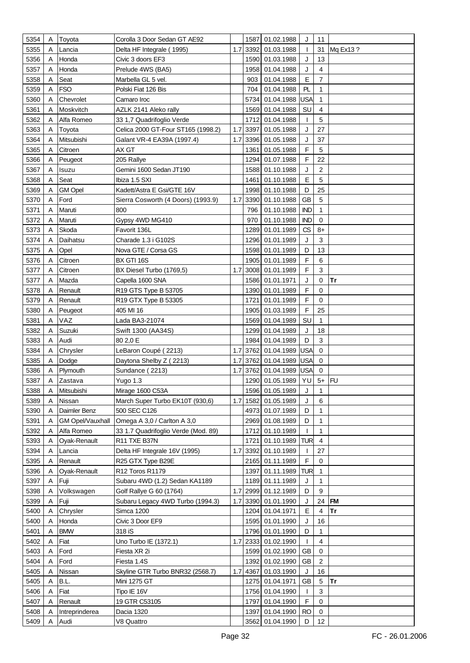| 5354 | Α | Toyota                  | Corolla 3 Door Sedan GT AE92        |     |      | 1587 01.02.1988     | J            | 11             |              |
|------|---|-------------------------|-------------------------------------|-----|------|---------------------|--------------|----------------|--------------|
| 5355 | A | Lancia                  | Delta HF Integrale (1995)           | 1.7 |      | 3392 01.03.1988     | T            |                | 31 Mq Ex13 ? |
| 5356 | A | Honda                   | Civic 3 doors EF3                   |     |      | 1590 01.03.1988     | J            | 13             |              |
| 5357 | Α | Honda                   | Prelude 4WS (BA5)                   |     |      | 1958 01.04.1988     | J            | 4              |              |
| 5358 | Α | Seat                    | Marbella GL 5 vel.                  |     | 903  | 01.04.1988          | E            | $\overline{7}$ |              |
| 5359 | Α | <b>FSO</b>              | Polski Fiat 126 Bis                 |     | 704  | 01.04.1988          | PL           | 1              |              |
| 5360 | A | Chevrolet               | Camaro Iroc                         |     | 5734 | 01.04.1988          | USA          | $\mathbf{1}$   |              |
| 5361 | Α | Moskvitch               | AZLK 2141 Aleko rally               |     |      | 1569 01.04.1988     | SU           | 4              |              |
| 5362 | A | Alfa Romeo              | 33 1,7 Quadrifoglio Verde           |     |      | 1712 01.04.1988     | $\mathbf{I}$ | 5              |              |
| 5363 | A | Toyota                  | Celica 2000 GT-Four ST165 (1998.2)  | 1.7 |      | 3397 01.05.1988     | J            | 27             |              |
| 5364 |   | Mitsubishi              | Galant VR-4 EA39A (1997.4)          | 1.7 |      | 3396 01.05.1988     | J            | 37             |              |
| 5365 | A | Citroen                 | AX GT                               |     |      | 1361 01.05.1988     | F            | 5              |              |
| 5366 | Α | Peugeot                 | 205 Rallye                          |     |      | 1294 01.07.1988     | F            | 22             |              |
| 5367 | A | lsuzu                   | Gemini 1600 Sedan JT190             |     |      | 1588 01.10.1988     | J            | $\overline{2}$ |              |
| 5368 | Α | Seat                    | Ibiza 1.5 SXI                       |     |      | 1461 01.10.1988     | E            | 5              |              |
| 5369 | A | <b>GM Opel</b>          | Kadett/Astra E Gsi/GTE 16V          |     |      | 1998 01.10.1988     | D            | 25             |              |
| 5370 | A | Ford                    | Sierra Cosworth (4 Doors) (1993.9)  | 1.7 |      | 3390 01.10.1988     | <b>GB</b>    | 5              |              |
|      |   | Maruti                  | 800                                 |     |      |                     | <b>IND</b>   | 1              |              |
| 5371 | A |                         |                                     |     | 796  | 01.10.1988          |              |                |              |
| 5372 | A | Maruti                  | Gypsy 4WD MG410                     |     | 970  | 01.10.1988          | <b>IND</b>   | 0              |              |
| 5373 | A | Skoda                   | Favorit 136L                        |     |      | 1289 01.01.1989     | CS           | 8+             |              |
| 5374 | A | Daihatsu                | Charade 1.3 i G102S                 |     |      | 1296 01.01.1989     | J            | 3              |              |
| 5375 | A | Opel                    | Nova GTE / Corsa GS                 |     |      | 1598 01.01.1989     | D            | 13<br>6        |              |
| 5376 | Α | Citroen                 | BX GTI 16S                          |     |      | 1905 01.01.1989     | F            |                |              |
| 5377 | Α | Citroen                 | BX Diesel Turbo (1769,5)            | 1.7 |      | 3008 01.01.1989     | F            | 3              |              |
| 5377 | A | Mazda                   | Capella 1600 SNA                    |     |      | 1586 01.01.1971     | J            | 0              | Tr           |
| 5378 | A | Renault                 | R19 GTS Type B 53705                |     |      | 1390 01.01.1989     | F            | $\mathbf 0$    |              |
| 5379 |   | Renault                 | R19 GTX Type B 53305                |     |      | 1721 01.01.1989     | F            | $\mathbf 0$    |              |
| 5380 | A | Peugeot                 | 405 MI 16                           |     |      | 1905 01.03.1989     | F            | 25             |              |
| 5381 | A | VAZ                     | Lada BA3-21074                      |     |      | 1569 01.04.1989     | SU           | 1              |              |
| 5382 | Α | Suzuki                  | Swift 1300 (AA34S)                  |     |      | 1299 01.04.1989     | J            | 18             |              |
| 5383 | Α | Audi                    | 80 2,0 E                            |     |      | 1984 01.04.1989     | D            | 3              |              |
| 5384 | A | Chrysler                | LeBaron Coupé (2213)                | 1.7 |      | 3762 01.04.1989     | USA          | 0              |              |
| 5385 | A | Dodge                   | Daytona Shelby Z (2213)             | 1.7 |      | 3762 01.04.1989     | USA          | 0              |              |
| 5386 | Α | Plymouth                | Sundance (2213)                     | 1.7 |      | 3762 01.04.1989     | USA          | 0              |              |
| 5387 | Α | Zastava                 | Yugo 1.3                            |     |      | 1290 01.05.1989     | YU           | $5+$ FU        |              |
| 5388 | A | Mitsubishi              | Mirage 1600 C53A                    |     |      | 1596 01.05.1989     | J            | 1              |              |
| 5389 | A | Nissan                  | March Super Turbo EK10T (930,6)     | 1.7 |      | 1582 01.05.1989     | J            | 6              |              |
| 5390 | Α | Daimler Benz            | 500 SEC C126                        |     |      | 4973 01.07.1989     | D            | $\mathbf{1}$   |              |
| 5391 | A | <b>GM Opel/Vauxhall</b> | Omega A 3,0 / Carlton A 3,0         |     |      | 2969 01.08.1989     | D            | $\mathbf{1}$   |              |
| 5392 | A | Alfa Romeo              | 33 1.7 Quadrifoglio Verde (Mod. 89) |     |      | 1712 01.10.1989     | $\mathbf{I}$ | $\mathbf{1}$   |              |
| 5393 | A | Oyak-Renault            | R11 TXE B37N                        |     |      | 1721 01.10.1989     | TUR          | $\overline{4}$ |              |
| 5394 | A | Lancia                  | Delta HF Integrale 16V (1995)       | 1.7 |      | 3392 01.10.1989     | $\mathbf{I}$ | 27             |              |
| 5395 | A | Renault                 | R25 GTX Type B29E                   |     |      | 2165 01.11.1989     | F            | 0              |              |
| 5396 | A | Ovak-Renault            | R12 Toros R1179                     |     |      | 1397 01.11.1989     | TUR          | 1              |              |
| 5397 | Α | Fuji                    | Subaru 4WD (1.2) Sedan KA1189       |     |      | 1189 01.11.1989     | J            | $\mathbf{1}$   |              |
| 5398 | A | Volkswagen              | Golf Rallye G 60 (1764)             |     |      | 1.7 2999 01.12.1989 | D            | 9              |              |
| 5399 | Α | Fuji                    | Subaru Legacy 4WD Turbo (1994.3)    |     |      | 1.7 3390 01.01.1990 | J            | 24             | <b>FM</b>    |
| 5400 | A | Chrysler                | Simca 1200                          |     |      | 1204 01.04.1971     | Е            | 4              | Tr           |
| 5400 | A | Honda                   | Civic 3 Door EF9                    |     |      | 1595 01.01.1990     | J            | 16             |              |
| 5401 | Α | <b>BMW</b>              | 318 iS                              |     |      | 1796 01.01.1990     | D            | 1              |              |
| 5402 | Α | Fiat                    | Uno Turbo IE (1372.1)               |     |      | 1.7 2333 01.02.1990 | $\mathbf{I}$ | 4              |              |
| 5403 | A | Ford                    | Fiesta XR 2i                        |     |      | 1599 01.02.1990     | <b>GB</b>    | 0              |              |
| 5404 | A | Ford                    | Fiesta 1.4S                         |     |      | 1392 01.02.1990     | <b>GB</b>    | 2              |              |
| 5405 | A | Nissan                  | Skyline GTR Turbo BNR32 (2568.7)    | 1.7 |      | 4367 01.03.1990     | J            | 16             |              |
| 5405 | Α | B.L.                    | Mini 1275 GT                        |     |      | 1275 01.04.1971     | <b>GB</b>    | 5              | Tr           |
| 5406 | A | Fiat                    | Tipo IE 16V                         |     |      | 1756 01.04.1990     | $\mathbf{I}$ | 3              |              |
| 5407 | A | Renault                 | 19 GTR C53105                       |     |      | 1797 01.04.1990     | F            | 0              |              |
| 5408 | A | Intreprinderea          | Dacia 1320                          |     |      | 1397 01.04.1990     | <b>RO</b>    | $\mathbf 0$    |              |
| 5409 | Α | Audi                    | V8 Quattro                          |     |      | 3562 01.04.1990     | D            | 12             |              |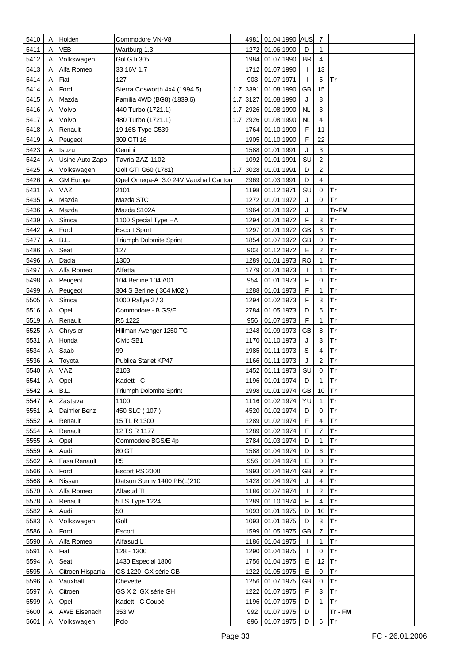| 5410         | Α | Holden              | Commodore VN-V8                       |     | 4981 | 01.04.1990 AUS                |             | 7                       |               |
|--------------|---|---------------------|---------------------------------------|-----|------|-------------------------------|-------------|-------------------------|---------------|
| 5411         | A | <b>VEB</b>          | Wartburg 1.3                          |     | 1272 | 01.06.1990                    | D           | 1                       |               |
| 5412         | A | Volkswagen          | Gol GTi 305                           |     | 1984 | 01.07.1990                    | <b>BR</b>   | 4                       |               |
| 5413         | A | Alfa Romeo          | 33 16V 1.7                            |     | 1712 | 01.07.1990                    | T           | 13                      |               |
| 5414         | A | Fiat                | 127                                   |     | 903  | 01.07.1971                    | T           | 5                       | Tr            |
| 5414         | A | Ford                | Sierra Cosworth 4x4 (1994.5)          | 1.7 | 3391 | 01.08.1990                    | <b>GB</b>   | 15                      |               |
| 5415         | A | Mazda               | Familia 4WD (BG8) (1839.6)            | 1.7 | 3127 | 01.08.1990                    | J           | 8                       |               |
| 5416         | A | Volvo               | 440 Turbo (1721.1)                    | 1.7 | 2926 | 01.08.1990                    | NL          | $\mathbf{3}$            |               |
| 5417         | A | Volvo               | 480 Turbo (1721.1)                    | 1.7 |      | 2926 01.08.1990               | NL          | $\overline{\mathbf{4}}$ |               |
| 5418         | A | Renault             | 19 16S Type C539                      |     |      | 1764 01.10.1990               | F           | 11                      |               |
| 5419         | A | Peugeot             | 309 GTI 16                            |     |      | 1905 01.10.1990               | $\mathsf F$ | 22                      |               |
| 5423         | Α | Isuzu               | Gemini                                |     | 1588 | 01.01.1991                    | J           | $\mathbf{3}$            |               |
| 5424         | A | Usine Auto Zapo.    | Tavria ZAZ-1102                       |     | 1092 | 01.01.1991                    | SU          | $\overline{c}$          |               |
|              |   |                     |                                       | 1.7 |      |                               | D           | $\overline{c}$          |               |
| 5425         | Α | Volkswagen          | Golf GTI G60 (1781)                   |     |      | 3028 01.01.1991               |             | $\overline{\mathbf{4}}$ |               |
| 5426         | Α | <b>GM Europe</b>    | Opel Omega-A 3.0 24V Vauxhall Carlton |     | 2969 | 01.03.1991                    | D           |                         |               |
| 5431         | Α | VAZ                 | 2101                                  |     |      | 1198 01.12.1971               | SU          | 0                       | Tr            |
| 5435         | A | Mazda               | Mazda STC                             |     | 1272 | 01.01.1972                    | J           | 0                       | Tr            |
| 5436         |   | Mazda               | Mazda S102A                           |     | 1964 | 01.01.1972                    | J           |                         | Tr-FM         |
| 5439         |   | Simca               | 1100 Special Type HA                  |     |      | 1294 01.01.1972               | $\mathsf F$ | $\mathbf{3}$            | Tr            |
| 5442         | A | Ford                | <b>Escort Sport</b>                   |     | 1297 | 01.01.1972                    | <b>GB</b>   | $\mathbf{3}$            | Tr            |
| 5477         | A | B.L.                | Triumph Dolomite Sprint               |     | 1854 | 01.07.1972                    | <b>GB</b>   | $\pmb{0}$               | Tr            |
| 5486         | A | Seat                | 127                                   |     | 903  | 01.12.1972                    | E           | $\overline{c}$          | Tr            |
| 5496         | A | Dacia               | 1300                                  |     | 1289 | 01.01.1973                    | <b>RO</b>   | 1                       | Tr            |
| 5497         | A | Alfa Romeo          | Alfetta                               |     | 1779 | 01.01.1973                    | T           | 1                       | Tr            |
| 5498         | A | Peugeot             | 104 Berline 104 A01                   |     | 954  | 01.01.1973                    | F           | 0                       | <b>Tr</b>     |
| 5499         |   | Peugeot             | 304 S Berline (304 M02)               |     |      | 1288 01.01.1973               | F           | 1                       | Tr            |
| 5505         | A | Simca               | 1000 Rallye 2 / 3                     |     |      | 1294 01.02.1973               | $\mathsf F$ | $\mathbf{3}$            | Tr            |
| 5516         | Α | Opel                | Commodore - B GS/E                    |     |      | 2784 01.05.1973               | D           | 5                       | Tr            |
| 5519         | A | Renault             | R5 1222                               |     | 956  | 01.07.1973                    | $\mathsf F$ | $\mathbf{1}$            | <b>Tr</b>     |
| 5525         | Α | Chrysler            | Hillman Avenger 1250 TC               |     |      | 1248 01.09.1973               | GB          | 8                       | Tr            |
| 5531         | Α | Honda               | Civic SB1                             |     |      | 1170 01.10.1973               | J           | $\mathbf{3}$            | <b>Tr</b>     |
| 5534         | Α | Saab                | 99                                    |     |      | 1985 01.11.1973               | $\mathsf S$ | 4                       | <b>Tr</b>     |
| 5536         | A | Toyota<br>VAZ       | Publica Starlet KP47                  |     | 1452 | 1166 01.11.1973               | J<br>SU     | $\sqrt{2}$<br>0         | <b>Tr</b>     |
| 5540<br>5541 | Α | Opel                | 2103<br>Kadett - C                    |     |      | 01.11.1973<br>1196 01.01.1974 | D           | $\mathbf{1}$            | Tr<br>Tr      |
| 5542         | A | B.L.                | Triumph Dolomite Sprint               |     |      | 1998 01.01.1974 GB 10 Tr      |             |                         |               |
| 5547         | A | Zastava             | 1100                                  |     |      | 1116 01.02.1974               | YU          | $\mathbf{1}$            | Tr            |
| 5551         | A | Daimler Benz        | 450 SLC (107)                         |     |      | 4520 01.02.1974               | D           | 0                       | Tr            |
| 5552         | Α | Renault             | 15 TL R 1300                          |     |      | 1289 01.02.1974               | $\mathsf F$ | $\overline{4}$          | Tr            |
| 5554         | Α | Renault             | 12 TS R 1177                          |     |      | 1289 01.02.1974               | $\mathsf F$ | $\overline{7}$          | Tr            |
|              | A |                     | Commodore BGS/E 4p                    |     |      | 2784 01.03.1974               | D           |                         | Tr            |
| 5555<br>5559 | A | Opel<br>Audi        | 80 GT                                 |     |      | 1588 01.04.1974               | D           | 1<br>6                  | <b>Tr</b>     |
| 5562         | Α | Fasa Renault        | R <sub>5</sub>                        |     | 956  | 01.04.1974                    | $\mathsf E$ | $\pmb{0}$               | Tr            |
| 5566         | Α | Ford                | Escort RS 2000                        |     |      | 1993 01.04.1974               | GB          | 9                       | Tr            |
| 5568         | A | Nissan              | Datsun Sunny 1400 PB(L)210            |     |      | 1428 01.04.1974               | J           | $\overline{\mathbf{4}}$ | <b>Tr</b>     |
| 5570         | Α | Alfa Romeo          | Alfasud TI                            |     |      | 1186 01.07.1974               | T           | $\overline{2}$          | <b>Tr</b>     |
| 5578         | Α | Renault             | 5 LS Type 1224                        |     |      | 1289 01.10.1974               | F           | $\overline{4}$          | Tr            |
| 5582         | Α | Audi                | 50                                    |     |      | 1093 01.01.1975               | D           | 10                      | Tr            |
| 5583         | A | Volkswagen          | Golf                                  |     |      | 1093 01.01.1975               | D           | 3                       | Tr            |
| 5586         | Α | Ford                | Escort                                |     |      | 1599 01.05.1975               | <b>GB</b>   | $\overline{7}$          | <b>Tr</b>     |
| 5590         | Α | Alfa Romeo          | Alfasud L                             |     |      | 1186 01.04.1975               | T           | $\mathbf{1}$            | Tr            |
| 5591         | Α | Fiat                | 128 - 1300                            |     |      | 1290 01.04.1975               | T           | 0                       | Tr            |
| 5594         | A | Seat                | 1430 Especial 1800                    |     |      | 1756 01.04.1975               | $\mathsf E$ | 12                      | Tr            |
| 5595         | Α | Citroen Hispania    | GS 1220 GX série GB                   |     |      | 1222 01.05.1975               | E           | 0                       | <b>Tr</b>     |
| 5596         | Α | Vauxhall            | Chevette                              |     |      | 1256 01.07.1975               | <b>GB</b>   | 0                       | Tr            |
| 5597         | Α | Citroen             | GS X 2 GX série GH                    |     |      | 1222 01.07.1975               | F           | 3                       | Tr            |
| 5599         | A | Opel                | Kadett - C Coupé                      |     |      | 1196 01.07.1975               | D           | $\mathbf{1}$            | Tr            |
| 5600         |   | <b>AWE Eisenach</b> | 353W                                  |     | 992  | 01.07.1975                    | D           |                         | Tr - FM       |
| 5601         | Α | Volkswagen          | Polo                                  |     |      | 896 01.07.1975                | D           | 6                       | $ \text{Tr} $ |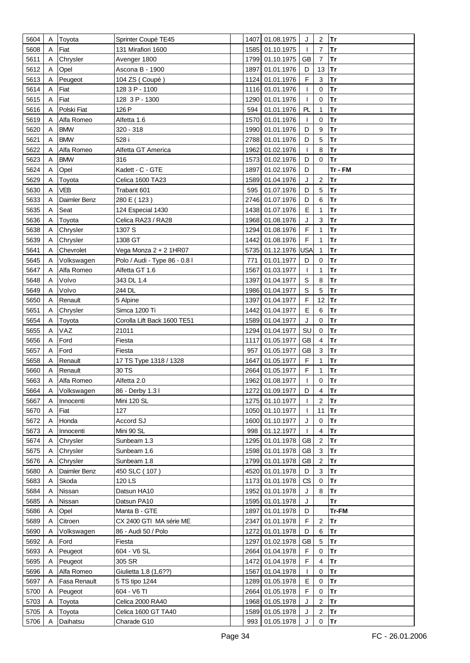| 5604 | Α | Toyota       | Sprinter Coupé TE45           |      | 1407 01.08.1975 | J            | $\overline{c}$   | Tr        |
|------|---|--------------|-------------------------------|------|-----------------|--------------|------------------|-----------|
| 5608 | Α | Fiat         | 131 Mirafiori 1600            |      | 1585 01.10.1975 | $\mathbf{I}$ | $\overline{7}$   | Tr        |
| 5611 | A | Chrysler     | Avenger 1800                  |      | 1799 01.10.1975 | <b>GB</b>    | $\overline{7}$   | <b>Tr</b> |
| 5612 | A | Opel         | Ascona B - 1900               |      | 1897 01.01.1976 | D            | 13               | Tr        |
| 5613 | A | Peugeot      | 104 ZS (Coupé)                |      | 1124 01.01.1976 | F            | 3                | Tr        |
| 5614 | Α | Fiat         | 128 3 P - 1100                |      | 1116 01.01.1976 | $\mathbf{I}$ | $\mathbf 0$      | <b>Tr</b> |
| 5615 | A | Fiat         | 128 3 P - 1300                |      | 1290 01.01.1976 | T            | $\mathbf 0$      | <b>Tr</b> |
| 5616 | A | Polski Fiat  | 126 P                         | 594  | 01.01.1976      | PL           | 1                | <b>Tr</b> |
| 5619 | A | Alfa Romeo   | Alfetta 1.6                   |      | 1570 01.01.1976 | $\mathbf{I}$ | 0                | Tr        |
| 5620 |   | <b>BMW</b>   | 320 - 318                     |      | 1990 01.01.1976 | D            | 9                | <b>Tr</b> |
|      | A |              |                               |      |                 |              |                  |           |
| 5621 | A | <b>BMW</b>   | 528 i                         |      | 2788 01.01.1976 | D            | 5                | Tr        |
| 5622 | A | Alfa Romeo   | Alfetta GT America            |      | 1962 01.02.1976 | T            | 8                | Tr        |
| 5623 | A | <b>BMW</b>   | 316                           |      | 1573 01.02.1976 | D            | $\mathbf 0$      | lTr       |
| 5624 | Α | Opel         | Kadett - C - GTE              |      | 1897 01.02.1976 | D            |                  | Tr - FM   |
| 5629 | Α | Toyota       | Celica 1600 TA23              |      | 1589 01.04.1976 | J            | $\boldsymbol{2}$ | Tr        |
| 5630 | Α | VEB          | Trabant 601                   | 595  | 01.07.1976      | D            | 5                | Tr        |
| 5633 | Α | Daimler Benz | 280 E (123)                   |      | 2746 01.07.1976 | D            | 6                | Tr        |
| 5635 | Α | Seat         | 124 Especial 1430             |      | 1438 01.07.1976 | Е            | 1                | Tr        |
| 5636 | Α | Toyota       | Celica RA23 / RA28            |      | 1968 01.08.1976 | J            | $\mathbf{3}$     | Tr        |
| 5638 | Α | Chrysler     | 1307 S                        |      | 1294 01.08.1976 | $\mathsf F$  | 1                | Tr        |
| 5639 | Α | Chrysler     | 1308 GT                       |      | 1442 01.08.1976 | $\mathsf F$  | 1                | Tr        |
| 5641 | Α | Chevrolet    | Vega Monza 2 + 2 1HR07        |      | 5735 01.12.1976 | USA          | $\mathbf{1}$     | Tr        |
| 5645 | Α | Volkswagen   | Polo / Audi - Type 86 - 0.8 l | 771  | 01.01.1977      | D            | 0                | <b>Tr</b> |
| 5647 | Α | Alfa Romeo   | Alfetta GT 1.6                | 1567 | 01.03.1977      | J.           | 1                | Tr        |
| 5648 | A | Volvo        | 343 DL 1.4                    |      | 1397 01.04.1977 | $\mathbb S$  | 8                | <b>Tr</b> |
| 5649 |   | Volvo        | 244 DL                        |      | 1986 01.04.1977 | $\mathbb S$  | 5                | Tr        |
| 5650 |   | Renault      | 5 Alpine                      |      | 1397 01.04.1977 | F            | 12               | Tr        |
| 5651 | Α | Chrysler     | Simca 1200 Ti                 |      | 1442 01.04.1977 | E            | 6                | Tr        |
| 5654 | A | Toyota       | Corolla Lift Back 1600 TE51   |      | 1589 01.04.1977 | J            | $\mathbf 0$      | <b>Tr</b> |
| 5655 | Α | VAZ          | 21011                         |      | 1294 01.04.1977 | SU           | 0                | <b>Tr</b> |
| 5656 | Α | Ford         | Fiesta                        |      | 1117 01.05.1977 | <b>GB</b>    | 4                | <b>Tr</b> |
| 5657 | Α | Ford         | Fiesta                        | 957  | 01.05.1977      | <b>GB</b>    | 3                | Tr        |
| 5658 |   | Renault      | 17 TS Type 1318 / 1328        | 1647 | 01.05.1977      | F            | 1                | Tr        |
| 5660 |   | Renault      | 30 TS                         |      | 2664 01.05.1977 | F            | 1                | Tr        |
| 5663 | Α | Alfa Romeo   | Alfetta 2.0                   |      | 1962 01.08.1977 | $\mathbf{I}$ | $\mathbf 0$      | Tr        |
| 5664 | A | Volkswagen   | 86 - Derby 1.3 l              |      | 1272 01.09.1977 | D            | $\overline{4}$   | Tr        |
| 5667 | A | Innocenti    | Mini 120 SL                   |      | 1275 01.10.1977 | $\mathbf{I}$ | $\overline{2}$   | Tr        |
| 5670 | Α | Fiat         | 127                           |      | 1050 01.10.1977 | $\mathbf{I}$ | 11               | Tr        |
| 5672 | Α | Honda        | Accord SJ                     |      | 1600 01.10.1977 | J            | 0                | Tr        |
| 5673 | A | Innocenti    | Mini 90 SL                    | 998  | 01.12.1977      | $\mathbf{I}$ | 4                | Tr        |
| 5674 | Α | Chrysler     | Sunbeam 1.3                   |      | 1295 01.01.1978 | <b>GB</b>    | $\overline{2}$   | Tr        |
| 5675 | Α | Chrysler     | Sunbeam 1.6                   |      | 1598 01.01.1978 | GB           | 3                | <b>Tr</b> |
| 5676 | Α | Chrysler     | Sunbeam 1.8                   |      | 1799 01.01.1978 | GB           | $\boldsymbol{2}$ | Tr        |
| 5680 | Α | Daimler Benz | 450 SLC (107)                 |      | 4520 01.01.1978 | D            | 3                | Tr        |
| 5683 | A | Skoda        | 120 LS                        |      | 1173 01.01.1978 | CS           | $\pmb{0}$        | Tr        |
| 5684 | Α | Nissan       | Datsun HA10                   |      | 1952 01.01.1978 | J            | 8                | <b>Tr</b> |
| 5685 | Α | Nissan       | Datsun PA10                   |      | 1595 01.01.1978 | J            |                  | <b>Tr</b> |
| 5686 | Α | Opel         | Manta B - GTE                 |      | 1897 01.01.1978 | D            |                  | Tr-FM     |
| 5689 | Α | Citroen      | CX 2400 GTI MA série ME       |      | 2347 01.01.1978 | F            | $\overline{c}$   | Tr        |
| 5690 | Α | Volkswagen   | 86 - Audi 50 / Polo           |      | 1272 01.01.1978 | D            | 6                | Tr        |
| 5692 | Α | Ford         | Fiesta                        |      | 1297 01.02.1978 | <b>GB</b>    | 5                | Tr        |
| 5693 | Α | Peugeot      | 604 - V6 SL                   |      | 2664 01.04.1978 | $\mathsf F$  | $\pmb{0}$        | Tr        |
| 5695 | A | Peugeot      | 305 SR                        |      | 1472 01.04.1978 | $\mathsf F$  | $\overline{4}$   | Tr        |
| 5696 | Α | Alfa Romeo   | Giulietta 1.8 (1,6??)         |      | 1567 01.04.1978 | $\mathbf{I}$ | $\mathbf 0$      | Tr        |
| 5697 | Α | Fasa Renault | 5 TS tipo 1244                |      | 1289 01.05.1978 | E            | 0                | Tr        |
| 5700 | A | Peugeot      | 604 - V6 TI                   |      | 2664 01.05.1978 | F            | 0                | Tr        |
| 5703 | Α | Toyota       | Celica 2000 RA40              |      | 1968 01.05.1978 | J            | $\overline{2}$   | Tr        |
| 5705 | Α | Toyota       | Celica 1600 GT TA40           |      | 1589 01.05.1978 | J            | $\overline{2}$   | Tr        |
| 5706 |   | Daihatsu     | Charade G10                   |      | 993 01.05.1978  | J            | $\mathbf 0$      | Tr        |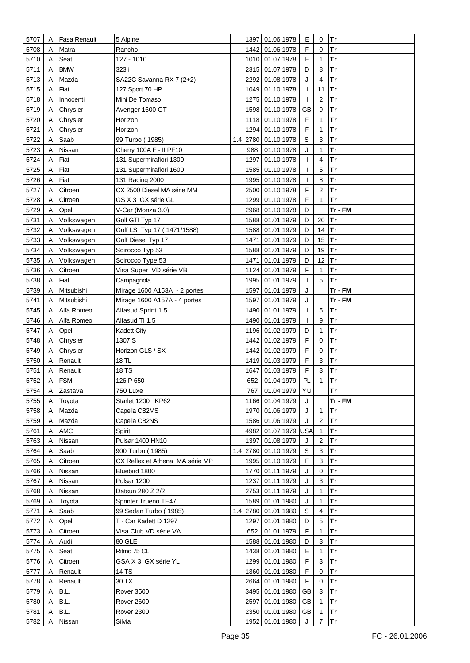| 5707 | Α | Fasa Renault | 5 Alpine                        |      | 1397 01.06.1978     | Е            | 0              | <b>Tr</b> |
|------|---|--------------|---------------------------------|------|---------------------|--------------|----------------|-----------|
|      |   |              |                                 |      |                     |              |                |           |
| 5708 | A | Matra        | Rancho                          |      | 1442 01.06.1978     | F            | 0              | Tr        |
| 5710 | Α | Seat         | 127 - 1010                      |      | 1010 01.07.1978     | E            | 1              | <b>Tr</b> |
| 5711 | Α | <b>BMW</b>   | 323 i                           |      | 2315 01.07.1978     | D            | 8              | Tr        |
| 5713 | A | Mazda        | SA22C Savanna RX 7 (2+2)        | 2292 | 01.08.1978          | J            | 4              | <b>Tr</b> |
| 5715 | Α | Fiat         | 127 Sport 70 HP                 |      | 1049 01.10.1978     | $\mathbf{I}$ | 11             | <b>Tr</b> |
| 5718 | Α | Innocenti    | Mini De Tomaso                  |      | 1275 01.10.1978     | T            | $\sqrt{2}$     | Tr        |
| 5719 | Α | Chrysler     | Avenger 1600 GT                 |      | 1598 01.10.1978     | <b>GB</b>    | 9              | <b>Tr</b> |
| 5720 | A | Chrysler     | Horizon                         |      | 1118 01.10.1978     | F            | 1              | <b>Tr</b> |
| 5721 | Α | Chrysler     | Horizon                         |      | 1294 01.10.1978     | F            | $\mathbf{1}$   | Tr        |
| 5722 | A | Saab         | 99 Turbo (1985)                 |      | 1.4 2780 01.10.1978 | $\mathsf S$  | $\mathbf{3}$   | <b>Tr</b> |
| 5723 | Α | Nissan       | Cherry 100A F - II PF10         | 988  | 01.10.1978          | J            | $\mathbf{1}$   | Tr        |
| 5724 | A | Fiat         | 131 Supermirafiori 1300         | 1297 | 01.10.1978          | $\mathbf{I}$ | 4              | <b>Tr</b> |
| 5725 | Α | Fiat         | 131 Supermirafiori 1600         |      | 1585 01.10.1978     | T            | 5              | Tr        |
| 5726 | Α | Fiat         | 131 Racing 2000                 |      | 1995 01.10.1978     | $\mathbf{I}$ | 8              | <b>Tr</b> |
| 5727 | A | Citroen      | CX 2500 Diesel MA série MM      |      | 2500 01.10.1978     | F            | $\overline{c}$ | <b>Tr</b> |
|      |   |              |                                 |      |                     | F            |                |           |
| 5728 | Α | Citroen      | GS X 3 GX série GL              |      | 1299 01.10.1978     |              | 1              | Tr        |
| 5729 | Α | Opel         | V-Car (Monza 3.0)               |      | 2968 01.10.1978     | D            |                | Tr - FM   |
| 5731 | A | Volkswagen   | Golf GTI Typ 17                 |      | 1588 01.01.1979     | D            | 20             | Tr        |
| 5732 | A | Volkswagen   | Golf LS Typ 17 (1471/1588)      |      | 1588 01.01.1979     | D            | 14             | Tr        |
| 5733 | A | Volkswagen   | Golf Diesel Typ 17              | 1471 | 01.01.1979          | D            | 15             | Tr        |
| 5734 | Α | Volkswagen   | Scirocco Typ 53                 |      | 1588 01.01.1979     | D            | 19             | <b>Tr</b> |
| 5735 | Α | Volkswagen   | Scirocco Type 53                |      | 1471 01.01.1979     | D            | 12             | Tr        |
| 5736 | Α | Citroen      | Visa Super VD série VB          | 1124 | 01.01.1979          | F            | 1              | <b>Tr</b> |
| 5738 | A | Fiat         | Campagnola                      |      | 1995 01.01.1979     | T            | 5              | <b>Tr</b> |
| 5739 | Α | Mitsubishi   | Mirage 1600 A153A - 2 portes    |      | 1597 01.01.1979     | J            |                | Tr - FM   |
| 5741 | A | Mitsubishi   | Mirage 1600 A157A - 4 portes    |      | 1597 01.01.1979     | J            |                | Tr - FM   |
| 5745 | A | Alfa Romeo   | Alfasud Sprint 1.5              |      | 1490 01.01.1979     | T            | 5              | Tr        |
| 5746 | Α | Alfa Romeo   | Alfasud TI 1.5                  |      | 1490 01.01.1979     | $\mathbf{I}$ | 9              | Tr        |
| 5747 | Α | Opel         | <b>Kadett City</b>              |      | 1196 01.02.1979     | D            | 1              | Tr        |
| 5748 | Α | Chrysler     | 1307 S                          | 1442 | 01.02.1979          | F            | 0              | <b>Tr</b> |
| 5749 | A | Chrysler     | Horizon GLS / SX                | 1442 | 01.02.1979          | F            | $\mathbf 0$    | Tr        |
| 5750 | Α | Renault      | 18 TL                           |      | 1419 01.03.1979     | F            | 3              | Tr        |
|      |   |              |                                 |      |                     | F            | $\mathbf{3}$   | Tr        |
| 5751 |   | Renault      | 18 TS                           | 1647 | 01.03.1979          |              |                |           |
| 5752 | Α | <b>FSM</b>   | 126 P 650                       | 652  | 01.04.1979          | PL           | 1              | Tr        |
| 5754 | Α | Zastava      | 750 Luxe                        |      | 767 01.04.1979      | YU           |                | Tr        |
| 5755 | A | Toyota       | Starlet 1200 KP62               |      | 1166 01.04.1979     | J            |                | Tr - FM   |
| 5758 | Α | Mazda        | Capella CB2MS                   |      | 1970 01.06.1979     | J            | $\mathbf{1}$   | Tr        |
| 5759 | A | Mazda        | Capella CB2NS                   |      | 1586 01.06.1979     | J            | $\overline{2}$ | Tr        |
| 5761 | A | <b>AMC</b>   | Spirit                          |      | 4982 01.07.1979     | USA          | $\mathbf{1}$   | Tr        |
| 5763 | A | Nissan       | Pulsar 1400 HN10                |      | 1397 01.08.1979     | J            | $\overline{2}$ | Tr        |
| 5764 | A | Saab         | 900 Turbo (1985)                |      | 1.4 2780 01.10.1979 | $\mathbb S$  | $\mathbf{3}$   | Tr        |
| 5765 | A | Citroen      | CX Reflex et Athena MA série MP |      | 1995 01.10.1979     | F            | 3              | Tr        |
| 5766 | A | Nissan       | Bluebird 1800                   |      | 1770 01.11.1979     | J            | $\mathbf 0$    | Tr        |
| 5767 | A | Nissan       | Pulsar 1200                     |      | 1237 01.11.1979     | J            | 3              | Tr        |
| 5768 | A | Nissan       | Datsun 280 Z 2/2                |      | 2753 01.11.1979     | J            | 1              | Tr        |
| 5769 | A | Toyota       | Sprinter Trueno TE47            |      | 1589 01.01.1980     | J            | 1              | Tr        |
| 5771 | Α | Saab         | 99 Sedan Turbo (1985)           |      | 1.4 2780 01.01.1980 | S            | $\overline{4}$ | Tr        |
| 5772 | A | Opel         | T - Car Kadett D 1297           |      | 1297 01.01.1980     | D            | 5              | Tr        |
| 5773 | Α | Citroen      | Visa Club VD série VA           | 652  | 01.01.1979          | F            | $\mathbf{1}$   | Tr        |
| 5774 | Α | Audi         | 80 GLE                          |      | 1588 01.01.1980     | D            | 3              | Tr        |
| 5775 | A | Seat         | Ritmo 75 CL                     |      | 1438 01.01.1980     | Е            | $\mathbf{1}$   | Tr        |
| 5776 | Α | Citroen      | GSA X 3 GX série YL             |      | 1299 01.01.1980     | F            | 3              | Tr        |
|      |   |              |                                 |      |                     |              |                |           |
| 5777 | Α | Renault      | 14 TS                           |      | 1360 01.01.1980     | F            | 0              | Tr        |
| 5778 | A | Renault      | 30 TX                           |      | 2664 01.01.1980     | F            | 0              | Tr        |
| 5779 | A | B.L.         | <b>Rover 3500</b>               |      | 3495 01.01.1980     | GB           | 3              | Tr        |
| 5780 | A | B.L.         | <b>Rover 2600</b>               |      | 2597 01.01.1980     | GB           | 1              | Tr        |
| 5781 | Α | B.L.         | Rover 2300                      |      | 2350 01.01.1980     | GB           | 1              | Tr        |
| 5782 | A | Nissan       | Silvia                          |      | 1952 01.01.1980     | J            | $\overline{7}$ | Tr        |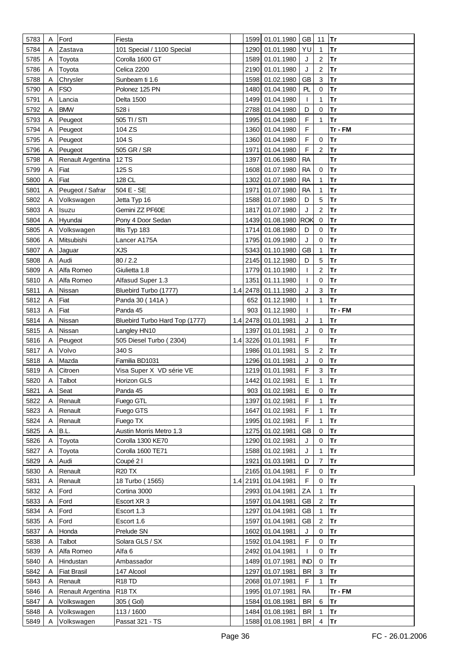| 5783 | Α | Ford               | Fiesta                         |      | 1599 01.01.1980     | GB           | 11                      | Tr        |
|------|---|--------------------|--------------------------------|------|---------------------|--------------|-------------------------|-----------|
| 5784 | A | Zastava            | 101 Special / 1100 Special     |      | 1290 01.01.1980     | YU           | $\mathbf{1}$            | Tr        |
| 5785 | Α | Toyota             | Corolla 1600 GT                |      | 1589 01.01.1980     | J            | $\overline{c}$          | <b>Tr</b> |
| 5786 | Α | Toyota             | Celica 2200                    |      | 2190 01.01.1980     | J            | $\overline{2}$          | <b>Tr</b> |
| 5788 | Α | Chrysler           | Sunbeam ti 1.6                 |      | 1598 01.02.1980     | <b>GB</b>    | 3                       | <b>Tr</b> |
| 5790 | Α | <b>FSO</b>         | Polonez 125 PN                 |      | 1480 01.04.1980     | PL           | $\mathbf 0$             | <b>Tr</b> |
| 5791 | Α | Lancia             | Delta 1500                     |      | 1499 01.04.1980     | $\mathbf{I}$ | 1                       | <b>Tr</b> |
|      |   |                    | 528 i                          |      |                     | D            | 0                       | Tr        |
| 5792 | Α | BMW                |                                |      | 2788 01.04.1980     |              |                         |           |
| 5793 | Α | Peugeot            | 505 TI / STI                   |      | 1995 01.04.1980     | F            | 1                       | <b>Tr</b> |
| 5794 | A | Peugeot            | 104 ZS                         |      | 1360 01.04.1980     | F            |                         | Tr - FM   |
| 5795 | A | Peugeot            | 104 S                          |      | 1360 01.04.1980     | F            | $\mathbf 0$             | <b>Tr</b> |
| 5796 | Α | Peugeot            | 505 GR / SR                    | 1971 | 01.04.1980          | $\mathsf F$  | $\overline{c}$          | Tr        |
| 5798 | Α | Renault Argentina  | <b>12 TS</b>                   | 1397 | 01.06.1980          | <b>RA</b>    |                         | <b>Tr</b> |
| 5799 | Α | Fiat               | 125 S                          |      | 1608 01.07.1980     | <b>RA</b>    | $\pmb{0}$               | Tr        |
| 5800 | A | Fiat               | 128 CL                         | 1302 | 01.07.1980          | <b>RA</b>    | 1                       | Tr        |
| 5801 | Α | Peugeot / Safrar   | 504 E - SE                     | 1971 | 01.07.1980          | <b>RA</b>    | $\mathbf{1}$            | <b>Tr</b> |
| 5802 | Α | Volkswagen         | Jetta Typ 16                   |      | 1588 01.07.1980     | D            | 5                       | Tr        |
| 5803 | A | Isuzu              | Gemini ZZ PF60E                |      | 1817 01.07.1980     | J            | $\overline{c}$          | Tr        |
| 5804 | A | Hyundai            | Pony 4 Door Sedan              |      | 1439 01.08.1980 ROK |              | $\mathbf 0$             | <b>Tr</b> |
| 5805 | Α | Volkswagen         | Iltis Typ 183                  | 1714 | 01.08.1980          | D            | 0                       | <b>Tr</b> |
| 5806 | Α | Mitsubishi         | Lancer A175A                   |      | 1795 01.09.1980     | J            | 0                       | Tr        |
| 5807 | Α | Jaguar             | <b>XJS</b>                     |      | 5343 01.10.1980     | <b>GB</b>    | 1                       | <b>Tr</b> |
| 5808 | Α | Audi               | 80/2.2                         |      | 2145 01.12.1980     | D            | 5                       | <b>Tr</b> |
| 5809 | A | Alfa Romeo         | Giulietta 1.8                  |      | 1779 01.10.1980     | T            | 2                       | Tr        |
| 5810 | Α | Alfa Romeo         | Alfasud Super 1.3              | 1351 | 01.11.1980          | $\mathbf{I}$ | $\mathbf 0$             | Tr        |
| 5811 | Α | Nissan             | Bluebird Turbo (1777)          |      | 1.4 2478 01.11.1980 | J            | 3                       | Tr        |
| 5812 | Α | Fiat               | Panda 30 (141A)                | 652  | 01.12.1980          | T            | 1                       | <b>Tr</b> |
| 5813 | A | Fiat               | Panda 45                       | 903  | 01.12.1980          | $\mathbf{I}$ |                         | Tr - FM   |
|      | A | Nissan             |                                |      |                     | J            | 1                       | Tr        |
| 5814 |   |                    | Bluebird Turbo Hard Top (1777) |      | 1.4 2478 01.01.1981 |              |                         |           |
| 5815 | Α | Nissan             | Langley HN10                   | 1397 | 01.01.1981          | J            | $\mathbf 0$             | Tr        |
| 5816 | A | Peugeot            | 505 Diesel Turbo (2304)        |      | 1.4 3226 01.01.1981 | F            |                         | Tr        |
| 5817 | A | Volvo              | 340 S                          |      | 1986 01.01.1981     | $\mathbb S$  | 2                       | <b>Tr</b> |
| 5818 | Α | Mazda              | Familia BD1031                 |      | 1296 01.01.1981     | J            | 0                       | Tr        |
| 5819 |   | Citroen            | Visa Super X VD série VE       |      | 1219 01.01.1981     | F            | 3                       | Tr        |
| 5820 | Α | Talbot             | Horizon GLS                    |      | 1442 01.02.1981     | E            | 1                       | Tr        |
| 5821 | Α | Seat               | Panda 45                       |      | 903 01.02.1981      | Е            | 0                       | Tr        |
| 5822 | A | Renault            | Fuego GTL                      | 1397 | 01.02.1981          | F            | 1                       | <b>Tr</b> |
| 5823 | A | Renault            | Fuego GTS                      |      | 1647 01.02.1981     | F            | $\mathbf{1}$            | <b>Tr</b> |
| 5824 | A | Renault            | Fuego TX                       |      | 1995 01.02.1981     | F            | 1                       | <b>Tr</b> |
| 5825 | A | B.L.               | Austin Morris Metro 1.3        |      | 1275 01.02.1981     | <b>GB</b>    | 0                       | Tr        |
| 5826 | A | Toyota             | Corolla 1300 KE70              |      | 1290 01.02.1981     | J            | 0                       | Tr        |
| 5827 | Α | Toyota             | Corolla 1600 TE71              |      | 1588 01.02.1981     | J            | 1                       | Tr        |
| 5829 | A | Audi               | Coupé 2 l                      |      | 1921 01.03.1981     | D            | $\overline{7}$          | Tr        |
| 5830 | A | Renault            | <b>R20 TX</b>                  |      | 2165 01.04.1981     | F            | $\mathbf 0$             | Tr        |
| 5831 | Α | Renault            | 18 Turbo (1565)                |      | 1.4 2191 01.04.1981 | F            | 0                       | <b>Tr</b> |
| 5832 | Α | Ford               | Cortina 3000                   |      | 2993 01.04.1981     | ZA           | 1                       | <b>Tr</b> |
| 5833 | Α | Ford               | Escort XR 3                    |      | 1597 01.04.1981     | <b>GB</b>    | $\overline{c}$          | Tr        |
| 5834 | A | Ford               | Escort 1.3                     |      | 1297 01.04.1981     | <b>GB</b>    | $\mathbf{1}$            | <b>Tr</b> |
| 5835 | Α | Ford               | Escort 1.6                     |      | 1597 01.04.1981     | <b>GB</b>    | 2                       | Tr        |
| 5837 | A | Honda              | Prelude SN                     | 1602 | 01.04.1981          | J            | 0                       | <b>Tr</b> |
| 5838 | A | Talbot             | Solara GLS / SX                |      | 1592 01.04.1981     | F            | 0                       | Tr        |
| 5839 | A | Alfa Romeo         | Alfa <sub>6</sub>              |      | 2492 01.04.1981     | $\mathbf{I}$ | 0                       | Tr        |
| 5840 | A | Hindustan          | Ambassador                     |      | 1489 01.07.1981     | <b>IND</b>   | 0                       | Tr        |
| 5842 | Α | <b>Fiat Brasil</b> | 147 Alcool                     |      | 1297 01.07.1981     | <b>BR</b>    | $\mathbf{3}$            | <b>Tr</b> |
| 5843 | A | Renault            | R <sub>18</sub> TD             |      | 2068 01.07.1981     | F            | 1                       | <b>Tr</b> |
| 5846 | A | Renault Argentina  | R <sub>18</sub> TX             |      | 1995 01.07.1981     | <b>RA</b>    |                         | Tr - FM   |
|      |   |                    |                                |      | 1584 01.08.1981     | <b>BR</b>    | 6                       | Tr        |
| 5847 | A | Volkswagen         | 305 (Gol)                      |      |                     |              |                         |           |
| 5848 | Α | Volkswagen         | 113 / 1600                     |      | 1484 01.08.1981     | <b>BR</b>    | 1                       | <b>Tr</b> |
| 5849 | Α | Volkswagen         | Passat 321 - TS                |      | 1588 01.08.1981     | BR           | $\overline{\mathbf{4}}$ | Tr        |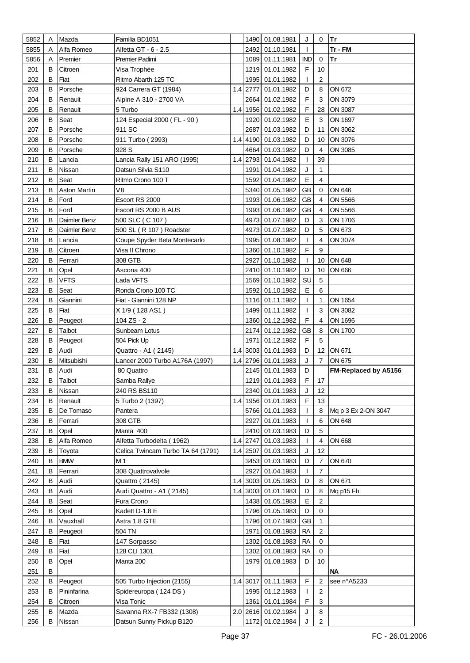| 5852       | Α      | Mazda                | Familia BD1051                    |     |          | 1490 01.08.1981                        | J                | 0                | Tr                            |
|------------|--------|----------------------|-----------------------------------|-----|----------|----------------------------------------|------------------|------------------|-------------------------------|
| 5855       | А      | Alfa Romeo           | Alfetta GT - 6 - 2.5              |     |          | 2492 01.10.1981                        | ı                |                  | Tr - FM                       |
| 5856       | Α      | Premier              | Premier Padimi                    |     |          | 1089 01.11.1981                        | <b>IND</b>       | $\mathbf 0$      | Tr                            |
| 201        | в      | Citroen              | Visa Trophée                      |     |          | 1219 01.01.1982                        | $\mathsf F$      | 10               |                               |
| 202        | B      | Fiat                 | Ritmo Abarth 125 TC               |     | 1995     | 01.01.1982                             | T                | $\overline{2}$   |                               |
| 203        | в      | Porsche              | 924 Carrera GT (1984)             |     | 1.4 2777 | 01.01.1982                             | D                | 8                | ON 672                        |
| 204        | в      | Renault              | Alpine A 310 - 2700 VA            |     | 2664     | 01.02.1982                             | F                | 3                | ON 3079                       |
| 205        | в      | Renault              | 5 Turbo                           |     |          | 1.4 1956 01.02.1982                    | F                | 28               | ON 3087                       |
| 206        | в      | Seat                 | 124 Especial 2000 (FL - 90)       |     |          | 1920 01.02.1982                        | E                | 3                | ON 1697                       |
| 207        | в      | Porsche              | 911 SC                            |     | 2687     | 01.03.1982                             | D                | 11               | ON 3062                       |
| 208        | В      | Porsche              | 911 Turbo (2993)                  |     |          | 1.4 4190 01.03.1982                    | D                | 10               | ON 3076                       |
| 209        | В      | Porsche              | 928 S                             |     |          | 4664 01.03.1982                        | D                | 4                | ON 3085                       |
| 210        | в      | Lancia               | Lancia Rally 151 ARO (1995)       |     |          | 1.4 2793 01.04.1982                    | T                | 39               |                               |
| 211        | B      | Nissan               | Datsun Silvia S110                |     | 1991     | 01.04.1982                             | J                | 1                |                               |
| 212        | B      | Seat                 | Ritmo Crono 100 T                 |     | 1592     | 01.04.1982                             | E                | $\overline{4}$   |                               |
| 213        | в      | <b>Aston Martin</b>  | V8                                |     |          | 5340 01.05.1982                        | <b>GB</b>        | 0                | ON 646                        |
| 214        | B      | Ford                 | Escort RS 2000                    |     |          | 1993 01.06.1982                        | <b>GB</b>        | 4                | ON 5566                       |
| 215        | B      | Ford                 | Escort RS 2000 B AUS              |     |          | 1993 01.06.1982                        | <b>GB</b>        | 4                | ON 5566                       |
| 216        | в      | Daimler Benz         | 500 SLC (C 107)                   |     |          | 4973 01.07.1982                        | D                | 3                | ON 1706                       |
| 217        | в      | Daimler Benz         | 500 SL (R 107) Roadster           |     |          | 4973 01.07.1982                        | D                | 5                | ON 673                        |
| 218        | в      | Lancia               | Coupe Spyder Beta Montecarlo      |     |          | 1995 01.08.1982                        | T                | 4                | ON 3074                       |
| 219        | в      | Citroen              | Visa II Chrono                    |     |          | 1360 01.10.1982                        | F                | 9                |                               |
| 220        | в      | Ferrari              | 308 GTB                           |     | 2927     | 01.10.1982                             | $\mathbf{I}$     | 10               | ON 648                        |
| 221        | в      | Opel                 | Ascona 400                        |     |          | 2410 01.10.1982                        | D                | 10               | ON 666                        |
| 222        | в      | VFTS                 | Lada VFTS                         |     |          | 1569 01.10.1982                        | SU               | 5                |                               |
| 223        | B      | Seat                 | Ronda Crono 100 TC                |     |          | 1592 01.10.1982                        | E                | 6                |                               |
|            | в      |                      |                                   |     |          | 1116 01.11.1982                        |                  | 1                |                               |
| 224        |        | Giannini             | Fiat - Giannini 128 NP            |     |          |                                        | $\mathbf{I}$     |                  | ON 1654                       |
| 225        | B      | Fiat                 | X 1/9 (128 AS1)                   |     |          | 1499 01.11.1982                        | T<br>$\mathsf F$ | 3                | ON 3082                       |
| 226        | B      | Peugeot              | 104 ZS - 2                        |     |          | 1360 01.12.1982                        |                  | $\overline{4}$   | ON 1696                       |
| 227        | B      | Talbot               | Sunbeam Lotus                     |     |          | 2174 01.12.1982                        | <b>GB</b>        | 8                | ON 1700                       |
| 228        | в      | Peugeot              | 504 Pick Up                       |     | 1971     | 01.12.1982                             | F                | 5                |                               |
| 229        | В      | Audi                 | Quattro - A1 (2145)               |     |          | 1.4 3003 01.01.1983                    | D                | 12               | ON 671                        |
| 230        | В      | Mitsubishi           | Lancer 2000 Turbo A176A (1997)    | 1.4 |          | 2796 01.01.1983                        | J                | $\overline{7}$   | ON 675                        |
| 231<br>232 | В<br>В | Audi                 | 80 Quattro                        |     |          | 2145 01.01.1983<br>1219 01.01.1983     | D<br>F           | 17               | FM-Replaced by A5156          |
|            |        | Talbot               | Samba Rallye                      |     |          |                                        |                  |                  |                               |
| 233        | B<br>B | Nissan               | 240 RS BS110                      |     |          | 2340 01.01.1983<br>1.4 1956 01.01.1983 | J<br>F           | 12<br>13         |                               |
| 234        |        | Renault<br>De Tomaso | 5 Turbo 2 (1397)                  |     |          |                                        |                  |                  |                               |
| 235        | B      |                      | Pantera                           |     |          | 5766 01.01.1983                        | T                | 8                | Mq p 3 Ex 2-ON 3047<br>ON 648 |
| 236        | В      | Ferrari              | 308 GTB                           |     |          | 2927 01.01.1983                        | $\mathbf{I}$     | 6                |                               |
| 237        | В      | Opel                 | Manta 400                         |     |          | 2410 01.03.1983                        | D                | 5                |                               |
| 238        | В      | Alfa Romeo           | Alfetta Turbodelta (1962)         | 1.4 |          | 2747 01.03.1983                        | $\mathbf{I}$     | $\overline{4}$   | ON 668                        |
| 239        | В      | Toyota               | Celica Twincam Turbo TA 64 (1791) |     | 1.4 2507 | 01.03.1983                             | J                | 12               |                               |
| 240        | В      | <b>BMW</b>           | M 1                               |     | 3453     | 01.03.1983                             | D                | $\overline{7}$   | ON 670                        |
| 241        | В      | Ferrari              | 308 Quattrovalvole                |     | 2927     | 01.04.1983                             | $\mathbf{I}$     | $\boldsymbol{7}$ |                               |
| 242        | В      | Audi                 | Quattro (2145)                    |     |          | 1.4 3003 01.05.1983                    | D                | 8                | ON 671                        |
| 243        | В      | Audi                 | Audi Quattro - A1 (2145)          |     |          | 1.4 3003 01.01.1983                    | D                | 8                | Mq p15 Fb                     |
| 244        | В      | Seat                 | Fura Crono                        |     |          | 1438 01.05.1983                        | E                | $\sqrt{2}$       |                               |
| 245        | В      | Opel                 | Kadett D-1.8 E                    |     |          | 1796 01.05.1983                        | D                | $\mathbf 0$      |                               |
| 246        | В      | Vauxhall             | Astra 1.8 GTE                     |     |          | 1796 01.07.1983                        | <b>GB</b>        | 1                |                               |
| 247        | В      | Peugeot              | 504 TN                            |     | 1971     | 01.08.1983                             | <b>RA</b>        | $\overline{2}$   |                               |
| 248        | B      | Fiat                 | 147 Sorpasso                      |     | 1302     | 01.08.1983                             | <b>RA</b>        | $\mathbf 0$      |                               |
| 249        | B      | Fiat                 | 128 CLI 1301                      |     | 1302     | 01.08.1983                             | <b>RA</b>        | $\mathbf 0$      |                               |
| 250        | В      | Opel                 | Manta 200                         |     | 1979     | 01.08.1983                             | D                | 10               |                               |
| 251        | В      |                      |                                   |     |          |                                        |                  |                  | <b>NA</b>                     |
| 252        | В      | Peugeot              | 505 Turbo Injection (2155)        |     |          | 1.4 3017 01.11.1983                    | F                | $\boldsymbol{2}$ | see n°A5233                   |
| 253        | в      | Pininfarina          | Spidereuropa (124 DS)             |     |          | 1995 01.12.1983                        | $\mathbf{I}$     | 2                |                               |
| 254        | В      | Citroen              | Visa Tonic                        |     | 1361     | 01.01.1984                             | F                | 3                |                               |
| 255        | B      | Mazda                | Savanna RX-7 FB332 (1308)         |     |          | 2.0 2616 01.02.1984                    | J                | 8                |                               |
| 256        | B      | Nissan               | Datsun Sunny Pickup B120          |     |          | 1172 01.02.1984                        | J                | $\overline{c}$   |                               |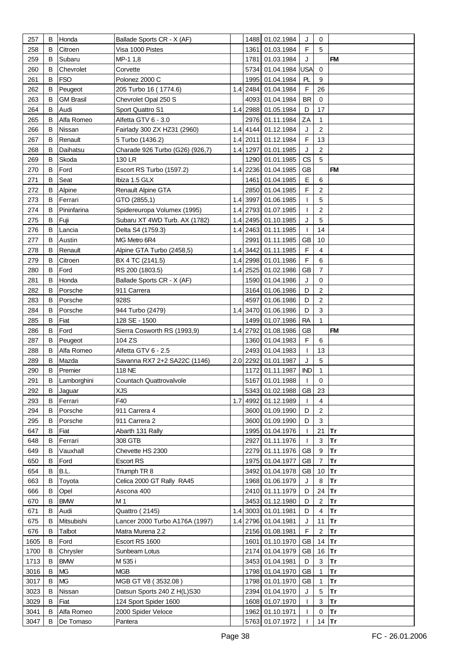| 257        | B      | Honda            | Ballade Sports CR - X (AF)             |  | 1488 01.02.1984                        | J                 | 0              |           |
|------------|--------|------------------|----------------------------------------|--|----------------------------------------|-------------------|----------------|-----------|
| 258        | B      | Citroen          | Visa 1000 Pistes                       |  | 1361 01.03.1984                        | F                 | 5              |           |
| 259        | В      | Subaru           | MP-1 1,8                               |  | 1781 01.03.1984                        | J                 |                | <b>FM</b> |
| 260        | В      | Chevrolet        | Corvette                               |  | 5734 01.04.1984 USA                    |                   | $\mathbf 0$    |           |
| 261        | В      | <b>FSO</b>       | Polonez 2000 C                         |  | 1995 01.04.1984                        | PL                | 9              |           |
| 262        | B      | Peugeot          | 205 Turbo 16 (1774.6)                  |  | 1.4 2484 01.04.1984                    | F                 | 26             |           |
| 263        | в      | <b>GM Brasil</b> | Chevrolet Opal 250 S                   |  | 4093 01.04.1984                        | <b>BR</b>         | $\mathbf 0$    |           |
| 264        | в      | Audi             | Sport Quattro S1                       |  | 1.4 2988 01.05.1984                    | D                 | 17             |           |
| 265        | в      | Alfa Romeo       | Alfetta GTV 6 - 3.0                    |  | 2976 01.11.1984                        | ZA                | 1              |           |
| 266        | B      | Nissan           | Fairlady 300 ZX HZ31 (2960)            |  | 1.4 4144 01.12.1984                    | J                 | 2              |           |
| 267        | B      | Renault          | 5 Turbo (1436.2)                       |  | 1.4 2011 01.12.1984                    | $\mathsf F$       | 13             |           |
| 268        | в      | Daihatsu         | Charade 926 Turbo (G26) (926,7)        |  | 1.4 1297 01.01.1985                    | J                 | $\overline{c}$ |           |
| 269        | B      | Skoda            | 130 LR                                 |  | 1290 01.01.1985                        | CS                | 5              |           |
|            | B      |                  |                                        |  |                                        |                   |                | <b>FM</b> |
| 270        |        | Ford             | Escort RS Turbo (1597.2)               |  | 1.4 2236 01.04.1985                    | GB                |                |           |
| 271        | B      | Seat             | Ibiza 1.5 GLX                          |  | 1461 01.04.1985                        | Е                 | 6              |           |
| 272        | B      | Alpine           | Renault Alpine GTA                     |  | 2850 01.04.1985                        | F                 | $\sqrt{2}$     |           |
| 273        | B      | Ferrari          | GTO (2855,1)                           |  | 1.4 3997 01.06.1985                    | T                 | 5              |           |
| 274        | B      | Pininfarina      | Spidereuropa Volumex (1995)            |  | 1.4 2793 01.07.1985                    | T                 | $\overline{c}$ |           |
| 275        | B      | Fuji             | Subaru XT 4WD Turb. AX (1782)          |  | 1.4 2495 01.10.1985                    | J                 | 5              |           |
| 276        | B      | Lancia           | Delta S4 (1759.3)                      |  | 1.4 2463 01.11.1985                    | T                 | 14             |           |
| 277        | B      | Austin           | MG Metro 6R4                           |  | 2991 01.11.1985                        | <b>GB</b>         | 10             |           |
| 278        | B      | Renault          | Alpine GTA Turbo (2458,5)              |  | 1.4 3442 01.11.1985                    | F                 | 4              |           |
| 279        | В      | Citroen          | BX 4 TC (2141.5)                       |  | 1.4 2998 01.01.1986                    | $\mathsf F$       | 6              |           |
| 280        | B      | Ford             | RS 200 (1803.5)                        |  | 1.4 2525 01.02.1986                    | <b>GB</b>         | 7              |           |
| 281        | B      | Honda            | Ballade Sports CR - X (AF)             |  | 1590 01.04.1986                        | J                 | 0              |           |
| 282        | B      | Porsche          | 911 Carrera                            |  | 3164 01.06.1986                        | D                 | $\overline{c}$ |           |
| 283        | B      | Porsche          | 928S                                   |  | 4597 01.06.1986                        | D                 | $\overline{c}$ |           |
| 284        | B      | Porsche          | 944 Turbo (2479)                       |  | 1.4 3470 01.06.1986                    | D                 | 3              |           |
| 285        | B      | Fiat             | 128 SE - 1500                          |  | 1499 01.07.1986                        | <b>RA</b>         | $\mathbf{1}$   |           |
| 286        | B      | Ford             | Sierra Cosworth RS (1993,9)            |  | 1.4 2792 01.08.1986                    | GB                |                | <b>FM</b> |
| 287        | В      | Peugeot          | 104 ZS                                 |  | 1360 01.04.1983                        | F                 | 6              |           |
| 288        | B      | Alfa Romeo       | Alfetta GTV 6 - 2.5                    |  | 2493 01.04.1983<br>2.0 2292 01.01.1987 | $\mathbf{I}$<br>J | 13             |           |
| 289<br>290 | B<br>B | Mazda<br>Premier | Savanna RX7 2+2 SA22C (1146)<br>118 NE |  | 1172 01.11.1987                        | <b>IND</b>        | 5<br>1         |           |
| 291        | B      | Lamborghini      | Countach Quattrovalvole                |  | 5167 01.01.1988                        | $\mathbf{I}$      | $\mathbf 0$    |           |
| 292        | B      | Jaguar           | <b>XJS</b>                             |  | 5343 01.02.1988 GB                     |                   | 23             |           |
| 293        | B      | Ferrari          | F40                                    |  | 1.7 4992 01.12.1989                    | $\mathbf{I}$      | $\overline{4}$ |           |
| 294        | B      | Porsche          | 911 Carrera 4                          |  | 3600 01.09.1990                        | D                 | $\overline{2}$ |           |
| 295        | В      | Porsche          | 911 Carrera 2                          |  | 3600 01.09.1990                        | D                 | $\mathbf{3}$   |           |
| 647        | В      | Fiat             | Abarth 131 Rally                       |  | 1995 01.04.1976                        | T                 | 21             | Tr        |
| 648        | B      | Ferrari          | 308 GTB                                |  | 2927 01.11.1976                        | $\mathbf{I}$      | 3              | Tr        |
| 649        | B      | Vauxhall         | Chevette HS 2300                       |  | 2279 01.11.1976                        | GB                | 9              | <b>Tr</b> |
| 650        | В      | Ford             | <b>Escort RS</b>                       |  | 1975 01.04.1977                        | GB                | $\overline{7}$ | Tr        |
| 654        | В      | B.L.             | Triumph TR 8                           |  | 3492 01.04.1978                        | GB                | 10             | Tr        |
| 663        | B      | Toyota           | Celica 2000 GT Rally RA45              |  | 1968 01.06.1979                        | J                 | 8              | Tr        |
| 666        | B      | Opel             | Ascona 400                             |  | 2410 01.11.1979                        | D                 | 24             | Tr        |
| 670        | В      | <b>BMW</b>       | M 1                                    |  | 3453 01.12.1980                        | D                 | $\overline{c}$ | Tr        |
| 671        | В      | Audi             | <b>Quattro (2145)</b>                  |  | 1.4 3003 01.01.1981                    | D                 | $\overline{4}$ | Tr        |
| 675        | B      | Mitsubishi       | Lancer 2000 Turbo A176A (1997)         |  | 1.4 2796 01.04.1981                    | J                 | 11             | Tr        |
| 676        | B      | Talbot           | Matra Murena 2.2                       |  | 2156 01.08.1981                        | F                 | $\mathbf{2}$   | Tr        |
| 1605       | В      | Ford             | Escort RS 1600                         |  | 1601 01.10.1970                        | GB                | 14             | Tr        |
| 1700       | В      | Chrysler         | Sunbeam Lotus                          |  | 2174 01.04.1979                        | GB                | 16 $Tr$        |           |
| 1713       | B      | <b>BMW</b>       | M 535 i                                |  | 3453 01.04.1981                        | D                 | 3              | Tr        |
| 3016       | B      | <b>MG</b>        | <b>MGB</b>                             |  | 1798 01.04.1970                        | GB                | $\mathbf{1}$   | <b>Tr</b> |
| 3017       | B      | <b>MG</b>        | MGB GT V8 (3532.08)                    |  | 1798 01.01.1970                        | GB                | 1              | Tr        |
| 3023       | В      | Nissan           | Datsun Sports 240 Z H(L)S30            |  | 2394 01.04.1970                        | J                 | 5              | Tr        |
| 3029       | B      | Fiat             | 124 Sport Spider 1600                  |  | 1608 01.07.1970                        | $\mathbf{I}$      | $\mathbf{3}$   | Tr        |
| 3041       | B      | Alfa Romeo       | 2000 Spider Veloce                     |  | 1962 01.10.1971                        | $\mathbf{I}$      | $\mathsf 0$    | Tr        |
| 3047       | B      | De Tomaso        | Pantera                                |  | 5763 01.07.1972                        | $\mathbf{I}$      | 14 Tr          |           |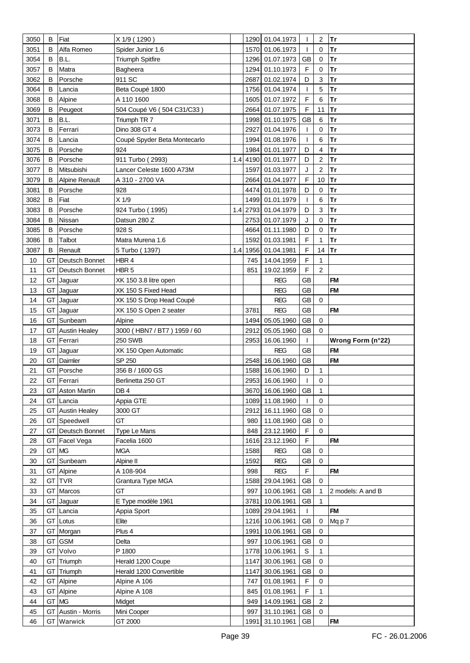| 3050     | B  | Fiat                    | X 1/9 (1290)                 |     |              | 1290 01.04.1973          | $\mathbf{I}$    | $\overline{\mathbf{c}}$ | Tr                |
|----------|----|-------------------------|------------------------------|-----|--------------|--------------------------|-----------------|-------------------------|-------------------|
| 3051     | B  | Alfa Romeo              | Spider Junior 1.6            |     |              | 1570 01.06.1973          | ı               | 0                       | Tr                |
| 3054     | B  | B.L.                    | <b>Triumph Spitfire</b>      |     |              | 1296 01.07.1973          | <b>GB</b>       | $\mathbf 0$             | Tr                |
| 3057     | B  | Matra                   | Bagheera                     |     |              | 1294 01.10.1973          | $\mathsf F$     | 0                       | Tr                |
| 3062     | в  | Porsche                 | 911 SC                       |     | 2687         | 01.02.1974               | D               | 3                       | <b>Tr</b>         |
| 3064     | B  | Lancia                  | Beta Coupé 1800              |     |              | 1756 01.04.1974          | $\mathbf{I}$    | 5                       | <b>Tr</b>         |
| 3068     | В  | Alpine                  | A 110 1600                   |     |              | 1605 01.07.1972          | $\mathsf F$     | 6                       | <b>Tr</b>         |
| 3069     |    |                         |                              |     |              |                          | F               |                         | <b>Tr</b>         |
|          | В  | Peugeot                 | 504 Coupé V6 (504 C31/C33)   |     |              | 2664 01.07.1975          |                 | 11                      |                   |
| 3071     | B  | B.L.                    | Triumph TR 7                 |     |              | 1998 01.10.1975          | <b>GB</b>       | 6                       | Tr                |
| 3073     | B  | Ferrari                 | Dino 308 GT 4                |     | 2927         | 01.04.1976               | T               | $\mathbf 0$             | <b>Tr</b>         |
| 3074     | В  | Lancia                  | Coupé Spyder Beta Montecarlo |     |              | 1994 01.08.1976          | T               | 6                       | Tr                |
| 3075     | В  | Porsche                 | 924                          |     |              | 1984 01.01.1977          | D               | 4                       | <b>Tr</b>         |
| 3076     | B  | Porsche                 | 911 Turbo (2993)             |     |              | 1.4 4190 01.01.1977      | D               | $\overline{c}$          | <b>Tr</b>         |
| 3077     | B  | Mitsubishi              | Lancer Celeste 1600 A73M     |     |              | 1597 01.03.1977          | J               | $\overline{c}$          | <b>Tr</b>         |
| 3079     | В  | <b>Alpine Renault</b>   | A 310 - 2700 VA              |     |              | 2664 01.04.1977          | F               | 10                      | Tr                |
| 3081     | B  | Porsche                 | 928                          |     |              | 4474 01.01.1978          | D               | 0                       | <b>Tr</b>         |
| 3082     | B  | Fiat                    | $X$ 1/9                      |     |              | 1499 01.01.1979          | $\mathbf{I}$    | 6                       | <b>Tr</b>         |
| 3083     | B  | Porsche                 | 924 Turbo (1995)             |     |              | 1.4 2793 01.04.1979      | D               | 3                       | Tr                |
| 3084     | В  | Nissan                  | Datsun 280 Z                 |     |              | 2753 01.07.1979          | J               | $\pmb{0}$               | Tr                |
| 3085     | В  | Porsche                 | 928 S                        |     |              | 4664 01.11.1980          | D               | 0                       | Tr                |
| 3086     | B  | Talbot                  | Matra Murena 1.6             |     |              | 1592 01.03.1981          | $\mathsf F$     | 1                       | Tr                |
| 3087     | B  | Renault                 | 5 Turbo (1397)               | 1.4 |              | 1956 01.04.1981          | F               | 14                      | <b>Tr</b>         |
| 10       | GT | Deutsch Bonnet          | HBR 4                        |     | 745          | 14.04.1959               | F               | 1                       |                   |
| 11       | GТ |                         | HBR <sub>5</sub>             |     | 851          | 19.02.1959               | F               | 2                       |                   |
|          |    | Deutsch Bonnet          |                              |     |              |                          |                 |                         |                   |
| 12       | GT | Jaguar                  | XK 150 3.8 litre open        |     |              | <b>REG</b>               | <b>GB</b>       |                         | <b>FM</b>         |
| 13       | GT | Jaguar                  | XK 150 S Fixed Head          |     |              | <b>REG</b>               | <b>GB</b>       |                         | <b>FM</b>         |
| 14       | GT | Jaguar                  | XK 150 S Drop Head Coupé     |     |              | <b>REG</b>               | <b>GB</b>       | $\mathbf 0$             |                   |
| 15       | GT | Jaguar                  | XK 150 S Open 2 seater       |     | 3781         | <b>REG</b>               | <b>GB</b>       |                         | <b>FM</b>         |
| 16       | GТ | Sunbeam                 | Alpine                       |     | 1494         | 05.05.1960               | <b>GB</b>       | $\mathbf 0$             |                   |
|          |    |                         |                              |     |              |                          |                 |                         |                   |
| 17       | GT | <b>Austin Healey</b>    | 3000 (HBN7 / BT7) 1959 / 60  |     | 2912         | 05.05.1960               | GB              | $\Omega$                |                   |
| 18       | GT | Ferrari                 | 250 SWB                      |     | 2953         | 16.06.1960               | $\mathbf{I}$    |                         | Wrong Form (n°22) |
| 19       | GT | Jaguar                  | XK 150 Open Automatic        |     |              | <b>REG</b>               | <b>GB</b>       |                         | <b>FM</b>         |
| 20       | GТ | Daimler                 | SP 250                       |     |              | 2548 16.06.1960          | <b>GB</b>       |                         | <b>FM</b>         |
| 21       | GТ | Porsche                 | 356 B / 1600 GS              |     |              | 1588 16.06.1960          | D               | 1                       |                   |
| 22       | GT | Ferrari                 | Berlinetta 250 GT            |     |              | 2953 16.06.1960          | $\mathbf{I}$    | $\mathbf 0$             |                   |
| 23       |    | <b>GT</b> Aston Martin  | DB4                          |     |              | 3670 16.06.1960 GB       |                 | 1                       |                   |
| 24       | GT | Lancia                  | Appia GTE                    |     |              | 1089 11.08.1960          | $\mathbf{I}$    | $\mathbf 0$             |                   |
| 25       | GТ | <b>Austin Healey</b>    | 3000 GT                      |     |              | 2912 16.11.1960          | GB              | $\mathbf 0$             |                   |
| 26       | GT | Speedwell               | GT                           |     | 980          | 11.08.1960               | GB              | $\pmb{0}$               |                   |
| 27       | GT | Deutsch Bonnet          | Type Le Mans                 |     | 848          | 23.12.1960               | $\mathsf F$     | $\mathbf 0$             |                   |
| 28       | GT |                         | Facelia 1600                 |     |              |                          | F               |                         | <b>FM</b>         |
|          | GT | Facel Vega<br><b>MG</b> |                              |     |              | 1616 23.12.1960          |                 | 0                       |                   |
| 29<br>30 | GT | Sunbeam                 | <b>MGA</b><br>Alpine II      |     | 1588<br>1592 | <b>REG</b><br><b>REG</b> | <b>GB</b><br>GB | $\mathbf 0$             |                   |
|          |    |                         |                              |     |              |                          |                 |                         |                   |
| 31       | GT | Alpine                  | A 108-904                    |     | 998          | <b>REG</b>               | $\mathsf F$     |                         | <b>FM</b>         |
| 32       | GT | <b>TVR</b>              | Grantura Type MGA            |     |              | 1588 29.04.1961          | GB              | 0                       |                   |
| 33       | GT | Marcos                  | GT                           |     | 997          | 10.06.1961               | GB              | 1                       | 2 models: A and B |
| 34       | GT | Jaguar                  | E Type modèle 1961           |     |              | 3781 10.06.1961          | GB              | $\mathbf{1}$            |                   |
| 35       | GT | Lancia                  | Appia Sport                  |     |              | 1089 29.04.1961          | $\mathbf{I}$    |                         | <b>FM</b>         |
| 36       | GT | Lotus                   | Elite                        |     |              | 1216 10.06.1961          | <b>GB</b>       | 0                       | Mqp7              |
| 37       | GT | Morgan                  | Plus 4                       |     |              | 1991 10.06.1961          | GB              | 0                       |                   |
| 38       | GT | <b>GSM</b>              | Delta                        |     |              | 997 10.06.1961           | GB              | 0                       |                   |
| 39       | GT | Volvo                   | P 1800                       |     |              | 1778 10.06.1961          | $\mathsf S$     | $\mathbf{1}$            |                   |
| 40       | GT | Triumph                 | Herald 1200 Coupe            |     |              | 1147 30.06.1961          | <b>GB</b>       | 0                       |                   |
| 41       | GT | Triumph                 | Herald 1200 Convertible      |     |              | 1147 30.06.1961          | GB              | 0                       |                   |
| 42       | GT | Alpine                  | Alpine A 106                 |     | 747          | 01.08.1961               | $\mathsf F$     | $\pmb{0}$               |                   |
| 43       | GT | Alpine                  | Alpine A 108                 |     | 845          | 01.08.1961               | $\mathsf F$     | $\mathbf{1}$            |                   |
| 44       | GT | <b>MG</b>               | Midget                       |     | 949          | 14.09.1961               | <b>GB</b>       | $\overline{2}$          |                   |
| 45       | GT | Austin - Morris         | Mini Cooper                  |     | 997          | 31.10.1961               | GB              | $\mathbf 0$             |                   |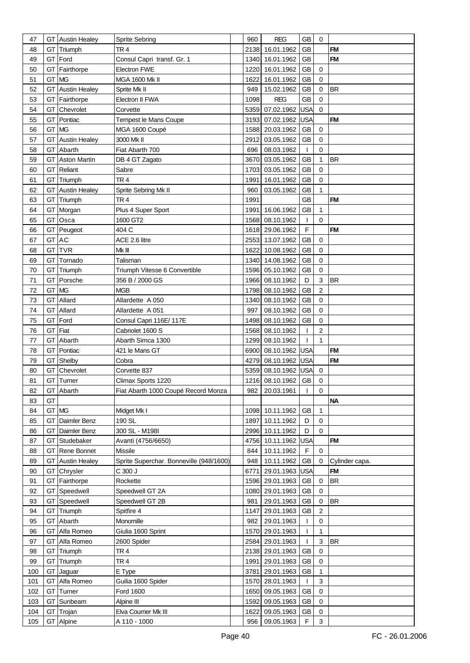| 47  |       | <b>GT</b> Austin Healey | Sprite Sebring                          | 960  | <b>REG</b>          | <b>GB</b>    | 0              |                |
|-----|-------|-------------------------|-----------------------------------------|------|---------------------|--------------|----------------|----------------|
| 48  |       | GT Triumph              | TR <sub>4</sub>                         | 2138 | 16.01.1962          | GB           |                | <b>FM</b>      |
| 49  |       | GT Ford                 | Consul Capri transf. Gr. 1              | 1340 | 16.01.1962          | <b>GB</b>    |                | <b>FM</b>      |
| 50  | GТ    | Fairthorpe              | <b>Electron FWE</b>                     | 1220 | 16.01.1962          | GB           | 0              |                |
| 51  | GT    | <b>MG</b>               | <b>MGA 1600 Mk II</b>                   | 1622 | 16.01.1962          | GB           | $\Omega$       |                |
| 52  | GT    | <b>Austin Healey</b>    | Sprite Mk II                            | 949  | 15.02.1962          | GB           | 0              | <b>BR</b>      |
|     |       |                         |                                         |      |                     |              |                |                |
| 53  | GТ    | Fairthorpe              | <b>Electron II FWA</b>                  | 1098 | <b>REG</b>          | <b>GB</b>    | 0              |                |
| 54  | GТ    | Chevrolet               | Corvette                                |      | 5359 07.02.1962     | USA          | $\Omega$       |                |
| 55  | GТ    | Pontiac                 | Tempest le Mans Coupe                   |      | 3193 07.02.1962     | USA          |                | <b>FM</b>      |
| 56  | GT MG |                         | MGA 1600 Coupé                          |      | 1588 20.03.1962     | GB           | $\mathbf 0$    |                |
| 57  | GТ    | <b>Austin Healey</b>    | 3000 Mk II                              | 2912 | 03.05.1962          | <b>GB</b>    | $\mathbf 0$    |                |
| 58  | GT    | Abarth                  | Fiat Abarth 700                         | 696  | 08.03.1962          | $\mathbf{I}$ | 0              |                |
| 59  | GT    | <b>Aston Martin</b>     | DB 4 GT Zagato                          |      | 3670 03.05.1962     | <b>GB</b>    | $\mathbf{1}$   | <b>BR</b>      |
| 60  |       | <b>GT</b> Reliant       | Sabre                                   | 1703 | 03.05.1962          | <b>GB</b>    | $\mathbf 0$    |                |
| 61  |       | GT Triumph              | TR <sub>4</sub>                         | 1991 | 16.01.1962          | <b>GB</b>    | 0              |                |
| 62  |       | <b>GT</b> Austin Healey | Sprite Sebring Mk II                    | 960  | 03.05.1962          | <b>GB</b>    | $\mathbf{1}$   |                |
| 63  |       | GT Triumph              | TR <sub>4</sub>                         | 1991 |                     | <b>GB</b>    |                | <b>FM</b>      |
| 64  |       | GT Morgan               | Plus 4 Super Sport                      |      | 1991 16.06.1962     | GB           | $\mathbf{1}$   |                |
| 65  | GT    | Osca                    | 1600 GT2                                |      | 1568 08.10.1962     | $\mathbf{I}$ | $\Omega$       |                |
| 66  | GТ    | Peugeot                 | 404 C                                   |      | 1618 29.06.1962     | $\mathsf F$  |                | <b>FM</b>      |
| 67  | GT    | <b>AC</b>               | ACE 2.6 litre                           |      | 2553 13.07.1962     | GB           | 0              |                |
| 68  | GT    | <b>TVR</b>              | Mk III                                  | 1622 | 10.08.1962          | <b>GB</b>    | $\mathbf 0$    |                |
| 69  | GT    | Tornado                 | Talisman                                |      | 1340 14.08.1962     | <b>GB</b>    | 0              |                |
|     |       |                         |                                         |      | 1596 05.10.1962     |              |                |                |
| 70  |       | GT Triumph              | Triumph Vitesse 6 Convertible           |      |                     | <b>GB</b>    | 0              |                |
| 71  | GT    | Porsche                 | 356 B / 2000 GS                         |      | 1966 08.10.1962     | D            | 3              | <b>BR</b>      |
| 72  | GT    | MG                      | <b>MGB</b>                              | 1798 | 08.10.1962          | <b>GB</b>    | $\overline{c}$ |                |
| 73  | GT    | Allard                  | Allardette A 050                        |      | 1340 08.10.1962     | GB           | $\mathbf 0$    |                |
| 74  | GT    | Allard                  | Allardette A 051                        | 997  | 08.10.1962          | GB           | 0              |                |
| 75  | GT    | Ford                    | Consul Capri 116E/117E                  |      | 1498 08.10.1962     | GB           | 0              |                |
| 76  | GT    | Fiat                    | Cabriolet 1600 S                        | 1568 | 08.10.1962          | $\mathbf{I}$ | $\overline{c}$ |                |
| 77  | GT    | Abarth                  | Abarth Simca 1300                       | 1299 | 08.10.1962          | $\mathbf{I}$ | $\mathbf{1}$   |                |
| 78  | GT    | Pontiac                 | 421 le Mans GT                          |      | 6900 08.10.1962 USA |              |                | <b>FM</b>      |
| 79  | GT    | Shelby                  | Cobra                                   | 4279 | 08.10.1962          | USA          |                | <b>FM</b>      |
| 80  |       | <b>GT</b> Chevrolet     | Corvette 837                            |      | 5359 08.10.1962 USA |              | 0              |                |
| 81  |       | GT Turner               | Climax Sports 1220                      |      | 1216 08.10.1962 GB  |              | $\mathbf 0$    |                |
| 82  |       | GT Abarth               | Fiat Abarth 1000 Coupé Record Monza     | 982  | 20.03.1961          | $\mathbf{I}$ | 0              |                |
| 83  | GT    |                         |                                         |      |                     |              |                | <b>NA</b>      |
| 84  | GT MG |                         | Midget Mk I                             |      | 1098 10.11.1962     | GB           | 1              |                |
| 85  | GТ    | Daimler Benz            | 190 SL                                  | 1897 | 10.11.1962          | D            | 0              |                |
| 86  | GТ    | Daimler Benz            | 300 SL - M198I                          |      | 2996 10.11.1962     | D            | $\mathbf 0$    |                |
| 87  | GТ    | Studebaker              | Avanti (4756/6650)                      |      | 4756 10.11.1962     | USA          |                | <b>FM</b>      |
| 88  |       | GT Rene Bonnet          | Missile                                 | 844  | 10.11.1962          | F            | 0              |                |
| 89  | GT    | <b>Austin Healey</b>    | Sprite Superchar. Bonneville (948/1600) | 948  | 10.11.1962          | GB           | 0              | Cylinder capa. |
| 90  |       | GT Chrysler             | C 300 J                                 | 6771 | 29.01.1963 USA      |              |                | <b>FM</b>      |
|     |       |                         |                                         |      |                     |              |                | <b>BR</b>      |
| 91  |       | <b>GT</b> Fairthorpe    | Rockette                                |      | 1596 29.01.1963     | GB           | 0              |                |
| 92  |       | <b>GT</b> Speedwell     | Speedwell GT 2A                         |      | 1080 29.01.1963     | GB           | $\mathbf 0$    |                |
| 93  |       | GT Speedwell            | Speedwell GT 2B                         | 981  | 29.01.1963          | GB           | 0              | <b>BR</b>      |
| 94  |       | GT Triumph              | Spitfire 4                              | 1147 | 29.01.1963          | <b>GB</b>    | $\overline{c}$ |                |
| 95  | GT    | Abarth                  | Monomille                               | 982  | 29.01.1963          | T            | 0              |                |
| 96  |       | GT Alfa Romeo           | Giulia 1600 Sprint                      | 1570 | 29.01.1963          | $\mathbf{I}$ | $\mathbf{1}$   |                |
| 97  |       | GT Alfa Romeo           | 2600 Spider                             | 2584 | 29.01.1963          | $\mathbf{I}$ | 3              | <b>BR</b>      |
| 98  |       | GT Triumph              | TR <sub>4</sub>                         |      | 2138 29.01.1963     | GB           | $\mathbf 0$    |                |
| 99  |       | GT Triumph              | TR <sub>4</sub>                         |      | 1991 29.01.1963     | GB           | 0              |                |
| 100 |       | GT Jaguar               | E Type                                  | 3781 | 29.01.1963          | <b>GB</b>    | $\mathbf{1}$   |                |
| 101 | GT    | Alfa Romeo              | Guilia 1600 Spider                      | 1570 | 28.01.1963          | $\mathbf{I}$ | 3              |                |
| 102 |       | GT Turner               | Ford 1600                               |      | 1650 09.05.1963     | <b>GB</b>    | $\mathbf 0$    |                |
| 103 | GT    | Sunbeam                 | Alpine III                              | 1592 | 09.05.1963          | GB           | 0              |                |
| 104 |       | GT Trojan               | Elva Courrier Mk III                    | 1622 | 09.05.1963          | GB           | 0              |                |
| 105 |       | GT Alpine               | A 110 - 1000                            |      | 956 09.05.1963      | $\mathsf F$  | $\mathfrak{S}$ |                |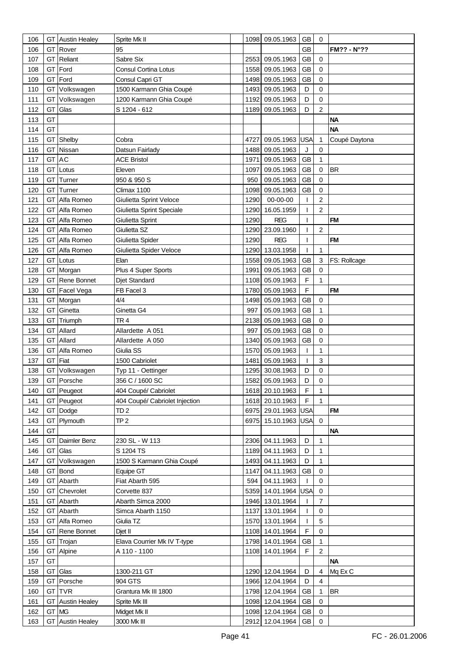| 106 | GТ    | <b>Austin Healey</b>    | Sprite Mk II                   |      | 1098 09.05.1963     | <b>GB</b>   | 0              |                     |
|-----|-------|-------------------------|--------------------------------|------|---------------------|-------------|----------------|---------------------|
| 106 | GT    | Rover                   | 95                             |      |                     | <b>GB</b>   |                | <b>FM?? - N°??</b>  |
| 107 | GT    | Reliant                 | Sabre Six                      |      | 2553 09.05.1963     | <b>GB</b>   | $\mathbf 0$    |                     |
| 108 | GT    | Ford                    | Consul Cortina Lotus           | 1558 | 09.05.1963          | <b>GB</b>   | $\mathbf 0$    |                     |
| 109 | GT    | Ford                    | Consul Capri GT                | 1498 | 09.05.1963          | <b>GB</b>   | $\mathbf 0$    |                     |
| 110 | GT    | Volkswagen              | 1500 Karmann Ghia Coupé        | 1493 | 09.05.1963          | D           | $\mathbf 0$    |                     |
|     |       |                         |                                |      |                     |             |                |                     |
| 111 | GT    | Volkswagen              | 1200 Karmann Ghia Coupé        | 1192 | 09.05.1963          | D           | $\mathbf 0$    |                     |
| 112 | GT    | Glas                    | S 1204 - 612                   | 1189 | 09.05.1963          | D           | $\overline{c}$ |                     |
| 113 | GT    |                         |                                |      |                     |             |                | <b>NA</b>           |
| 114 | GT    |                         |                                |      |                     |             |                | <b>NA</b>           |
| 115 | GT    | Shelby                  | Cobra                          | 4727 | 09.05.1963          | <b>USA</b>  | 1              | Coupé Daytona       |
| 116 | GT    | Nissan                  | Datsun Fairlady                |      | 1488 09.05.1963     | J           | 0              |                     |
| 117 | GT    | <b>AC</b>               | <b>ACE Bristol</b>             | 1971 | 09.05.1963          | <b>GB</b>   | $\mathbf{1}$   |                     |
| 118 | GT    | Lotus                   | Eleven                         | 1097 | 09.05.1963          | <b>GB</b>   | 0              | <b>BR</b>           |
| 119 | GT    | Turner                  | 950 & 950 S                    | 950  | 09.05.1963          | <b>GB</b>   | $\mathbf 0$    |                     |
| 120 | GT    | Turner                  | Climax 1100                    | 1098 | 09.05.1963          | <b>GB</b>   | $\mathbf 0$    |                     |
| 121 | GT    | Alfa Romeo              | Giulietta Sprint Veloce        | 1290 | 00-00-00            |             | $\overline{c}$ |                     |
| 122 | GT    | Alfa Romeo              | Giulietta Sprint Speciale      |      | 1290 16.05.1959     | ı           | 2              |                     |
| 123 | GТ    | Alfa Romeo              | Giulietta Sprint               | 1290 | <b>REG</b>          | ı           |                | <b>FM</b>           |
| 124 | GT    | Alfa Romeo              | Giulietta SZ                   |      | 1290 23.09.1960     | T           | $\overline{c}$ |                     |
| 125 | GT    | Alfa Romeo              | Giulietta Spider               | 1290 | <b>REG</b>          | T           |                | <b>FM</b>           |
| 126 | GТ    | Alfa Romeo              | Giulietta Spider Veloce        | 1290 | 13.03.1958          | T           | 1              |                     |
| 127 | GТ    | Lotus                   | Elan                           |      | 1558 09.05.1963     | <b>GB</b>   | 3              | <b>FS: Rollcage</b> |
| 128 | GT    | Morgan                  | Plus 4 Super Sports            | 1991 | 09.05.1963          | <b>GB</b>   | $\mathbf 0$    |                     |
| 129 | GT    | Rene Bonnet             | Djet Standard                  |      | 1108 05.09.1963     | F           | 1              |                     |
| 130 | GT    | Facel Vega              | FB Facel 3                     |      | 1780 05.09.1963     | $\mathsf F$ |                | <b>FM</b>           |
| 131 | GT    | Morgan                  | 4/4                            |      | 1498 05.09.1963     | <b>GB</b>   | 0              |                     |
| 132 | GT    | Ginetta                 | Ginetta G4                     | 997  | 05.09.1963          | <b>GB</b>   | $\mathbf{1}$   |                     |
| 133 | GT    | Triumph                 | TR <sub>4</sub>                | 2138 | 05.09.1963          | GB          | 0              |                     |
|     | GT    | Allard                  |                                | 997  |                     | <b>GB</b>   | $\mathbf 0$    |                     |
| 134 |       |                         | Allardette A 051               |      | 05.09.1963          |             |                |                     |
| 135 | GТ    | Allard                  | Allardette A 050               | 1340 | 05.09.1963          | GB          | $\mathbf 0$    |                     |
| 136 | GT    | Alfa Romeo              | Giulia SS                      | 1570 | 05.09.1963          | T           | 1              |                     |
| 137 | GT    | Fiat                    | 1500 Cabriolet                 | 1481 | 05.09.1963          | T           | 3              |                     |
| 138 | GT    | Volkswagen              | Typ 11 - Oettinger             |      | 1295 30.08.1963     | D           | $\mathbf 0$    |                     |
| 139 |       | GT Porsche              | 356 C / 1600 SC                |      | 1582 05.09.1963     | D           | $\mathbf 0$    |                     |
| 140 |       | GT Peugeot              | 404 Coupé/ Cabriolet           |      | 1618 20.10.1963     | F           | 1              |                     |
| 141 |       | GT Peugeot              | 404 Coupé/ Cabriolet Injection |      | 1618 20.10.1963     | $\mathsf F$ | $\mathbf{1}$   |                     |
| 142 |       | GT Dodge                | TD <sub>2</sub>                |      | 6975 29.01.1963 USA |             |                | <b>FM</b>           |
| 143 |       | GT Plymouth             | TP <sub>2</sub>                |      | 6975 15.10.1963 USA |             | $\mathbf 0$    |                     |
| 144 | GT    |                         |                                |      |                     |             |                | <b>NA</b>           |
| 145 | GT    | Daimler Benz            | 230 SL - W 113                 |      | 2306 04.11.1963     | D           | $\mathbf{1}$   |                     |
| 146 | GT    | Glas                    | S 1204 TS                      |      | 1189 04.11.1963     | D           | $\mathbf{1}$   |                     |
| 147 | GT    | Volkswagen              | 1500 S Karmann Ghia Coupé      |      | 1493 04.11.1963     | D           | 1              |                     |
| 148 | GT    | <b>Bond</b>             | Equipe GT                      |      | 1147 04.11.1963     | <b>GB</b>   | $\mathbf 0$    |                     |
| 149 | GT    | Abarth                  | Fiat Abarth 595                | 594  | 04.11.1963          |             | 0              |                     |
| 150 | GT    | Chevrolet               | Corvette 837                   |      | 5359 14.01.1964 USA |             | $\mathbf 0$    |                     |
| 151 | GT    | Abarth                  | Abarth Simca 2000              |      | 1946 13.01.1964     | L           | 7              |                     |
| 152 | GT    | Abarth                  | Simca Abarth 1150              |      | 1137 13.01.1964     | T           | $\mathbf 0$    |                     |
| 153 | GT    | Alfa Romeo              | Giulia TZ                      |      | 1570 13.01.1964     | T           | 5              |                     |
| 154 | GT    | Rene Bonnet             | Djet II                        |      | 1108 14.01.1964     | F           | $\mathbf 0$    |                     |
| 155 | GT    | Trojan                  | Elava Courrier Mk IV T-type    |      | 1798 14.01.1964     | GB          | 1              |                     |
| 156 | GT    | Alpine                  | A 110 - 1100                   |      | 1108 14.01.1964     | F           | $\overline{c}$ |                     |
| 157 | GT    |                         |                                |      |                     |             |                | <b>NA</b>           |
| 158 | GT    | Glas                    | 1300-211 GT                    |      | 1290 12.04.1964     | D           | 4              | Mq Ex C             |
| 159 | GT    | Porsche                 | 904 GTS                        |      | 1966 12.04.1964     | D           | 4              |                     |
| 160 | GТ    | <b>TVR</b>              | Grantura Mk III 1800           |      | 1798 12.04.1964     | GB          | 1              | <b>BR</b>           |
| 161 | GT    | <b>Austin Healey</b>    | Sprite Mk III                  |      | 1098 12.04.1964     | GB          | $\mathbf 0$    |                     |
| 162 | GT MG |                         | Midget Mk II                   |      | 1098 12.04.1964     | GB          | $\mathbf 0$    |                     |
| 163 |       | <b>GT</b> Austin Healey | 3000 Mk III                    |      | 2912 12.04.1964 GB  |             | $\mathbf 0$    |                     |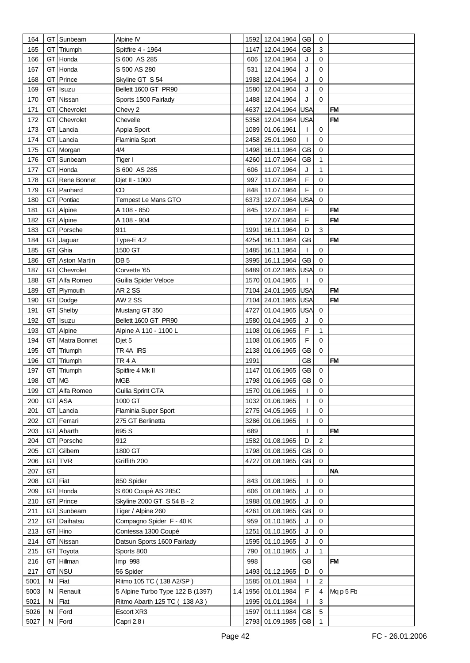| 164  |    | GT Sunbeam          | Alpine IV                        |     |      | 1592 12.04.1964     | GВ         | 0              |           |
|------|----|---------------------|----------------------------------|-----|------|---------------------|------------|----------------|-----------|
| 165  | GТ | Triumph             | Spitfire 4 - 1964                |     |      | 1147 12.04.1964     | <b>GB</b>  | $\mathbf{3}$   |           |
| 166  | GТ | Honda               | S 600 AS 285                     |     | 606  | 12.04.1964          | J          | $\mathbf 0$    |           |
| 167  | GT | Honda               | S 500 AS 280                     |     | 531  | 12.04.1964          | J          | $\mathbf 0$    |           |
| 168  |    |                     |                                  |     |      | 1988 12.04.1964     | J          | $\mathbf 0$    |           |
|      | GT | Prince              | Skyline GT S 54                  |     |      |                     |            |                |           |
| 169  | GТ | Isuzu               | Bellett 1600 GT PR90             |     |      | 1580 12.04.1964     | J          | $\mathbf 0$    |           |
| 170  | GТ | Nissan              | Sports 1500 Fairlady             |     |      | 1488 12.04.1964     | J          | $\mathbf 0$    |           |
| 171  | GT | Chevrolet           | Chevy 2                          |     |      | 4637 12.04.1964     | <b>USA</b> |                | <b>FM</b> |
| 172  | GT | Chevrolet           | Chevelle                         |     |      | 5358 12.04.1964     | <b>USA</b> |                | <b>FM</b> |
| 173  | GT | Lancia              | Appia Sport                      |     |      | 1089 01.06.1961     | T          | $\mathbf 0$    |           |
| 174  | GТ | Lancia              | Flaminia Sport                   |     |      | 2458 25.01.1960     | T          | $\mathbf 0$    |           |
| 175  | GT | Morgan              | 4/4                              |     |      | 1498 16.11.1964     | <b>GB</b>  | $\mathbf 0$    |           |
| 176  | GT | Sunbeam             | Tiger I                          |     |      | 4260 11.07.1964     | GB         | 1              |           |
| 177  | GT | Honda               | S 600 AS 285                     |     | 606  | 11.07.1964          | J          | 1              |           |
| 178  | GT | Rene Bonnet         | Djet II - 1000                   |     | 997  | 11.07.1964          | F          | 0              |           |
| 179  | GT | Panhard             | CD                               |     | 848  | 11.07.1964          | F          | 0              |           |
| 180  | GT | Pontiac             | Tempest Le Mans GTO              |     |      | 6373 12.07.1964     | USA        | $\mathbf 0$    |           |
| 181  | GT | Alpine              | A 108 - 850                      |     | 845  | 12.07.1964          | F          |                | <b>FM</b> |
| 182  | GТ | Alpine              | A 108 - 904                      |     |      | 12.07.1964          | F          |                | <b>FM</b> |
| 183  | GT | Porsche             | 911                              |     | 1991 | 16.11.1964          | D          | 3              |           |
| 184  | GT | Jaguar              | Type-E 4.2                       |     |      | 4254 16.11.1964     | GB         |                | <b>FM</b> |
| 185  | GT | Ghia                | 1500 GT                          |     |      | 1485 16.11.1964     | T          | 0              |           |
| 186  | GT | <b>Aston Martin</b> | DB 5                             |     |      | 3995 16.11.1964     | <b>GB</b>  | 0              |           |
| 187  | GT | Chevrolet           | Corvette '65                     |     |      | 6489 01.02.1965 USA |            | 0              |           |
| 188  | GT | Alfa Romeo          | Guilia Spider Veloce             |     |      | 1570 01.04.1965     |            | $\Omega$       |           |
| 189  | GT | Plymouth            | AR 2 SS                          |     |      | 7104 24.01.1965 USA |            |                | <b>FM</b> |
|      |    |                     |                                  |     |      |                     |            |                | <b>FM</b> |
| 190  | GT | Dodge               | <b>AW 2 SS</b>                   |     |      | 7104 24.01.1965 USA |            |                |           |
| 191  | GT | Shelby              | Mustang GT 350                   |     |      | 4727 01.04.1965 USA |            | 0              |           |
| 192  | GT | Isuzu               | Bellett 1600 GT PR90             |     |      | 1580 01.04.1965     | J          | 0              |           |
| 193  | GT | Alpine              | Alpine A 110 - 1100 L            |     |      | 1108 01.06.1965     | F          | $\mathbf{1}$   |           |
| 194  | GT | Matra Bonnet        | Djet 5                           |     |      | 1108 01.06.1965     | F          | 0              |           |
| 195  | GT | Triumph             | TR 4A IRS                        |     |      | 2138 01.06.1965     | GB         | 0              |           |
| 196  | GТ | Triumph             | TR <sub>4</sub> A                |     | 1991 |                     | GB         |                | <b>FM</b> |
| 197  | GT | Triumph             | Spitfire 4 Mk II                 |     |      | 1147 01.06.1965     | GB         | 0              |           |
| 198  | GT | <b>MG</b>           | <b>MGB</b>                       |     |      | 1798 01.06.1965     | <b>GB</b>  | $\Omega$       |           |
| 199  |    | GT Alfa Romeo       | Guilia Sprint GTA                |     |      | 1570 01.06.1965     | T          | 0              |           |
| 200  | GT | <b>ASA</b>          | 1000 GT                          |     |      | 1032 01.06.1965     |            | $\Omega$       |           |
| 201  |    | GT Lancia           | Flaminia Super Sport             |     |      | 2775 04.05.1965     |            | 0              |           |
| 202  | GT | Ferrari             | 275 GT Berlinetta                |     |      | 3286 01.06.1965     | L          | 0              |           |
| 203  | GТ | Abarth              | 695 S                            |     | 689  |                     | T          |                | <b>FM</b> |
| 204  | GT | Porsche             | 912                              |     |      | 1582 01.08.1965     | D          | $\overline{c}$ |           |
| 205  | GT | Gilbern             | 1800 GT                          |     |      | 1798 01.08.1965     | GB         | 0              |           |
| 206  | GT | <b>TVR</b>          | Griffith 200                     |     |      | 4727 01.08.1965     | GB         | 0              |           |
| 207  | GT |                     |                                  |     |      |                     |            |                | <b>NA</b> |
| 208  | GT | Fiat                | 850 Spider                       |     | 843  | 01.08.1965          | T          | 0              |           |
| 209  | GT | Honda               | S 600 Coupé AS 285C              |     | 606  | 01.08.1965          | J          | 0              |           |
| 210  | GT | Prince              | Skyline 2000 GT S 54 B - 2       |     |      | 1988 01.08.1965     | J          | 0              |           |
| 211  | GT | Sunbeam             | Tiger / Alpine 260               |     | 4261 | 01.08.1965          | GB         | 0              |           |
| 212  | GT | Daihatsu            | Compagno Spider F - 40 K         |     | 959  | 01.10.1965          | J          | 0              |           |
| 213  | GT | Hino                | Contessa 1300 Coupé              |     | 1251 | 01.10.1965          | J          | 0              |           |
| 214  | GT | Nissan              | Datsun Sports 1600 Fairlady      |     |      | 1595 01.10.1965     | J          | 0              |           |
| 215  | GT | Toyota              | Sports 800                       |     | 790  | 01.10.1965          | J          | $\mathbf{1}$   |           |
| 216  | GT | Hillman             | Imp 998                          |     | 998  |                     | GB         |                | <b>FM</b> |
| 217  | GT | <b>NSU</b>          | 56 Spider                        |     |      | 1493 01.12.1965     | D          | 0              |           |
| 5001 | N  | Fiat                | Ritmo 105 TC (138 A2/SP)         |     |      | 1585 01.01.1984     | L          | $\overline{2}$ |           |
| 5003 | N  | Renault             | 5 Alpine Turbo Type 122 B (1397) | 1.4 |      | 1956 01.01.1984     | F          | 4              | Mq p 5 Fb |
| 5021 | N  | Fiat                | Ritmo Abarth 125 TC ( 138 A3)    |     |      | 1995 01.01.1984     | T          | 3              |           |
| 5026 | N  | Ford                | Escort XR3                       |     |      | 1597 01.11.1984     | GB         | $\,$ 5 $\,$    |           |
| 5027 | N  | Ford                | Capri 2.8 i                      |     |      | 2793 01.09.1985 GB  |            | 1              |           |
|      |    |                     |                                  |     |      |                     |            |                |           |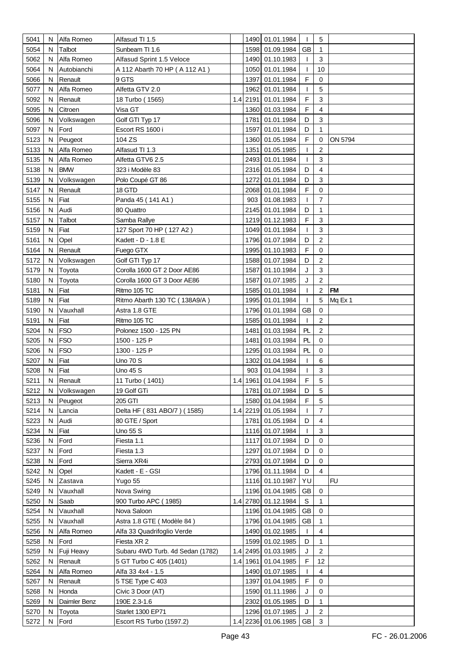| 5041 | N  | Alfa Romeo   | Alfasud TI 1.5                                |          | 1490 01.01.1984                           | $\mathbf{I}$ | 5              |           |
|------|----|--------------|-----------------------------------------------|----------|-------------------------------------------|--------------|----------------|-----------|
| 5054 | N  | Talbot       | Sunbeam TI 1.6                                | 1598     | 01.09.1984                                | <b>GB</b>    | 1              |           |
| 5062 | N  | Alfa Romeo   | Alfasud Sprint 1.5 Veloce                     | 1490     | 01.10.1983                                | T            | 3              |           |
| 5064 | N  | Autobianchi  | A 112 Abarth 70 HP (A 112 A1)                 | 1050     | 01.01.1984                                | T            | 10             |           |
| 5066 | N  | Renault      | 9 GTS                                         | 1397     | 01.01.1984                                | F            | 0              |           |
| 5077 | N  | Alfa Romeo   | Alfetta GTV 2.0                               | 1962     | 01.01.1984                                | T            | 5              |           |
| 5092 | N  | Renault      |                                               | 1.4 2191 | 01.01.1984                                | F            | 3              |           |
| 5095 | N  | Citroen      | 18 Turbo (1565)<br>Visa GT                    | 1360     | 01.03.1984                                | F            | 4              |           |
| 5096 |    |              |                                               | 1781     | 01.01.1984                                | D            | 3              |           |
|      | N  | Volkswagen   | Golf GTI Typ 17                               |          |                                           | D            |                |           |
| 5097 | N  | Ford         | Escort RS 1600 i                              | 1597     | 01.01.1984                                |              | 1              |           |
| 5123 | N  | Peugeot      | 104 ZS                                        | 1360     | 01.05.1984                                | F            | 0              | ON 5794   |
| 5133 | N  | Alfa Romeo   | Alfasud TI 1.3                                | 1351     | 01.05.1985                                | T            | $\overline{2}$ |           |
| 5135 | N  | Alfa Romeo   | Alfetta GTV6 2.5                              | 2493     | 01.01.1984                                | T            | 3              |           |
| 5138 | N  | <b>BMW</b>   | 323 i Modèle 83                               | 2316     | 01.05.1984                                | D            | $\overline{4}$ |           |
| 5139 | N  | Volkswagen   | Polo Coupé GT 86                              | 1272     | 01.01.1984                                | D            | 3              |           |
| 5147 | N  | Renault      | 18 GTD                                        | 2068     | 01.01.1984                                | F            | 0              |           |
| 5155 | N  | Fiat         | Panda 45 (141 A1)                             | 903      | 01.08.1983                                | T            | $\overline{7}$ |           |
| 5156 | N  | Audi         | 80 Quattro                                    |          | 2145 01.01.1984                           | D            | 1              |           |
| 5157 | N  | Talbot       | Samba Rallye                                  |          | 1219 01.12.1983                           | F            | 3              |           |
| 5159 | N  | Fiat         | 127 Sport 70 HP (127 A2)                      |          | 1049 01.01.1984                           | T            | 3              |           |
| 5161 | N  | Opel         | Kadett - D - 1.8 E                            |          | 1796 01.07.1984                           | D            | $\overline{2}$ |           |
| 5164 | N  | Renault      | Fuego GTX                                     | 1995     | 01.10.1983                                | F            | 0              |           |
| 5172 | N  | Volkswagen   | Golf GTI Typ 17                               |          | 1588 01.07.1984                           | D            | 2              |           |
| 5179 | N  | Toyota       | Corolla 1600 GT 2 Door AE86                   | 1587     | 01.10.1984                                | J            | 3              |           |
| 5180 | N  | Toyota       | Corolla 1600 GT 3 Door AE86                   | 1587     | 01.07.1985                                | J            | 2              |           |
| 5181 | N  | Fiat         | Ritmo 105 TC                                  | 1585     | 01.01.1984                                | T            | $\overline{2}$ | <b>FM</b> |
| 5189 | N  | Fiat         | Ritmo Abarth 130 TC (138A9/A)                 |          | 1995 01.01.1984                           | T            | 5              | Mq Ex 1   |
| 5190 | N  | Vauxhall     | Astra 1.8 GTE                                 |          | 1796 01.01.1984                           | <b>GB</b>    | $\mathbf 0$    |           |
| 5191 | N  | Fiat         | Ritmo 105 TC                                  | 1585     | 01.01.1984                                | T            | $\overline{c}$ |           |
| 5204 | N  | <b>FSO</b>   | Polonez 1500 - 125 PN                         | 1481     | 01.03.1984                                | PL           | $\sqrt{2}$     |           |
| 5205 | N  | <b>FSO</b>   | 1500 - 125 P                                  | 1481     | 01.03.1984                                | PL           | 0              |           |
| 5206 | N  | <b>FSO</b>   | 1300 - 125 P                                  | 1295     | 01.03.1984                                | PL           | 0              |           |
| 5207 | N  | Fiat         | <b>Uno 70 S</b>                               | 1302     | 01.04.1984                                | T            | 6              |           |
| 5208 | N  | Fiat         | Uno 45 S                                      | 903      | 01.04.1984                                | T            | 3              |           |
| 5211 | N  | Renault      | 11 Turbo (1401)                               |          | 1.4 1961 01.04.1984                       | F            | 5              |           |
| 5212 | N  | Volkswagen   | 19 Golf GTi                                   |          | 1781 01.07.1984                           | D            | 5              |           |
| 5213 | N. | Peugeot      | 205 GTI                                       |          | 1580 01.04.1984                           | F            | 5              |           |
| 5214 | N  | Lancia       | Delta HF (831 ABO/7) (1585)                   |          | 1.4 2219 01.05.1984                       | $\mathbf{I}$ | $\overline{7}$ |           |
| 5223 | N  | Audi         | 80 GTE / Sport                                |          | 1781 01.05.1984                           | D            | 4              |           |
| 5234 | N  | Fiat         | Uno 55 S                                      |          | 1116 01.07.1984                           | T            | 3              |           |
| 5236 | N  | Ford         | Fiesta 1.1                                    | 1117     | 01.07.1984                                | D            | 0              |           |
| 5237 | N  | Ford         | Fiesta 1.3                                    |          | 1297 01.07.1984                           | D            | 0              |           |
| 5238 | N  | Ford         | Sierra XR4i                                   |          | 2793 01.07.1984                           | D            | 0              |           |
| 5242 | N  | Opel         | Kadett - E - GSI                              |          | 1796 01.11.1984                           | D            | $\overline{4}$ |           |
| 5245 | N  | Zastava      | Yugo 55                                       |          | 1116 01.10.1987                           | YU           |                | FU        |
| 5249 | N  | Vauxhall     | Nova Swing                                    |          | 1196 01.04.1985                           | GB           | 0              |           |
| 5250 | N  | Saab         | 900 Turbo APC (1985)                          |          | 1.4 2780 01.12.1984                       | $\mathbb S$  | 1              |           |
| 5254 | N  | Vauxhall     | Nova Saloon                                   |          | 1196 01.04.1985                           | <b>GB</b>    | 0              |           |
| 5255 | N  | Vauxhall     | Astra 1.8 GTE (Modèle 84)                     |          | 1796 01.04.1985                           | <b>GB</b>    | 1              |           |
| 5256 | N  | Alfa Romeo   | Alfa 33 Quadrifoglio Verde                    |          | 1490 01.02.1985                           | T            | 4              |           |
| 5258 | N  | Ford         | Fiesta XR 2                                   |          | 1599 01.02.1985                           | D            | 1              |           |
| 5259 |    |              | Subaru 4WD Turb. 4d Sedan (1782)              |          | 1.4 2495 01.03.1985                       | J            | $\overline{2}$ |           |
| 5262 | N  | Fuji Heavy   |                                               |          |                                           |              |                |           |
|      | N  | Renault      | 5 GT Turbo C 405 (1401)                       | 1.4 1961 | 01.04.1985                                | F            | 12             |           |
| 5264 | N  | Alfa Romeo   | Alfa 33 4x4 - 1.5                             | 1490     | 01.07.1985                                | T            | 4              |           |
| 5267 | N  | Renault      | 5 TSE Type C 403                              | 1397     | 01.04.1985                                | F            | 0              |           |
| 5268 | N  | Honda        | Civic 3 Door (AT)                             |          | 1590 01.11.1986                           | J            | 0              |           |
| 5269 | N  | Daimler Benz | 190E 2.3-1.6                                  |          | 2302 01.05.1985                           | D            | 1              |           |
| 5270 | N  | Toyota       | Starlet 1300 EP71<br>Escort RS Turbo (1597.2) |          | 1296 01.07.1985<br>1.4 2236 01.06.1985 GB | J            | $\overline{2}$ |           |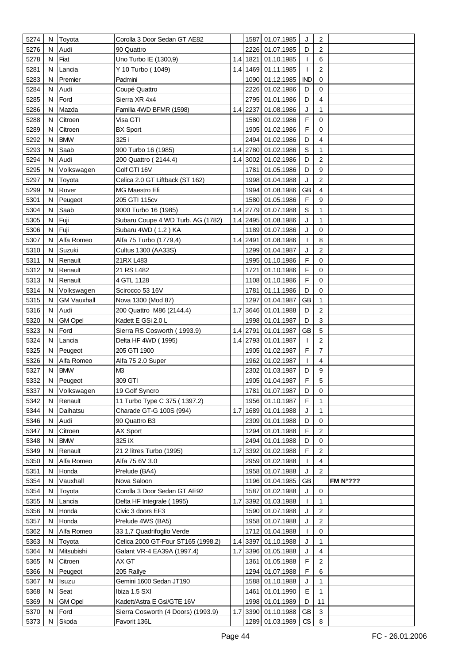| 5274         | N      | <b>Toyota</b>         | Corolla 3 Door Sedan GT AE82                   |     |          | 1587 01.07.1985                    | J          | $\overline{2}$          |                    |
|--------------|--------|-----------------------|------------------------------------------------|-----|----------|------------------------------------|------------|-------------------------|--------------------|
| 5276         | N      | Audi                  | 90 Quattro                                     |     |          | 2226 01.07.1985                    | D          | $\overline{2}$          |                    |
| 5278         | N      | Fiat                  | Uno Turbo IE (1300,9)                          |     |          | 1.4 1821 01.10.1985                | T          | 6                       |                    |
| 5281         | N      | Lancia                | Y 10 Turbo (1049)                              |     |          | 1.4 1469 01.11.1985                |            | $\overline{c}$          |                    |
| 5283         | N      | Premier               | Padmini                                        |     |          | 1090 01.12.1985                    | <b>IND</b> | $\mathbf 0$             |                    |
| 5284         | N      | Audi                  | Coupé Quattro                                  |     |          | 2226 01.02.1986                    | D          | $\mathbf 0$             |                    |
| 5285         | N      | Ford                  | Sierra XR 4x4                                  |     |          | 2795 01.01.1986                    | D          | 4                       |                    |
| 5286         | N      | Mazda                 | Familia 4WD BFMR (1598)                        |     | 1.4 2237 | 01.08.1986                         | J          | 1                       |                    |
| 5288         | N      | Citroen               | Visa GTI                                       |     |          | 1580 01.02.1986                    | F          | $\mathbf 0$             |                    |
| 5289         | N      | Citroen               | <b>BX Sport</b>                                |     |          | 1905 01.02.1986                    | F          | 0                       |                    |
| 5292         | N      | <b>BMW</b>            | 325 i                                          |     |          | 2494 01.02.1986                    | D          | 4                       |                    |
| 5293         | N      | Saab                  | 900 Turbo 16 (1985)                            |     |          | 1.4 2780 01.02.1986                | S          | 1                       |                    |
| 5294         | N      | Audi                  |                                                |     |          | 1.4 3002 01.02.1986                | D          | $\overline{c}$          |                    |
|              |        |                       | 200 Quattro (2144.4)                           |     |          |                                    | D          | 9                       |                    |
| 5295         | N      | Volkswagen            | Golf GTI 16V                                   |     |          | 1781 01.05.1986                    |            |                         |                    |
| 5297         | N      | Toyota                | Celica 2.0 GT Liftback (ST 162)                |     |          | 1998 01.04.1988                    | J          | $\sqrt{2}$              |                    |
| 5299         | N      | Rover                 | MG Maestro Efi                                 |     |          | 1994 01.08.1986                    | GB         | 4                       |                    |
| 5301         | N      | Peugeot               | 205 GTI 115cv                                  |     |          | 1580 01.05.1986                    | F          | 9                       |                    |
| 5304         | N      | Saab                  | 9000 Turbo 16 (1985)                           |     |          | 1.4 2779 01.07.1988                | S          | 1                       |                    |
| 5305         | N      | Fuji                  | Subaru Coupe 4 WD Turb. AG (1782)              |     |          | 1.4 2495 01.08.1986                | J          | $\mathbf{1}$            |                    |
| 5306         | N      | Fuji                  | Subaru 4WD (1.2) KA                            |     |          | 1189 01.07.1986                    | J          | 0                       |                    |
| 5307         | N      | Alfa Romeo            | Alfa 75 Turbo (1779,4)                         |     |          | 1.4 2491 01.08.1986                | T          | 8                       |                    |
| 5310         | N      | Suzuki                | Cultus 1300 (AA33S)                            |     |          | 1299 01.04.1987                    | J          | 2                       |                    |
| 5311         | N      | Renault               | 21RX L483                                      |     |          | 1995 01.10.1986                    | F          | $\mathbf 0$             |                    |
| 5312         | N      | Renault               | 21 RS L482                                     |     |          | 1721 01.10.1986                    | F          | $\mathbf 0$             |                    |
| 5313         | N      | Renault               | 4 GTL 1128                                     |     |          | 1108 01.10.1986                    | F          | $\mathbf 0$             |                    |
| 5314         | N      | Volkswagen            | Scirocco 53 16V                                |     |          | 1781 01.11.1986                    | D          | 0                       |                    |
| 5315         | N      | <b>GM Vauxhall</b>    | Nova 1300 (Mod 87)                             |     |          | 1297 01.04.1987                    | GB         | 1                       |                    |
| 5316         | N      | Audi                  | 200 Quattro M86 (2144.4)                       |     |          | 1.7 3646 01.01.1988                | D          | $\overline{c}$          |                    |
| 5320         | N      | <b>GM Opel</b>        | Kadett E GSi 2.0 L                             |     |          | 1998 01.01.1987                    | D          | 3                       |                    |
| 5323         | N      | Ford                  | Sierra RS Cosworth (1993.9)                    |     |          | 1.4 2791 01.01.1987                | <b>GB</b>  | 5                       |                    |
| 5324         | N      | Lancia                | Delta HF 4WD (1995)                            |     |          | 1.4 2793 01.01.1987                | T          | $\overline{\mathbf{c}}$ |                    |
| 5325         | N      | Peugeot               | 205 GTI 1900                                   |     |          | 1905 01.02.1987                    | F          | 7                       |                    |
| 5326         | N      | Alfa Romeo            | Alfa 75 2.0 Super                              |     |          | 1962 01.02.1987                    | T          | 4                       |                    |
| 5327<br>5332 | N      | <b>BMW</b>            | M <sub>3</sub><br>309 GTI                      |     |          | 2302 01.03.1987                    | D<br>F     | 9<br>5                  |                    |
| 5337         | N      | Peugeot               | 19 Golf Syncro                                 |     |          | 1905 01.04.1987                    |            |                         |                    |
| 5342         | N<br>N | Volkswagen<br>Renault | 11 Turbo Type C 375 (1397.2)                   |     |          | 1781 01.07.1987<br>1956 01.10.1987 | D<br>F     | 0<br>$\mathbf{1}$       |                    |
| 5344         | N      | Daihatsu              | Charade GT-G 100S (994)                        | 1.7 |          | 1689 01.01.1988                    | J          | $\mathbf{1}$            |                    |
| 5346         | N      | Audi                  | 90 Quattro B3                                  |     |          | 2309 01.01.1988                    | D          | 0                       |                    |
| 5347         | N      | Citroen               | AX Sport                                       |     |          | 1294 01.01.1988                    | F          | $\overline{2}$          |                    |
|              |        | <b>BMW</b>            | 325 iX                                         |     |          |                                    | D          | $\mathbf 0$             |                    |
| 5348         | N<br>N |                       |                                                | 1.7 |          | 2494 01.01.1988<br>3392 01.02.1988 | F          | 2                       |                    |
| 5349<br>5350 | N      | Renault<br>Alfa Romeo | 21 2 litres Turbo (1995)<br>Alfa 75 6V 3.0     |     |          | 2959 01.02.1988                    | T          | 4                       |                    |
| 5351         | N      | Honda                 | Prelude (BA4)                                  |     |          | 1958 01.07.1988                    | J          | $\overline{c}$          |                    |
| 5354         | N      | Vauxhall              | Nova Saloon                                    |     |          | 1196 01.04.1985                    | <b>GB</b>  |                         | FM $N^{\circ}$ ??? |
| 5354         | N      |                       | Corolla 3 Door Sedan GT AE92                   |     |          | 1587 01.02.1988                    | J          | 0                       |                    |
| 5355         | N      | Toyota<br>Lancia      |                                                |     |          | 1.7 3392 01.03.1988                |            | 1                       |                    |
| 5356         | N      | Honda                 | Delta HF Integrale (1995)<br>Civic 3 doors EF3 |     |          | 1590 01.07.1988                    | J          | $\overline{\mathbf{c}}$ |                    |
| 5357         |        |                       |                                                |     |          | 1958 01.07.1988                    | J          | $\overline{2}$          |                    |
| 5362         | N<br>N | Honda<br>Alfa Romeo   | Prelude 4WS (BA5)<br>33 1,7 Quadrifoglio Verde |     |          | 1712 01.04.1988                    |            | 0                       |                    |
| 5363         | N      | Toyota                | Celica 2000 GT-Four ST165 (1998.2)             |     |          | 1.4 3397 01.10.1988                | J          | $\mathbf{1}$            |                    |
| 5364         | N      | Mitsubishi            | Galant VR-4 EA39A (1997.4)                     |     |          | 1.7 3396 01.05.1988                | J          | 4                       |                    |
| 5365         | N      | Citroen               | AX GT                                          |     |          | 1361 01.05.1988                    | F          | $\overline{c}$          |                    |
| 5366         | N      | Peugeot               | 205 Rallye                                     |     |          | 1294 01.07.1988                    | F          | 6                       |                    |
| 5367         | N      | Isuzu                 | Gemini 1600 Sedan JT190                        |     |          | 1588 01.10.1988                    | J          | 1                       |                    |
| 5368         | N      | Seat                  | Ibiza 1.5 SXI                                  |     |          | 1461 01.01.1990                    | Е          | 1                       |                    |
| 5369         | N      | <b>GM Opel</b>        | Kadett/Astra E Gsi/GTE 16V                     |     |          | 1998 01.01.1989                    | D          | 11                      |                    |
| 5370         | N      | Ford                  | Sierra Cosworth (4 Doors) (1993.9)             |     |          | 1.7 3390 01.10.1988                | GB         | 3                       |                    |
| 5373         | N      | Skoda                 | Favorit 136L                                   |     |          | 1289 01.03.1989 CS                 |            | $\bf 8$                 |                    |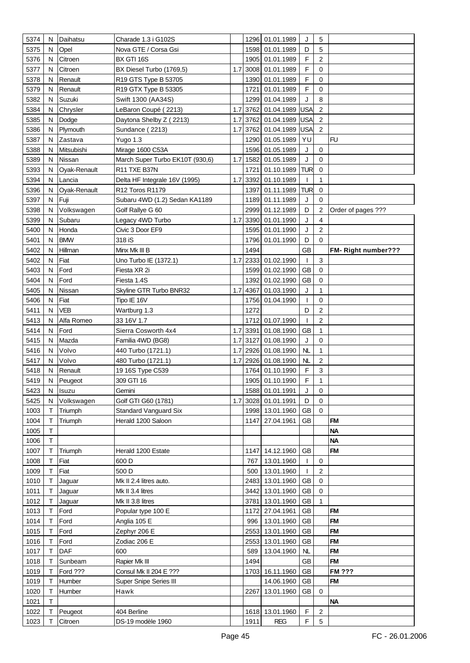| 5374         | N      | Daihatsu     | Charade 1.3 i G102S                    |     |      | 1296 01.01.1989                    | J                  | 5              |                           |
|--------------|--------|--------------|----------------------------------------|-----|------|------------------------------------|--------------------|----------------|---------------------------|
| 5375         | N      | Opel         | Nova GTE / Corsa Gsi                   |     |      | 1598 01.01.1989                    | D                  | 5              |                           |
| 5376         | N      | Citroen      | BX GTI 16S                             |     |      | 1905 01.01.1989                    | F                  | $\overline{2}$ |                           |
| 5377         | N      | Citroen      | BX Diesel Turbo (1769,5)               | 1.7 |      | 3008 01.01.1989                    | F                  | 0              |                           |
| 5378         | N      | Renault      | R19 GTS Type B 53705                   |     |      | 1390 01.01.1989                    | F                  | 0              |                           |
| 5379         | N      | Renault      | R19 GTX Type B 53305                   |     |      | 1721 01.01.1989                    | F                  | 0              |                           |
| 5382         | N      | Suzuki       | Swift 1300 (AA34S)                     |     |      | 1299 01.04.1989                    | J                  | 8              |                           |
| 5384         | N      | Chrysler     | LeBaron Coupé (2213)                   | 1.7 |      | 3762 01.04.1989                    | USA                | 2              |                           |
| 5385         | N      | Dodge        | Daytona Shelby Z (2213)                | 1.7 |      | 3762 01.04.1989                    | <b>USA</b>         | $\overline{c}$ |                           |
| 5386         | N      | Plymouth     | Sundance (2213)                        | 1.7 |      | 3762 01.04.1989                    | USA                | 2              |                           |
| 5387         | N      | Zastava      | Yugo 1.3                               |     |      | 1290 01.05.1989                    | YU                 |                | <b>FU</b>                 |
| 5388         | N      | Mitsubishi   | Mirage 1600 C53A                       |     |      | 1596 01.05.1989                    | J                  | $\mathbf 0$    |                           |
| 5389         | N      | Nissan       |                                        |     |      | 1.7 1582 01.05.1989                | J                  | $\mathbf 0$    |                           |
|              |        |              | March Super Turbo EK10T (930,6)        |     |      |                                    | <b>TUR</b>         | $\mathbf 0$    |                           |
| 5393         | N      | Oyak-Renault | R11 TXE B37N                           |     |      | 1721 01.10.1989                    |                    |                |                           |
| 5394         | N      | Lancia       | Delta HF Integrale 16V (1995)          | 1.7 |      | 3392 01.10.1989                    | $\mathbf{I}$       | 1              |                           |
| 5396         | N      | Oyak-Renault | R12 Toros R1179                        |     |      | 1397 01.11.1989                    | <b>TUR</b>         | $\mathbf 0$    |                           |
| 5397         | N      | Fuji         | Subaru 4WD (1.2) Sedan KA1189          |     |      | 1189 01.11.1989                    | J                  | 0              |                           |
| 5398         | N      | Volkswagen   | Golf Rallye G 60                       |     |      | 2999 01.12.1989                    | D                  | $\overline{2}$ | Order of pages ???        |
| 5399         | N      | Subaru       | Legacy 4WD Turbo                       | 1.7 |      | 3390 01.01.1990                    | J                  | 4              |                           |
| 5400         | N      | Honda        | Civic 3 Door EF9                       |     |      | 1595 01.01.1990                    | J                  | 2              |                           |
| 5401         | N<br>N | <b>BMW</b>   | 318 iS                                 |     | 1494 | 1796 01.01.1990                    | D<br>GB            | 0              |                           |
| 5402         | N      | Hillman      | Minx Mk III B                          | 1.7 |      | 2333 01.02.1990                    |                    | 3              | <b>FM-Right number???</b> |
| 5402         | N      | Fiat         | Uno Turbo IE (1372.1)                  |     |      |                                    | $\mathbf{I}$<br>GB | 0              |                           |
| 5403         |        | Ford<br>Ford | Fiesta XR 2i                           |     |      | 1599 01.02.1990<br>1392 01.02.1990 |                    | 0              |                           |
| 5404<br>5405 | N<br>N | Nissan       | Fiesta 1.4S                            | 1.7 |      | 4367 01.03.1990                    | GB<br>J            | 1              |                           |
| 5406         | N      | Fiat         | Skyline GTR Turbo BNR32<br>Tipo IE 16V |     |      | 1756 01.04.1990                    | T                  | 0              |                           |
| 5411         | N      | VEB          |                                        |     | 1272 |                                    | D                  | 2              |                           |
| 5413         | N      | Alfa Romeo   | Wartburg 1.3<br>33 16V 1.7             |     |      | 1712 01.07.1990                    | $\mathbf{I}$       | $\overline{c}$ |                           |
| 5414         | N      | Ford         | Sierra Cosworth 4x4                    |     |      | 1.7 3391 01.08.1990                | GB                 | $\mathbf{1}$   |                           |
| 5415         | N      | Mazda        | Familia 4WD (BG8)                      | 1.7 |      | 3127 01.08.1990                    | J                  | 0              |                           |
| 5416         | N      | Volvo        | 440 Turbo (1721.1)                     | 1.7 |      | 2926 01.08.1990                    | NL                 | 1              |                           |
| 5417         | N      | Volvo        | 480 Turbo (1721.1)                     | 1.7 |      | 2926 01.08.1990                    | NL                 | 2              |                           |
| 5418         | N      | Renault      | 19 16S Type C539                       |     |      | 1764 01.10.1990                    | F                  | 3              |                           |
| 5419         | N      | Peugeot      | 309 GTI 16                             |     |      | 1905 01.10.1990                    | F                  | 1              |                           |
| 5423         | N      | Isuzu        | Gemini                                 |     |      | 1588 01.01.1991                    | J                  | 0              |                           |
| 5425         | N      | Volkswagen   | Golf GTI G60 (1781)                    | 1.7 |      | 3028 01.01.1991                    | D                  | 0              |                           |
| 1003         | Τ      | Triumph      | <b>Standard Vanguard Six</b>           |     |      | 1998 13.01.1960                    | GB                 | $\mathbf 0$    |                           |
| 1004         | Т      | Triumph      | Herald 1200 Saloon                     |     |      | 1147 27.04.1961                    | GB                 |                | <b>FM</b>                 |
| 1005         | T      |              |                                        |     |      |                                    |                    |                | <b>NA</b>                 |
| 1006         | Τ      |              |                                        |     |      |                                    |                    |                | <b>NA</b>                 |
| 1007         | Т      | Triumph      | Herald 1200 Estate                     |     |      | 1147 14.12.1960                    | GB                 |                | <b>FM</b>                 |
| 1008         | т      | Fiat         | 600 D                                  |     | 767  | 13.01.1960                         | $\mathbf{I}$       | 0              |                           |
| 1009         | T      | Fiat         | 500 D                                  |     | 500  | 13.01.1960                         | $\mathbf{I}$       | 2              |                           |
| 1010         | Т      | Jaguar       | Mk II 2.4 litres auto.                 |     |      | 2483 13.01.1960                    | <b>GB</b>          | 0              |                           |
| 1011         | т      | Jaguar       | Mk II 3.4 litres                       |     |      | 3442 13.01.1960                    | GB                 | 0              |                           |
| 1012         | т      | Jaguar       | Mk II 3.8 litres                       |     | 3781 | 13.01.1960                         | GB                 | 1              |                           |
| 1013         | Т      | Ford         | Popular type 100 E                     |     | 1172 | 27.04.1961                         | GB                 |                | <b>FM</b>                 |
| 1014         | Т      | Ford         | Anglia 105 E                           |     | 996  | 13.01.1960                         | GB                 |                | <b>FM</b>                 |
| 1015         | т      | Ford         | Zephyr 206 E                           |     |      | 2553 13.01.1960                    | GB                 |                | <b>FM</b>                 |
| 1016         | т      | Ford         | Zodiac 206 E                           |     |      | 2553 13.01.1960                    | GB                 |                | <b>FM</b>                 |
| 1017         | т      | DAF          | 600                                    |     | 589  | 13.04.1960                         | NL                 |                | <b>FM</b>                 |
| 1018         | т      | Sunbeam      | Rapier Mk III                          |     | 1494 |                                    | GB                 |                | <b>FM</b>                 |
| 1019         | т      | Ford ???     | Consul Mk II 204 E ???                 |     |      | 1703 16.11.1960                    | GB                 |                | <b>FM ???</b>             |
| 1019         | Т      | Humber       | Super Snipe Series III                 |     |      | 14.06.1960                         | GB                 |                | <b>FM</b>                 |
| 1020         | Τ      | Humber       | Hawk                                   |     | 2267 | 13.01.1960                         | GB                 | 0              |                           |
| 1021         | Т      |              |                                        |     |      |                                    |                    |                | <b>NA</b>                 |
| 1022         | т      | Peugeot      | 404 Berline                            |     |      | 1618 13.01.1960                    | F                  | 2              |                           |
| 1023         | Т      | Citroen      | DS-19 modèle 1960                      |     | 1911 | <b>REG</b>                         | F                  | 5              |                           |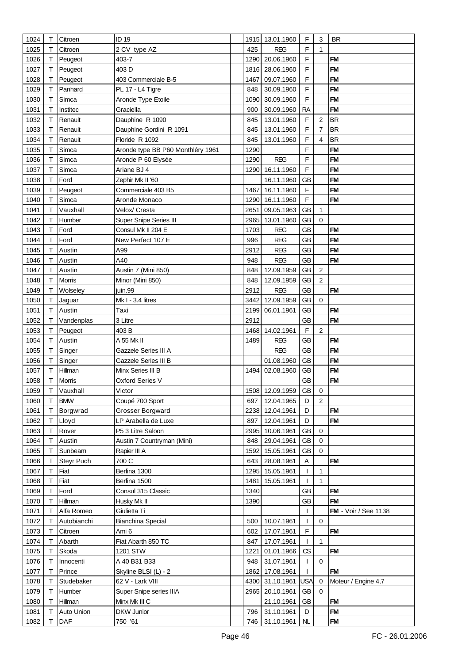| 1024 | Т | Citroen       | <b>ID 19</b>                      |      | 1915 13.01.1960 | F           | 3                       | <b>BR</b>                   |
|------|---|---------------|-----------------------------------|------|-----------------|-------------|-------------------------|-----------------------------|
| 1025 | т | Citroen       | 2 CV type AZ                      | 425  | <b>REG</b>      | F           | 1                       |                             |
| 1026 | Т | Peugeot       | 403-7                             |      | 1290 20.06.1960 | F           |                         | <b>FM</b>                   |
| 1027 | т | Peugeot       | 403 D                             |      | 1816 28.06.1960 | F           |                         | FM                          |
| 1028 | т | Peugeot       | 403 Commerciale B-5               | 1467 | 09.07.1960      | F           |                         | <b>FM</b>                   |
| 1029 |   | Panhard       | PL 17 - L4 Tigre                  | 848  | 30.09.1960      | F           |                         | <b>FM</b>                   |
| 1030 | Τ | Simca         | Aronde Type Etoile                | 1090 | 30.09.1960      | $\mathsf F$ |                         | <b>FM</b>                   |
| 1031 | т | Institec      | Graciella                         | 900  | 30.09.1960      | <b>RA</b>   |                         | <b>FM</b>                   |
| 1032 |   | Renault       | Dauphine R 1090                   | 845  | 13.01.1960      | F           | $\overline{\mathbf{c}}$ | <b>BR</b>                   |
| 1033 | т | Renault       | Dauphine Gordini R 1091           | 845  | 13.01.1960      | F           | $\overline{7}$          | <b>BR</b>                   |
| 1034 | т | Renault       | Floride R 1092                    | 845  | 13.01.1960      | F           | $\overline{4}$          | <b>BR</b>                   |
| 1035 | т | Simca         | Aronde type BB P60 Monthléry 1961 | 1290 |                 | F           |                         | <b>FM</b>                   |
| 1036 | т | Simca         | Aronde P 60 Elysée                | 1290 | <b>REG</b>      | F           |                         | <b>FM</b>                   |
|      | т |               |                                   | 1290 |                 | F           |                         | <b>FM</b>                   |
| 1037 |   | Simca         | Ariane BJ 4                       |      | 16.11.1960      |             |                         | <b>FM</b>                   |
| 1038 | Τ | Ford          | Zephir Mk II '60                  |      | 16.11.1960      | <b>GB</b>   |                         |                             |
| 1039 | Т | Peugeot       | Commerciale 403 B5                | 1467 | 16.11.1960      | F           |                         | <b>FM</b>                   |
| 1040 | т | Simca         | Aronde Monaco                     | 1290 | 16.11.1960      | F           |                         | <b>FM</b>                   |
| 1041 | т | Vauxhall      | Velox/ Cresta                     | 2651 | 09.05.1963      | <b>GB</b>   | 1                       |                             |
| 1042 | т | Humber        | Super Snipe Series III            | 2965 | 13.01.1960      | GB          | $\Omega$                |                             |
| 1043 | т | Ford          | Consul Mk II 204 E                | 1703 | <b>REG</b>      | <b>GB</b>   |                         | <b>FM</b>                   |
| 1044 | т | Ford          | New Perfect 107 E                 | 996  | <b>REG</b>      | <b>GB</b>   |                         | <b>FM</b>                   |
| 1045 |   | Austin        | A99                               | 2912 | <b>REG</b>      | GB          |                         | <b>FM</b>                   |
| 1046 | т | Austin        | A40                               | 948  | <b>REG</b>      | <b>GB</b>   |                         | <b>FM</b>                   |
| 1047 | т | Austin        | Austin 7 (Mini 850)               | 848  | 12.09.1959      | <b>GB</b>   | $\overline{2}$          |                             |
| 1048 | т | <b>Morris</b> | Minor (Mini 850)                  | 848  | 12.09.1959      | <b>GB</b>   | $\overline{2}$          |                             |
| 1049 | т | Wolseley      | juin.99                           | 2912 | <b>REG</b>      | <b>GB</b>   |                         | <b>FM</b>                   |
| 1050 | т | Jaguar        | Mk I - 3.4 litres                 | 3442 | 12.09.1959      | GB          | $\Omega$                |                             |
| 1051 | т | Austin        | Taxi                              |      | 2199 06.01.1961 | GB          |                         | <b>FM</b>                   |
| 1052 | т | Vandenplas    | 3 Litre                           | 2912 |                 | <b>GB</b>   |                         | <b>FM</b>                   |
| 1053 |   | Peugeot       | 403 B                             |      | 1468 14.02.1961 | F           | $\overline{2}$          |                             |
| 1054 | Т | Austin        | A 55 Mk II                        | 1489 | <b>REG</b>      | <b>GB</b>   |                         | <b>FM</b>                   |
| 1055 | т | Singer        | Gazzele Series III A              |      | <b>REG</b>      | <b>GB</b>   |                         | <b>FM</b>                   |
| 1056 | Т | Singer        | Gazzele Series III B              |      | 01.08.1960      | <b>GB</b>   |                         | <b>FM</b>                   |
| 1057 |   | Hillman       | Minx Series III B                 | 1494 | 02.08.1960      | <b>GB</b>   |                         | <b>FM</b>                   |
| 1058 | Т | Morris        | Oxford Series V                   |      |                 | <b>GB</b>   |                         | <b>FM</b>                   |
| 1059 | Т | Vauxhall      | Victor                            |      | 1508 12.09.1959 | GB          | 0                       |                             |
| 1060 | т | <b>BMW</b>    | Coupé 700 Sport                   | 697  | 12.04.1965      | D           | $\overline{2}$          |                             |
| 1061 | Т | Borgwrad      | Grosser Borgward                  |      | 2238 12.04.1961 | D           |                         | <b>FM</b>                   |
| 1062 | T | Lloyd         | LP Arabella de Luxe               | 897  | 12.04.1961      | D           |                         | <b>FM</b>                   |
| 1063 | Τ | Rover         | P5 3 Litre Saloon                 | 2995 | 10.06.1961      | <b>GB</b>   | $\mathbf 0$             |                             |
| 1064 | т | Austin        | Austin 7 Countryman (Mini)        | 848  | 29.04.1961      | <b>GB</b>   | 0                       |                             |
| 1065 | т | Sunbeam       | Rapier III A                      | 1592 | 15.05.1961      | <b>GB</b>   | $\Omega$                |                             |
|      |   |               |                                   |      |                 |             |                         |                             |
| 1066 | Т | Steyr Puch    | 700 C                             | 643  | 28.08.1961      | A           |                         | <b>FM</b>                   |
| 1067 | т | Fiat          | Berlina 1300                      | 1295 | 15.05.1961      |             | 1                       |                             |
| 1068 | т | Fiat          | Berlina 1500                      | 1481 | 15.05.1961      |             | $\mathbf{1}$            |                             |
| 1069 | Т | Ford          | Consul 315 Classic                | 1340 |                 | GB          |                         | <b>FM</b>                   |
| 1070 | Т | Hillman       | Husky Mk II                       | 1390 |                 | GB          |                         | <b>FM</b>                   |
| 1071 | т | Alfa Romeo    | Giulietta Ti                      |      |                 |             |                         | <b>FM</b> - Voir / See 1138 |
| 1072 | т | Autobianchi   | <b>Bianchina Special</b>          | 500  | 10.07.1961      | ı           | 0                       |                             |
| 1073 | т | Citroen       | Ami 6                             | 602  | 17.07.1961      | F           |                         | <b>FM</b>                   |
| 1074 | т | Abarth        | Fiat Abarth 850 TC                | 847  | 17.07.1961      |             | $\mathbf{1}$            |                             |
| 1075 | т | Skoda         | 1201 STW                          | 1221 | 01.01.1966      | CS          |                         | <b>FM</b>                   |
| 1076 | т | Innocenti     | A 40 B31 B33                      | 948  | 31.07.1961      | T           | $\mathbf 0$             |                             |
| 1077 | т | Prince        | Skyline BLSI (L) - 2              | 1862 | 17.08.1961      |             |                         | FM                          |
| 1078 | т | Studebaker    | 62 V - Lark VIII                  | 4300 | 31.10.1961      | <b>USA</b>  | 0                       | Moteur / Engine 4,7         |
| 1079 | Т | Humber        | Super Snipe series IIIA           | 2965 | 20.10.1961      | GB          | 0                       |                             |
| 1080 | т | Hillman       | Minx Mk III C                     |      | 21.10.1961      | <b>GB</b>   |                         | <b>FM</b>                   |
| 1081 | т | Auto Union    | <b>DKW Junior</b>                 | 796  | 31.10.1961      | D           |                         | <b>FM</b>                   |
| 1082 | т | DAF           | 750 '61                           |      | 746 31.10.1961  | NL          |                         | <b>FM</b>                   |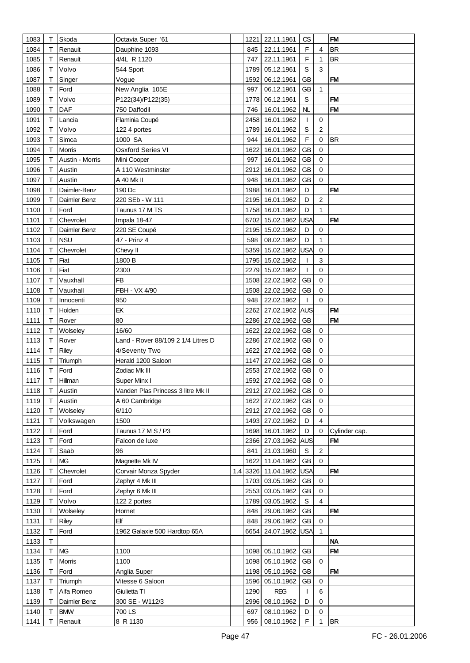| 1083 | Т | Skoda           | Octavia Super '61                  |      | 1221 22.11.1961     | CS          |                         | <b>FM</b>     |
|------|---|-----------------|------------------------------------|------|---------------------|-------------|-------------------------|---------------|
| 1084 | т | Renault         | Dauphine 1093                      | 845  | 22.11.1961          | F           | $\overline{\mathbf{4}}$ | <b>BR</b>     |
| 1085 | т | Renault         | 4/4L R 1120                        | 747  | 22.11.1961          | F           | 1                       | <b>BR</b>     |
| 1086 | Т | Volvo           | 544 Sport                          | 1789 | 05.12.1961          | S           | 3                       |               |
| 1087 | т | Singer          | Vogue                              | 1592 | 06.12.1961          | <b>GB</b>   |                         | <b>FM</b>     |
| 1088 | т | Ford            | New Anglia 105E                    | 997  | 06.12.1961          | GB          | $\mathbf{1}$            |               |
| 1089 | т | Volvo           | P122(34)/P122(35)                  | 1778 | 06.12.1961          | S           |                         | <b>FM</b>     |
| 1090 | Т | DAF             | 750 Daffodil                       | 746  | 16.01.1962          | NL          |                         | <b>FM</b>     |
|      |   |                 |                                    |      |                     |             |                         |               |
| 1091 | Τ | Lancia          | Flaminia Coupé                     |      | 2458 16.01.1962     | T           | 0                       |               |
| 1092 | Т | Volvo           | 122 4 portes                       |      | 1789 16.01.1962     | S           | $\overline{c}$          |               |
| 1093 | т | Simca           | 1000 SA                            | 944  | 16.01.1962          | F           | 0                       | <b>BR</b>     |
| 1094 | Т | <b>Morris</b>   | <b>Osxford Series VI</b>           | 1622 | 16.01.1962          | <b>GB</b>   | 0                       |               |
| 1095 | т | Austin - Morris | Mini Cooper                        | 997  | 16.01.1962          | <b>GB</b>   | $\mathbf 0$             |               |
| 1096 | т | Austin          | A 110 Westminster                  |      | 2912 16.01.1962     | GB          | $\mathbf 0$             |               |
| 1097 | т | Austin          | A 40 Mk II                         | 948  | 16.01.1962          | GB          | 0                       |               |
| 1098 | т | Daimler-Benz    | 190 Dc                             |      | 1988 16.01.1962     | D           |                         | <b>FM</b>     |
| 1099 | Τ | Daimler Benz    | 220 SEb - W 111                    |      | 2195 16.01.1962     | D           | $\sqrt{2}$              |               |
| 1100 | т | Ford            | Taunus 17 M TS                     |      | 1758 16.01.1962     | D           | $\mathbf{1}$            |               |
| 1101 | т | Chevrolet       | Impala 18-47                       |      | 6702 15.02.1962     | USA         |                         | <b>FM</b>     |
| 1102 | Τ | Daimler Benz    | 220 SE Coupé                       |      | 2195 15.02.1962     | D           | 0                       |               |
| 1103 | т | <b>NSU</b>      | 47 - Prinz 4                       |      | 598 08.02.1962      | D           | 1                       |               |
| 1104 | т | Chevrolet       | Chevy II                           |      | 5359 15.02.1962 USA |             | $\mathbf 0$             |               |
| 1105 | т | Fiat            | 1800 B                             |      | 1795 15.02.1962     |             | $\mathbf{3}$            |               |
| 1106 | Τ | Fiat            | 2300                               |      | 2279 15.02.1962     | T           | $\mathbf 0$             |               |
| 1107 | Т | Vauxhall        | <b>FB</b>                          |      | 1508 22.02.1962     | <b>GB</b>   | 0                       |               |
|      |   |                 |                                    |      | 1508 22.02.1962     |             |                         |               |
| 1108 | т | Vauxhall        | FBH - VX 4/90                      |      |                     | <b>GB</b>   | 0                       |               |
| 1109 | т | Innocenti       | 950                                |      | 948 22.02.1962      | T           | $\Omega$                |               |
| 1110 | т | Holden          | EK                                 |      | 2262 27.02.1962 AUS |             |                         | <b>FM</b>     |
| 1111 | т | Rover           | 80                                 |      | 2286 27.02.1962     | GB          |                         | <b>FM</b>     |
| 1112 | т | Wolseley        | 16/60                              |      | 1622 22.02.1962     | GB          | 0                       |               |
| 1113 | Т | Rover           | Land - Rover 88/109 2 1/4 Litres D |      | 2286 27.02.1962     | GB          | $\mathbf 0$             |               |
| 1114 | Τ | Riley           | 4/Seventy Two                      | 1622 | 27.02.1962          | GB          | $\mathbf 0$             |               |
| 1115 | Τ | Triumph         | Herald 1200 Saloon                 |      | 1147 27.02.1962     | GB          | 0                       |               |
| 1116 | т | Ford            | Zodiac Mk III                      |      | 2553 27.02.1962     | <b>GB</b>   | 0                       |               |
| 1117 | т | Hillman         | Super Minx I                       |      | 1592 27.02.1962     | GB          | $\mathbf 0$             |               |
| 1118 | Τ | Austin          | Vanden Plas Princess 3 litre Mk II |      | 2912 27.02.1962     | GB          | 0                       |               |
| 1119 | т | Austin          | A 60 Cambridge                     | 1622 | 27.02.1962          | GB          | 0                       |               |
| 1120 | т | Wolseley        | 6/110                              |      | 2912 27.02.1962     | GB          | 0                       |               |
| 1121 | Т | Volkswagen      | 1500                               |      | 1493 27.02.1962     | D           | $\overline{4}$          |               |
| 1122 | Т | Ford            | Taunus 17 M S / P3                 |      | 1698 16.01.1962     | D           | 0                       | Cylinder cap. |
| 1123 | Τ | Ford            | Falcon de luxe                     |      | 2366 27.03.1962 AUS |             |                         | <b>FM</b>     |
| 1124 | Τ | Saab            | 96                                 | 841  | 21.03.1960          | S           | $\boldsymbol{2}$        |               |
| 1125 | т | <b>MG</b>       | Magnette Mk IV                     | 1622 | 11.04.1962          | <b>GB</b>   | $\mathbf 0$             |               |
| 1126 | Т | Chevrolet       | Corvair Monza Spyder               |      | 1.4 3326 11.04.1962 | <b>USA</b>  |                         | <b>FM</b>     |
| 1127 | т | Ford            | Zephyr 4 Mk III                    |      | 1703 03.05.1962     | GB          | 0                       |               |
| 1128 | т | Ford            | Zephyr 6 Mk III                    |      | 2553 03.05.1962     | GB          | 0                       |               |
| 1129 | т | Volvo           | 122 2 portes                       | 1789 | 03.05.1962          | $\mathbb S$ | $\overline{4}$          |               |
| 1130 | Τ | Wolseley        | Hornet                             | 848  | 29.06.1962          | GB          |                         | <b>FM</b>     |
| 1131 | т | <b>Riley</b>    | Elf                                | 848  | 29.06.1962          | GB          | $\mathbf 0$             |               |
|      |   |                 |                                    |      |                     |             |                         |               |
| 1132 | т | Ford            | 1962 Galaxie 500 Hardtop 65A       | 6654 | 24.07.1962          | <b>USA</b>  | $\mathbf{1}$            |               |
| 1133 | т |                 |                                    |      |                     |             |                         | <b>NA</b>     |
| 1134 | Τ | <b>MG</b>       | 1100                               |      | 1098 05.10.1962     | GB          |                         | <b>FM</b>     |
| 1135 | Т | <b>Morris</b>   | 1100                               |      | 1098 05.10.1962     | GB          | $\mathbf 0$             |               |
| 1136 | Т | Ford            | Anglia Super                       |      | 1198 05.10.1962     | GB          |                         | <b>FM</b>     |
| 1137 | Т | Triumph         | Vitesse 6 Saloon                   |      | 1596 05.10.1962     | GB          | $\mathbf 0$             |               |
| 1138 | Τ | Alfa Romeo      | Giulietta TI                       | 1290 | <b>REG</b>          | I.          | 6                       |               |
| 1139 | т | Daimler Benz    | 300 SE - W112/3                    | 2996 | 08.10.1962          | D           | 0                       |               |
| 1140 | т | <b>BMW</b>      | 700 LS                             | 697  | 08.10.1962          | D           | $\mathbf 0$             |               |
| 1141 | т | Renault         | 8 R 1130                           | 956  | 08.10.1962          | F           | 1                       | <b>BR</b>     |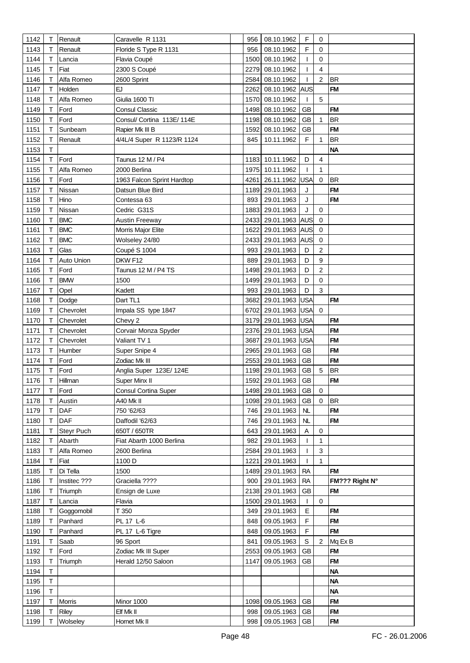| 1142         | Т | Renault             | Caravelle R 1131                     | 956  | 08.10.1962                    | F                       | 0              |                        |
|--------------|---|---------------------|--------------------------------------|------|-------------------------------|-------------------------|----------------|------------------------|
| 1143         | т | Renault             | Floride S Type R 1131                | 956  | 08.10.1962                    | F                       | 0              |                        |
| 1144         | т | Lancia              | Flavia Coupé                         | 1500 | 08.10.1962                    | T                       | $\mathbf 0$    |                        |
| 1145         | т | Fiat                | 2300 S Coupé                         | 2279 | 08.10.1962                    | ı                       | $\overline{4}$ |                        |
| 1146         | Т | Alfa Romeo          | 2600 Sprint                          | 2584 | 08.10.1962                    |                         | $\overline{c}$ | <b>BR</b>              |
| 1147         | т | Holden              | EJ                                   | 2262 | 08.10.1962 AUS                |                         |                | <b>FM</b>              |
| 1148         | т | Alfa Romeo          | Giulia 1600 TI                       | 1570 | 08.10.1962                    | T                       | 5              |                        |
| 1149         | Т | Ford                | Consul Classic                       | 1498 | 08.10.1962                    | GВ                      |                | <b>FM</b>              |
| 1150         | Т | Ford                | Consul/ Cortina 113E/114E            | 1198 | 08.10.1962                    | <b>GB</b>               | 1              | <b>BR</b>              |
| 1151         | Т | Sunbeam             | Rapier Mk III B                      | 1592 | 08.10.1962                    | <b>GB</b>               |                | <b>FM</b>              |
| 1152         | Т | Renault             | 4/4L/4 Super R 1123/R 1124           | 845  | 10.11.1962                    | F                       | 1              | <b>BR</b>              |
| 1153         | т |                     |                                      |      |                               |                         |                | <b>NA</b>              |
| 1154         | Т | Ford                | Taunus 12 M / P4                     |      | 1183 10.11.1962               | D                       | 4              |                        |
| 1155         | т | Alfa Romeo          | 2000 Berlina                         |      | 1975 10.11.1962               | -1                      | 1              |                        |
|              | т |                     |                                      | 4261 |                               | USA                     | $\mathbf 0$    | <b>BR</b>              |
| 1156         |   | Ford                | 1963 Falcon Sprint Hardtop           |      | 26.11.1962                    |                         |                |                        |
| 1157         | Τ | Nissan              | Datsun Blue Bird                     |      | 1189 29.01.1963               | J                       |                | <b>FM</b>              |
| 1158         | Т | Hino                | Contessa 63                          | 893  | 29.01.1963                    | J                       |                | <b>FM</b>              |
| 1159         | т | Nissan              | Cedric G31S                          | 1883 | 29.01.1963                    | J                       | 0              |                        |
| 1160         | Т | <b>BMC</b>          | <b>Austin Freeway</b>                | 2433 | 29.01.1963 AUS                |                         | $\mathbf 0$    |                        |
| 1161         | Т | <b>BMC</b>          | Morris Major Elite                   | 1622 | 29.01.1963 AUS                |                         | $\mathbf 0$    |                        |
| 1162         | Т | <b>BMC</b>          | Wolseley 24/80                       | 2433 | 29.01.1963 AUS                |                         | $\mathbf 0$    |                        |
| 1163         | Т | Glas                | Coupé S 1004                         | 993  | 29.01.1963                    | D                       | $\overline{2}$ |                        |
| 1164         | Т | Auto Union          | DKW F12                              | 889  | 29.01.1963                    | D                       | 9              |                        |
| 1165         | Τ | Ford                | Taunus 12 M / P4 TS                  | 1498 | 29.01.1963                    | D                       | 2              |                        |
| 1166         |   | <b>BMW</b>          | 1500                                 | 1499 | 29.01.1963                    | D                       | 0              |                        |
| 1167         | т | Opel                | Kadett                               | 993  | 29.01.1963                    | D                       | 3              |                        |
| 1168         | Т | Dodge               | Dart TL1                             | 3682 | 29.01.1963                    | USA                     |                | <b>FM</b>              |
| 1169         | Т | Chevrolet           | Impala SS type 1847                  | 6702 | 29.01.1963 USA                |                         | $\Omega$       |                        |
| 1170         | т | Chevrolet           | Chevy 2                              |      | 3179 29.01.1963 USA           |                         |                | <b>FM</b><br><b>FM</b> |
| 1171         | т | Chevrolet           | Corvair Monza Spyder<br>Valiant TV 1 |      | 2376 29.01.1963               | <b>USA</b>              |                | <b>FM</b>              |
| 1172<br>1173 | Τ | Chevrolet<br>Humber |                                      | 3687 | 29.01.1963<br>2965 29.01.1963 | <b>USA</b><br><b>GB</b> |                | <b>FM</b>              |
| 1174         | Т | Ford                | Super Snipe 4<br>Zodiac Mk III       |      | 2553 29.01.1963               | <b>GB</b>               |                | <b>FM</b>              |
| 1175         | т | Ford                | Anglia Super 123E/124E               |      | 1198 29.01.1963               | <b>GB</b>               | 5              | <b>BR</b>              |
| 1176         | т | Hillman             | Super Minx II                        | 1592 | 29.01.1963                    | GB                      |                | <b>FM</b>              |
| 1177         | Τ | Ford                | <b>Consul Cortina Super</b>          |      | 1498 29.01.1963               | GB                      | 0              |                        |
| 1178         |   | Austin              | A40 Mk II                            | 1098 | 29.01.1963                    | <b>GB</b>               | $\mathbf 0$    | <b>BR</b>              |
| 1179         | т | DAF                 | 750 '62/63                           | 746  | 29.01.1963                    | NL                      |                | <b>FM</b>              |
| 1180         | Т | DAF                 | Daffodil '62/63                      | 746  | 29.01.1963                    | NL                      |                | <b>FM</b>              |
| 1181         | Τ | Steyr Puch          | 650T / 650TR                         | 643  | 29.01.1963                    | A                       | 0              |                        |
| 1182         | т | Abarth              | Fiat Abarth 1000 Berlina             | 982  | 29.01.1963                    | $\mathbf{I}$            | 1              |                        |
| 1183         | т | Alfa Romeo          | 2600 Berlina                         | 2584 | 29.01.1963                    | T                       | 3              |                        |
| 1184         | т | Fiat                | 1100 D                               | 1221 | 29.01.1963                    | T                       | $\mathbf{1}$   |                        |
| 1185         | Τ | Di Tella            | 1500                                 |      | 1489 29.01.1963               | <b>RA</b>               |                | <b>FM</b>              |
| 1186         | т | Institec ???        | Graciella ????                       | 900  | 29.01.1963                    | <b>RA</b>               |                | FM??? Right N°         |
| 1186         | т | Triumph             | Ensign de Luxe                       |      | 2138 29.01.1963               | <b>GB</b>               |                | <b>FM</b>              |
| 1187         | т | Lancia              | Flavia                               | 1500 | 29.01.1963                    | $\mathbf{I}$            | $\mathbf 0$    |                        |
| 1188         | т | Goggomobil          | T 350                                | 349  | 29.01.1963                    | E                       |                | <b>FM</b>              |
| 1189         | Т | Panhard             | PL 17 L-6                            | 848  | 09.05.1963                    | F                       |                | <b>FM</b>              |
| 1190         | т | Panhard             | PL 17 L-6 Tigre                      | 848  | 09.05.1963                    | F                       |                | <b>FM</b>              |
| 1191         | Т | Saab                | 96 Sport                             | 841  | 09.05.1963                    | $\mathsf S$             | $\overline{2}$ | Mq Ex B                |
| 1192         | Т | Ford                | Zodiac Mk III Super                  | 2553 | 09.05.1963                    | <b>GB</b>               |                | <b>FM</b>              |
| 1193         | т | Triumph             | Herald 12/50 Saloon                  | 1147 | 09.05.1963                    | <b>GB</b>               |                | <b>FM</b>              |
| 1194         | Т |                     |                                      |      |                               |                         |                | <b>NA</b>              |
| 1195         | T |                     |                                      |      |                               |                         |                | <b>NA</b>              |
| 1196         | Τ |                     |                                      |      |                               |                         |                | <b>NA</b>              |
| 1197         | Т | Morris              | Minor 1000                           | 1098 | 09.05.1963                    | <b>GB</b>               |                | <b>FM</b>              |
| 1198         | т | <b>Riley</b>        | Elf Mk II                            | 998  | 09.05.1963                    | GB                      |                | <b>FM</b>              |
| 1199         | т | Wolseley            | Hornet Mk II                         | 998  | 09.05.1963 GB                 |                         |                | <b>FM</b>              |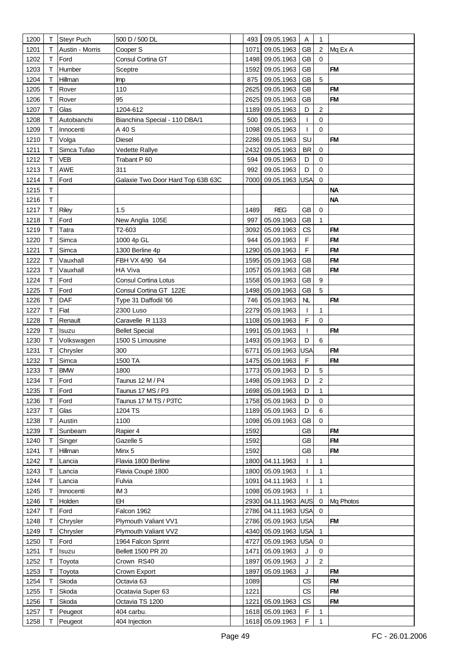| 1200         | Т      | <b>Steyr Puch</b> | 500 D / 500 DL                    | 493          | 09.05.1963                         | Α           | $\mathbf{1}$     |           |
|--------------|--------|-------------------|-----------------------------------|--------------|------------------------------------|-------------|------------------|-----------|
| 1201         | т      | Austin - Morris   | Cooper S                          | 1071         | 09.05.1963                         | <b>GB</b>   | $\overline{2}$   | Mq Ex A   |
| 1202         | т      | Ford              | Consul Cortina GT                 | 1498         | 09.05.1963                         | GB          | $\Omega$         |           |
| 1203         | Т      | Humber            | Sceptre                           | 1592         | 09.05.1963                         | <b>GB</b>   |                  | <b>FM</b> |
| 1204         | т      | Hillman           | Imp                               | 875          | 09.05.1963                         | <b>GB</b>   | 5                |           |
| 1205         | т      | Rover             | 110                               | 2625         | 09.05.1963                         | <b>GB</b>   |                  | <b>FM</b> |
| 1206         | т      | Rover             | 95                                | 2625         | 09.05.1963                         | <b>GB</b>   |                  | <b>FM</b> |
| 1207         | Т      | Glas              | 1204-612                          | 1189         | 09.05.1963                         | D           | 2                |           |
| 1208         | Т      | Autobianchi       | Bianchina Special - 110 DBA/1     | 500          | 09.05.1963                         | T           | 0                |           |
| 1209         | т      | Innocenti         | A 40 S                            | 1098         | 09.05.1963                         | T           | $\Omega$         |           |
| 1210         | т      | Volga             | <b>Diesel</b>                     | 2286         | 09.05.1963                         | SU          |                  | <b>FM</b> |
| 1211         | Τ      | Simca Tufao       | Vedette Rallye                    | 2432         | 09.05.1963                         | <b>BR</b>   | $\mathbf 0$      |           |
| 1212         | Т      | <b>VEB</b>        | Trabant P 60                      | 594          | 09.05.1963                         | D           | $\mathbf 0$      |           |
|              | т      | AWE               | 311                               | 992          |                                    | D           | $\Omega$         |           |
| 1213         |        |                   |                                   |              | 09.05.1963                         |             | $\mathbf 0$      |           |
| 1214         | Т      | Ford              | Galaxie Two Door Hard Top 63B 63C | 7000         | 09.05.1963                         | USA         |                  |           |
| 1215         | т      |                   |                                   |              |                                    |             |                  | <b>NA</b> |
| 1216         | т      |                   |                                   |              |                                    |             |                  | <b>NA</b> |
| 1217         | т      | Riley             | 1.5                               | 1489         | <b>REG</b>                         | <b>GB</b>   | $\mathbf 0$      |           |
| 1218         | Т      | Ford              | New Anglia 105E                   | 997          | 05.09.1963                         | GB          | $\mathbf{1}$     |           |
| 1219         | т      | Tatra             | T2-603                            | 3092         | 05.09.1963                         | CS          |                  | <b>FM</b> |
| 1220         | т      | Simca             | 1000 4p GL                        | 944          | 05.09.1963                         | $\mathsf F$ |                  | <b>FM</b> |
| 1221         |        | Simca             | 1300 Berline 4p                   | 1290         | 05.09.1963                         | $\mathsf F$ |                  | <b>FM</b> |
| 1222         | Τ      | Vauxhall          | FBH VX 4/90 '64                   | 1595         | 05.09.1963                         | <b>GB</b>   |                  | <b>FM</b> |
| 1223         | Т      | Vauxhall          | <b>HA Viva</b>                    | 1057         | 05.09.1963                         | <b>GB</b>   |                  | <b>FM</b> |
| 1224         | т      | Ford              | Consul Cortina Lotus              |              | 1558 05.09.1963                    | <b>GB</b>   | $\boldsymbol{9}$ |           |
| 1225         | т      | Ford              | Consul Cortina GT 122E            |              | 1498 05.09.1963                    | <b>GB</b>   | 5                |           |
| 1226         | Т      | DAF               | Type 31 Daffodil '66              | 746          | 05.09.1963                         | NL          |                  | <b>FM</b> |
| 1227         | т      | Fiat              | 2300 Luso                         | 2279         | 05.09.1963                         | T           | 1                |           |
| 1228         | Τ      | Renault           | Caravelle R 1133                  | 1108         | 05.09.1963                         | F           | $\mathbf 0$      |           |
| 1229         | т      | Isuzu             | <b>Bellet Special</b>             | 1991         | 05.09.1963                         | T           |                  | <b>FM</b> |
| 1230         | Τ      | Volkswagen        | 1500 S Limousine                  | 1493         | 05.09.1963                         | D           | 6                |           |
| 1231         | т      | Chrysler          | 300                               | 6771         | 05.09.1963                         | USA         |                  | <b>FM</b> |
| 1232         | т      | Simca             | 1500 TA                           | 1475         | 05.09.1963                         | F           |                  | <b>FM</b> |
| 1233         |        | <b>BMW</b>        | 1800                              | 1773         | 05.09.1963                         | D           | 5                |           |
| 1234         | Τ      | Ford              | Taunus 12 M / P4                  |              | 1498 05.09.1963                    | D           | $\overline{c}$   |           |
| 1235         | T.     | Ford              | Taunus 17 MS / P3                 |              | 1698 05.09.1963                    | D<br>D      | 1<br>$\mathbf 0$ |           |
| 1236         | т<br>т | Ford<br>Glas      | Taunus 17 M TS / P3TC             |              | 1758 05.09.1963<br>1189 05.09.1963 | D           | 6                |           |
| 1237<br>1238 | Т      | Austin            | 1204 TS<br>1100                   |              | 1098 05.09.1963                    | <b>GB</b>   | $\mathbf 0$      |           |
|              |        | Sunbeam           |                                   |              |                                    | <b>GB</b>   |                  | <b>FM</b> |
| 1239         | Т      |                   | Rapier 4                          | 1592<br>1592 |                                    | <b>GB</b>   |                  | <b>FM</b> |
| 1240<br>1241 | т<br>т | Singer            | Gazelle 5<br>Minx 5               |              |                                    | <b>GB</b>   |                  | <b>FM</b> |
| 1242         | Т      | Hillman<br>Lancia | Flavia 1800 Berline               | 1592         | 1800 04.11.1963                    | T           | $\mathbf{1}$     |           |
| 1243         | т      | Lancia            | Flavia Coupé 1800                 |              | 1800 05.09.1963                    | T           | 1                |           |
| 1244         | Т      | Lancia            | Fulvia                            | 1091         | 04.11.1963                         | T           | $\mathbf{1}$     |           |
| 1245         | т      | Innocenti         | IM <sub>3</sub>                   |              | 1098 05.09.1963                    | T           | 1                |           |
| 1246         | Τ      | Holden            | EH                                |              | 2930 04.11.1963 AUS                |             | 0                | Mq Photos |
| 1247         | Т      | Ford              | Falcon 1962                       |              | 2786 04.11.1963 USA                |             | $\mathbf 0$      |           |
| 1248         | т      | Chrysler          | Plymouth Valiant VV1              |              | 2786 05.09.1963 USA                |             |                  | <b>FM</b> |
| 1249         | т      | Chrysler          | Plymouth Valiant VV2              |              | 4340 05.09.1963                    | <b>USA</b>  | 1                |           |
| 1250         | Т      | Ford              | 1964 Falcon Sprint                | 4727         | 05.09.1963                         | <b>USA</b>  | $\mathbf 0$      |           |
| 1251         | Т      | Isuzu             | Bellett 1500 PR 20                | 1471         | 05.09.1963                         | J           | $\mathbf 0$      |           |
| 1252         | т      | Toyota            | Crown RS40                        | 1897         | 05.09.1963                         | J           | $\overline{2}$   |           |
| 1253         | т      | Toyota            | Crown Export                      | 1897         | 05.09.1963                         | J           |                  | <b>FM</b> |
| 1254         | Τ      | Skoda             | Octavia 63                        | 1089         |                                    | CS          |                  | <b>FM</b> |
| 1255         | Т      | Skoda             | Ocatavia Super 63                 | 1221         |                                    | CS          |                  | <b>FM</b> |
| 1256         | т      | Skoda             | Octavia TS 1200                   | 1221         | 05.09.1963                         | CS          |                  | <b>FM</b> |
| 1257         | т      | Peugeot           | 404 carbu.                        |              | 1618 05.09.1963                    | F           | 1                |           |
| 1258         | т      | Peugeot           | 404 Injection                     |              | 1618 05.09.1963                    | $\mathsf F$ | 1                |           |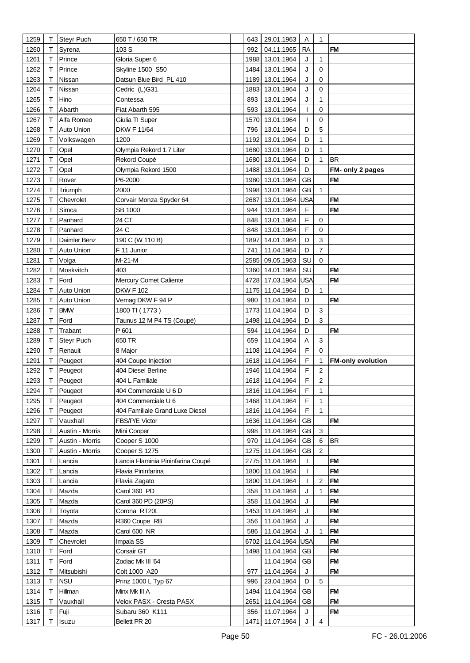| 1259         | Т      | <b>Steyr Puch</b>  | 650 T / 650 TR                        | 643  | 29.01.1963                         | Α            | $\mathbf{1}$            |                               |
|--------------|--------|--------------------|---------------------------------------|------|------------------------------------|--------------|-------------------------|-------------------------------|
| 1260         | т      | Syrena             | 103S                                  | 992  | 04.11.1965                         | <b>RA</b>    |                         | <b>FM</b>                     |
| 1261         | т      | Prince             | Gloria Super 6                        | 1988 | 13.01.1964                         | J            | $\mathbf{1}$            |                               |
| 1262         | Т      | Prince             | <b>Skyline 1500 S50</b>               | 1484 | 13.01.1964                         | J            | $\Omega$                |                               |
| 1263         | т      | Nissan             | Datsun Blue Bird PL 410               | 1189 | 13.01.1964                         | J            | $\mathbf 0$             |                               |
| 1264         | т      | Nissan             | Cedric (L)G31                         | 1883 | 13.01.1964                         | J            | $\mathbf 0$             |                               |
| 1265         | т      | Hino               | Contessa                              | 893  | 13.01.1964                         | J            | 1                       |                               |
| 1266         | Т      | Abarth             | Fiat Abarth 595                       | 593  | 13.01.1964                         | T            | $\mathbf 0$             |                               |
| 1267         | Т      | Alfa Romeo         | Giulia TI Super                       | 1570 | 13.01.1964                         | T            | $\mathbf 0$             |                               |
| 1268         | т      | <b>Auto Union</b>  | <b>DKW F 11/64</b>                    | 796  | 13.01.1964                         | D            | 5                       |                               |
| 1269         | т      | Volkswagen         | 1200                                  | 1192 | 13.01.1964                         | D            | 1                       |                               |
| 1270         | Т      | Opel               | Olympia Rekord 1.7 Liter              | 1680 | 13.01.1964                         | D            | 1                       |                               |
| 1271         | Т      | Opel               | Rekord Coupé                          |      | 1680 13.01.1964                    | D            | 1                       | <b>BR</b>                     |
|              | т      |                    |                                       |      |                                    | D            |                         |                               |
| 1272         |        | Opel               | Olympia Rekord 1500<br>P6-2000        |      | 1488 13.01.1964                    | <b>GB</b>    |                         | FM- only 2 pages<br><b>FM</b> |
| 1273         | Τ      | Rover              |                                       | 1980 | 13.01.1964                         |              |                         |                               |
| 1274         | Т      | Triumph            | 2000                                  | 1998 | 13.01.1964                         | GB           | 1                       |                               |
| 1275         | т      | Chevrolet          | Corvair Monza Spyder 64               | 2687 | 13.01.1964                         | USA          |                         | <b>FM</b>                     |
| 1276         | т      | Simca              | SB 1000                               | 944  | 13.01.1964                         | $\mathsf F$  |                         | <b>FM</b>                     |
| 1277         | т      | Panhard            | 24 CT                                 | 848  | 13.01.1964                         | F            | $\mathbf 0$             |                               |
| 1278         | т      | Panhard            | 24 C                                  | 848  | 13.01.1964                         | F            | $\mathbf 0$             |                               |
| 1279         | т      | Daimler Benz       | 190 C (W 110 B)                       | 1897 | 14.01.1964                         | D            | 3                       |                               |
| 1280         |        | Auto Union         | F 11 Junior                           | 741  | 11.04.1964                         | D            | $\overline{7}$          |                               |
| 1281         | т      | Volga              | $M-21-M$                              | 2585 | 09.05.1963                         | SU           | $\mathbf 0$             |                               |
| 1282         | Т      | Moskvitch          | 403                                   |      | 1360 14.01.1964                    | SU           |                         | <b>FM</b>                     |
| 1283         | т      | Ford               | Mercury Comet Caliente                |      | 4728 17.03.1964                    | USA          |                         | <b>FM</b>                     |
| 1284         | т      | Auto Union         | <b>DKW F 102</b>                      |      | 1175 11.04.1964                    | D            | 1                       |                               |
| 1285         | Т      | Auto Union         | Vemag DKW F 94 P                      | 980  | 11.04.1964                         | D            |                         | <b>FM</b>                     |
| 1286         | Т      | <b>BMW</b>         | 1800 TI (1773)                        |      | 1773 11.04.1964                    | D            | 3                       |                               |
| 1287         | т      | Ford               | Taunus 12 M P4 TS (Coupé)             |      | 1498 11.04.1964                    | D            | 3                       |                               |
| 1288         | т      | Trabant            | P 601                                 | 594  | 11.04.1964                         | D            |                         | <b>FM</b>                     |
| 1289         | Τ      | Steyr Puch         | 650 TR                                | 659  | 11.04.1964                         | A            | $\sqrt{3}$              |                               |
| 1290         | Τ      | Renault            | 8 Major                               | 1108 | 11.04.1964                         | F            | $\mathbf 0$             |                               |
| 1291         | т      | Peugeot            | 404 Coupe Injection                   |      | 1618 11.04.1964                    | F            | 1                       | <b>FM-only evolution</b>      |
| 1292<br>1293 | т<br>T | Peugeot<br>Peugeot | 404 Diesel Berline<br>404 L Familiale |      | 1946 11.04.1964<br>1618 11.04.1964 | F<br>F       | 2<br>$\overline{c}$     |                               |
| 1294         | Τ      | Peugeot            | 404 Commerciale U 6 D                 |      | 1816 11.04.1964                    | F            |                         |                               |
| 1295         | т      | Peugeot            | 404 Commerciale U 6                   |      | 1468 11.04.1964                    | F            | 1<br>$\mathbf{1}$       |                               |
| 1296         | т      | Peugeot            | 404 Familiale Grand Luxe Diesel       |      | 1816 11.04.1964                    | $\mathsf F$  | $\mathbf{1}$            |                               |
| 1297         | т      | Vauxhall           | FBS/P/E Victor                        |      | 1636 11.04.1964                    | <b>GB</b>    |                         | <b>FM</b>                     |
| 1298         | Т      | Austin - Morris    | Mini Cooper                           | 998  | 11.04.1964                         | <b>GB</b>    | 3                       |                               |
| 1299         | т      | Austin - Morris    | Cooper S 1000                         | 970  | 11.04.1964                         | <b>GB</b>    | 6                       | <b>BR</b>                     |
| 1300         | т      | Austin - Morris    | Cooper S 1275                         |      | 1275 11.04.1964                    | <b>GB</b>    | $\overline{2}$          |                               |
| 1301         | т      | Lancia             | Lancia Flaminia Pininfarina Coupé     |      | 2775 11.04.1964                    | $\mathbf{I}$ |                         | <b>FM</b>                     |
| 1302         | т      | Lancia             | Flavia Pininfarina                    |      | 1800 11.04.1964                    | -1           |                         | <b>FM</b>                     |
| 1303         | Т      | Lancia             | Flavia Zagato                         |      | 1800 11.04.1964                    | T            | $\overline{c}$          | <b>FM</b>                     |
| 1304         | т      | Mazda              | Carol 360 PD                          | 358  | 11.04.1964                         | J            | 1                       | <b>FM</b>                     |
| 1305         | Τ      | Mazda              | Carol 360 PD (20PS)                   | 358  | 11.04.1964                         | J            |                         | <b>FM</b>                     |
| 1306         |        | Toyota             | Corona RT20L                          | 1453 | 11.04.1964                         | J            |                         | <b>FM</b>                     |
| 1307         | т      | Mazda              | R360 Coupe RB                         | 356  | 11.04.1964                         | J            |                         | <b>FM</b>                     |
| 1308         | т      | Mazda              | Carol 600 NR                          | 586  | 11.04.1964                         | J            | 1                       | <b>FM</b>                     |
| 1309         | т      | Chevrolet          | Impala SS                             | 6702 | 11.04.1964                         | USA          |                         | <b>FM</b>                     |
| 1310         | т      | Ford               | Corsair GT                            |      | 1498 11.04.1964                    | GB           |                         | <b>FM</b>                     |
| 1311         | т      | Ford               | Zodiac Mk III '64                     |      | 11.04.1964                         | <b>GB</b>    |                         | <b>FM</b>                     |
| 1312         | т      | Mitsubishi         | Colt 1000 A20                         | 977  | 11.04.1964                         | J            |                         | <b>FM</b>                     |
| 1313         | Т      | <b>NSU</b>         | Prinz 1000 L Typ 67                   | 996  | 23.04.1964                         | D            | $\sqrt{5}$              |                               |
| 1314         | т      | Hillman            | Minx Mk III A                         | 1494 | 11.04.1964                         | <b>GB</b>    |                         | <b>FM</b>                     |
| 1315         | т      | Vauxhall           | Velox PASX - Cresta PASX              | 2651 | 11.04.1964                         | <b>GB</b>    |                         | <b>FM</b>                     |
| 1316         | т      | Fuji               | Subaru 360 K111                       | 356  | 11.07.1964                         | J            |                         | <b>FM</b>                     |
| 1317         | т      | Isuzu              | Bellett PR 20                         |      | 1471 11.07.1964                    | J            | $\overline{\mathbf{4}}$ |                               |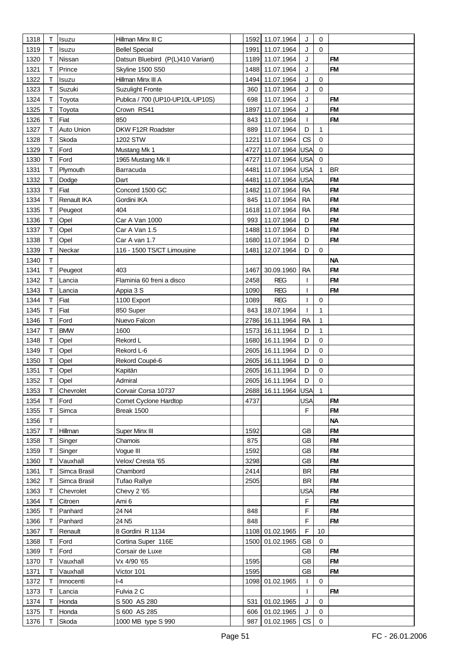| 1318 | Т | <b>Isuzu</b> | Hillman Minx III C                |      | 1592 11.07.1964     | J                      | $\mathbf 0$         |           |
|------|---|--------------|-----------------------------------|------|---------------------|------------------------|---------------------|-----------|
| 1319 | т | Isuzu        | <b>Bellel Special</b>             | 1991 | 11.07.1964          | J                      | $\Omega$            |           |
| 1320 | Т | Nissan       | Datsun Bluebird (P(L)410 Variant) | 1189 | 11.07.1964          | J                      |                     | <b>FM</b> |
|      | Т | Prince       |                                   | 1488 | 11.07.1964          |                        |                     | <b>FM</b> |
| 1321 |   |              | <b>Skyline 1500 S50</b>           |      |                     | J                      |                     |           |
| 1322 | т | Isuzu        | Hillman Minx III A                | 1494 | 11.07.1964          | J                      | $\mathbf 0$         |           |
| 1323 | т | Suzuki       | <b>Suzulight Fronte</b>           | 360  | 11.07.1964          | J                      | $\Omega$            |           |
| 1324 | т | Toyota       | Publica / 700 (UP10-UP10L-UP10S)  | 698  | 11.07.1964          | J                      |                     | <b>FM</b> |
| 1325 | т | Toyota       | Crown RS41                        | 1897 | 11.07.1964          | J                      |                     | <b>FM</b> |
| 1326 | Т | Fiat         | 850                               | 843  | 11.07.1964          | $\mathbf{I}$           |                     | <b>FM</b> |
| 1327 | т | Auto Union   | DKW F12R Roadster                 | 889  | 11.07.1964          | D                      | 1                   |           |
| 1328 | Т | Skoda        | 1202 STW                          | 1221 | 11.07.1964          | CS                     | $\mathbf 0$         |           |
| 1329 | Т | Ford         | Mustang Mk 1                      | 4727 | 11.07.1964          | <b>USA</b>             | $\mathbf 0$         |           |
| 1330 | Т | Ford         | 1965 Mustang Mk II                | 4727 | 11.07.1964          | <b>USA</b>             | $\mathbf 0$         |           |
| 1331 | т | Plymouth     | Barracuda                         | 4481 | 11.07.1964          | USA                    | $\mathbf{1}$        | <b>BR</b> |
| 1332 | Т | Dodge        | Dart                              | 4481 | 11.07.1964          | USA                    |                     | <b>FM</b> |
| 1333 | Т | Fiat         | Concord 1500 GC                   | 1482 | 11.07.1964          | <b>RA</b>              |                     | <b>FM</b> |
| 1334 | Τ | Renault IKA  | Gordini IKA                       | 845  | 11.07.1964          | <b>RA</b>              |                     | <b>FM</b> |
|      |   |              |                                   |      |                     |                        |                     |           |
| 1335 | Т | Peugeot      | 404                               |      | 1618 11.07.1964     | <b>RA</b>              |                     | <b>FM</b> |
| 1336 | Т | Opel         | Car A Van 1000                    | 993  | 11.07.1964          | D                      |                     | <b>FM</b> |
| 1337 | т | Opel         | Car A Van 1.5                     | 1488 | 11.07.1964          | D                      |                     | <b>FM</b> |
| 1338 | Т | Opel         | Car A van 1.7                     | 1680 | 11.07.1964          | D                      |                     | <b>FM</b> |
| 1339 |   | Neckar       | 116 - 1500 TS/CT Limousine        | 1481 | 12.07.1964          | D                      | $\mathbf 0$         |           |
| 1340 | T |              |                                   |      |                     |                        |                     | <b>NA</b> |
| 1341 | Т | Peugeot      | 403                               | 1467 | 30.09.1960          | <b>RA</b>              |                     | <b>FM</b> |
| 1342 | т | Lancia       | Flaminia 60 freni a disco         | 2458 | <b>REG</b>          | 1                      |                     | <b>FM</b> |
| 1343 | т | Lancia       | Appia 3 S                         | 1090 | <b>REG</b>          | 1                      |                     | <b>FM</b> |
| 1344 | Τ | Fiat         | 1100 Export                       | 1089 | <b>REG</b>          | $\overline{1}$         | 0                   |           |
| 1345 | Т | Fiat         | 850 Super                         | 843  | 18.07.1964          | 1                      | 1                   |           |
| 1346 | Τ | Ford         | Nuevo Falcon                      | 2786 | 16.11.1964          | <b>RA</b>              | $\mathbf{1}$        |           |
|      |   |              |                                   |      |                     |                        |                     |           |
| 1347 | т | <b>BMW</b>   | 1600                              | 1573 | 16.11.1964          | D                      | $\mathbf{1}$        |           |
| 1348 | Т | Opel         | Rekord L                          | 1680 | 16.11.1964          | D                      | $\mathbf 0$         |           |
| 1349 | Τ | Opel         | Rekord L-6                        | 2605 | 16.11.1964          | D                      | $\mathbf 0$         |           |
| 1350 | Τ | Opel         | Rekord Coupé-6                    | 2605 | 16.11.1964          | D                      | $\mathbf 0$         |           |
| 1351 | т | Opel         | Kapitän                           | 2605 | 16.11.1964          | D                      | $\mathbf 0$         |           |
| 1352 | Τ | Opel         | Admiral                           |      | 2605 16.11.1964     | D                      | 0                   |           |
| 1353 | Τ | Chevrolet    | Corvair Corsa 10737               |      | 2688 16.11.1964 USA |                        | $\mathbf{1}$        |           |
| 1354 | т | Ford         | Comet Cyclone Hardtop             | 4737 |                     | <b>USA</b>             |                     | <b>FM</b> |
| 1355 | Т | Simca        | Break 1500                        |      |                     | F                      |                     | <b>FM</b> |
| 1356 | Τ |              |                                   |      |                     |                        |                     | <b>NA</b> |
| 1357 | т | Hillman      | Super Minx III                    | 1592 |                     | <b>GB</b>              |                     | <b>FM</b> |
| 1358 | т | Singer       | Chamois                           | 875  |                     | <b>GB</b>              |                     | <b>FM</b> |
| 1359 | т | Singer       | Vogue III                         | 1592 |                     | <b>GB</b>              |                     | <b>FM</b> |
| 1360 | т | Vauxhall     | Velox/ Cresta '65                 | 3298 |                     | <b>GB</b>              |                     | <b>FM</b> |
|      |   |              |                                   |      |                     |                        |                     |           |
| 1361 | Т | Simca Brasil | Chambord                          | 2414 |                     | <b>BR</b>              |                     | <b>FM</b> |
| 1362 | Т | Simca Brasil | <b>Tufao Rallye</b>               | 2505 |                     | <b>BR</b>              |                     | <b>FM</b> |
| 1363 | т | Chevrolet    | Chevy 2 '65                       |      |                     | USA                    |                     | <b>FM</b> |
| 1364 | Τ | Citroen      | Ami 6                             |      |                     | $\mathsf F$            |                     | <b>FM</b> |
| 1365 | Т | Panhard      | 24 N4                             | 848  |                     | $\mathsf F$            |                     | <b>FM</b> |
| 1366 | т | Panhard      | 24 N <sub>5</sub>                 | 848  |                     | F                      |                     | <b>FM</b> |
| 1367 | т | Renault      | 8 Gordini R 1134                  |      | 1108 01.02.1965     | F                      | 10                  |           |
| 1368 | Т | Ford         | Cortina Super 116E                | 1500 | 01.02.1965          | <b>GB</b>              | $\mathbf 0$         |           |
| 1369 | т | Ford         | Corsair de Luxe                   |      |                     | <b>GB</b>              |                     | <b>FM</b> |
| 1370 | т | Vauxhall     | Vx 4/90 '65                       | 1595 |                     | <b>GB</b>              |                     | <b>FM</b> |
| 1371 | т | Vauxhall     | Victor 101                        | 1595 |                     | <b>GB</b>              |                     | <b>FM</b> |
| 1372 | Τ | Innocenti    | $-4$                              |      | 1098 01.02.1965     | $\mathbf{I}$           | $\mathbf 0$         |           |
| 1373 | Τ |              | Fulvia 2 C                        |      |                     | -1                     |                     | <b>FM</b> |
|      |   | Lancia       |                                   |      |                     |                        |                     |           |
| 1374 | т | Honda        | S 500 AS 280                      | 531  | 01.02.1965          | J                      | $\mathbf 0$         |           |
| 1375 | т | Honda        | S 600 AS 285                      | 606  | 01.02.1965          | J                      | $\mathbf 0$         |           |
| 1376 | т | Skoda        | 1000 MB type S 990                | 987  | 01.02.1965          | $\mathbb{C}\mathbb{S}$ | $\mathsf{O}\xspace$ |           |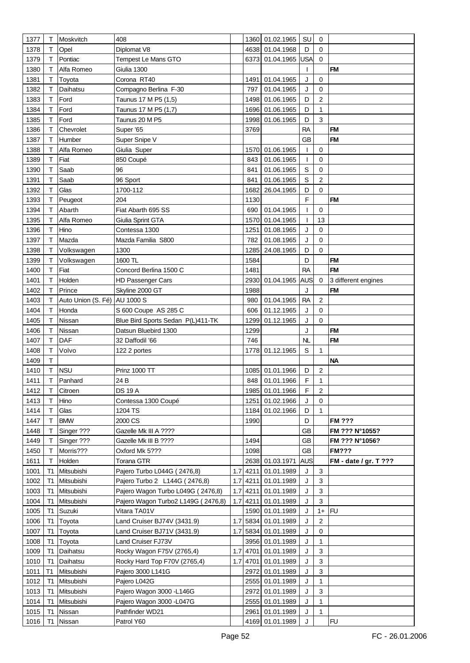| 1377 | т              | Moskvitch                    | 408                                |      | 1360 01.02.1965     | SU          | 0                       |                       |
|------|----------------|------------------------------|------------------------------------|------|---------------------|-------------|-------------------------|-----------------------|
| 1378 | т              | Opel                         | Diplomat V8                        |      | 4638 01.04.1968     | D           | $\mathbf 0$             |                       |
| 1379 | т              | Pontiac                      | Tempest Le Mans GTO                |      | 6373 01.04.1965     | <b>USA</b>  | $\Omega$                |                       |
| 1380 | т              | Alfa Romeo                   | Giulia 1300                        |      |                     | T           |                         | <b>FM</b>             |
| 1381 | т              | Toyota                       | Corona RT40                        | 1491 | 01.04.1965          | J           | $\mathbf 0$             |                       |
| 1382 | Т              | Daihatsu                     | Compagno Berlina F-30              | 797  | 01.04.1965          | J           | 0                       |                       |
|      |                |                              |                                    |      |                     |             |                         |                       |
| 1383 | Т              | Ford                         | Taunus 17 M P5 (1,5)               | 1498 | 01.06.1965          | D           | 2                       |                       |
| 1384 | Т              | Ford                         | Taunus 17 M P5 (1,7)               |      | 1696 01.06.1965     | D           | $\mathbf{1}$            |                       |
| 1385 | т              | Ford                         | Taunus 20 M P5                     | 1998 | 01.06.1965          | D           | 3                       |                       |
| 1386 | Τ              | Chevrolet                    | Super '65                          | 3769 |                     | <b>RA</b>   |                         | <b>FM</b>             |
| 1387 | т              | Humber                       | Super Snipe V                      |      |                     | GB          |                         | <b>FM</b>             |
| 1388 | Т              | Alfa Romeo                   | Giulia Super                       |      | 1570 01.06.1965     | T           | 0                       |                       |
| 1389 | Т              | Fiat                         | 850 Coupé                          | 843  | 01.06.1965          | T           | 0                       |                       |
| 1390 | Τ              | Saab                         | 96                                 | 841  | 01.06.1965          | $\mathbb S$ | $\mathbf 0$             |                       |
| 1391 | Т              | Saab                         | 96 Sport                           | 841  | 01.06.1965          | $\mathbb S$ | $\overline{c}$          |                       |
| 1392 | т              | Glas                         | 1700-112                           | 1682 | 26.04.1965          | D           | $\mathbf 0$             |                       |
| 1393 | т              | Peugeot                      | 204                                | 1130 |                     | F           |                         | <b>FM</b>             |
| 1394 | т              | Abarth                       | Fiat Abarth 695 SS                 | 690  | 01.04.1965          | T           | 0                       |                       |
| 1395 | т              | Alfa Romeo                   | Giulia Sprint GTA                  |      | 1570 01.04.1965     | I           | 13                      |                       |
| 1396 | т              | Hino                         | Contessa 1300                      | 1251 | 01.08.1965          | J           | 0                       |                       |
| 1397 | т              | Mazda                        | Mazda Familia S800                 | 782  | 01.08.1965          | J           | 0                       |                       |
| 1398 | Т              | Volkswagen                   | 1300                               | 1285 | 24.08.1965          | D           | 0                       |                       |
| 1399 |                | Volkswagen                   | 1600 TL                            | 1584 |                     | D           |                         | <b>FM</b>             |
| 1400 | т              | Fiat                         | Concord Berlina 1500 C             | 1481 |                     | <b>RA</b>   |                         | <b>FM</b>             |
| 1401 | т              | Holden                       | HD Passenger Cars                  |      | 2930 01.04.1965     | <b>AUS</b>  | 0                       | 3 different engines   |
| 1402 | Т              | Prince                       | Skyline 2000 GT                    | 1988 |                     | J           |                         | <b>FM</b>             |
| 1403 | т              | Auto Union (S. Fé) AU 1000 S |                                    | 980  | 01.04.1965          | <b>RA</b>   | $\overline{\mathbf{c}}$ |                       |
| 1404 | т              | Honda                        | S 600 Coupe AS 285 C               | 606  | 01.12.1965          | J           | 0                       |                       |
| 1405 | т              | Nissan                       | Blue Bird Sports Sedan P(L)411-TK  | 1299 | 01.12.1965          | J           | 0                       |                       |
| 1406 | Τ              | Nissan                       | Datsun Bluebird 1300               | 1299 |                     | J           |                         | <b>FM</b>             |
|      |                | DAF                          |                                    | 746  |                     |             |                         | <b>FM</b>             |
| 1407 | Т              |                              | 32 Daffodil '66                    |      |                     | NL          |                         |                       |
| 1408 | т              | Volvo                        | 122 2 portes                       |      | 1778 01.12.1965     | S           | $\mathbf{1}$            |                       |
| 1409 | т              |                              |                                    |      |                     |             |                         | <b>NA</b>             |
| 1410 | т              | <b>NSU</b>                   | <b>Prinz 1000 TT</b>               |      | 1085 01.01.1966     | D           | $\sqrt{2}$              |                       |
| 1411 | т              | Panhard                      | 24 B                               |      | 848 01.01.1966      | F           | $\mathbf{1}$            |                       |
| 1412 | Т              | Citroen                      | <b>DS 19 A</b>                     |      | 1985 01.01.1966     | F           | $\overline{c}$          |                       |
| 1413 | т              | Hino                         | Contessa 1300 Coupé                |      | 1251 01.02.1966     | J           | 0                       |                       |
| 1414 | Т              | Glas                         | 1204 TS                            |      | 1184 01.02.1966     | D           | $\mathbf{1}$            |                       |
| 1447 | Т              | <b>BMW</b>                   | 2000 CS                            | 1990 |                     | D           |                         | <b>FM ???</b>         |
| 1448 | т              | Singer ???                   | Gazelle Mk III A ????              |      |                     | GB          |                         | FM ??? N°1055?        |
| 1449 | т              | Singer ???                   | Gazelle Mk III B ????              | 1494 |                     | GB          |                         | FM ??? N°1056?        |
| 1450 | т              | Morris???                    | Oxford Mk 5???                     | 1098 |                     | <b>GB</b>   |                         | <b>FM???</b>          |
| 1611 | т              | Holden                       | Torana GTR                         |      | 2638 01.03.1971     | <b>AUS</b>  |                         | FM - date / gr. T ??? |
| 1001 | Т1             | Mitsubishi                   | Pajero Turbo L044G (2476,8)        |      | 1.7 4211 01.01.1989 | J           | 3                       |                       |
| 1002 | Т1             | Mitsubishi                   | Pajero Turbo 2 L144G (2476,8)      |      | 1.7 4211 01.01.1989 | J           | $\mathbf{3}$            |                       |
| 1003 | T1             | Mitsubishi                   | Pajero Wagon Turbo L049G (2476,8)  |      | 1.7 4211 01.01.1989 | J           | $\mathbf{3}$            |                       |
| 1004 | T1             | Mitsubishi                   | Pajero Wagon Turbo2 L149G (2476,8) |      | 1.7 4211 01.01.1989 | J           | $\mathbf{3}$            |                       |
| 1005 | T1             | Suzuki                       | Vitara TA01V                       |      | 1590 01.01.1989     | J           | $1+$                    | FU                    |
| 1006 | T1             | Toyota                       | Land Cruiser BJ74V (3431.9)        |      | 1.7 5834 01.01.1989 | J           | $\overline{c}$          |                       |
| 1007 | T1             | Toyota                       | Land Cruiser BJ71V (3431.9)        |      | 1.7 5834 01.01.1989 | J           | $\mathbf 0$             |                       |
| 1008 | T1             | Toyota                       | Land Cruiser FJ73V                 |      | 3956 01.01.1989     | J           | 1                       |                       |
| 1009 | T1             | Daihatsu                     | Rocky Wagon F75V (2765,4)          |      | 1.7 4701 01.01.1989 | J           | 3                       |                       |
| 1010 | T1             | Daihatsu                     | Rocky Hard Top F70V (2765,4)       |      | 1.7 4701 01.01.1989 | J           | $\mathbf{3}$            |                       |
| 1011 | T1             | Mitsubishi                   | Pajero 3000 L141G                  | 2972 | 01.01.1989          | J           | $\mathbf{3}$            |                       |
| 1012 | T1             | Mitsubishi                   | Pajero L042G                       |      | 2555 01.01.1989     | J           | 1                       |                       |
| 1013 | T1             | Mitsubishi                   | Pajero Wagon 3000 -L146G           |      | 2972 01.01.1989     | J           | 3                       |                       |
| 1014 | T <sub>1</sub> | Mitsubishi                   | Pajero Wagon 3000 - L047G          |      | 2555 01.01.1989     | J           | 1                       |                       |
| 1015 | T1             | Nissan                       | Pathfinder WD21                    |      | 2961 01.01.1989     | J           | $\mathbf{1}$            |                       |
| 1016 |                | T1 Nissan                    | Patrol Y60                         |      | 4169 01.01.1989     | J           |                         | FU                    |